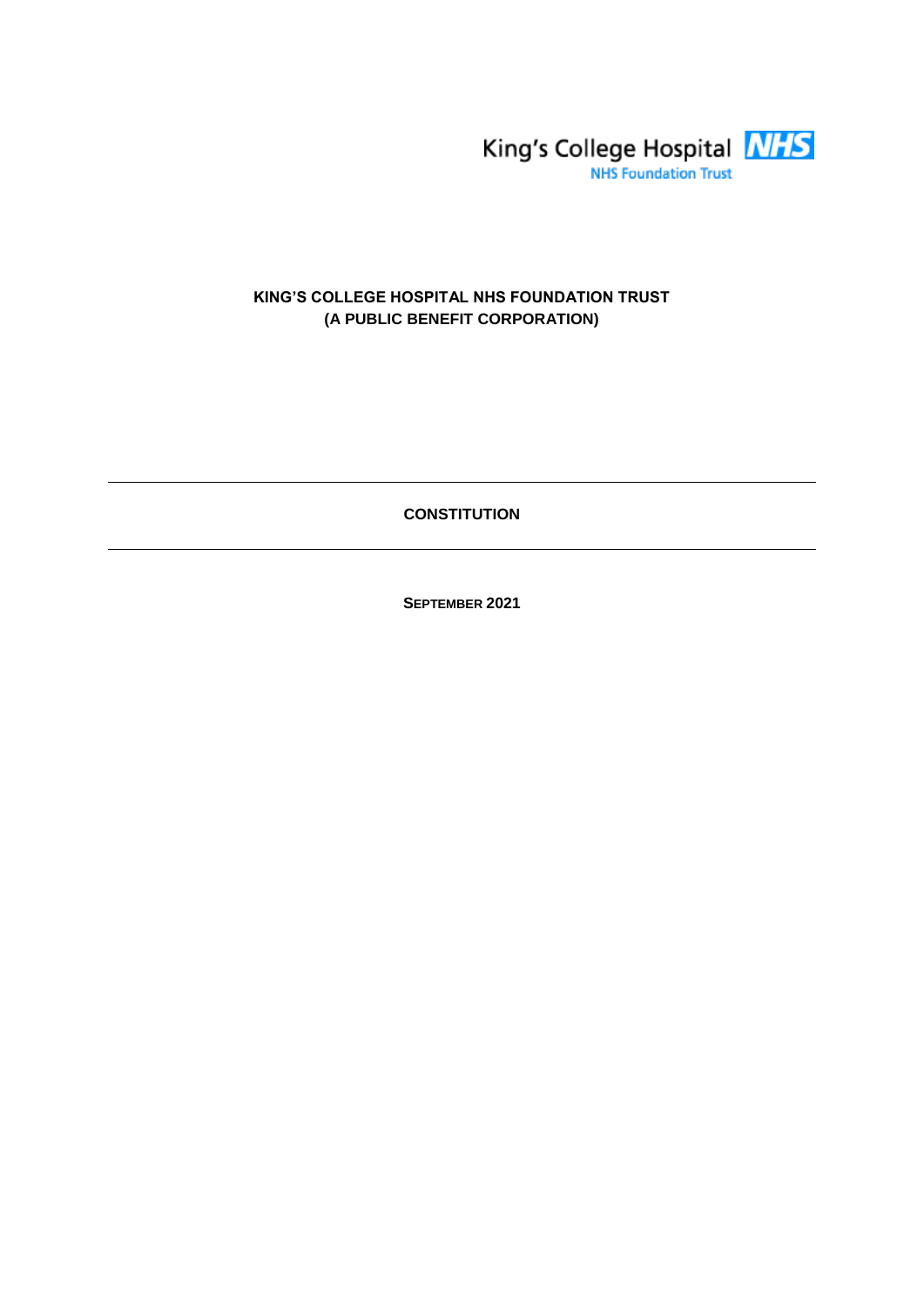

# **KING'S COLLEGE HOSPITAL NHS FOUNDATION TRUST (A PUBLIC BENEFIT CORPORATION)**

**CONSTITUTION**

**SEPTEMBER 2021**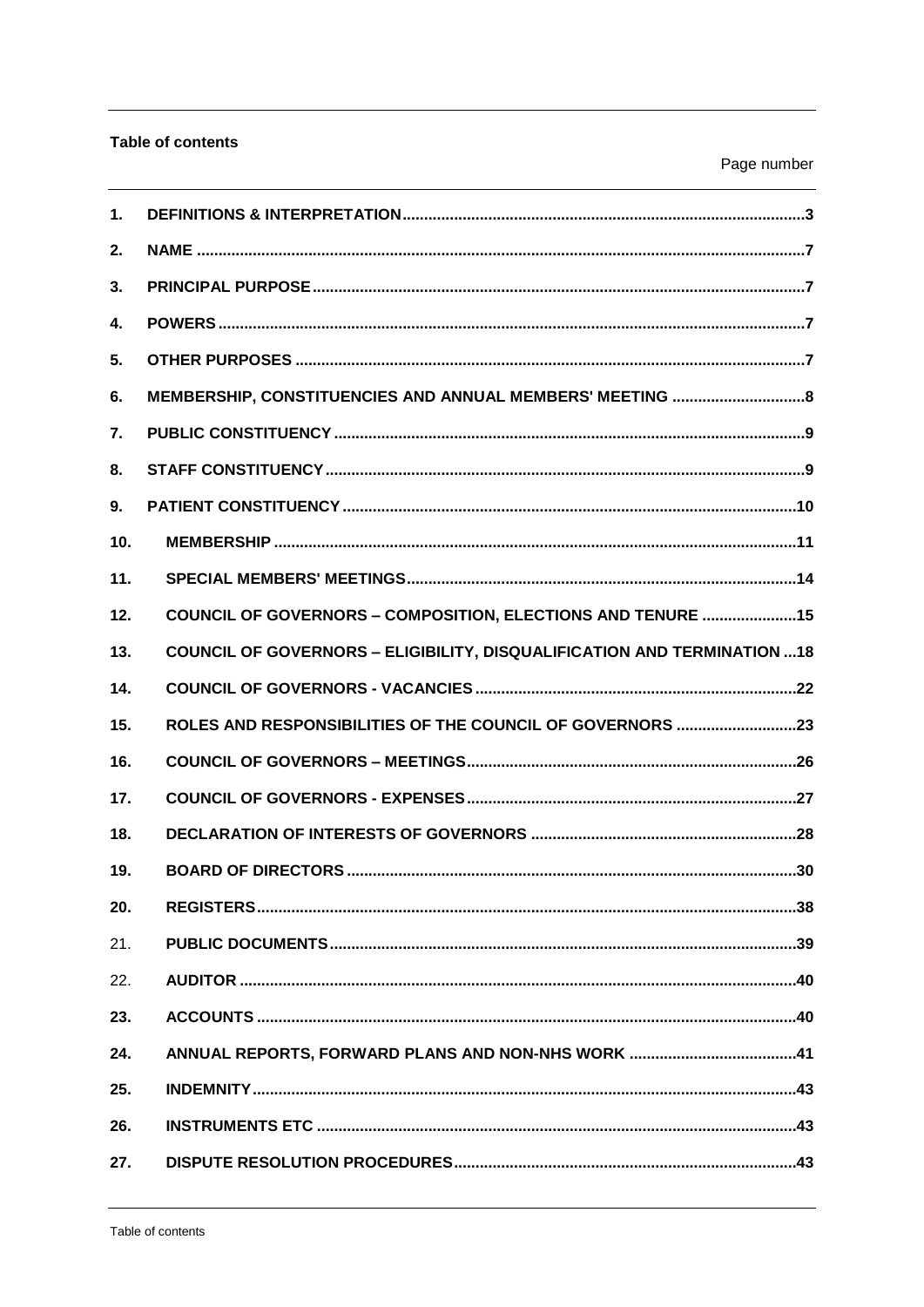# Table of contents

| $\mathbf 1$ .   |                                                                                 |
|-----------------|---------------------------------------------------------------------------------|
| 2.              |                                                                                 |
| 3.              |                                                                                 |
| 4.              |                                                                                 |
| 5.              |                                                                                 |
| 6.              | MEMBERSHIP, CONSTITUENCIES AND ANNUAL MEMBERS' MEETING  8                       |
| 7.              |                                                                                 |
| 8.              |                                                                                 |
| 9.              |                                                                                 |
| 10 <sub>1</sub> |                                                                                 |
| 11.             |                                                                                 |
| 12.             | COUNCIL OF GOVERNORS - COMPOSITION, ELECTIONS AND TENURE 15                     |
| 13.             | <b>COUNCIL OF GOVERNORS - ELIGIBILITY, DISQUALIFICATION AND TERMINATION  18</b> |
| 14.             |                                                                                 |
| 15.             | ROLES AND RESPONSIBILITIES OF THE COUNCIL OF GOVERNORS 23                       |
| 16.             |                                                                                 |
| 17.             |                                                                                 |
| 18.             |                                                                                 |
| 19.             |                                                                                 |
| 20.             |                                                                                 |
| 21.             |                                                                                 |
| 22.             |                                                                                 |
| 23.             |                                                                                 |
| 24.             |                                                                                 |
| 25.             |                                                                                 |
| 26.             |                                                                                 |
| 27.             |                                                                                 |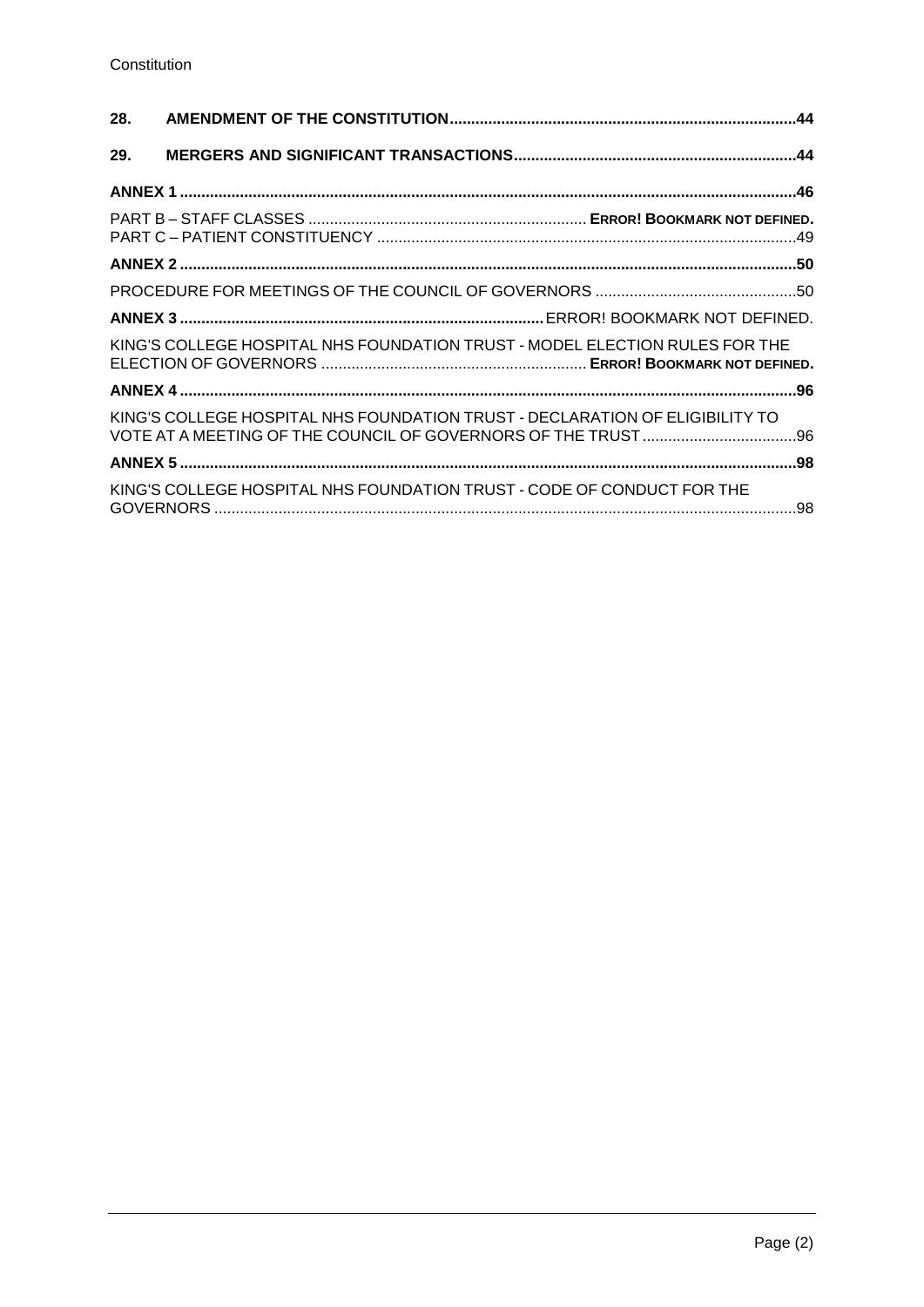| 28. |                                                                              |  |  |
|-----|------------------------------------------------------------------------------|--|--|
| 29. |                                                                              |  |  |
|     |                                                                              |  |  |
|     |                                                                              |  |  |
|     |                                                                              |  |  |
|     |                                                                              |  |  |
|     |                                                                              |  |  |
|     | KING'S COLLEGE HOSPITAL NHS FOUNDATION TRUST - MODEL ELECTION RULES FOR THE  |  |  |
|     |                                                                              |  |  |
|     | KING'S COLLEGE HOSPITAL NHS FOUNDATION TRUST - DECLARATION OF ELIGIBILITY TO |  |  |
|     |                                                                              |  |  |
|     | KING'S COLLEGE HOSPITAL NHS FOUNDATION TRUST - CODE OF CONDUCT FOR THE       |  |  |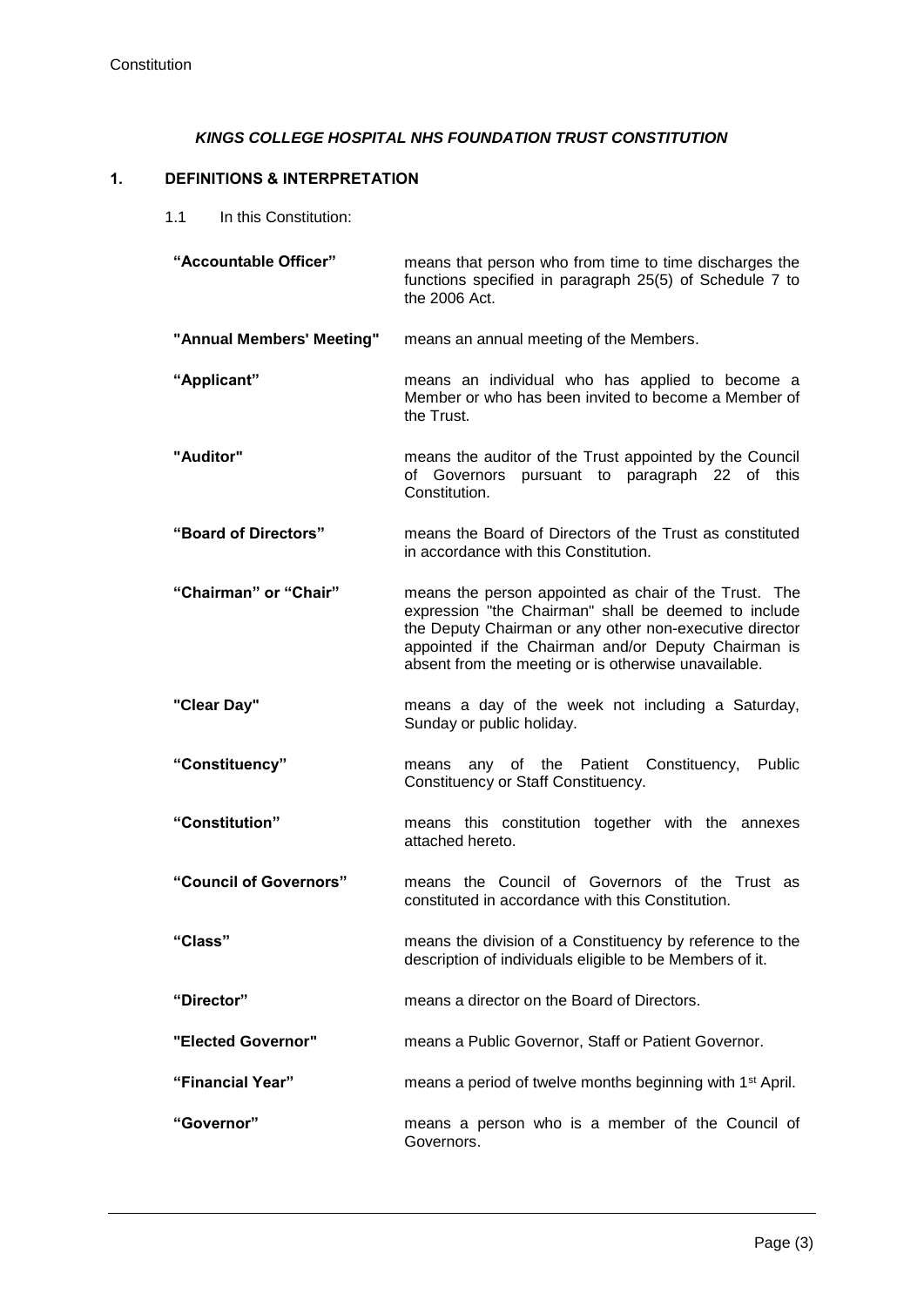## *KINGS COLLEGE HOSPITAL NHS FOUNDATION TRUST CONSTITUTION*

#### **1. DEFINITIONS & INTERPRETATION**

1.1 In this Constitution:

| "Accountable Officer" | means that person who from time to time discharges the  |
|-----------------------|---------------------------------------------------------|
|                       | functions specified in paragraph 25(5) of Schedule 7 to |
|                       | the 2006 Act.                                           |

- **"Annual Members' Meeting"** means an annual meeting of the Members.
- **"Applicant"** means an individual who has applied to become a Member or who has been invited to become a Member of the Trust.
- **"Auditor"** means the auditor of the Trust appointed by the Council of Governors pursuant to paragraph 22 of this Constitution.
- **"Board of Directors"** means the Board of Directors of the Trust as constituted in accordance with this Constitution.
- **"Chairman" or "Chair"** means the person appointed as chair of the Trust. The expression "the Chairman" shall be deemed to include the Deputy Chairman or any other non-executive director appointed if the Chairman and/or Deputy Chairman is absent from the meeting or is otherwise unavailable.
- **"Clear Day"** means a day of the week not including a Saturday, Sunday or public holiday.
- **"Constituency"** means any of the Patient Constituency, Public Constituency or Staff Constituency.
- **"Constitution"** means this constitution together with the annexes attached hereto.
- **"Council of Governors"** means the Council of Governors of the Trust as constituted in accordance with this Constitution.
- **"Class"** means the division of a Constituency by reference to the description of individuals eligible to be Members of it.
- **"Director"** means a director on the Board of Directors.
- **"Elected Governor"** means a Public Governor, Staff or Patient Governor.
- **"Financial Year"** means a period of twelve months beginning with 1st April.
- **"Governor"** means a person who is a member of the Council of Governors.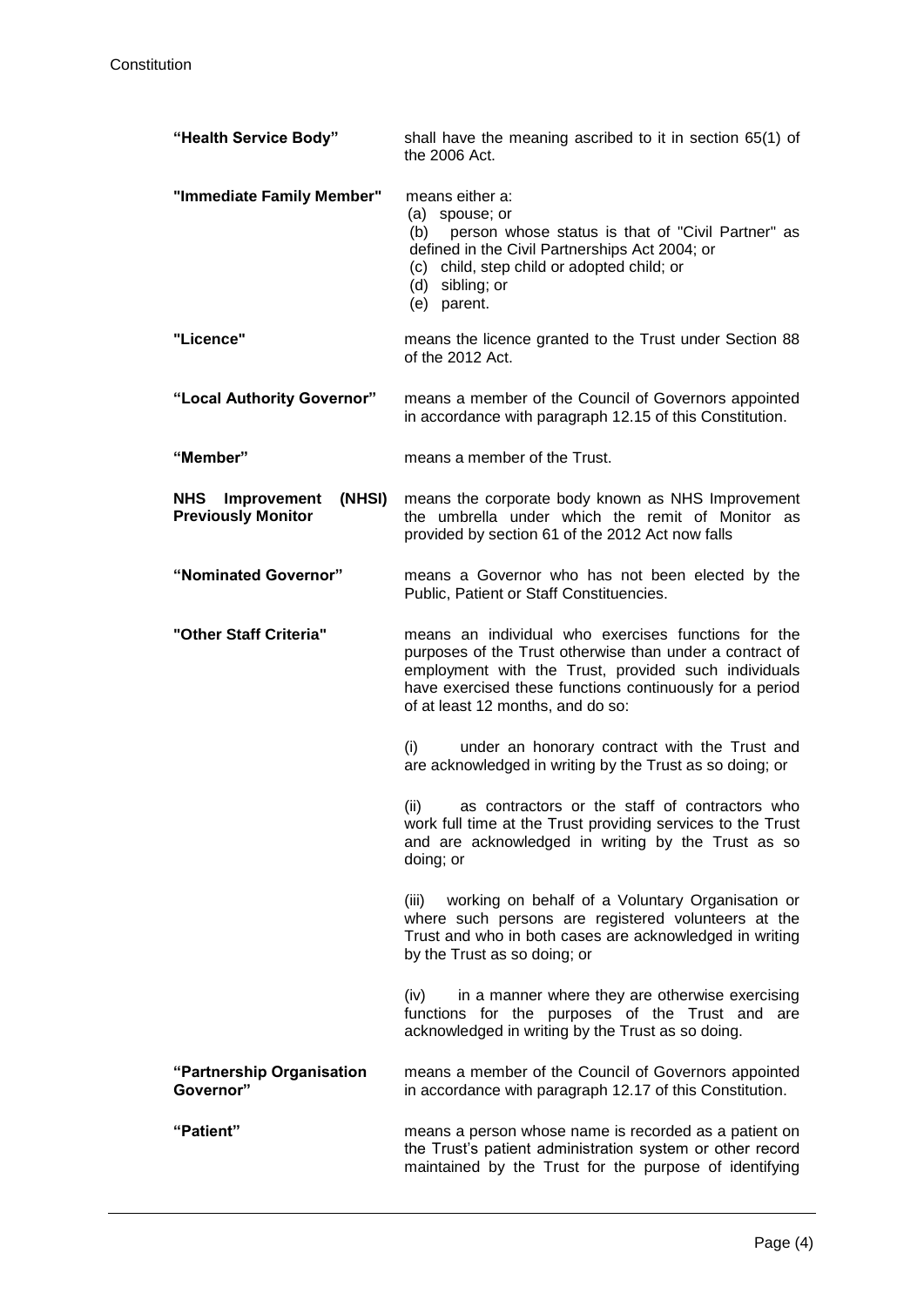| "Health Service Body"                                     | shall have the meaning ascribed to it in section 65(1) of<br>the 2006 Act.                                                                                                                                                                                               |
|-----------------------------------------------------------|--------------------------------------------------------------------------------------------------------------------------------------------------------------------------------------------------------------------------------------------------------------------------|
| "Immediate Family Member"                                 | means either a:<br>(a) spouse; or<br>person whose status is that of "Civil Partner" as<br>(b)<br>defined in the Civil Partnerships Act 2004; or<br>(c) child, step child or adopted child; or<br>(d) sibling; or<br>(e) parent.                                          |
| "Licence"                                                 | means the licence granted to the Trust under Section 88<br>of the 2012 Act.                                                                                                                                                                                              |
| "Local Authority Governor"                                | means a member of the Council of Governors appointed<br>in accordance with paragraph 12.15 of this Constitution.                                                                                                                                                         |
| "Member"                                                  | means a member of the Trust.                                                                                                                                                                                                                                             |
| NHS<br>Improvement<br>(NHSI)<br><b>Previously Monitor</b> | means the corporate body known as NHS Improvement<br>the umbrella under which the remit of Monitor as<br>provided by section 61 of the 2012 Act now falls                                                                                                                |
| "Nominated Governor"                                      | means a Governor who has not been elected by the<br>Public, Patient or Staff Constituencies.                                                                                                                                                                             |
| "Other Staff Criteria"                                    | means an individual who exercises functions for the<br>purposes of the Trust otherwise than under a contract of<br>employment with the Trust, provided such individuals<br>have exercised these functions continuously for a period<br>of at least 12 months, and do so: |
|                                                           | under an honorary contract with the Trust and<br>(i)<br>are acknowledged in writing by the Trust as so doing; or                                                                                                                                                         |
|                                                           | as contractors or the staff of contractors who<br>(ii)<br>work full time at the Trust providing services to the Trust<br>and are acknowledged in writing by the Trust as so<br>doing; or                                                                                 |
|                                                           | working on behalf of a Voluntary Organisation or<br>(iii)<br>where such persons are registered volunteers at the<br>Trust and who in both cases are acknowledged in writing<br>by the Trust as so doing; or                                                              |
|                                                           | in a manner where they are otherwise exercising<br>(iv)<br>functions for the purposes of the Trust and are<br>acknowledged in writing by the Trust as so doing.                                                                                                          |
| "Partnership Organisation<br>Governor"                    | means a member of the Council of Governors appointed<br>in accordance with paragraph 12.17 of this Constitution.                                                                                                                                                         |
| "Patient"                                                 | means a person whose name is recorded as a patient on<br>the Trust's patient administration system or other record<br>maintained by the Trust for the purpose of identifying                                                                                             |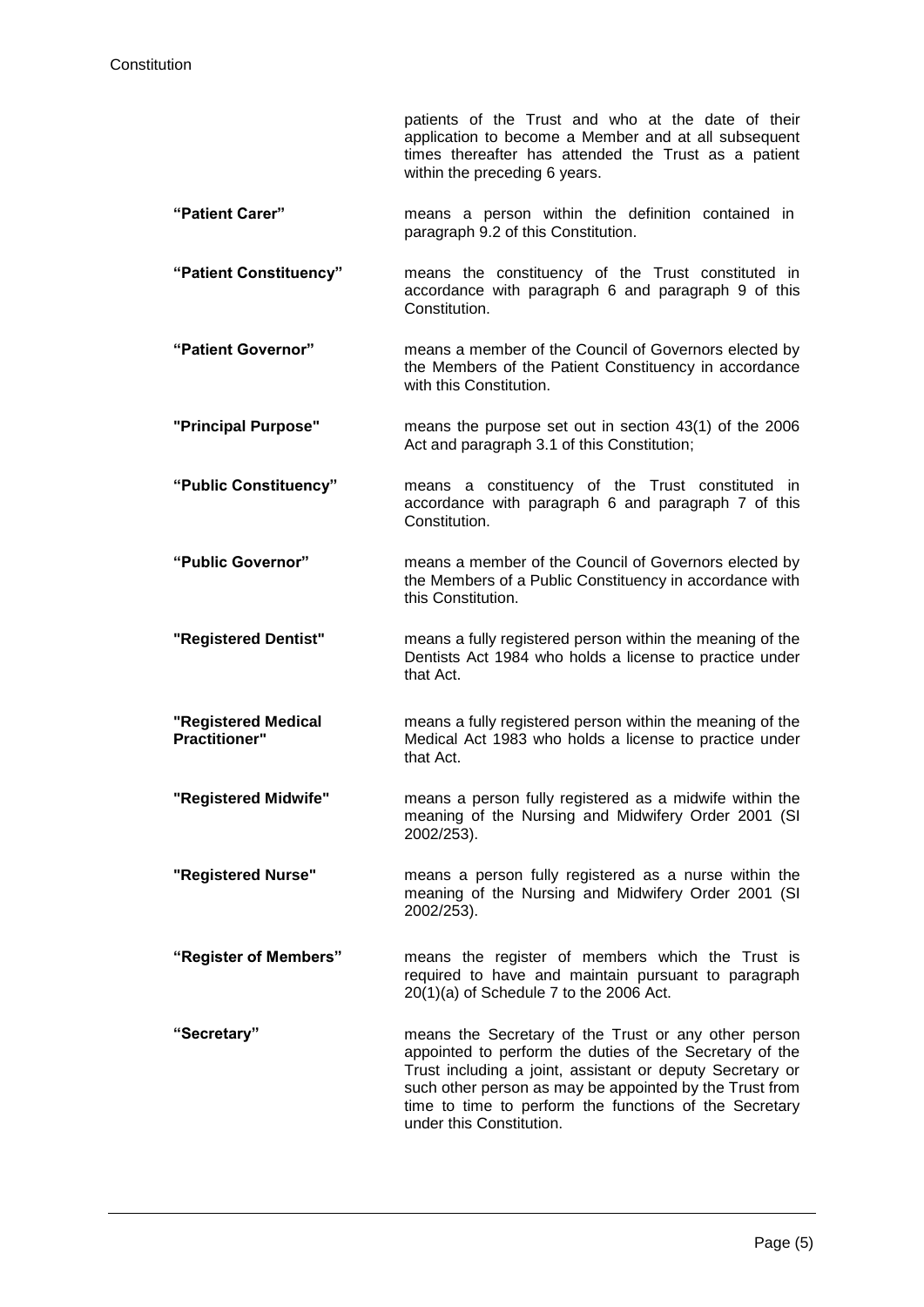patients of the Trust and who at the date of their application to become a Member and at all subsequent times thereafter has attended the Trust as a patient within the preceding 6 years.

- **"Patient Carer"** means a person within the definition contained in paragraph [9.2](#page-10-0) of this Constitution.
- **"Patient Constituency"** means the constituency of the Trust constituted in accordance with paragraph [6](#page-8-0) and paragraph [9](#page-10-1) of this Constitution.
- **"Patient Governor"** means a member of the Council of Governors elected by the Members of the Patient Constituency in accordance with this Constitution.
- **"Principal Purpose"** means the purpose set out in section 43(1) of the 2006 Act and paragraph 3.1 of this Constitution;
- **"Public Constituency"** means a constituency of the Trust constituted in accordance with paragraph [6](#page-8-0) and paragraph [7](#page-9-0) of this Constitution.
- **"Public Governor"** means a member of the Council of Governors elected by the Members of a Public Constituency in accordance with this Constitution.
- **"Registered Dentist"** means a fully registered person within the meaning of the Dentists Act 1984 who holds a license to practice under that Act.
- **"Registered Medical Practitioner"** means a fully registered person within the meaning of the Medical Act 1983 who holds a license to practice under that Act.
- **"Registered Midwife"** means a person fully registered as a midwife within the meaning of the Nursing and Midwifery Order 2001 (SI 2002/253).
- **"Registered Nurse"** means a person fully registered as a nurse within the meaning of the Nursing and Midwifery Order 2001 (SI 2002/253).
- **"Register of Members"** means the register of members which the Trust is required to have and maintain pursuant to paragraph 20(1)(a) of Schedule 7 to the 2006 Act.
- **"Secretary"** means the Secretary of the Trust or any other person appointed to perform the duties of the Secretary of the Trust including a joint, assistant or deputy Secretary or such other person as may be appointed by the Trust from time to time to perform the functions of the Secretary under this Constitution.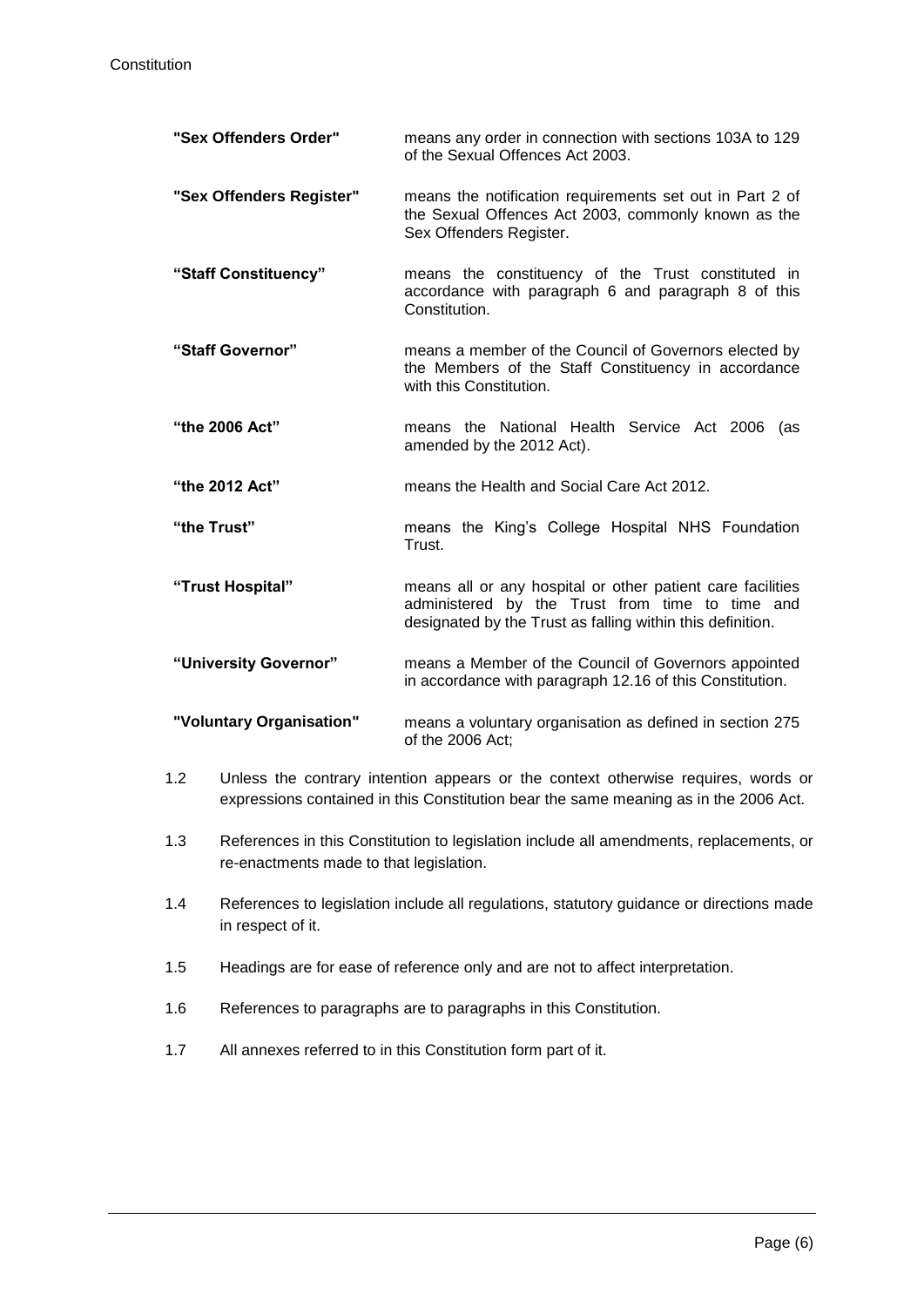| "Sex Offenders Order"    | means any order in connection with sections 103A to 129<br>of the Sexual Offences Act 2003.                                                                                 |
|--------------------------|-----------------------------------------------------------------------------------------------------------------------------------------------------------------------------|
| "Sex Offenders Register" | means the notification requirements set out in Part 2 of<br>the Sexual Offences Act 2003, commonly known as the<br>Sex Offenders Register.                                  |
| "Staff Constituency"     | means the constituency of the Trust constituted in<br>accordance with paragraph 6 and paragraph 8 of this<br>Constitution.                                                  |
| "Staff Governor"         | means a member of the Council of Governors elected by<br>the Members of the Staff Constituency in accordance<br>with this Constitution.                                     |
| "the 2006 Act"           | means the National Health Service Act 2006<br>(as<br>amended by the 2012 Act).                                                                                              |
| "the 2012 Act"           | means the Health and Social Care Act 2012.                                                                                                                                  |
| "the Trust"              | means the King's College Hospital NHS Foundation<br>Trust.                                                                                                                  |
| "Trust Hospital"         | means all or any hospital or other patient care facilities<br>administered by the Trust from time to time and<br>designated by the Trust as falling within this definition. |
| "University Governor"    | means a Member of the Council of Governors appointed<br>in accordance with paragraph 12.16 of this Constitution.                                                            |
| "Voluntary Organisation" | means a voluntary organisation as defined in section 275<br>of the 2006 Act;                                                                                                |

- 1.2 Unless the contrary intention appears or the context otherwise requires, words or expressions contained in this Constitution bear the same meaning as in the 2006 Act.
- 1.3 References in this Constitution to legislation include all amendments, replacements, or re-enactments made to that legislation.
- 1.4 References to legislation include all regulations, statutory guidance or directions made in respect of it.
- 1.5 Headings are for ease of reference only and are not to affect interpretation.
- 1.6 References to paragraphs are to paragraphs in this Constitution.
- 1.7 All annexes referred to in this Constitution form part of it.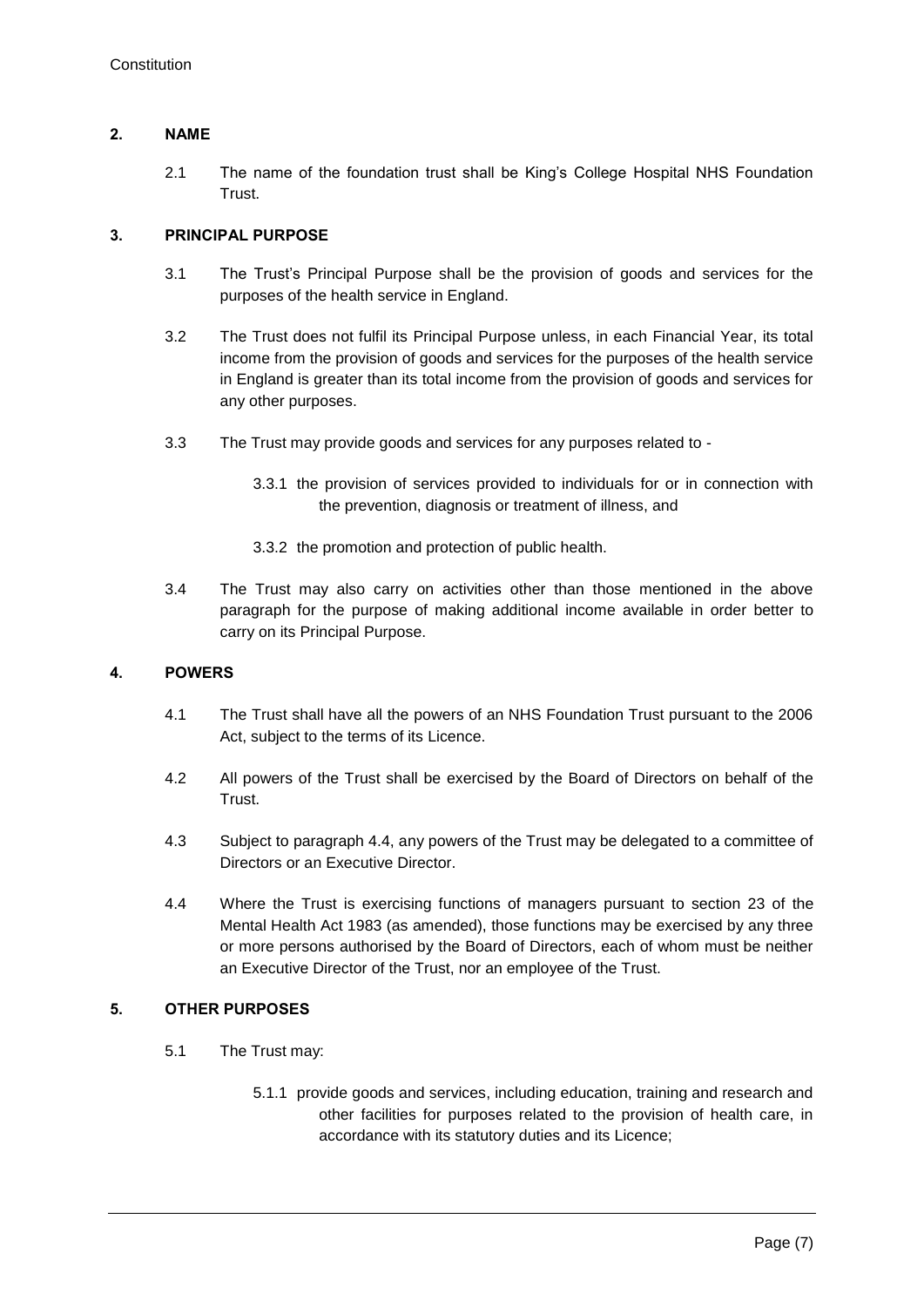# **2. NAME**

2.1 The name of the foundation trust shall be King's College Hospital NHS Foundation Trust.

# **3. PRINCIPAL PURPOSE**

- 3.1 The Trust's Principal Purpose shall be the provision of goods and services for the purposes of the health service in England.
- 3.2 The Trust does not fulfil its Principal Purpose unless, in each Financial Year, its total income from the provision of goods and services for the purposes of the health service in England is greater than its total income from the provision of goods and services for any other purposes.
- 3.3 The Trust may provide goods and services for any purposes related to
	- 3.3.1 the provision of services provided to individuals for or in connection with the prevention, diagnosis or treatment of illness, and
	- 3.3.2 the promotion and protection of public health.
- 3.4 The Trust may also carry on activities other than those mentioned in the above paragraph for the purpose of making additional income available in order better to carry on its Principal Purpose.

# **4. POWERS**

- 4.1 The Trust shall have all the powers of an NHS Foundation Trust pursuant to the 2006 Act, subject to the terms of its Licence.
- 4.2 All powers of the Trust shall be exercised by the Board of Directors on behalf of the Trust.
- 4.3 Subject to paragraph 4.4, any powers of the Trust may be delegated to a committee of Directors or an Executive Director.
- 4.4 Where the Trust is exercising functions of managers pursuant to section 23 of the Mental Health Act 1983 (as amended), those functions may be exercised by any three or more persons authorised by the Board of Directors, each of whom must be neither an Executive Director of the Trust, nor an employee of the Trust.

## **5. OTHER PURPOSES**

- 5.1 The Trust may:
	- 5.1.1 provide goods and services, including education, training and research and other facilities for purposes related to the provision of health care, in accordance with its statutory duties and its Licence;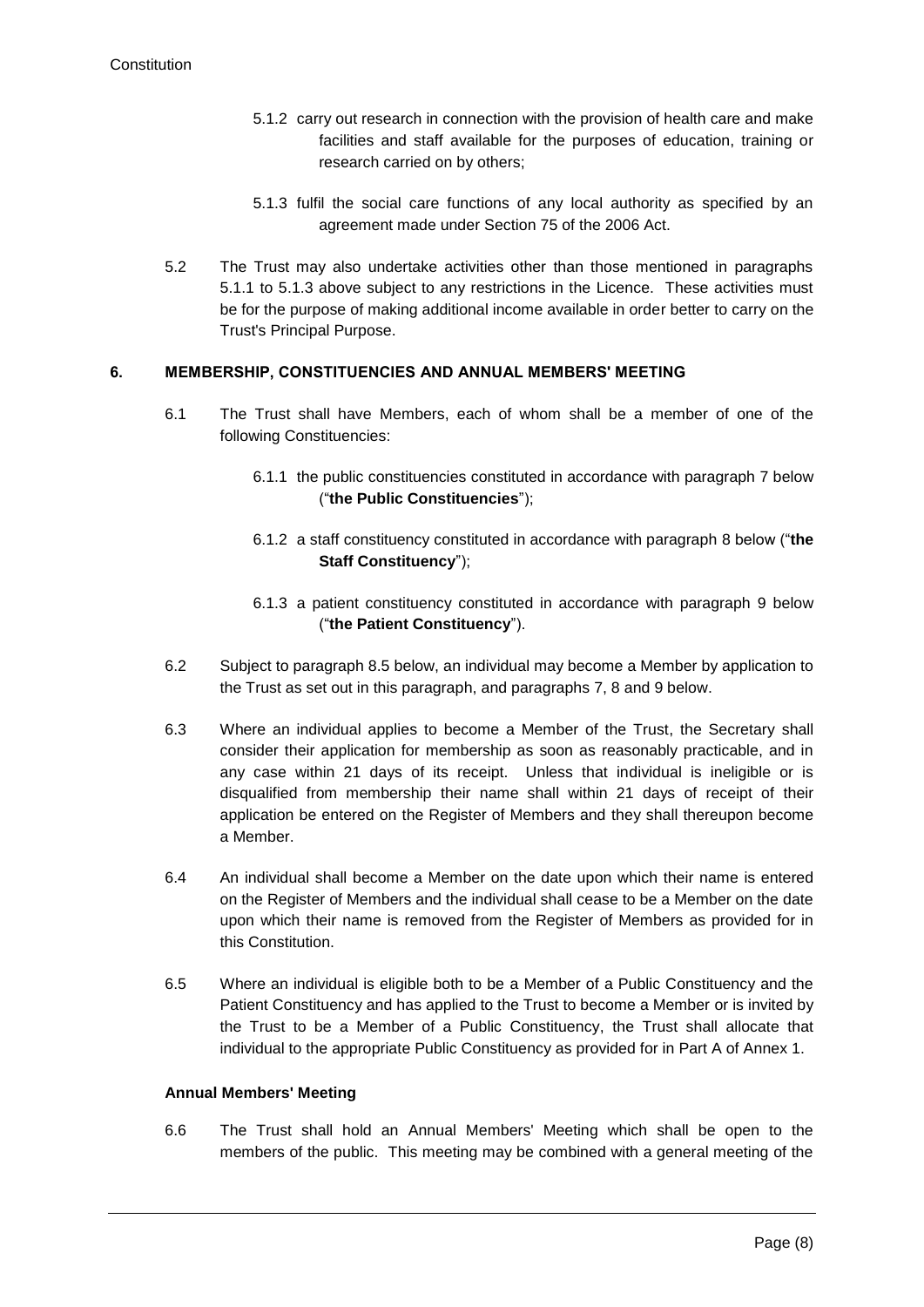- 5.1.2 carry out research in connection with the provision of health care and make facilities and staff available for the purposes of education, training or research carried on by others;
- 5.1.3 fulfil the social care functions of any local authority as specified by an agreement made under Section 75 of the 2006 Act.
- 5.2 The Trust may also undertake activities other than those mentioned in paragraphs 5.1.1 to 5.1.3 above subject to any restrictions in the Licence. These activities must be for the purpose of making additional income available in order better to carry on the Trust's Principal Purpose.

## <span id="page-8-0"></span>**6. MEMBERSHIP, CONSTITUENCIES AND ANNUAL MEMBERS' MEETING**

- 6.1 The Trust shall have Members, each of whom shall be a member of one of the following Constituencies:
	- 6.1.1 the public constituencies constituted in accordance with paragraph [7](#page-9-0) below ("**the Public Constituencies**");
	- 6.1.2 a staff constituency constituted in accordance with paragraph [8](#page-9-1) below ("**the Staff Constituency**");
	- 6.1.3 a patient constituency constituted in accordance with paragraph [9](#page-10-1) below ("**the Patient Constituency**").
- 6.2 Subject to paragraph 8.5 below, an individual may become a Member by application to the Trust as set out in this paragraph, and paragraphs 7, 8 and 9 below.
- <span id="page-8-1"></span>6.3 Where an individual applies to become a Member of the Trust, the Secretary shall consider their application for membership as soon as reasonably practicable, and in any case within 21 days of its receipt. Unless that individual is ineligible or is disqualified from membership their name shall within 21 days of receipt of their application be entered on the Register of Members and they shall thereupon become a Member.
- 6.4 An individual shall become a Member on the date upon which their name is entered on the Register of Members and the individual shall cease to be a Member on the date upon which their name is removed from the Register of Members as provided for in this Constitution.
- 6.5 Where an individual is eligible both to be a Member of a Public Constituency and the Patient Constituency and has applied to the Trust to become a Member or is invited by the Trust to be a Member of a Public Constituency, the Trust shall allocate that individual to the appropriate Public Constituency as provided for in Part A of Annex 1.

#### **Annual Members' Meeting**

6.6 The Trust shall hold an Annual Members' Meeting which shall be open to the members of the public. This meeting may be combined with a general meeting of the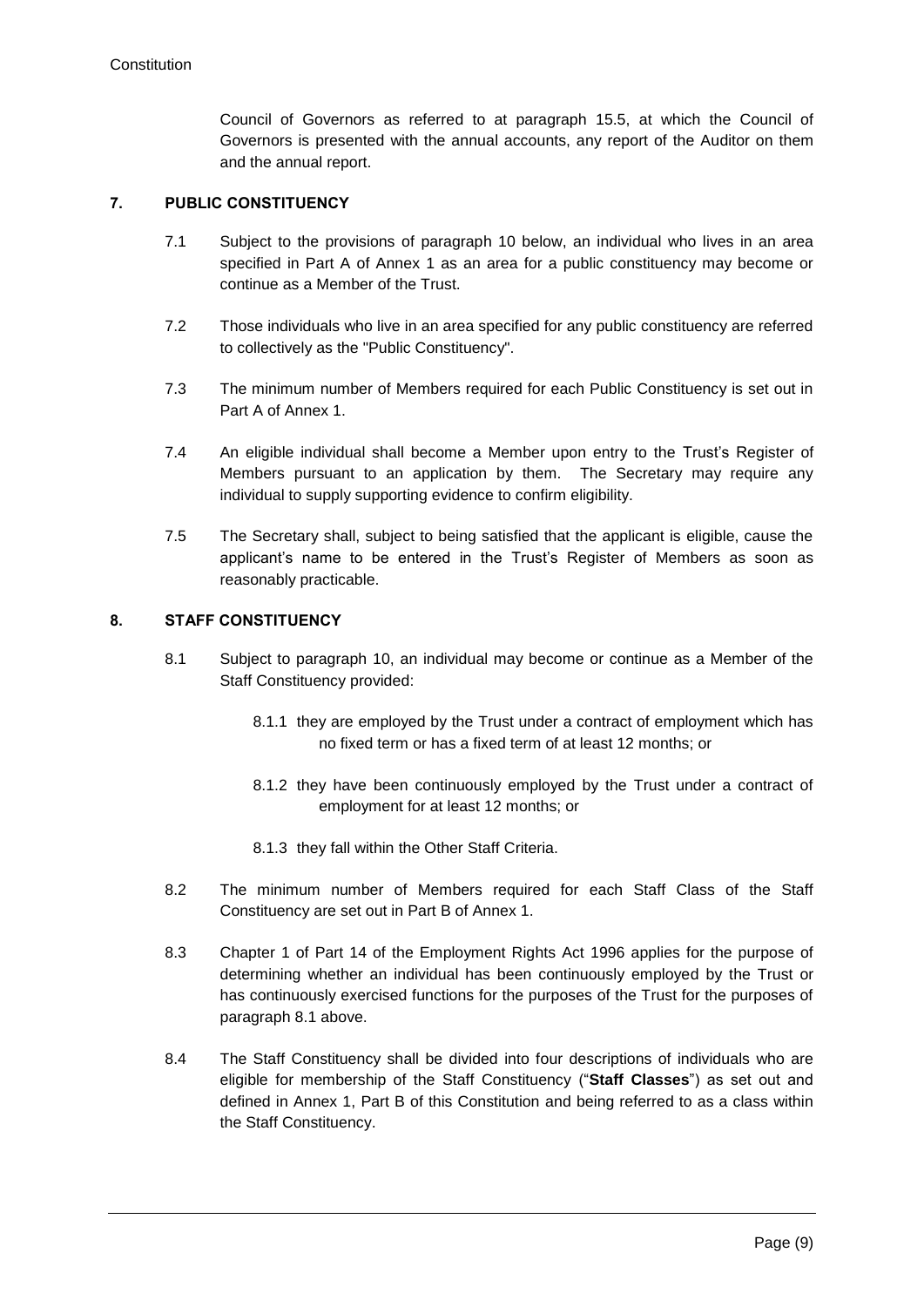Council of Governors as referred to at paragraph [15.5,](#page-26-0) at which the Council of Governors is presented with the annual accounts, any report of the Auditor on them and the annual report.

# <span id="page-9-0"></span>**7. PUBLIC CONSTITUENCY**

- 7.1 Subject to the provisions of paragraph 10 below, an individual who lives in an area specified in Part A of Annex 1 as an area for a public constituency may become or continue as a Member of the Trust.
- 7.2 Those individuals who live in an area specified for any public constituency are referred to collectively as the "Public Constituency".
- 7.3 The minimum number of Members required for each Public Constituency is set out in Part A of Annex 1.
- 7.4 An eligible individual shall become a Member upon entry to the Trust's Register of Members pursuant to an application by them. The Secretary may require any individual to supply supporting evidence to confirm eligibility.
- 7.5 The Secretary shall, subject to being satisfied that the applicant is eligible, cause the applicant's name to be entered in the Trust's Register of Members as soon as reasonably practicable.

## <span id="page-9-2"></span><span id="page-9-1"></span>**8. STAFF CONSTITUENCY**

- 8.1 Subject to paragraph [10,](#page-11-0) an individual may become or continue as a Member of the Staff Constituency provided:
	- 8.1.1 they are employed by the Trust under a contract of employment which has no fixed term or has a fixed term of at least 12 months; or
	- 8.1.2 they have been continuously employed by the Trust under a contract of employment for at least 12 months; or
	- 8.1.3 they fall within the Other Staff Criteria.
- 8.2 The minimum number of Members required for each Staff Class of the Staff Constituency are set out in Part B of Annex 1.
- 8.3 Chapter 1 of Part 14 of the Employment Rights Act 1996 applies for the purpose of determining whether an individual has been continuously employed by the Trust or has continuously exercised functions for the purposes of the Trust for the purposes of paragraph [8.1](#page-9-2) above.
- 8.4 The Staff Constituency shall be divided into four descriptions of individuals who are eligible for membership of the Staff Constituency ("**Staff Classes**") as set out and defined in Annex 1, Part B of this Constitution and being referred to as a class within the Staff Constituency.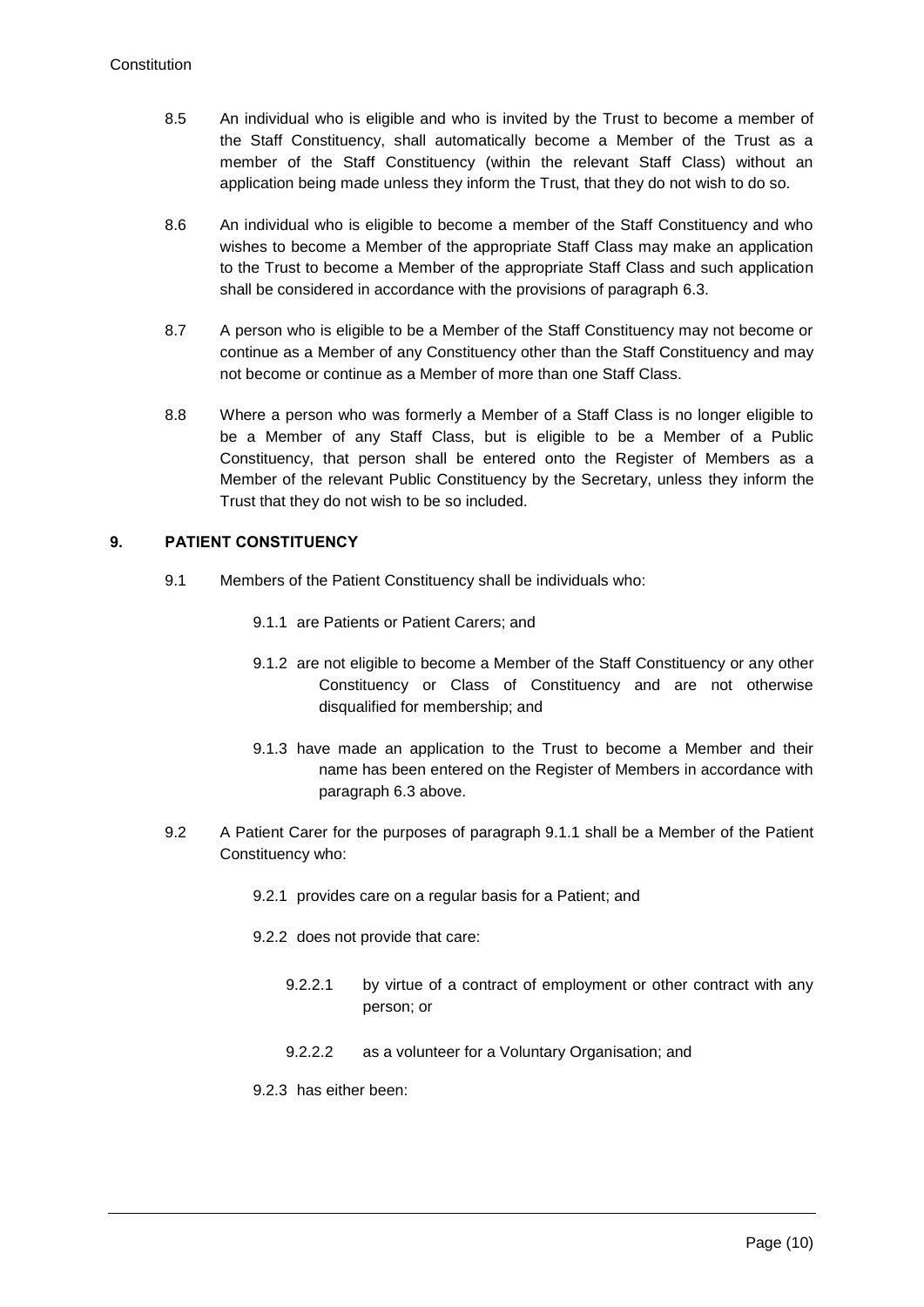- 8.5 An individual who is eligible and who is invited by the Trust to become a member of the Staff Constituency, shall automatically become a Member of the Trust as a member of the Staff Constituency (within the relevant Staff Class) without an application being made unless they inform the Trust, that they do not wish to do so.
- 8.6 An individual who is eligible to become a member of the Staff Constituency and who wishes to become a Member of the appropriate Staff Class may make an application to the Trust to become a Member of the appropriate Staff Class and such application shall be considered in accordance with the provisions of paragraph [6.3.](#page-8-1)
- 8.7 A person who is eligible to be a Member of the Staff Constituency may not become or continue as a Member of any Constituency other than the Staff Constituency and may not become or continue as a Member of more than one Staff Class.
- 8.8 Where a person who was formerly a Member of a Staff Class is no longer eligible to be a Member of any Staff Class, but is eligible to be a Member of a Public Constituency, that person shall be entered onto the Register of Members as a Member of the relevant Public Constituency by the Secretary, unless they inform the Trust that they do not wish to be so included.

# <span id="page-10-1"></span>**9. PATIENT CONSTITUENCY**

- <span id="page-10-2"></span>9.1 Members of the Patient Constituency shall be individuals who:
	- 9.1.1 are Patients or Patient Carers; and
	- 9.1.2 are not eligible to become a Member of the Staff Constituency or any other Constituency or Class of Constituency and are not otherwise disqualified for membership; and
	- 9.1.3 have made an application to the Trust to become a Member and their name has been entered on the Register of Members in accordance with paragraph [6.3](#page-8-1) above.
- <span id="page-10-0"></span>9.2 A Patient Carer for the purposes of paragraph [9.1.1](#page-10-2) shall be a Member of the Patient Constituency who:
	- 9.2.1 provides care on a regular basis for a Patient; and
	- 9.2.2 does not provide that care:
		- 9.2.2.1 by virtue of a contract of employment or other contract with any person; or
		- 9.2.2.2 as a volunteer for a Voluntary Organisation; and
	- 9.2.3 has either been: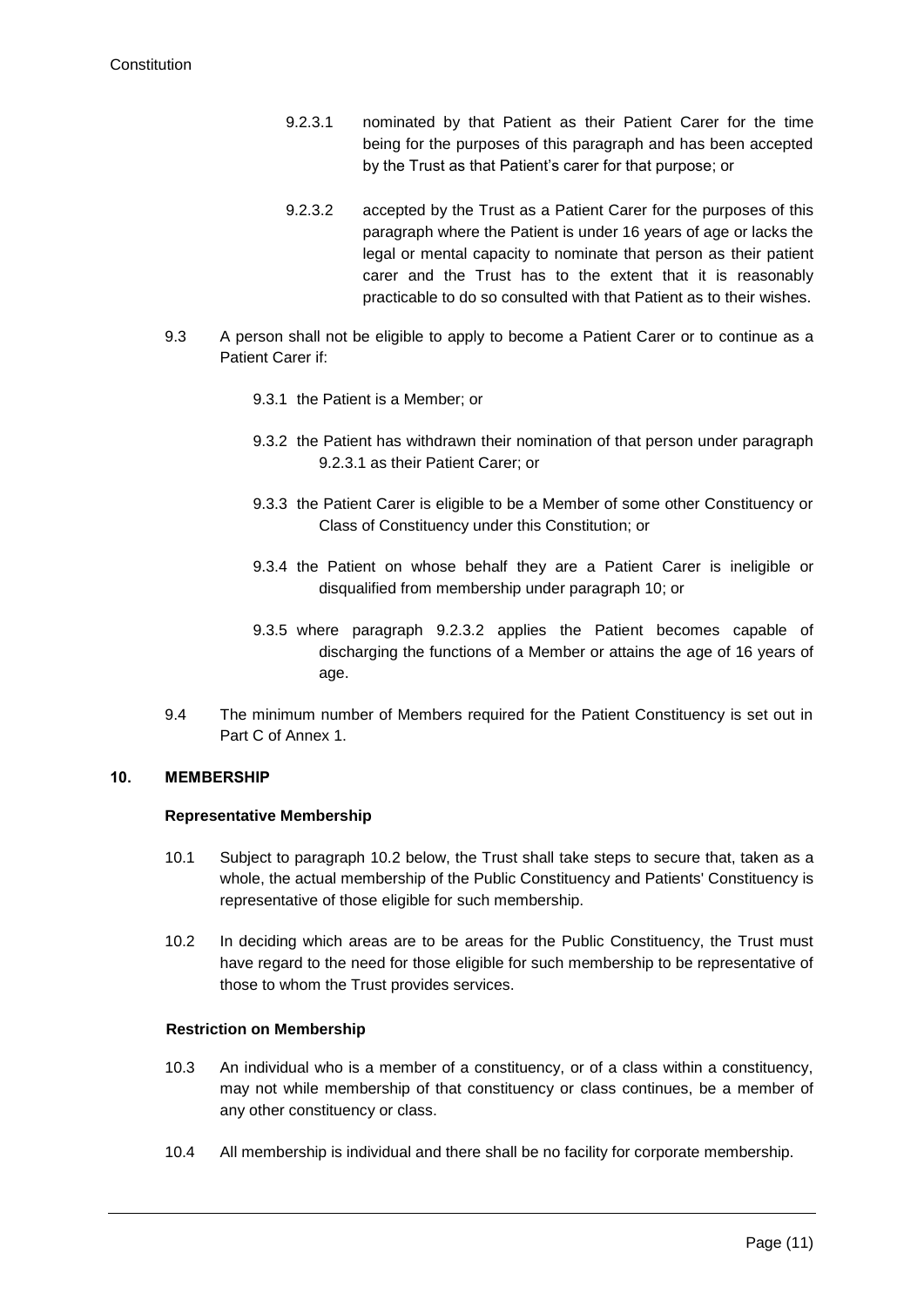- <span id="page-11-1"></span>9.2.3.1 nominated by that Patient as their Patient Carer for the time being for the purposes of this paragraph and has been accepted by the Trust as that Patient's carer for that purpose; or
- 9.2.3.2 accepted by the Trust as a Patient Carer for the purposes of this paragraph where the Patient is under 16 years of age or lacks the legal or mental capacity to nominate that person as their patient carer and the Trust has to the extent that it is reasonably practicable to do so consulted with that Patient as to their wishes.
- <span id="page-11-2"></span>9.3 A person shall not be eligible to apply to become a Patient Carer or to continue as a Patient Carer if:
	- 9.3.1 the Patient is a Member; or
	- 9.3.2 the Patient has withdrawn their nomination of that person under paragraph [9.2.3.1](#page-11-1) as their Patient Carer; or
	- 9.3.3 the Patient Carer is eligible to be a Member of some other Constituency or Class of Constituency under this Constitution; or
	- 9.3.4 the Patient on whose behalf they are a Patient Carer is ineligible or disqualified from membership under paragraph [10;](#page-11-0) or
	- 9.3.5 where paragraph [9.2.3.2](#page-11-2) applies the Patient becomes capable of discharging the functions of a Member or attains the age of 16 years of age.
- 9.4 The minimum number of Members required for the Patient Constituency is set out in Part C of Annex 1.

## <span id="page-11-3"></span><span id="page-11-0"></span>**10. MEMBERSHIP**

## **Representative Membership**

- 10.1 Subject to paragraph 10.2 below, the Trust shall take steps to secure that, taken as a whole, the actual membership of the Public Constituency and Patients' Constituency is representative of those eligible for such membership.
- 10.2 In deciding which areas are to be areas for the Public Constituency, the Trust must have regard to the need for those eligible for such membership to be representative of those to whom the Trust provides services.

## **Restriction on Membership**

- 10.3 An individual who is a member of a constituency, or of a class within a constituency, may not while membership of that constituency or class continues, be a member of any other constituency or class.
- 10.4 All membership is individual and there shall be no facility for corporate membership.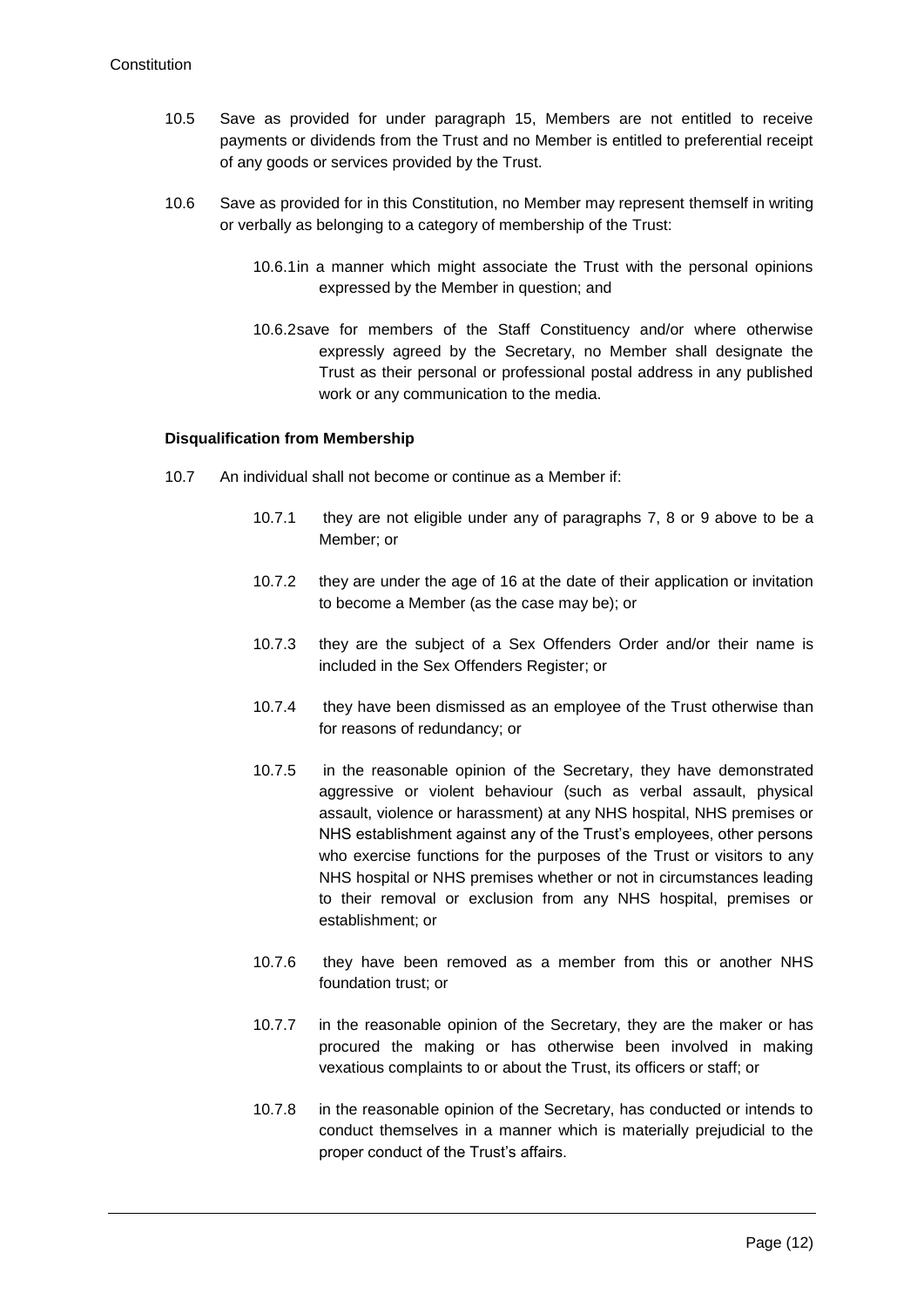- 10.5 Save as provided for under paragraph 15, Members are not entitled to receive payments or dividends from the Trust and no Member is entitled to preferential receipt of any goods or services provided by the Trust.
- 10.6 Save as provided for in this Constitution, no Member may represent themself in writing or verbally as belonging to a category of membership of the Trust:
	- 10.6.1in a manner which might associate the Trust with the personal opinions expressed by the Member in question; and
	- 10.6.2save for members of the Staff Constituency and/or where otherwise expressly agreed by the Secretary, no Member shall designate the Trust as their personal or professional postal address in any published work or any communication to the media.

## **Disqualification from Membership**

- 10.7 An individual shall not become or continue as a Member if:
	- 10.7.1 they are not eligible under any of paragraphs [7,](#page-9-0) [8](#page-9-1) or [9](#page-10-1) above to be a Member; or
	- 10.7.2 they are under the age of 16 at the date of their application or invitation to become a Member (as the case may be); or
	- 10.7.3 they are the subject of a Sex Offenders Order and/or their name is included in the Sex Offenders Register; or
	- 10.7.4 they have been dismissed as an employee of the Trust otherwise than for reasons of redundancy; or
	- 10.7.5 in the reasonable opinion of the Secretary, they have demonstrated aggressive or violent behaviour (such as verbal assault, physical assault, violence or harassment) at any NHS hospital, NHS premises or NHS establishment against any of the Trust's employees, other persons who exercise functions for the purposes of the Trust or visitors to any NHS hospital or NHS premises whether or not in circumstances leading to their removal or exclusion from any NHS hospital, premises or establishment; or
	- 10.7.6 they have been removed as a member from this or another NHS foundation trust; or
	- 10.7.7 in the reasonable opinion of the Secretary, they are the maker or has procured the making or has otherwise been involved in making vexatious complaints to or about the Trust, its officers or staff; or
	- 10.7.8 in the reasonable opinion of the Secretary, has conducted or intends to conduct themselves in a manner which is materially prejudicial to the proper conduct of the Trust's affairs.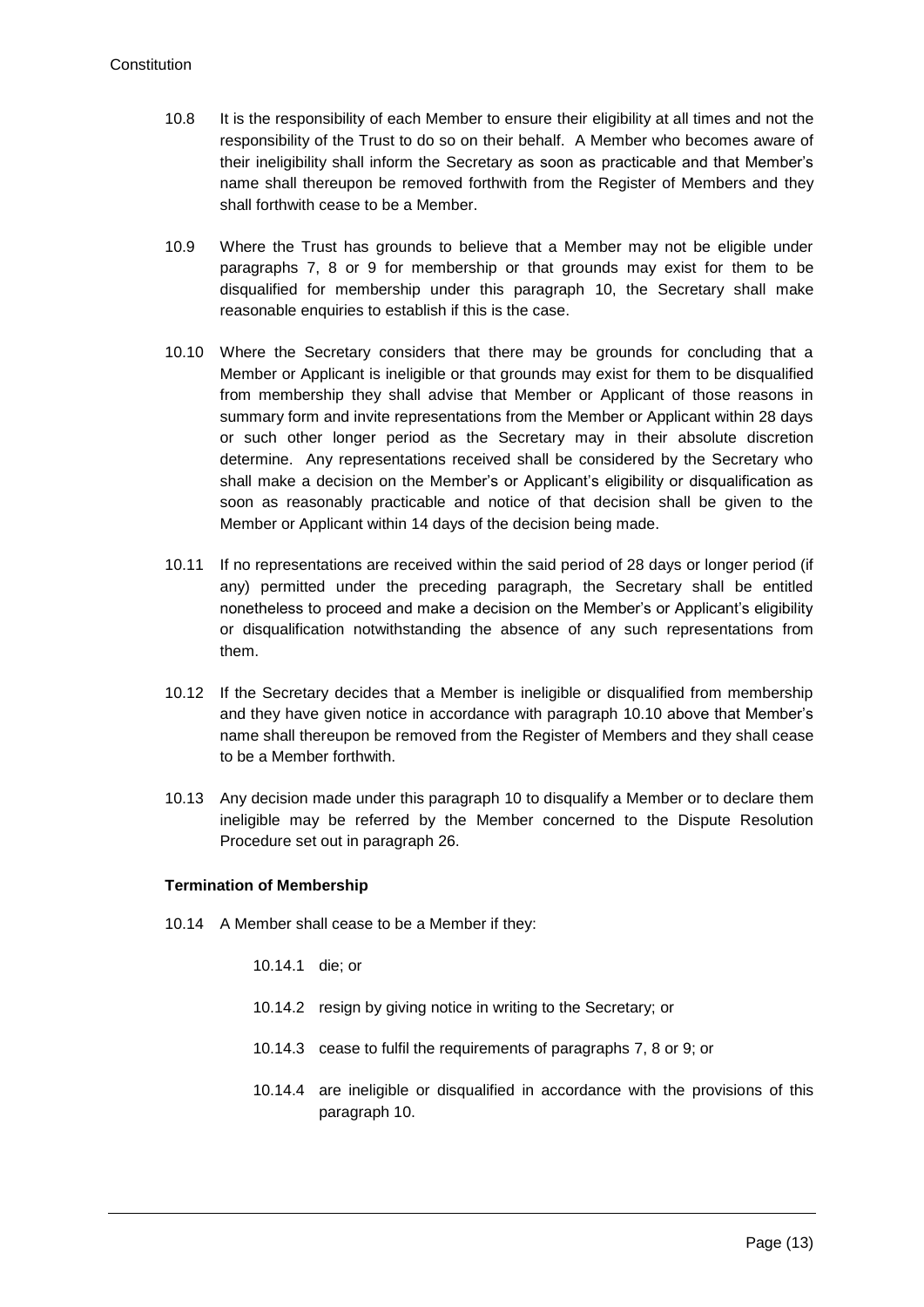- 10.8 It is the responsibility of each Member to ensure their eligibility at all times and not the responsibility of the Trust to do so on their behalf. A Member who becomes aware of their ineligibility shall inform the Secretary as soon as practicable and that Member's name shall thereupon be removed forthwith from the Register of Members and they shall forthwith cease to be a Member.
- 10.9 Where the Trust has grounds to believe that a Member may not be eligible under paragraphs [7,](#page-9-0) [8](#page-9-1) or [9](#page-10-1) for membership or that grounds may exist for them to be disqualified for membership under this paragraph [10,](#page-11-0) the Secretary shall make reasonable enquiries to establish if this is the case.
- <span id="page-13-0"></span>10.10 Where the Secretary considers that there may be grounds for concluding that a Member or Applicant is ineligible or that grounds may exist for them to be disqualified from membership they shall advise that Member or Applicant of those reasons in summary form and invite representations from the Member or Applicant within 28 days or such other longer period as the Secretary may in their absolute discretion determine. Any representations received shall be considered by the Secretary who shall make a decision on the Member's or Applicant's eligibility or disqualification as soon as reasonably practicable and notice of that decision shall be given to the Member or Applicant within 14 days of the decision being made.
- 10.11 If no representations are received within the said period of 28 days or longer period (if any) permitted under the preceding paragraph, the Secretary shall be entitled nonetheless to proceed and make a decision on the Member's or Applicant's eligibility or disqualification notwithstanding the absence of any such representations from them.
- 10.12 If the Secretary decides that a Member is ineligible or disqualified from membership and they have given notice in accordance with paragraph [10.10](#page-13-0) above that Member's name shall thereupon be removed from the Register of Members and they shall cease to be a Member forthwith.
- 10.13 Any decision made under this paragraph [10](#page-11-0) to disqualify a Member or to declare them ineligible may be referred by the Member concerned to the Dispute Resolution Procedure set out in paragraph [26.](#page-43-0)

#### **Termination of Membership**

- 10.14 A Member shall cease to be a Member if they:
	- 10.14.1 die; or
	- 10.14.2 resign by giving notice in writing to the Secretary; or
	- 10.14.3 cease to fulfil the requirements of paragraphs [7,](#page-9-0) [8](#page-9-1) or [9;](#page-10-1) or
	- 10.14.4 are ineligible or disqualified in accordance with the provisions of this paragraph [10.](#page-11-3)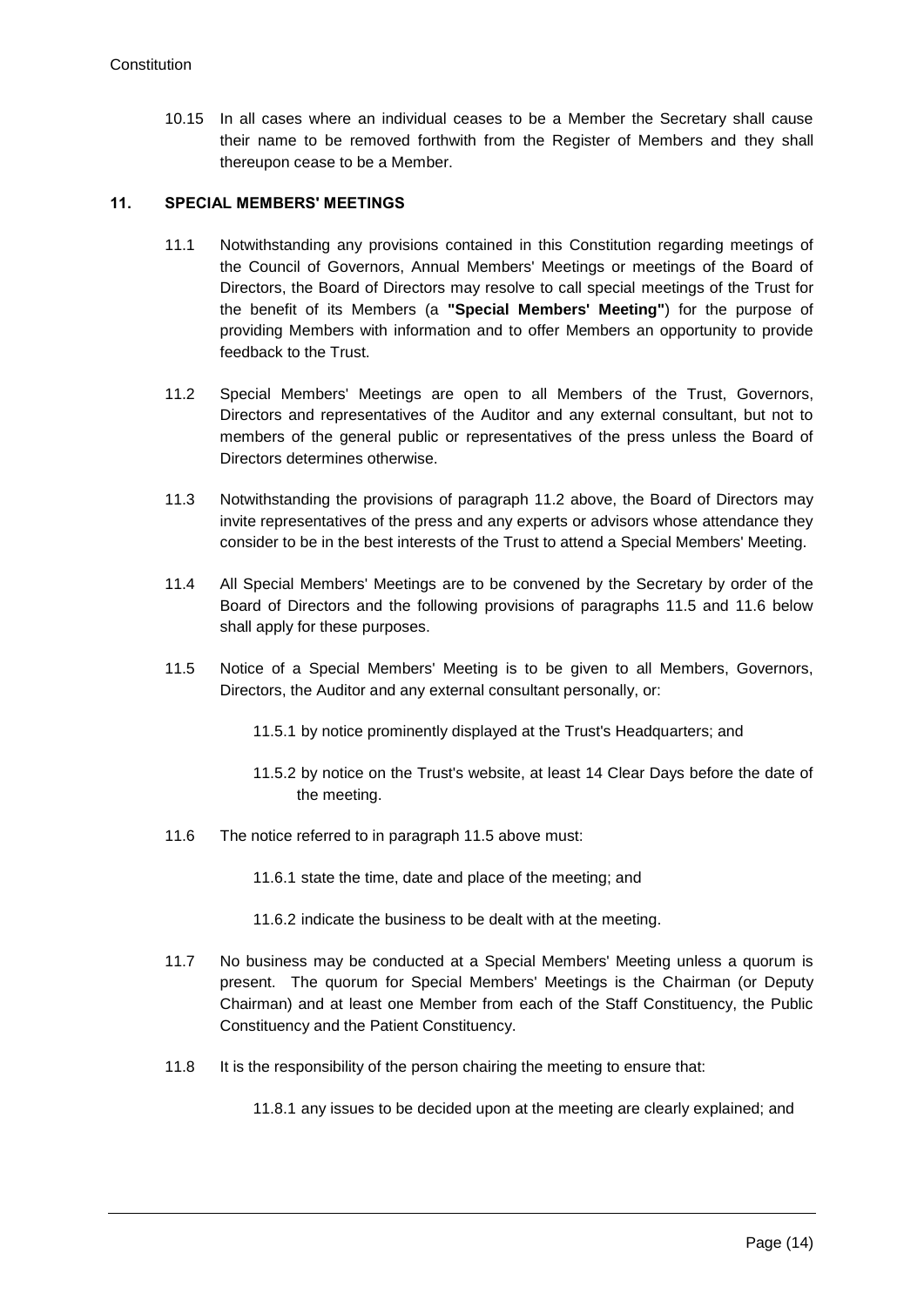10.15 In all cases where an individual ceases to be a Member the Secretary shall cause their name to be removed forthwith from the Register of Members and they shall thereupon cease to be a Member.

## **11. SPECIAL MEMBERS' MEETINGS**

- 11.1 Notwithstanding any provisions contained in this Constitution regarding meetings of the Council of Governors, Annual Members' Meetings or meetings of the Board of Directors, the Board of Directors may resolve to call special meetings of the Trust for the benefit of its Members (a **"Special Members' Meeting"**) for the purpose of providing Members with information and to offer Members an opportunity to provide feedback to the Trust.
- 11.2 Special Members' Meetings are open to all Members of the Trust, Governors, Directors and representatives of the Auditor and any external consultant, but not to members of the general public or representatives of the press unless the Board of Directors determines otherwise.
- 11.3 Notwithstanding the provisions of paragraph 11.2 above, the Board of Directors may invite representatives of the press and any experts or advisors whose attendance they consider to be in the best interests of the Trust to attend a Special Members' Meeting.
- 11.4 All Special Members' Meetings are to be convened by the Secretary by order of the Board of Directors and the following provisions of paragraphs 11.5 and 11.6 below shall apply for these purposes.
- 11.5 Notice of a Special Members' Meeting is to be given to all Members, Governors, Directors, the Auditor and any external consultant personally, or:
	- 11.5.1 by notice prominently displayed at the Trust's Headquarters; and
	- 11.5.2 by notice on the Trust's website, at least 14 Clear Days before the date of the meeting.
- 11.6 The notice referred to in paragraph 11.5 above must:
	- 11.6.1 state the time, date and place of the meeting; and
	- 11.6.2 indicate the business to be dealt with at the meeting.
- 11.7 No business may be conducted at a Special Members' Meeting unless a quorum is present. The quorum for Special Members' Meetings is the Chairman (or Deputy Chairman) and at least one Member from each of the Staff Constituency, the Public Constituency and the Patient Constituency.
- 11.8 It is the responsibility of the person chairing the meeting to ensure that:

11.8.1 any issues to be decided upon at the meeting are clearly explained; and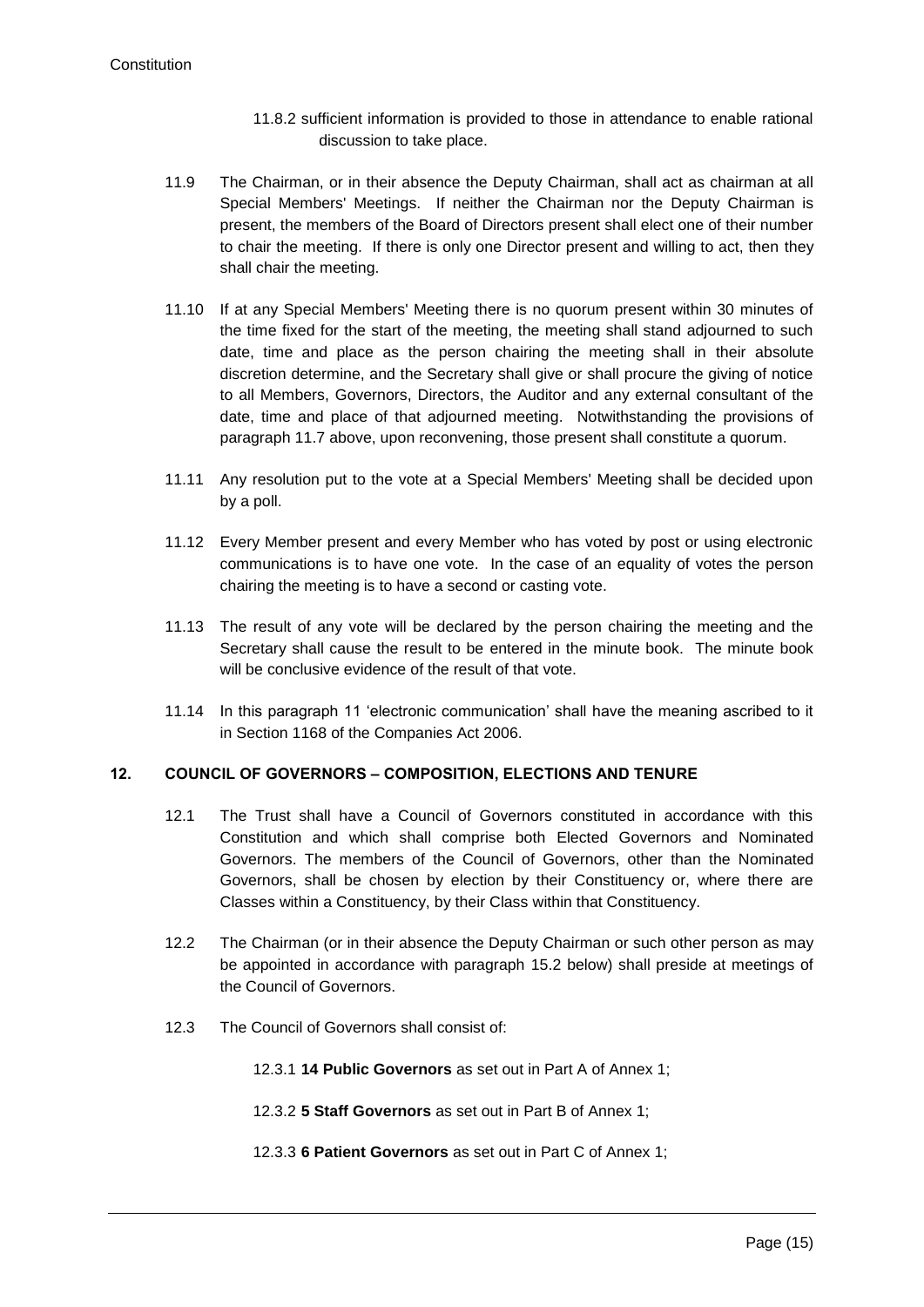- 11.8.2 sufficient information is provided to those in attendance to enable rational discussion to take place.
- 11.9 The Chairman, or in their absence the Deputy Chairman, shall act as chairman at all Special Members' Meetings. If neither the Chairman nor the Deputy Chairman is present, the members of the Board of Directors present shall elect one of their number to chair the meeting. If there is only one Director present and willing to act, then they shall chair the meeting.
- 11.10 If at any Special Members' Meeting there is no quorum present within 30 minutes of the time fixed for the start of the meeting, the meeting shall stand adjourned to such date, time and place as the person chairing the meeting shall in their absolute discretion determine, and the Secretary shall give or shall procure the giving of notice to all Members, Governors, Directors, the Auditor and any external consultant of the date, time and place of that adjourned meeting. Notwithstanding the provisions of paragraph 11.7 above, upon reconvening, those present shall constitute a quorum.
- 11.11 Any resolution put to the vote at a Special Members' Meeting shall be decided upon by a poll.
- 11.12 Every Member present and every Member who has voted by post or using electronic communications is to have one vote. In the case of an equality of votes the person chairing the meeting is to have a second or casting vote.
- 11.13 The result of any vote will be declared by the person chairing the meeting and the Secretary shall cause the result to be entered in the minute book. The minute book will be conclusive evidence of the result of that vote.
- 11.14 In this paragraph 11 'electronic communication' shall have the meaning ascribed to it in Section 1168 of the Companies Act 2006.

# **12. COUNCIL OF GOVERNORS – COMPOSITION, ELECTIONS AND TENURE**

- 12.1 The Trust shall have a Council of Governors constituted in accordance with this Constitution and which shall comprise both Elected Governors and Nominated Governors. The members of the Council of Governors, other than the Nominated Governors, shall be chosen by election by their Constituency or, where there are Classes within a Constituency, by their Class within that Constituency.
- 12.2 The Chairman (or in their absence the Deputy Chairman or such other person as may be appointed in accordance with paragraph [15.2](#page-26-1) below) shall preside at meetings of the Council of Governors.
- 12.3 The Council of Governors shall consist of:

12.3.1 **14 Public Governors** as set out in Part A of Annex 1;

- 12.3.2 **5 Staff Governors** as set out in Part B of Annex 1;
- 12.3.3 **6 Patient Governors** as set out in Part C of Annex 1;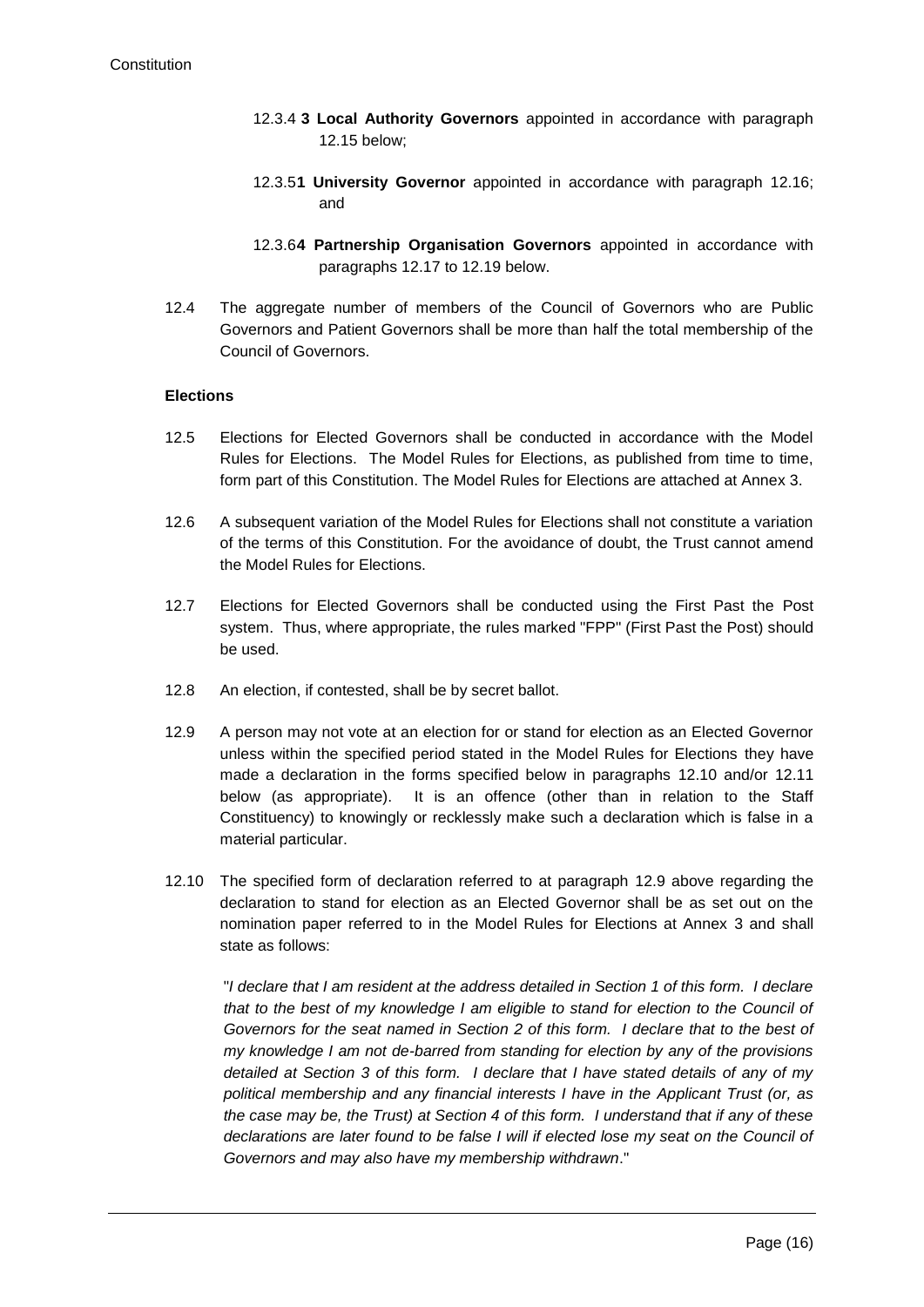- 12.3.4 **3 Local Authority Governors** appointed in accordance with paragraph [12.15](#page-17-0) below;
- 12.3.5**1 University Governor** appointed in accordance with paragraph [12.16;](#page-18-1) and
- 12.3.6**4 Partnership Organisation Governors** appointed in accordance with paragraphs [12.17](#page-18-0) to 12.19 below.
- 12.4 The aggregate number of members of the Council of Governors who are Public Governors and Patient Governors shall be more than half the total membership of the Council of Governors.

#### **Elections**

- 12.5 Elections for Elected Governors shall be conducted in accordance with the Model Rules for Elections. The Model Rules for Elections, as published from time to time, form part of this Constitution. The Model Rules for Elections are attached at Annex 3.
- 12.6 A subsequent variation of the Model Rules for Elections shall not constitute a variation of the terms of this Constitution. For the avoidance of doubt, the Trust cannot amend the Model Rules for Elections.
- 12.7 Elections for Elected Governors shall be conducted using the First Past the Post system. Thus, where appropriate, the rules marked "FPP" (First Past the Post) should be used.
- 12.8 An election, if contested, shall be by secret ballot.
- 12.9 A person may not vote at an election for or stand for election as an Elected Governor unless within the specified period stated in the Model Rules for Elections they have made a declaration in the forms specified below in paragraphs 12.10 and/or 12.11 below (as appropriate). It is an offence (other than in relation to the Staff Constituency) to knowingly or recklessly make such a declaration which is false in a material particular.
- 12.10 The specified form of declaration referred to at paragraph 12.9 above regarding the declaration to stand for election as an Elected Governor shall be as set out on the nomination paper referred to in the Model Rules for Elections at Annex 3 and shall state as follows:

"*I declare that I am resident at the address detailed in Section 1 of this form. I declare that to the best of my knowledge I am eligible to stand for election to the Council of Governors for the seat named in Section 2 of this form. I declare that to the best of my knowledge I am not de-barred from standing for election by any of the provisions detailed at Section 3 of this form. I declare that I have stated details of any of my political membership and any financial interests I have in the Applicant Trust (or, as the case may be, the Trust) at Section 4 of this form. I understand that if any of these declarations are later found to be false I will if elected lose my seat on the Council of Governors and may also have my membership withdrawn*."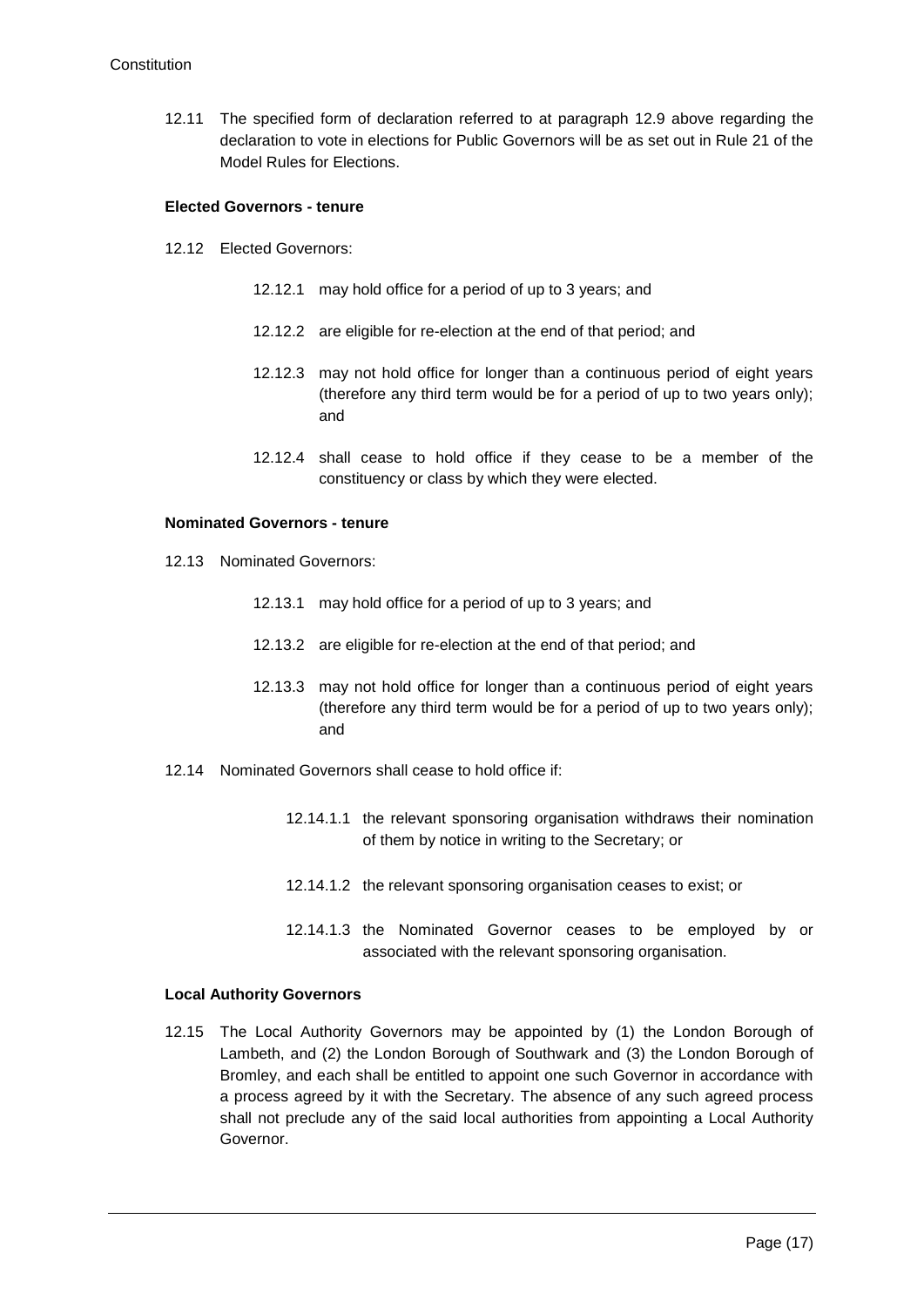12.11 The specified form of declaration referred to at paragraph 12.9 above regarding the declaration to vote in elections for Public Governors will be as set out in Rule 21 of the Model Rules for Elections.

#### **Elected Governors - tenure**

- 12.12 Elected Governors:
	- 12.12.1 may hold office for a period of up to 3 years; and
	- 12.12.2 are eligible for re-election at the end of that period; and
	- 12.12.3 may not hold office for longer than a continuous period of eight years (therefore any third term would be for a period of up to two years only); and
	- 12.12.4 shall cease to hold office if they cease to be a member of the constituency or class by which they were elected.

#### **Nominated Governors - tenure**

- 12.13 Nominated Governors:
	- 12.13.1 may hold office for a period of up to 3 years; and
	- 12.13.2 are eligible for re-election at the end of that period; and
	- 12.13.3 may not hold office for longer than a continuous period of eight years (therefore any third term would be for a period of up to two years only); and
- 12.14 Nominated Governors shall cease to hold office if:
	- 12.14.1.1 the relevant sponsoring organisation withdraws their nomination of them by notice in writing to the Secretary; or
	- 12.14.1.2 the relevant sponsoring organisation ceases to exist; or
	- 12.14.1.3 the Nominated Governor ceases to be employed by or associated with the relevant sponsoring organisation.

## **Local Authority Governors**

<span id="page-17-0"></span>12.15 The Local Authority Governors may be appointed by (1) the London Borough of Lambeth, and (2) the London Borough of Southwark and (3) the London Borough of Bromley, and each shall be entitled to appoint one such Governor in accordance with a process agreed by it with the Secretary. The absence of any such agreed process shall not preclude any of the said local authorities from appointing a Local Authority Governor.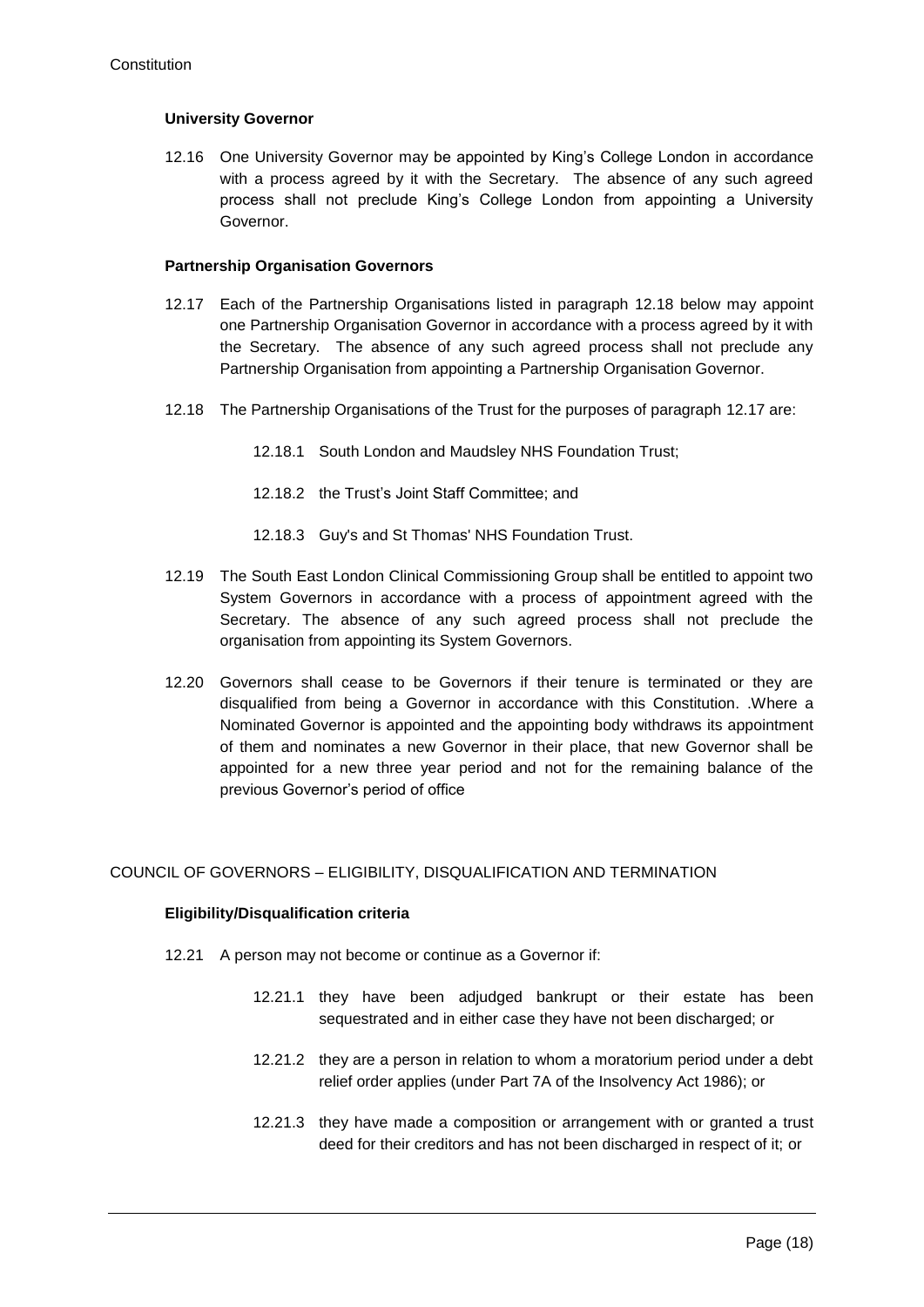#### **University Governor**

<span id="page-18-1"></span>12.16 One University Governor may be appointed by King's College London in accordance with a process agreed by it with the Secretary. The absence of any such agreed process shall not preclude King's College London from appointing a University Governor.

#### **Partnership Organisation Governors**

- <span id="page-18-0"></span>12.17 Each of the Partnership Organisations listed in paragraph [12.18](#page-18-2) below may appoint one Partnership Organisation Governor in accordance with a process agreed by it with the Secretary. The absence of any such agreed process shall not preclude any Partnership Organisation from appointing a Partnership Organisation Governor.
- <span id="page-18-2"></span>12.18 The Partnership Organisations of the Trust for the purposes of paragraph [12.17](#page-18-0) are:
	- 12.18.1 South London and Maudsley NHS Foundation Trust;
	- 12.18.2 the Trust's Joint Staff Committee; and
	- 12.18.3 Guy's and St Thomas' NHS Foundation Trust.
- 12.19 The South East London Clinical Commissioning Group shall be entitled to appoint two System Governors in accordance with a process of appointment agreed with the Secretary. The absence of any such agreed process shall not preclude the organisation from appointing its System Governors.
- 12.20 Governors shall cease to be Governors if their tenure is terminated or they are disqualified from being a Governor in accordance with this Constitution. .Where a Nominated Governor is appointed and the appointing body withdraws its appointment of them and nominates a new Governor in their place, that new Governor shall be appointed for a new three year period and not for the remaining balance of the previous Governor's period of office

## COUNCIL OF GOVERNORS – ELIGIBILITY, DISQUALIFICATION AND TERMINATION

#### **Eligibility/Disqualification criteria**

- 12.21 A person may not become or continue as a Governor if:
	- 12.21.1 they have been adjudged bankrupt or their estate has been sequestrated and in either case they have not been discharged; or
	- 12.21.2 they are a person in relation to whom a moratorium period under a debt relief order applies (under Part 7A of the Insolvency Act 1986); or
	- 12.21.3 they have made a composition or arrangement with or granted a trust deed for their creditors and has not been discharged in respect of it; or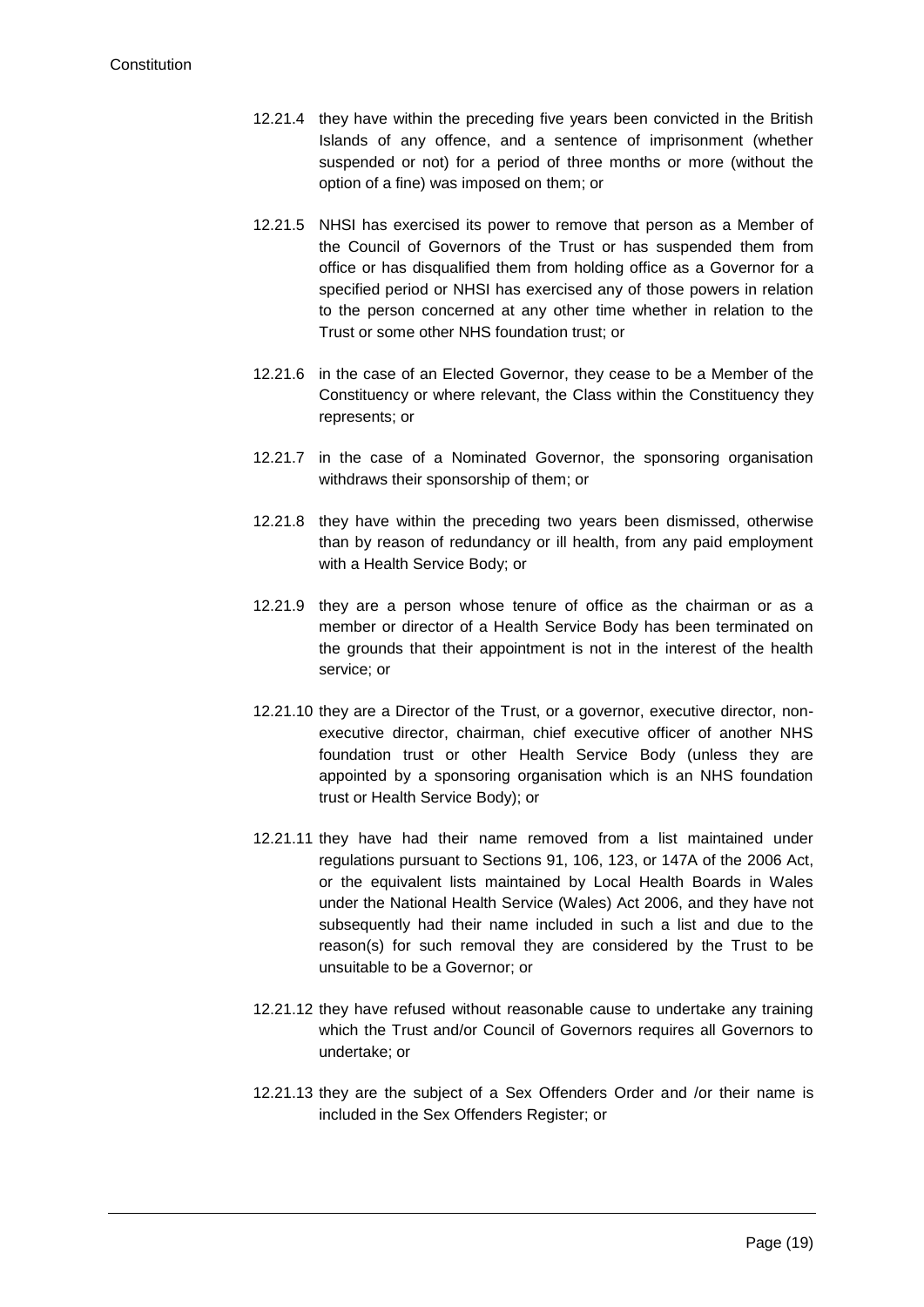- 12.21.4 they have within the preceding five years been convicted in the British Islands of any offence, and a sentence of imprisonment (whether suspended or not) for a period of three months or more (without the option of a fine) was imposed on them; or
- 12.21.5 NHSI has exercised its power to remove that person as a Member of the Council of Governors of the Trust or has suspended them from office or has disqualified them from holding office as a Governor for a specified period or NHSI has exercised any of those powers in relation to the person concerned at any other time whether in relation to the Trust or some other NHS foundation trust; or
- 12.21.6 in the case of an Elected Governor, they cease to be a Member of the Constituency or where relevant, the Class within the Constituency they represents; or
- 12.21.7 in the case of a Nominated Governor, the sponsoring organisation withdraws their sponsorship of them; or
- 12.21.8 they have within the preceding two years been dismissed, otherwise than by reason of redundancy or ill health, from any paid employment with a Health Service Body; or
- 12.21.9 they are a person whose tenure of office as the chairman or as a member or director of a Health Service Body has been terminated on the grounds that their appointment is not in the interest of the health service; or
- 12.21.10 they are a Director of the Trust, or a governor, executive director, nonexecutive director, chairman, chief executive officer of another NHS foundation trust or other Health Service Body (unless they are appointed by a sponsoring organisation which is an NHS foundation trust or Health Service Body); or
- 12.21.11 they have had their name removed from a list maintained under regulations pursuant to Sections 91, 106, 123, or 147A of the 2006 Act, or the equivalent lists maintained by Local Health Boards in Wales under the National Health Service (Wales) Act 2006, and they have not subsequently had their name included in such a list and due to the reason(s) for such removal they are considered by the Trust to be unsuitable to be a Governor; or
- 12.21.12 they have refused without reasonable cause to undertake any training which the Trust and/or Council of Governors requires all Governors to undertake; or
- 12.21.13 they are the subject of a Sex Offenders Order and /or their name is included in the Sex Offenders Register; or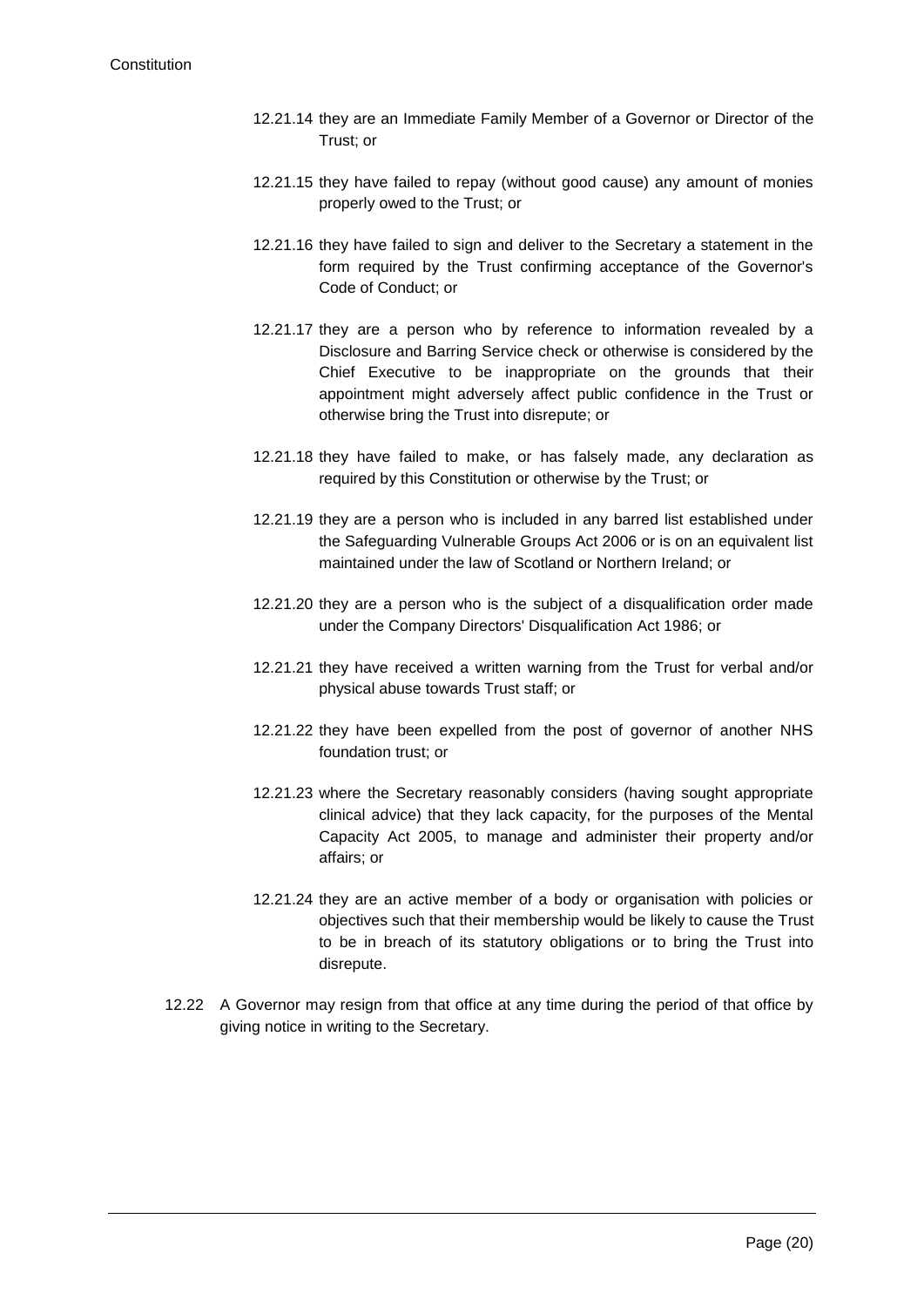- 12.21.14 they are an Immediate Family Member of a Governor or Director of the Trust; or
- 12.21.15 they have failed to repay (without good cause) any amount of monies properly owed to the Trust; or
- 12.21.16 they have failed to sign and deliver to the Secretary a statement in the form required by the Trust confirming acceptance of the Governor's Code of Conduct; or
- 12.21.17 they are a person who by reference to information revealed by a Disclosure and Barring Service check or otherwise is considered by the Chief Executive to be inappropriate on the grounds that their appointment might adversely affect public confidence in the Trust or otherwise bring the Trust into disrepute; or
- 12.21.18 they have failed to make, or has falsely made, any declaration as required by this Constitution or otherwise by the Trust; or
- 12.21.19 they are a person who is included in any barred list established under the Safeguarding Vulnerable Groups Act 2006 or is on an equivalent list maintained under the law of Scotland or Northern Ireland; or
- 12.21.20 they are a person who is the subject of a disqualification order made under the Company Directors' Disqualification Act 1986; or
- 12.21.21 they have received a written warning from the Trust for verbal and/or physical abuse towards Trust staff; or
- 12.21.22 they have been expelled from the post of governor of another NHS foundation trust; or
- 12.21.23 where the Secretary reasonably considers (having sought appropriate clinical advice) that they lack capacity, for the purposes of the Mental Capacity Act 2005, to manage and administer their property and/or affairs; or
- 12.21.24 they are an active member of a body or organisation with policies or objectives such that their membership would be likely to cause the Trust to be in breach of its statutory obligations or to bring the Trust into disrepute.
- 12.22 A Governor may resign from that office at any time during the period of that office by giving notice in writing to the Secretary.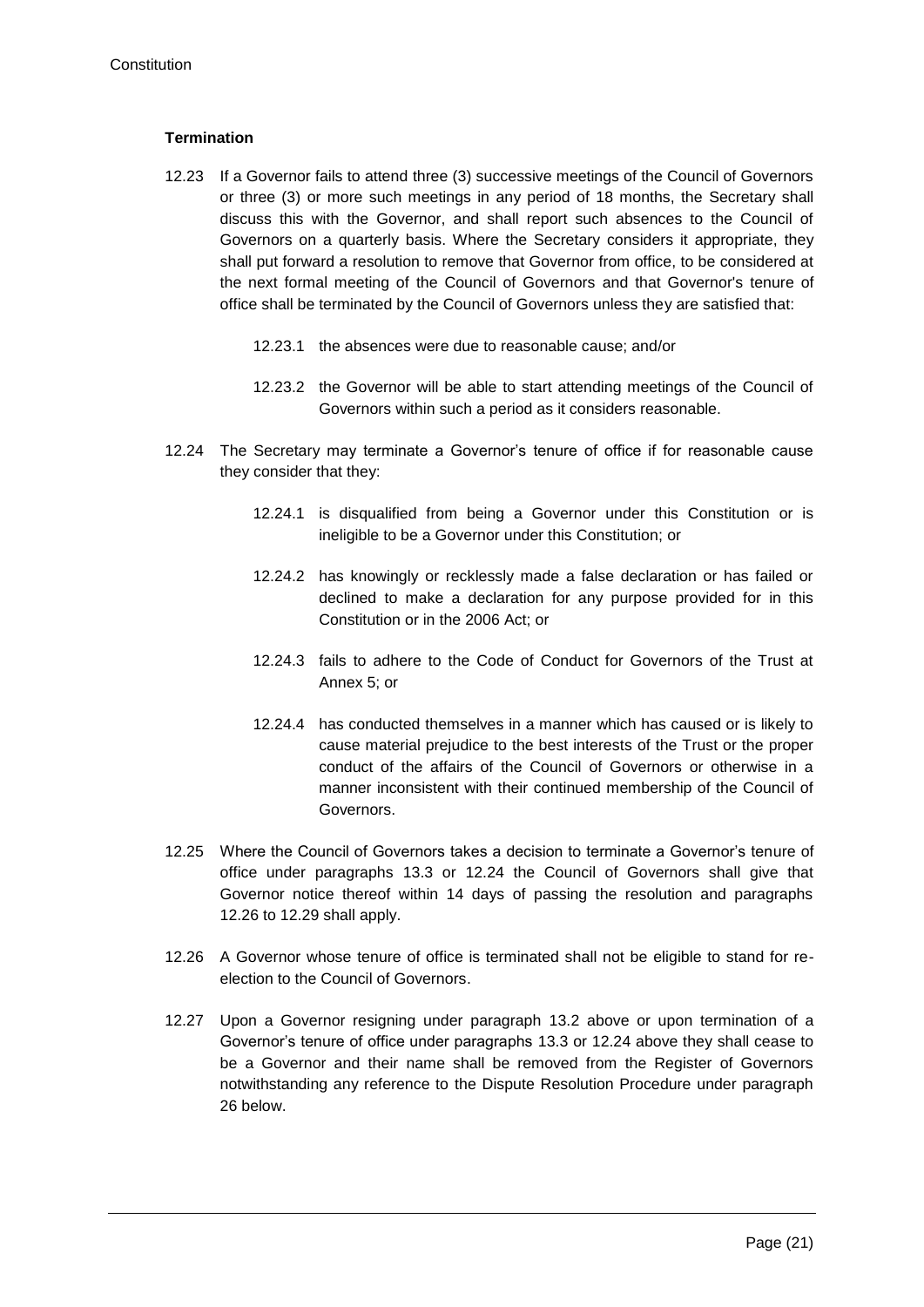## **Termination**

- 12.23 If a Governor fails to attend three (3) successive meetings of the Council of Governors or three (3) or more such meetings in any period of 18 months, the Secretary shall discuss this with the Governor, and shall report such absences to the Council of Governors on a quarterly basis. Where the Secretary considers it appropriate, they shall put forward a resolution to remove that Governor from office, to be considered at the next formal meeting of the Council of Governors and that Governor's tenure of office shall be terminated by the Council of Governors unless they are satisfied that:
	- 12.23.1 the absences were due to reasonable cause; and/or
	- 12.23.2 the Governor will be able to start attending meetings of the Council of Governors within such a period as it considers reasonable.
- <span id="page-21-0"></span>12.24 The Secretary may terminate a Governor's tenure of office if for reasonable cause they consider that they:
	- 12.24.1 is disqualified from being a Governor under this Constitution or is ineligible to be a Governor under this Constitution; or
	- 12.24.2 has knowingly or recklessly made a false declaration or has failed or declined to make a declaration for any purpose provided for in this Constitution or in the 2006 Act; or
	- 12.24.3 fails to adhere to the Code of Conduct for Governors of the Trust at Annex 5; or
	- 12.24.4 has conducted themselves in a manner which has caused or is likely to cause material prejudice to the best interests of the Trust or the proper conduct of the affairs of the Council of Governors or otherwise in a manner inconsistent with their continued membership of the Council of Governors.
- <span id="page-21-2"></span>12.25 Where the Council of Governors takes a decision to terminate a Governor's tenure of office under paragraphs 13.3 or [12.24](#page-21-0) the Council of Governors shall give that Governor notice thereof within 14 days of passing the resolution and paragraphs [12.26](#page-21-1) to [12.29](#page-22-0) shall apply.
- <span id="page-21-1"></span>12.26 A Governor whose tenure of office is terminated shall not be eligible to stand for reelection to the Council of Governors.
- <span id="page-21-3"></span>12.27 Upon a Governor resigning under paragraph 13.2 above or upon termination of a Governor's tenure of office under paragraphs 13.3 or [12.24](#page-21-0) above they shall cease to be a Governor and their name shall be removed from the Register of Governors notwithstanding any reference to the Dispute Resolution Procedure under paragraph [26](#page-43-0) below.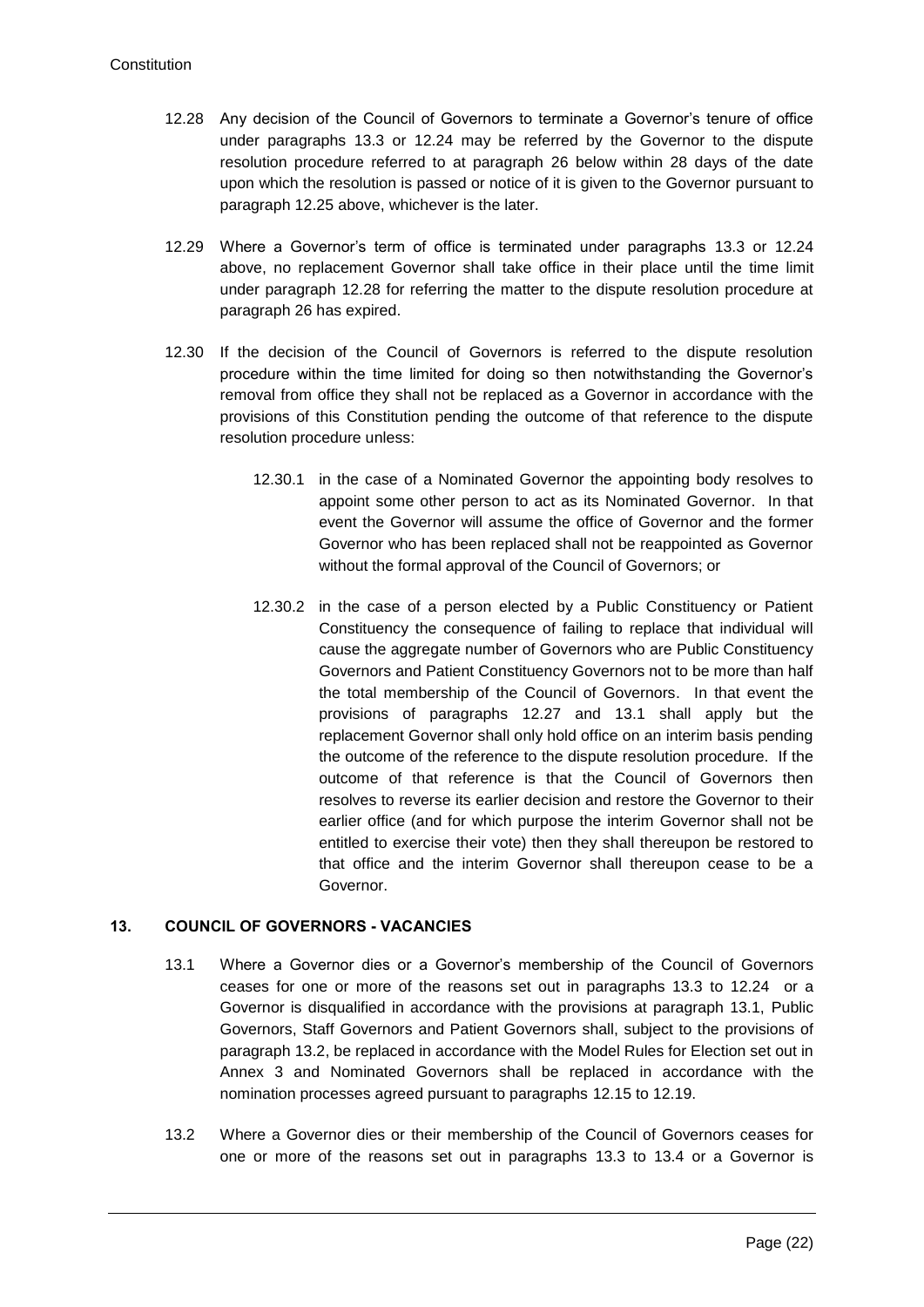- <span id="page-22-1"></span>12.28 Any decision of the Council of Governors to terminate a Governor's tenure of office under paragraphs 13.3 or [12.24](#page-21-0) may be referred by the Governor to the dispute resolution procedure referred to at paragraph [26](#page-43-0) below within 28 days of the date upon which the resolution is passed or notice of it is given to the Governor pursuant to paragraph [12.25](#page-21-2) above, whichever is the later.
- <span id="page-22-0"></span>12.29 Where a Governor's term of office is terminated under paragraphs 13.3 or [12.24](#page-21-0) above, no replacement Governor shall take office in their place until the time limit under paragraph [12.28](#page-22-1) for referring the matter to the dispute resolution procedure at paragraph [26](#page-43-0) has expired.
- 12.30 If the decision of the Council of Governors is referred to the dispute resolution procedure within the time limited for doing so then notwithstanding the Governor's removal from office they shall not be replaced as a Governor in accordance with the provisions of this Constitution pending the outcome of that reference to the dispute resolution procedure unless:
	- 12.30.1 in the case of a Nominated Governor the appointing body resolves to appoint some other person to act as its Nominated Governor. In that event the Governor will assume the office of Governor and the former Governor who has been replaced shall not be reappointed as Governor without the formal approval of the Council of Governors; or
	- 12.30.2 in the case of a person elected by a Public Constituency or Patient Constituency the consequence of failing to replace that individual will cause the aggregate number of Governors who are Public Constituency Governors and Patient Constituency Governors not to be more than half the total membership of the Council of Governors. In that event the provisions of paragraphs [12.27](#page-21-3) and [13.1](#page-22-2) shall apply but the replacement Governor shall only hold office on an interim basis pending the outcome of the reference to the dispute resolution procedure. If the outcome of that reference is that the Council of Governors then resolves to reverse its earlier decision and restore the Governor to their earlier office (and for which purpose the interim Governor shall not be entitled to exercise their vote) then they shall thereupon be restored to that office and the interim Governor shall thereupon cease to be a Governor.

# <span id="page-22-2"></span>**13. COUNCIL OF GOVERNORS - VACANCIES**

- 13.1 Where a Governor dies or a Governor's membership of the Council of Governors ceases for one or more of the reasons set out in paragraphs 13.3 to [12.24](#page-21-0) or a Governor is disqualified in accordance with the provisions at paragraph 13.1, Public Governors, Staff Governors and Patient Governors shall, subject to the provisions of paragraph [13.2,](#page-22-3) be replaced in accordance with the Model Rules for Election set out in Annex 3 and Nominated Governors shall be replaced in accordance with the nomination processes agreed pursuant to paragraphs 12.15 to 12.19.
- <span id="page-22-3"></span>13.2 Where a Governor dies or their membership of the Council of Governors ceases for one or more of the reasons set out in paragraphs 13.3 to 13.4 or a Governor is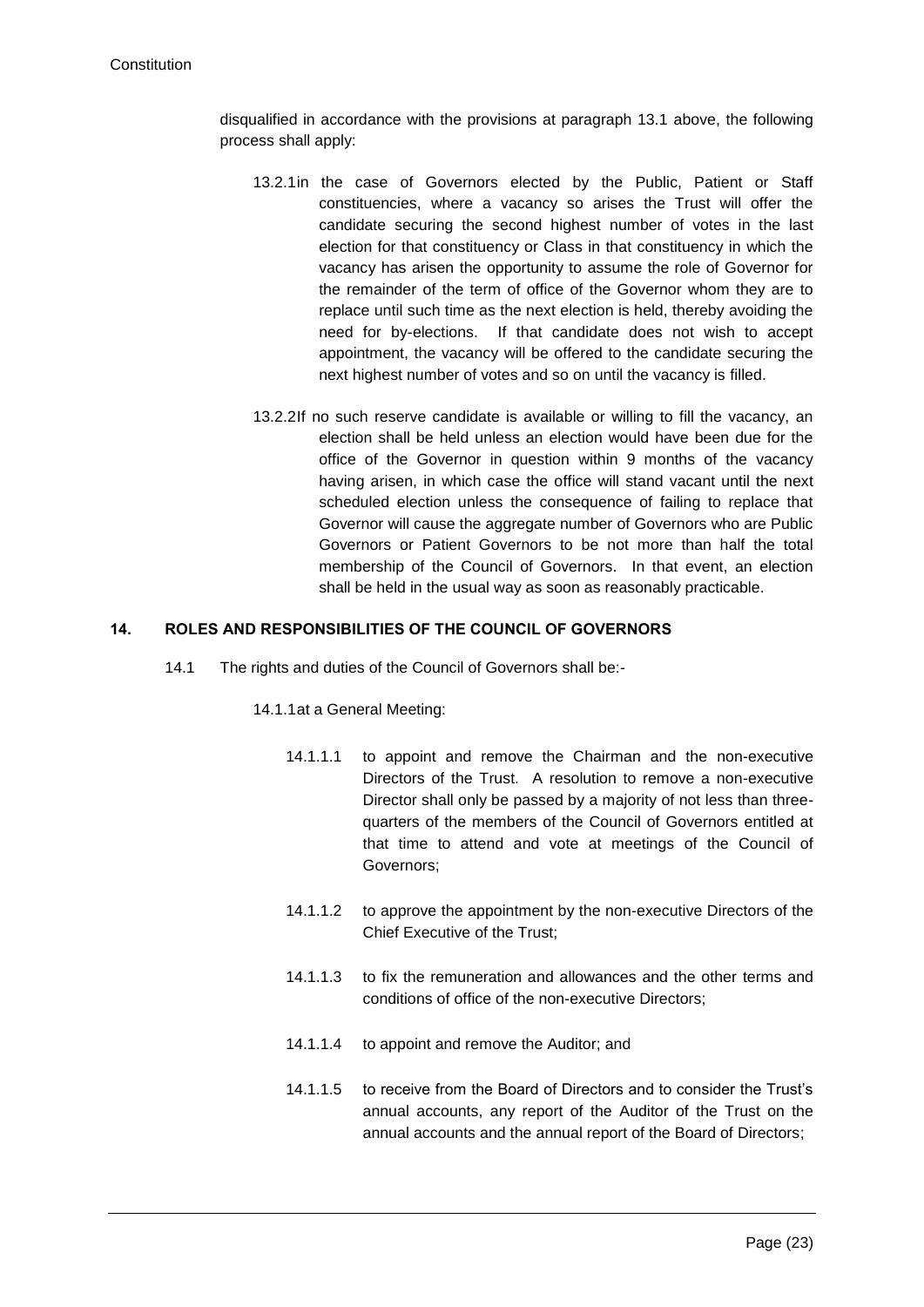disqualified in accordance with the provisions at paragraph 13.1 above, the following process shall apply:

- 13.2.1in the case of Governors elected by the Public, Patient or Staff constituencies, where a vacancy so arises the Trust will offer the candidate securing the second highest number of votes in the last election for that constituency or Class in that constituency in which the vacancy has arisen the opportunity to assume the role of Governor for the remainder of the term of office of the Governor whom they are to replace until such time as the next election is held, thereby avoiding the need for by-elections. If that candidate does not wish to accept appointment, the vacancy will be offered to the candidate securing the next highest number of votes and so on until the vacancy is filled.
- 13.2.2If no such reserve candidate is available or willing to fill the vacancy, an election shall be held unless an election would have been due for the office of the Governor in question within 9 months of the vacancy having arisen, in which case the office will stand vacant until the next scheduled election unless the consequence of failing to replace that Governor will cause the aggregate number of Governors who are Public Governors or Patient Governors to be not more than half the total membership of the Council of Governors. In that event, an election shall be held in the usual way as soon as reasonably practicable.

## **14. ROLES AND RESPONSIBILITIES OF THE COUNCIL OF GOVERNORS**

<span id="page-23-0"></span>14.1 The rights and duties of the Council of Governors shall be:-

## 14.1.1at a General Meeting:

- 14.1.1.1 to appoint and remove the Chairman and the non-executive Directors of the Trust. A resolution to remove a non-executive Director shall only be passed by a majority of not less than threequarters of the members of the Council of Governors entitled at that time to attend and vote at meetings of the Council of Governors;
- 14.1.1.2 to approve the appointment by the non-executive Directors of the Chief Executive of the Trust;
- 14.1.1.3 to fix the remuneration and allowances and the other terms and conditions of office of the non-executive Directors;
- 14.1.1.4 to appoint and remove the Auditor; and
- 14.1.1.5 to receive from the Board of Directors and to consider the Trust's annual accounts, any report of the Auditor of the Trust on the annual accounts and the annual report of the Board of Directors;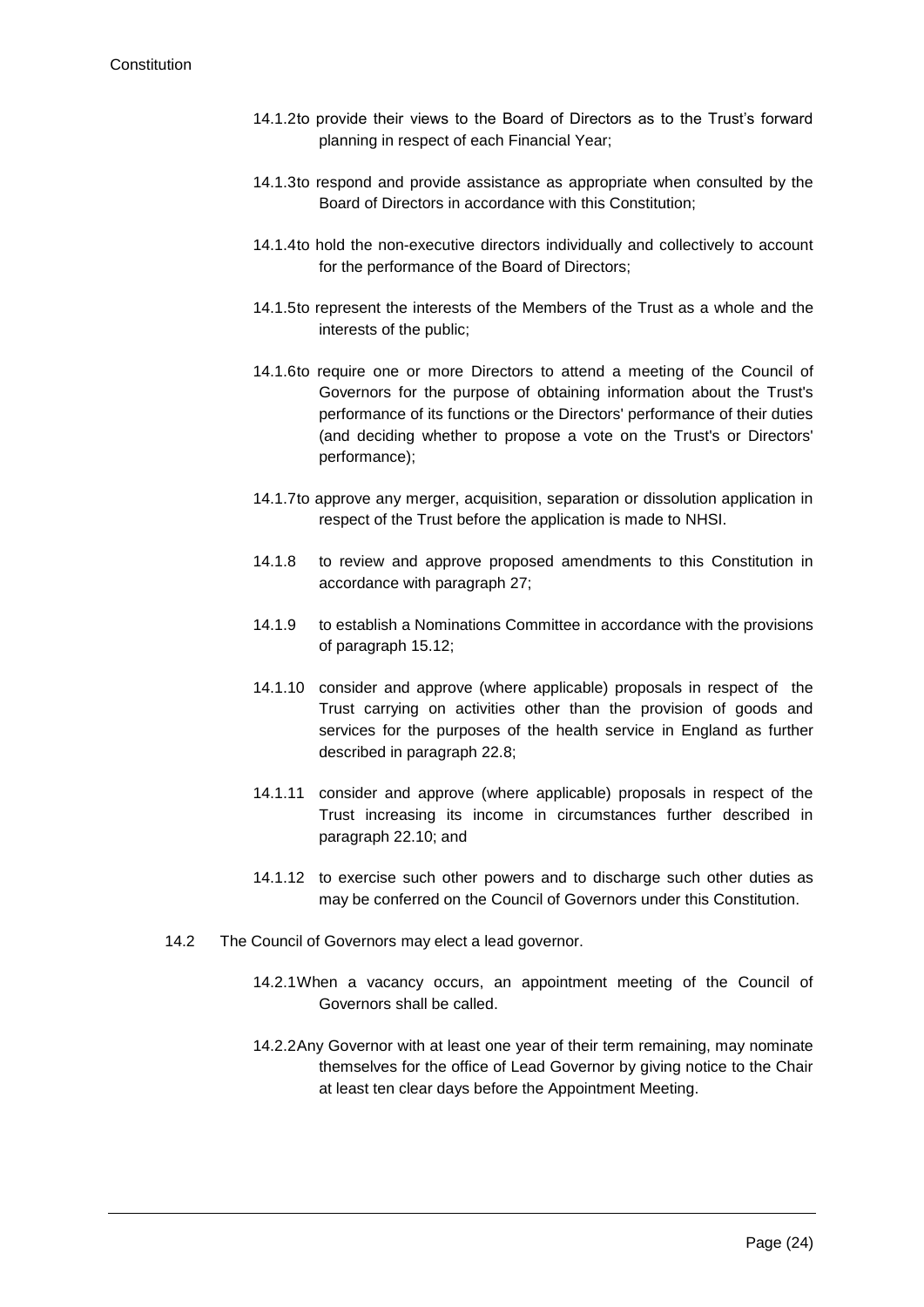- 14.1.2to provide their views to the Board of Directors as to the Trust's forward planning in respect of each Financial Year;
- 14.1.3to respond and provide assistance as appropriate when consulted by the Board of Directors in accordance with this Constitution;
- 14.1.4to hold the non-executive directors individually and collectively to account for the performance of the Board of Directors;
- 14.1.5to represent the interests of the Members of the Trust as a whole and the interests of the public;
- 14.1.6to require one or more Directors to attend a meeting of the Council of Governors for the purpose of obtaining information about the Trust's performance of its functions or the Directors' performance of their duties (and deciding whether to propose a vote on the Trust's or Directors' performance);
- 14.1.7to approve any merger, acquisition, separation or dissolution application in respect of the Trust before the application is made to NHSI.
- 14.1.8 to review and approve proposed amendments to this Constitution in accordance with paragraph 27;
- 14.1.9 to establish a Nominations Committee in accordance with the provisions of paragraph 15.12;
- 14.1.10 consider and approve (where applicable) proposals in respect of the Trust carrying on activities other than the provision of goods and services for the purposes of the health service in England as further described in paragraph 22.8;
- 14.1.11 consider and approve (where applicable) proposals in respect of the Trust increasing its income in circumstances further described in paragraph 22.10; and
- 14.1.12 to exercise such other powers and to discharge such other duties as may be conferred on the Council of Governors under this Constitution.
- 14.2 The Council of Governors may elect a lead governor.
	- 14.2.1When a vacancy occurs, an appointment meeting of the Council of Governors shall be called.
	- 14.2.2Any Governor with at least one year of their term remaining, may nominate themselves for the office of Lead Governor by giving notice to the Chair at least ten clear days before the Appointment Meeting.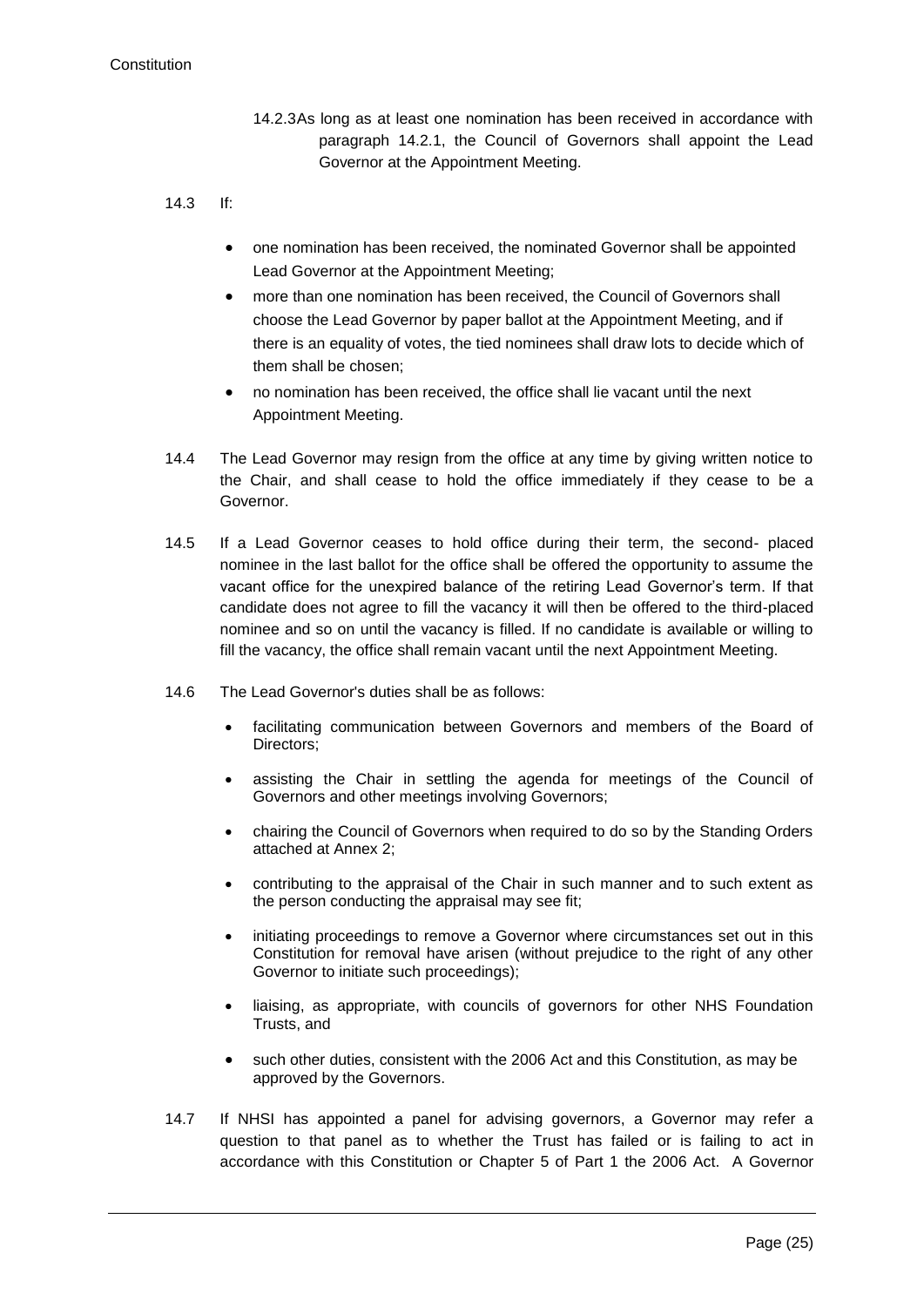- 14.2.3As long as at least one nomination has been received in accordance with paragraph 14.2.1, the Council of Governors shall appoint the Lead Governor at the Appointment Meeting.
- 14.3 If:
	- one nomination has been received, the nominated Governor shall be appointed Lead Governor at the Appointment Meeting;
	- more than one nomination has been received, the Council of Governors shall choose the Lead Governor by paper ballot at the Appointment Meeting, and if there is an equality of votes, the tied nominees shall draw lots to decide which of them shall be chosen;
	- no nomination has been received, the office shall lie vacant until the next Appointment Meeting.
- 14.4 The Lead Governor may resign from the office at any time by giving written notice to the Chair, and shall cease to hold the office immediately if they cease to be a Governor.
- 14.5 If a Lead Governor ceases to hold office during their term, the second- placed nominee in the last ballot for the office shall be offered the opportunity to assume the vacant office for the unexpired balance of the retiring Lead Governor's term. If that candidate does not agree to fill the vacancy it will then be offered to the third-placed nominee and so on until the vacancy is filled. If no candidate is available or willing to fill the vacancy, the office shall remain vacant until the next Appointment Meeting.
- 14.6 The Lead Governor's duties shall be as follows:
	- facilitating communication between Governors and members of the Board of Directors;
	- assisting the Chair in settling the agenda for meetings of the Council of Governors and other meetings involving Governors;
	- chairing the Council of Governors when required to do so by the Standing Orders attached at Annex 2;
	- contributing to the appraisal of the Chair in such manner and to such extent as the person conducting the appraisal may see fit;
	- initiating proceedings to remove a Governor where circumstances set out in this Constitution for removal have arisen (without prejudice to the right of any other Governor to initiate such proceedings);
	- liaising, as appropriate, with councils of governors for other NHS Foundation Trusts, and
	- such other duties, consistent with the 2006 Act and this Constitution, as may be approved by the Governors.
- 14.7 If NHSI has appointed a panel for advising governors, a Governor may refer a question to that panel as to whether the Trust has failed or is failing to act in accordance with this Constitution or Chapter 5 of Part 1 the 2006 Act. A Governor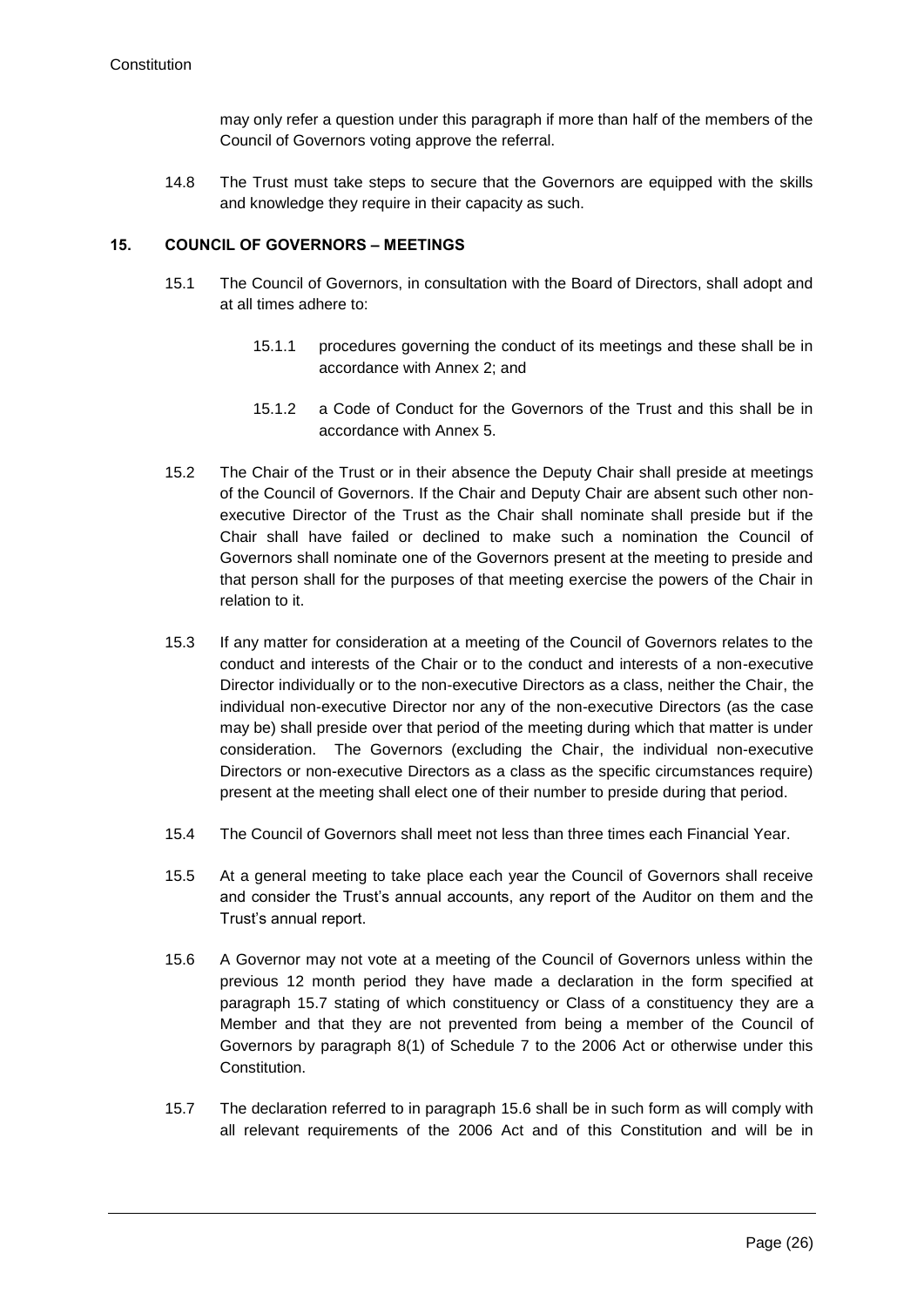may only refer a question under this paragraph if more than half of the members of the Council of Governors voting approve the referral.

14.8 The Trust must take steps to secure that the Governors are equipped with the skills and knowledge they require in their capacity as such.

#### **15. COUNCIL OF GOVERNORS – MEETINGS**

- 15.1 The Council of Governors, in consultation with the Board of Directors, shall adopt and at all times adhere to:
	- 15.1.1 procedures governing the conduct of its meetings and these shall be in accordance with Annex 2; and
	- 15.1.2 a Code of Conduct for the Governors of the Trust and this shall be in accordance with Annex 5.
- <span id="page-26-1"></span>15.2 The Chair of the Trust or in their absence the Deputy Chair shall preside at meetings of the Council of Governors. If the Chair and Deputy Chair are absent such other nonexecutive Director of the Trust as the Chair shall nominate shall preside but if the Chair shall have failed or declined to make such a nomination the Council of Governors shall nominate one of the Governors present at the meeting to preside and that person shall for the purposes of that meeting exercise the powers of the Chair in relation to it.
- 15.3 If any matter for consideration at a meeting of the Council of Governors relates to the conduct and interests of the Chair or to the conduct and interests of a non-executive Director individually or to the non-executive Directors as a class, neither the Chair, the individual non-executive Director nor any of the non-executive Directors (as the case may be) shall preside over that period of the meeting during which that matter is under consideration. The Governors (excluding the Chair, the individual non-executive Directors or non-executive Directors as a class as the specific circumstances require) present at the meeting shall elect one of their number to preside during that period.
- 15.4 The Council of Governors shall meet not less than three times each Financial Year.
- <span id="page-26-0"></span>15.5 At a general meeting to take place each year the Council of Governors shall receive and consider the Trust's annual accounts, any report of the Auditor on them and the Trust's annual report.
- <span id="page-26-3"></span>15.6 A Governor may not vote at a meeting of the Council of Governors unless within the previous 12 month period they have made a declaration in the form specified at paragraph [15.7](#page-26-2) stating of which constituency or Class of a constituency they are a Member and that they are not prevented from being a member of the Council of Governors by paragraph 8(1) of Schedule 7 to the 2006 Act or otherwise under this Constitution.
- <span id="page-26-2"></span>15.7 The declaration referred to in paragraph [15.6](#page-26-3) shall be in such form as will comply with all relevant requirements of the 2006 Act and of this Constitution and will be in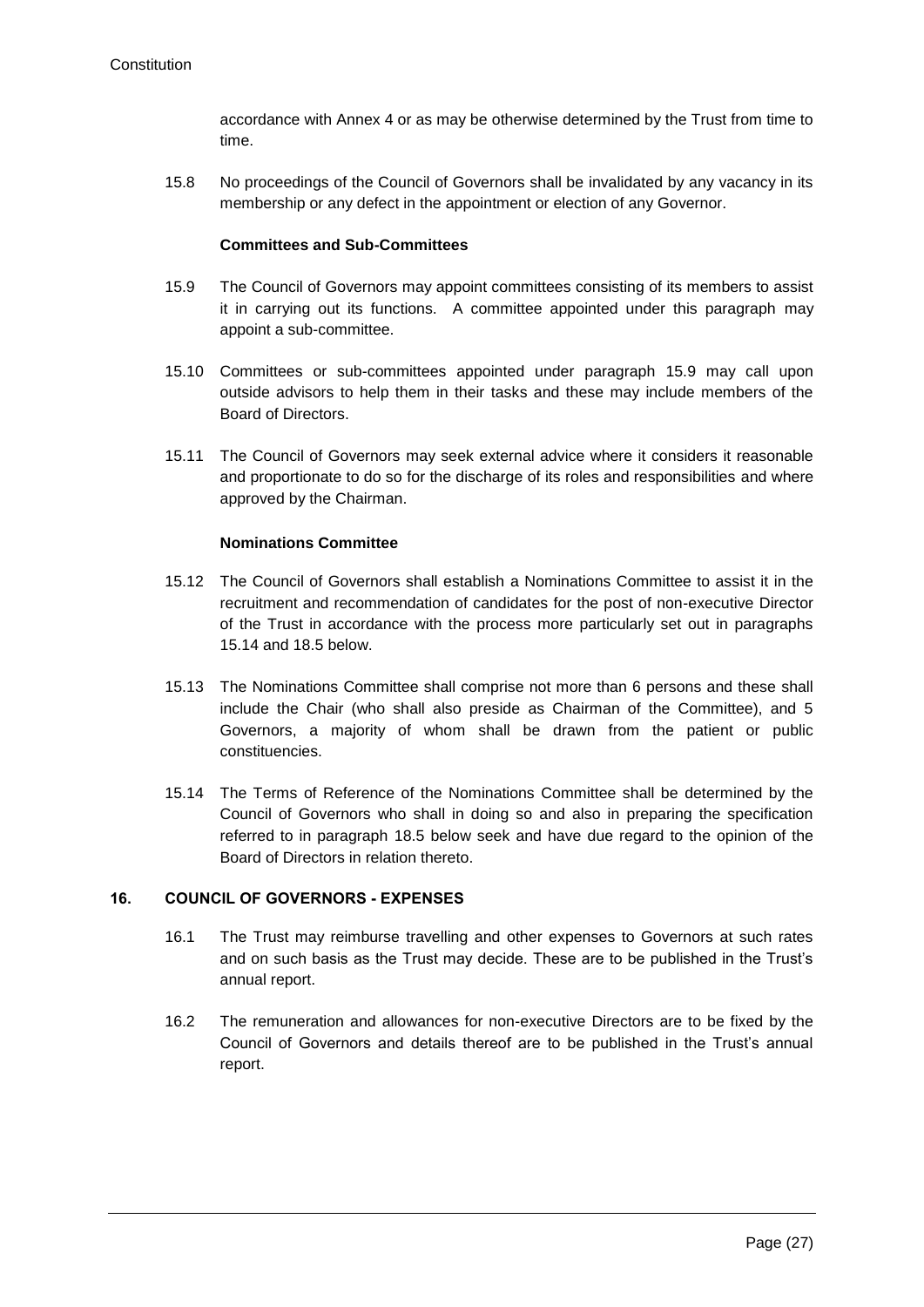accordance with Annex 4 or as may be otherwise determined by the Trust from time to time.

15.8 No proceedings of the Council of Governors shall be invalidated by any vacancy in its membership or any defect in the appointment or election of any Governor.

#### **Committees and Sub-Committees**

- <span id="page-27-0"></span>15.9 The Council of Governors may appoint committees consisting of its members to assist it in carrying out its functions. A committee appointed under this paragraph may appoint a sub-committee.
- 15.10 Committees or sub-committees appointed under paragraph [15.9](#page-27-0) may call upon outside advisors to help them in their tasks and these may include members of the Board of Directors.
- 15.11 The Council of Governors may seek external advice where it considers it reasonable and proportionate to do so for the discharge of its roles and responsibilities and where approved by the Chairman.

#### **Nominations Committee**

- 15.12 The Council of Governors shall establish a Nominations Committee to assist it in the recruitment and recommendation of candidates for the post of non-executive Director of the Trust in accordance with the process more particularly set out in paragraphs [15.14](#page-27-1) and [18.5](#page-31-0) below.
- 15.13 The Nominations Committee shall comprise not more than 6 persons and these shall include the Chair (who shall also preside as Chairman of the Committee), and 5 Governors, a majority of whom shall be drawn from the patient or public constituencies.
- <span id="page-27-1"></span>15.14 The Terms of Reference of the Nominations Committee shall be determined by the Council of Governors who shall in doing so and also in preparing the specification referred to in paragraph [18.5](#page-31-0) below seek and have due regard to the opinion of the Board of Directors in relation thereto.

## <span id="page-27-2"></span>**16. COUNCIL OF GOVERNORS - EXPENSES**

- 16.1 The Trust may reimburse travelling and other expenses to Governors at such rates and on such basis as the Trust may decide. These are to be published in the Trust's annual report.
- 16.2 The remuneration and allowances for non-executive Directors are to be fixed by the Council of Governors and details thereof are to be published in the Trust's annual report.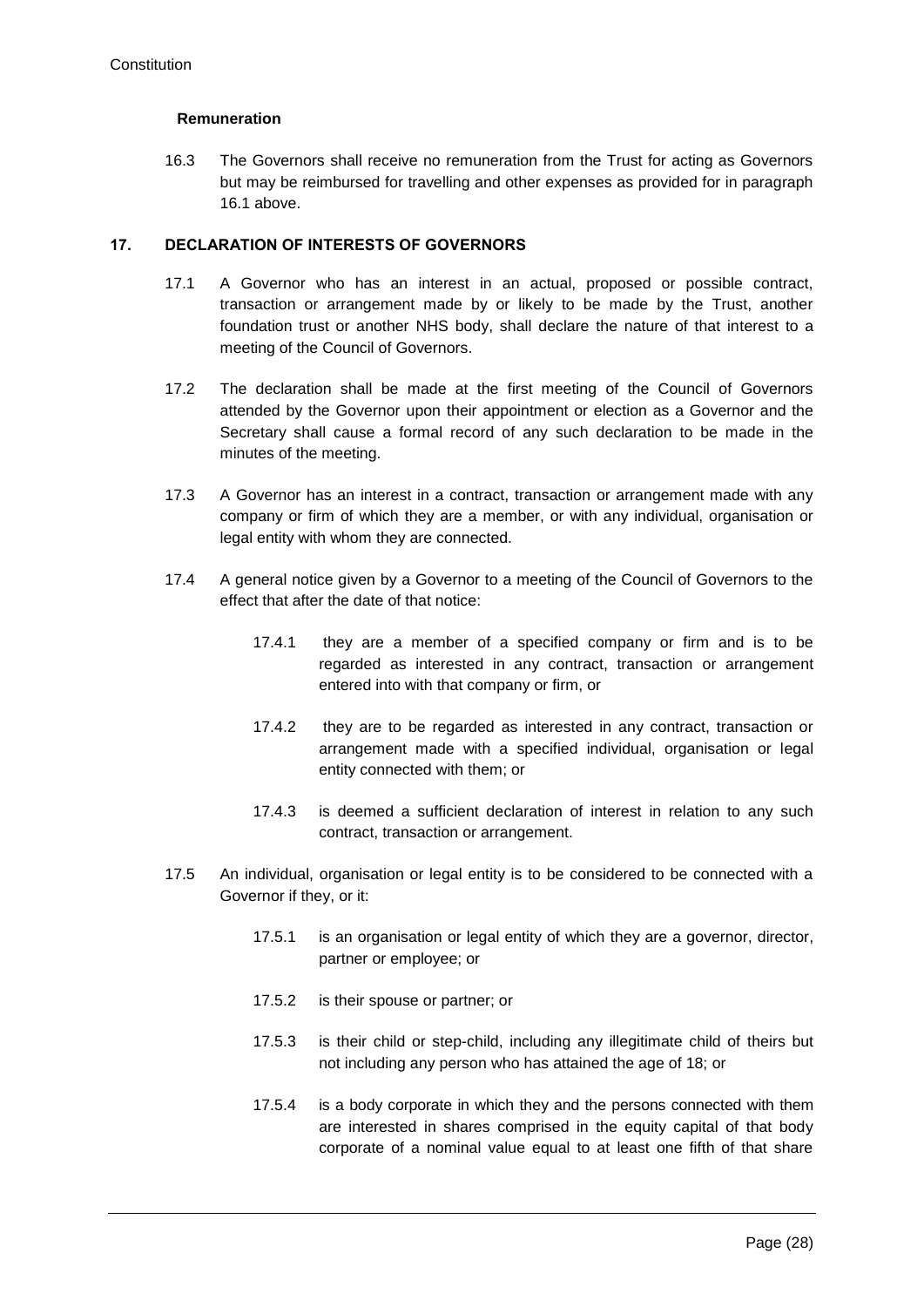#### **Remuneration**

16.3 The Governors shall receive no remuneration from the Trust for acting as Governors but may be reimbursed for travelling and other expenses as provided for in paragraph [16.1](#page-27-2) above.

#### **17. DECLARATION OF INTERESTS OF GOVERNORS**

- 17.1 A Governor who has an interest in an actual, proposed or possible contract, transaction or arrangement made by or likely to be made by the Trust, another foundation trust or another NHS body, shall declare the nature of that interest to a meeting of the Council of Governors.
- 17.2 The declaration shall be made at the first meeting of the Council of Governors attended by the Governor upon their appointment or election as a Governor and the Secretary shall cause a formal record of any such declaration to be made in the minutes of the meeting.
- 17.3 A Governor has an interest in a contract, transaction or arrangement made with any company or firm of which they are a member, or with any individual, organisation or legal entity with whom they are connected.
- 17.4 A general notice given by a Governor to a meeting of the Council of Governors to the effect that after the date of that notice:
	- 17.4.1 they are a member of a specified company or firm and is to be regarded as interested in any contract, transaction or arrangement entered into with that company or firm, or
	- 17.4.2 they are to be regarded as interested in any contract, transaction or arrangement made with a specified individual, organisation or legal entity connected with them; or
	- 17.4.3 is deemed a sufficient declaration of interest in relation to any such contract, transaction or arrangement.
- <span id="page-28-0"></span>17.5 An individual, organisation or legal entity is to be considered to be connected with a Governor if they, or it:
	- 17.5.1 is an organisation or legal entity of which they are a governor, director, partner or employee; or
	- 17.5.2 is their spouse or partner; or
	- 17.5.3 is their child or step-child, including any illegitimate child of theirs but not including any person who has attained the age of 18; or
	- 17.5.4 is a body corporate in which they and the persons connected with them are interested in shares comprised in the equity capital of that body corporate of a nominal value equal to at least one fifth of that share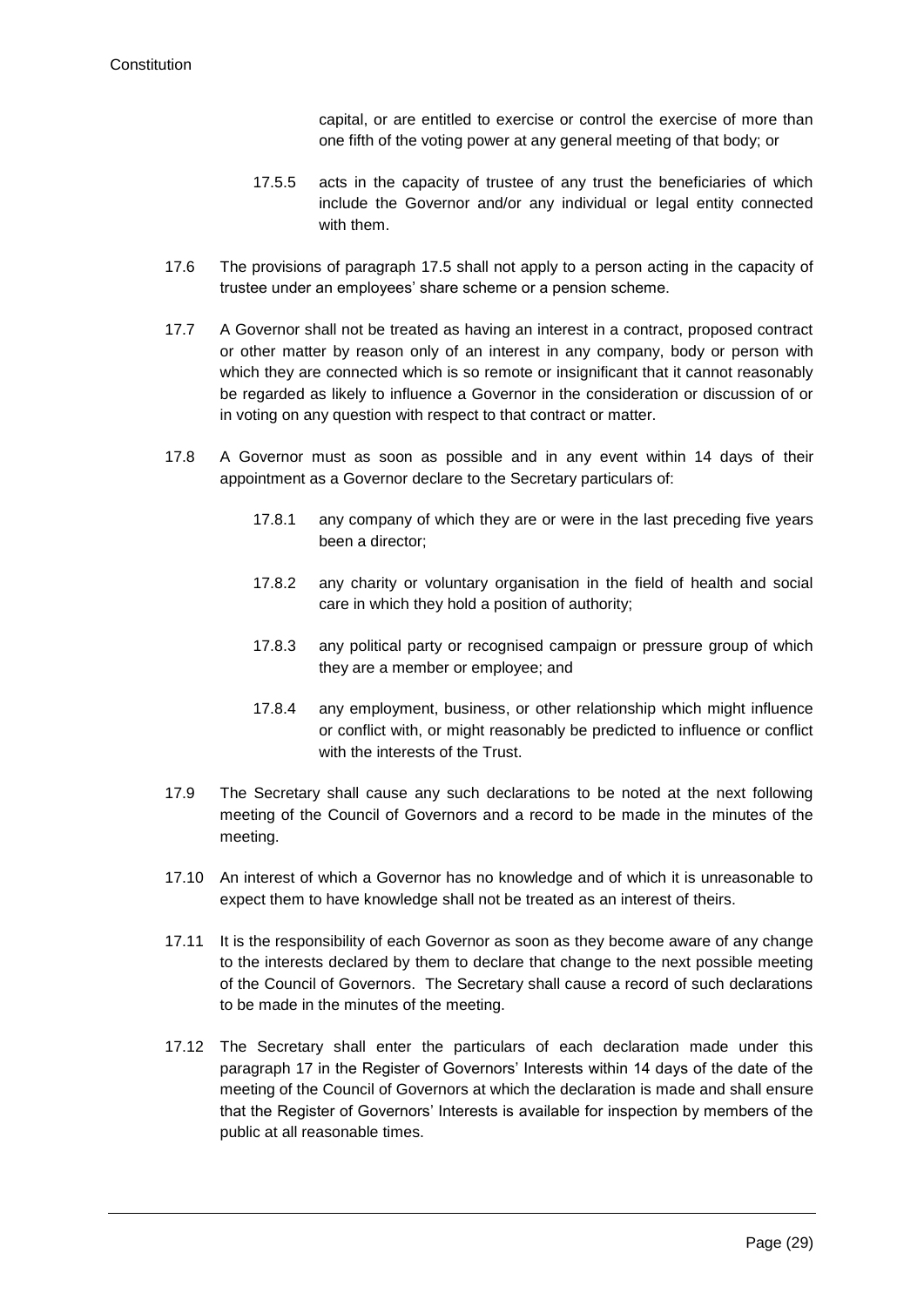capital, or are entitled to exercise or control the exercise of more than one fifth of the voting power at any general meeting of that body; or

- 17.5.5 acts in the capacity of trustee of any trust the beneficiaries of which include the Governor and/or any individual or legal entity connected with them.
- 17.6 The provisions of paragraph [17.5](#page-28-0) shall not apply to a person acting in the capacity of trustee under an employees' share scheme or a pension scheme.
- 17.7 A Governor shall not be treated as having an interest in a contract, proposed contract or other matter by reason only of an interest in any company, body or person with which they are connected which is so remote or insignificant that it cannot reasonably be regarded as likely to influence a Governor in the consideration or discussion of or in voting on any question with respect to that contract or matter.
- 17.8 A Governor must as soon as possible and in any event within 14 days of their appointment as a Governor declare to the Secretary particulars of:
	- 17.8.1 any company of which they are or were in the last preceding five years been a director;
	- 17.8.2 any charity or voluntary organisation in the field of health and social care in which they hold a position of authority;
	- 17.8.3 any political party or recognised campaign or pressure group of which they are a member or employee; and
	- 17.8.4 any employment, business, or other relationship which might influence or conflict with, or might reasonably be predicted to influence or conflict with the interests of the Trust.
- 17.9 The Secretary shall cause any such declarations to be noted at the next following meeting of the Council of Governors and a record to be made in the minutes of the meeting.
- 17.10 An interest of which a Governor has no knowledge and of which it is unreasonable to expect them to have knowledge shall not be treated as an interest of theirs.
- 17.11 It is the responsibility of each Governor as soon as they become aware of any change to the interests declared by them to declare that change to the next possible meeting of the Council of Governors. The Secretary shall cause a record of such declarations to be made in the minutes of the meeting.
- 17.12 The Secretary shall enter the particulars of each declaration made under this paragraph 17 in the Register of Governors' Interests within 14 days of the date of the meeting of the Council of Governors at which the declaration is made and shall ensure that the Register of Governors' Interests is available for inspection by members of the public at all reasonable times.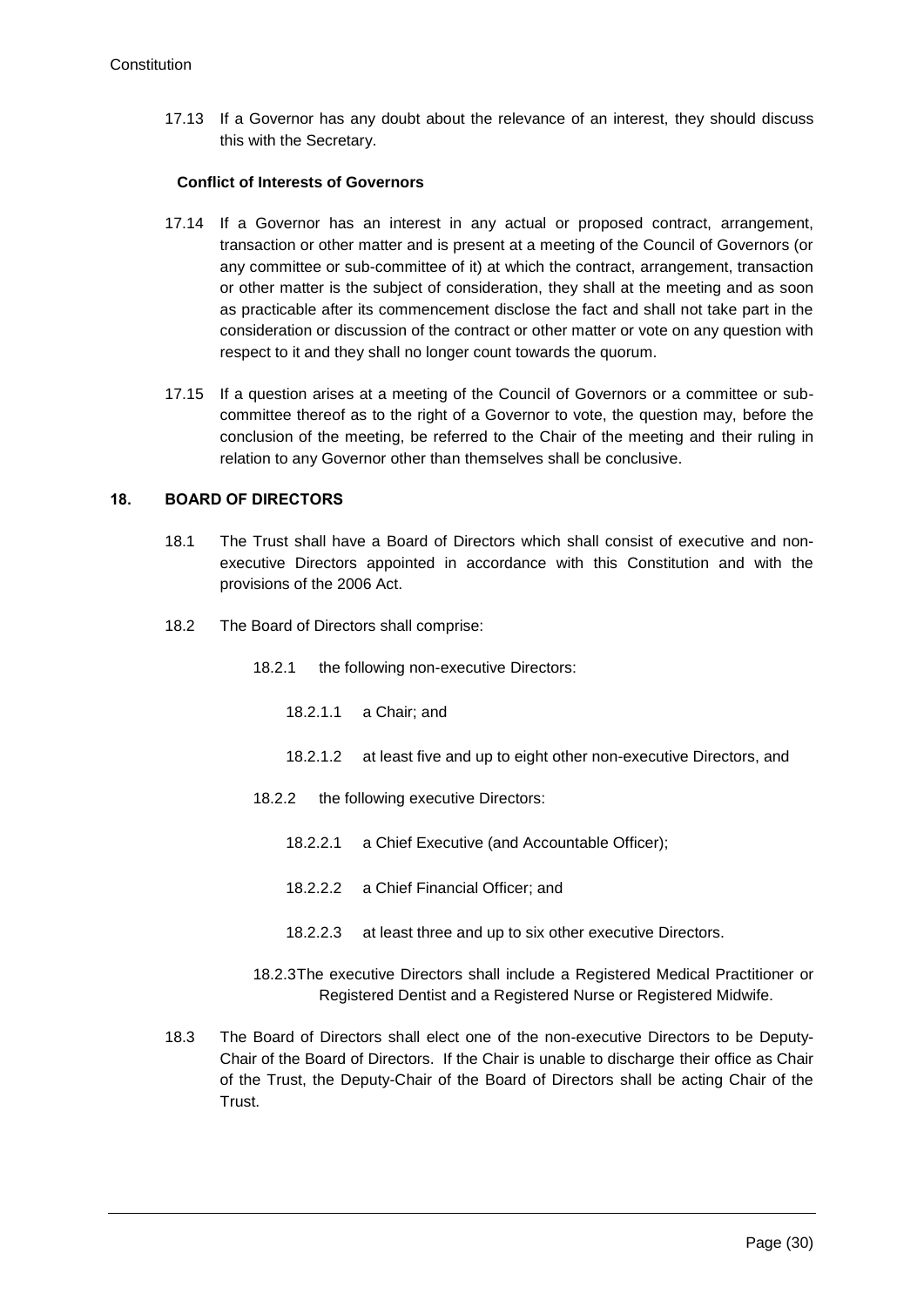17.13 If a Governor has any doubt about the relevance of an interest, they should discuss this with the Secretary.

#### **Conflict of Interests of Governors**

- 17.14 If a Governor has an interest in any actual or proposed contract, arrangement, transaction or other matter and is present at a meeting of the Council of Governors (or any committee or sub-committee of it) at which the contract, arrangement, transaction or other matter is the subject of consideration, they shall at the meeting and as soon as practicable after its commencement disclose the fact and shall not take part in the consideration or discussion of the contract or other matter or vote on any question with respect to it and they shall no longer count towards the quorum.
- 17.15 If a question arises at a meeting of the Council of Governors or a committee or subcommittee thereof as to the right of a Governor to vote, the question may, before the conclusion of the meeting, be referred to the Chair of the meeting and their ruling in relation to any Governor other than themselves shall be conclusive.

#### **18. BOARD OF DIRECTORS**

- 18.1 The Trust shall have a Board of Directors which shall consist of executive and nonexecutive Directors appointed in accordance with this Constitution and with the provisions of the 2006 Act.
- 18.2 The Board of Directors shall comprise:
	- 18.2.1 the following non-executive Directors:
		- 18.2.1.1 a Chair; and
		- 18.2.1.2 at least five and up to eight other non-executive Directors, and
	- 18.2.2 the following executive Directors:
		- 18.2.2.1 a Chief Executive (and Accountable Officer);
		- 18.2.2.2 a Chief Financial Officer; and
		- 18.2.2.3 at least three and up to six other executive Directors.
	- 18.2.3The executive Directors shall include a Registered Medical Practitioner or Registered Dentist and a Registered Nurse or Registered Midwife.
- 18.3 The Board of Directors shall elect one of the non-executive Directors to be Deputy-Chair of the Board of Directors. If the Chair is unable to discharge their office as Chair of the Trust, the Deputy-Chair of the Board of Directors shall be acting Chair of the Trust.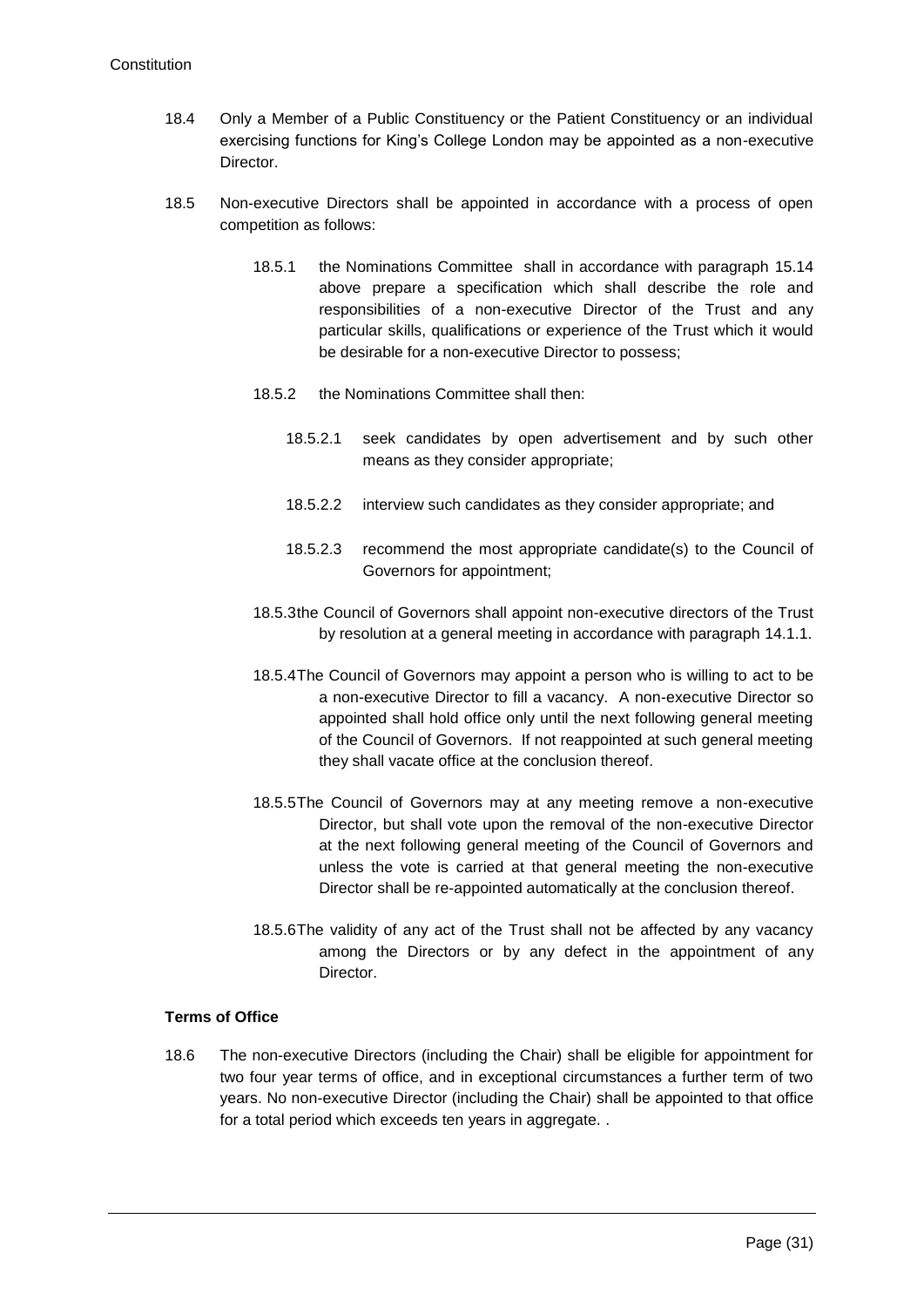- 18.4 Only a Member of a Public Constituency or the Patient Constituency or an individual exercising functions for King's College London may be appointed as a non-executive Director.
- <span id="page-31-0"></span>18.5 Non-executive Directors shall be appointed in accordance with a process of open competition as follows:
	- 18.5.1 the Nominations Committee shall in accordance with paragraph [15.14](#page-27-1) above prepare a specification which shall describe the role and responsibilities of a non-executive Director of the Trust and any particular skills, qualifications or experience of the Trust which it would be desirable for a non-executive Director to possess;
	- 18.5.2 the Nominations Committee shall then:
		- 18.5.2.1 seek candidates by open advertisement and by such other means as they consider appropriate;
		- 18.5.2.2 interview such candidates as they consider appropriate; and
		- 18.5.2.3 recommend the most appropriate candidate(s) to the Council of Governors for appointment;
	- 18.5.3the Council of Governors shall appoint non-executive directors of the Trust by resolution at a general meeting in accordance with paragraph [14.1.1.](#page-23-0)
	- 18.5.4The Council of Governors may appoint a person who is willing to act to be a non-executive Director to fill a vacancy. A non-executive Director so appointed shall hold office only until the next following general meeting of the Council of Governors. If not reappointed at such general meeting they shall vacate office at the conclusion thereof.
	- 18.5.5The Council of Governors may at any meeting remove a non-executive Director, but shall vote upon the removal of the non-executive Director at the next following general meeting of the Council of Governors and unless the vote is carried at that general meeting the non-executive Director shall be re-appointed automatically at the conclusion thereof.
	- 18.5.6The validity of any act of the Trust shall not be affected by any vacancy among the Directors or by any defect in the appointment of any Director.

# **Terms of Office**

18.6 The non-executive Directors (including the Chair) shall be eligible for appointment for two four year terms of office, and in exceptional circumstances a further term of two years. No non-executive Director (including the Chair) shall be appointed to that office for a total period which exceeds ten years in aggregate. .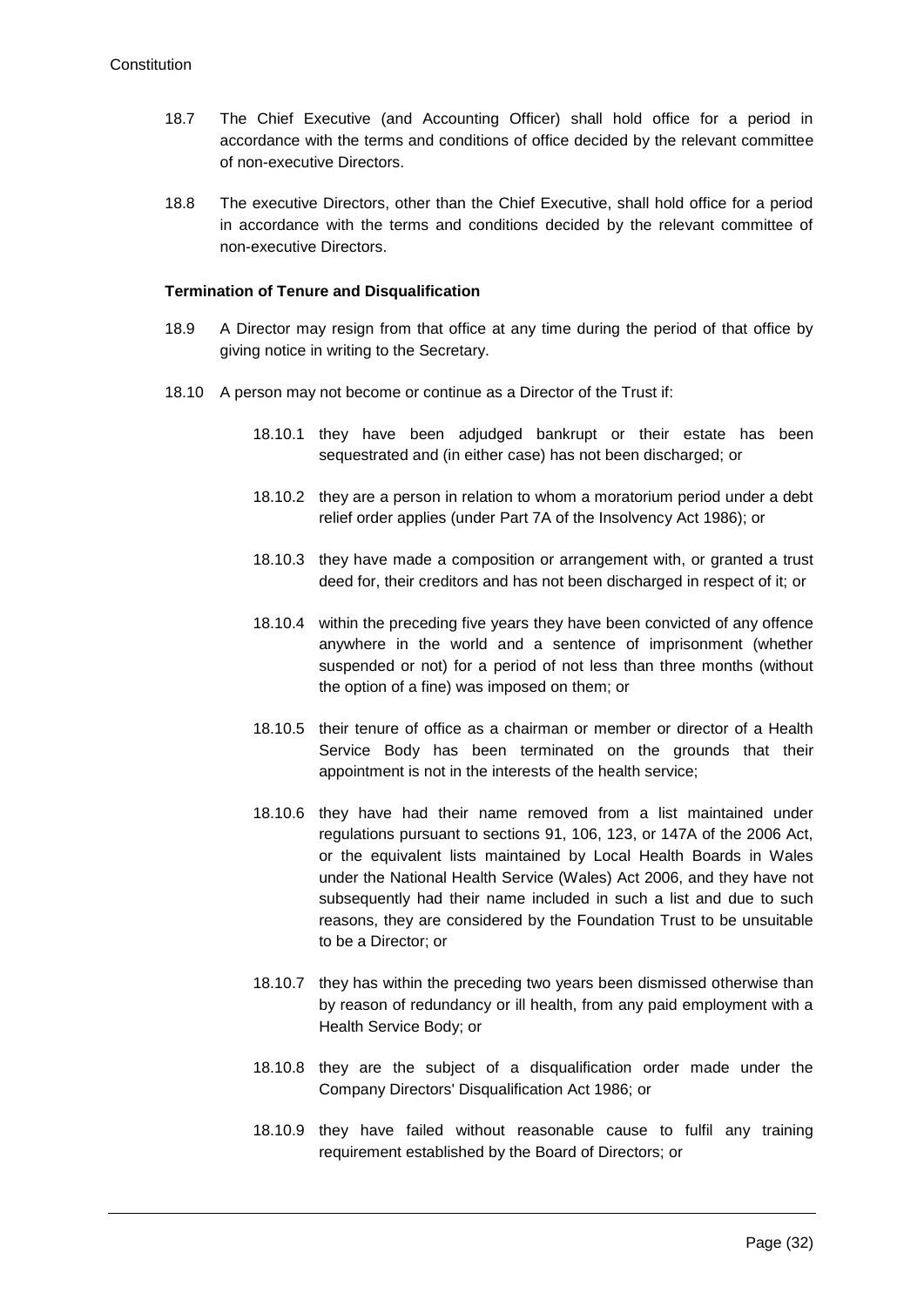- 18.7 The Chief Executive (and Accounting Officer) shall hold office for a period in accordance with the terms and conditions of office decided by the relevant committee of non-executive Directors.
- 18.8 The executive Directors, other than the Chief Executive, shall hold office for a period in accordance with the terms and conditions decided by the relevant committee of non-executive Directors.

#### **Termination of Tenure and Disqualification**

- 18.9 A Director may resign from that office at any time during the period of that office by giving notice in writing to the Secretary.
- 18.10 A person may not become or continue as a Director of the Trust if:
	- 18.10.1 they have been adjudged bankrupt or their estate has been sequestrated and (in either case) has not been discharged; or
	- 18.10.2 they are a person in relation to whom a moratorium period under a debt relief order applies (under Part 7A of the Insolvency Act 1986); or
	- 18.10.3 they have made a composition or arrangement with, or granted a trust deed for, their creditors and has not been discharged in respect of it; or
	- 18.10.4 within the preceding five years they have been convicted of any offence anywhere in the world and a sentence of imprisonment (whether suspended or not) for a period of not less than three months (without the option of a fine) was imposed on them; or
	- 18.10.5 their tenure of office as a chairman or member or director of a Health Service Body has been terminated on the grounds that their appointment is not in the interests of the health service;
	- 18.10.6 they have had their name removed from a list maintained under regulations pursuant to sections 91, 106, 123, or 147A of the 2006 Act, or the equivalent lists maintained by Local Health Boards in Wales under the National Health Service (Wales) Act 2006, and they have not subsequently had their name included in such a list and due to such reasons, they are considered by the Foundation Trust to be unsuitable to be a Director; or
	- 18.10.7 they has within the preceding two years been dismissed otherwise than by reason of redundancy or ill health, from any paid employment with a Health Service Body; or
	- 18.10.8 they are the subject of a disqualification order made under the Company Directors' Disqualification Act 1986; or
	- 18.10.9 they have failed without reasonable cause to fulfil any training requirement established by the Board of Directors; or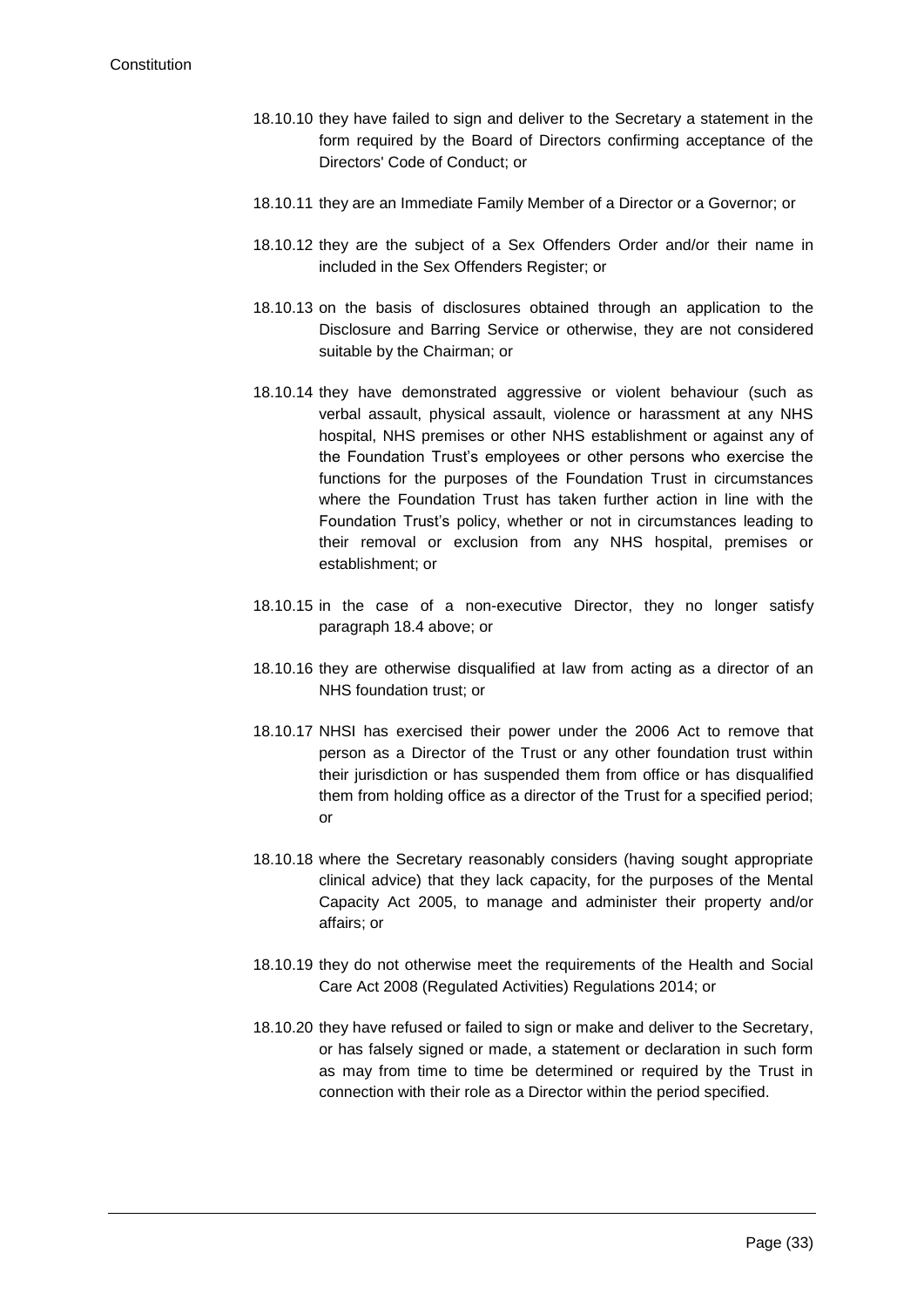- 18.10.10 they have failed to sign and deliver to the Secretary a statement in the form required by the Board of Directors confirming acceptance of the Directors' Code of Conduct; or
- 18.10.11 they are an Immediate Family Member of a Director or a Governor; or
- 18.10.12 they are the subject of a Sex Offenders Order and/or their name in included in the Sex Offenders Register; or
- 18.10.13 on the basis of disclosures obtained through an application to the Disclosure and Barring Service or otherwise, they are not considered suitable by the Chairman; or
- 18.10.14 they have demonstrated aggressive or violent behaviour (such as verbal assault, physical assault, violence or harassment at any NHS hospital, NHS premises or other NHS establishment or against any of the Foundation Trust's employees or other persons who exercise the functions for the purposes of the Foundation Trust in circumstances where the Foundation Trust has taken further action in line with the Foundation Trust's policy, whether or not in circumstances leading to their removal or exclusion from any NHS hospital, premises or establishment; or
- 18.10.15 in the case of a non-executive Director, they no longer satisfy paragraph 18.4 above; or
- 18.10.16 they are otherwise disqualified at law from acting as a director of an NHS foundation trust; or
- 18.10.17 NHSI has exercised their power under the 2006 Act to remove that person as a Director of the Trust or any other foundation trust within their jurisdiction or has suspended them from office or has disqualified them from holding office as a director of the Trust for a specified period; or
- 18.10.18 where the Secretary reasonably considers (having sought appropriate clinical advice) that they lack capacity, for the purposes of the Mental Capacity Act 2005, to manage and administer their property and/or affairs; or
- 18.10.19 they do not otherwise meet the requirements of the Health and Social Care Act 2008 (Regulated Activities) Regulations 2014; or
- 18.10.20 they have refused or failed to sign or make and deliver to the Secretary, or has falsely signed or made, a statement or declaration in such form as may from time to time be determined or required by the Trust in connection with their role as a Director within the period specified.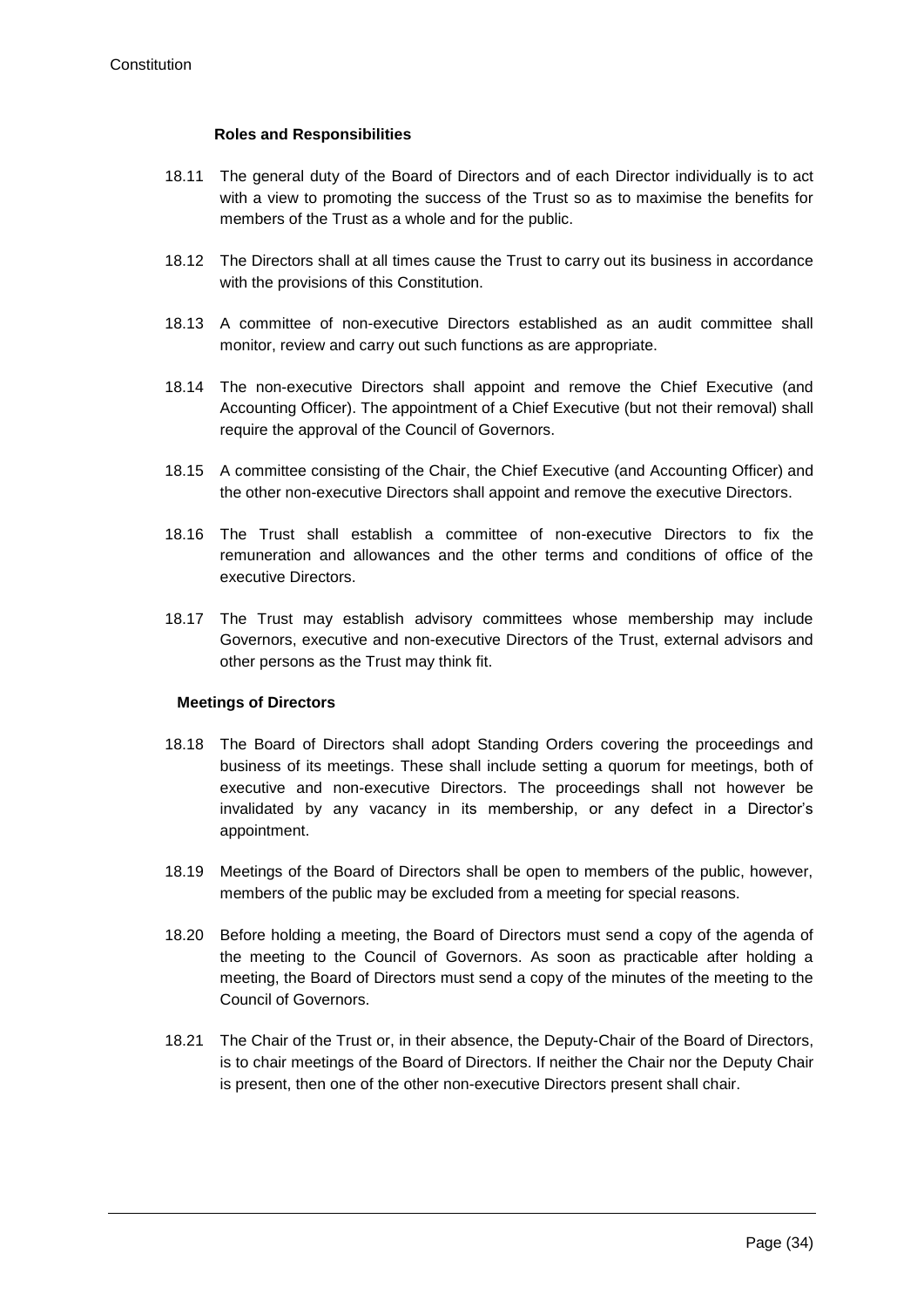#### **Roles and Responsibilities**

- 18.11 The general duty of the Board of Directors and of each Director individually is to act with a view to promoting the success of the Trust so as to maximise the benefits for members of the Trust as a whole and for the public.
- 18.12 The Directors shall at all times cause the Trust to carry out its business in accordance with the provisions of this Constitution.
- 18.13 A committee of non-executive Directors established as an audit committee shall monitor, review and carry out such functions as are appropriate.
- 18.14 The non-executive Directors shall appoint and remove the Chief Executive (and Accounting Officer). The appointment of a Chief Executive (but not their removal) shall require the approval of the Council of Governors.
- 18.15 A committee consisting of the Chair, the Chief Executive (and Accounting Officer) and the other non-executive Directors shall appoint and remove the executive Directors.
- 18.16 The Trust shall establish a committee of non-executive Directors to fix the remuneration and allowances and the other terms and conditions of office of the executive Directors.
- 18.17 The Trust may establish advisory committees whose membership may include Governors, executive and non-executive Directors of the Trust, external advisors and other persons as the Trust may think fit.

#### **Meetings of Directors**

- 18.18 The Board of Directors shall adopt Standing Orders covering the proceedings and business of its meetings. These shall include setting a quorum for meetings, both of executive and non-executive Directors. The proceedings shall not however be invalidated by any vacancy in its membership, or any defect in a Director's appointment.
- 18.19 Meetings of the Board of Directors shall be open to members of the public, however, members of the public may be excluded from a meeting for special reasons.
- 18.20 Before holding a meeting, the Board of Directors must send a copy of the agenda of the meeting to the Council of Governors. As soon as practicable after holding a meeting, the Board of Directors must send a copy of the minutes of the meeting to the Council of Governors.
- 18.21 The Chair of the Trust or, in their absence, the Deputy-Chair of the Board of Directors, is to chair meetings of the Board of Directors. If neither the Chair nor the Deputy Chair is present, then one of the other non-executive Directors present shall chair.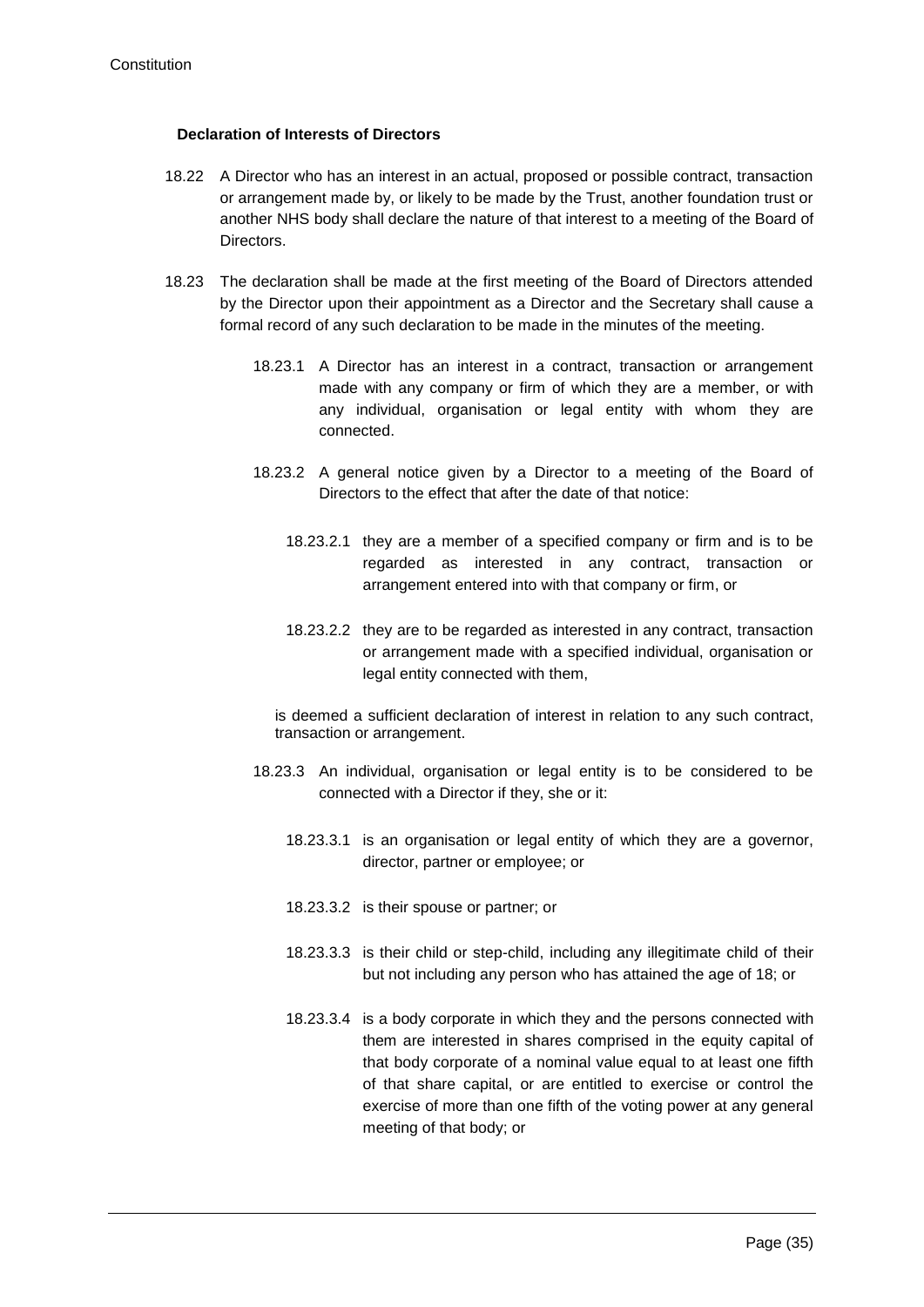#### **Declaration of Interests of Directors**

- 18.22 A Director who has an interest in an actual, proposed or possible contract, transaction or arrangement made by, or likely to be made by the Trust, another foundation trust or another NHS body shall declare the nature of that interest to a meeting of the Board of Directors.
- 18.23 The declaration shall be made at the first meeting of the Board of Directors attended by the Director upon their appointment as a Director and the Secretary shall cause a formal record of any such declaration to be made in the minutes of the meeting.
	- 18.23.1 A Director has an interest in a contract, transaction or arrangement made with any company or firm of which they are a member, or with any individual, organisation or legal entity with whom they are connected.
	- 18.23.2 A general notice given by a Director to a meeting of the Board of Directors to the effect that after the date of that notice:
		- 18.23.2.1 they are a member of a specified company or firm and is to be regarded as interested in any contract, transaction or arrangement entered into with that company or firm, or
		- 18.23.2.2 they are to be regarded as interested in any contract, transaction or arrangement made with a specified individual, organisation or legal entity connected with them,

is deemed a sufficient declaration of interest in relation to any such contract, transaction or arrangement.

- 18.23.3 An individual, organisation or legal entity is to be considered to be connected with a Director if they, she or it:
	- 18.23.3.1 is an organisation or legal entity of which they are a governor, director, partner or employee; or
	- 18.23.3.2 is their spouse or partner; or
	- 18.23.3.3 is their child or step-child, including any illegitimate child of their but not including any person who has attained the age of 18; or
	- 18.23.3.4 is a body corporate in which they and the persons connected with them are interested in shares comprised in the equity capital of that body corporate of a nominal value equal to at least one fifth of that share capital, or are entitled to exercise or control the exercise of more than one fifth of the voting power at any general meeting of that body; or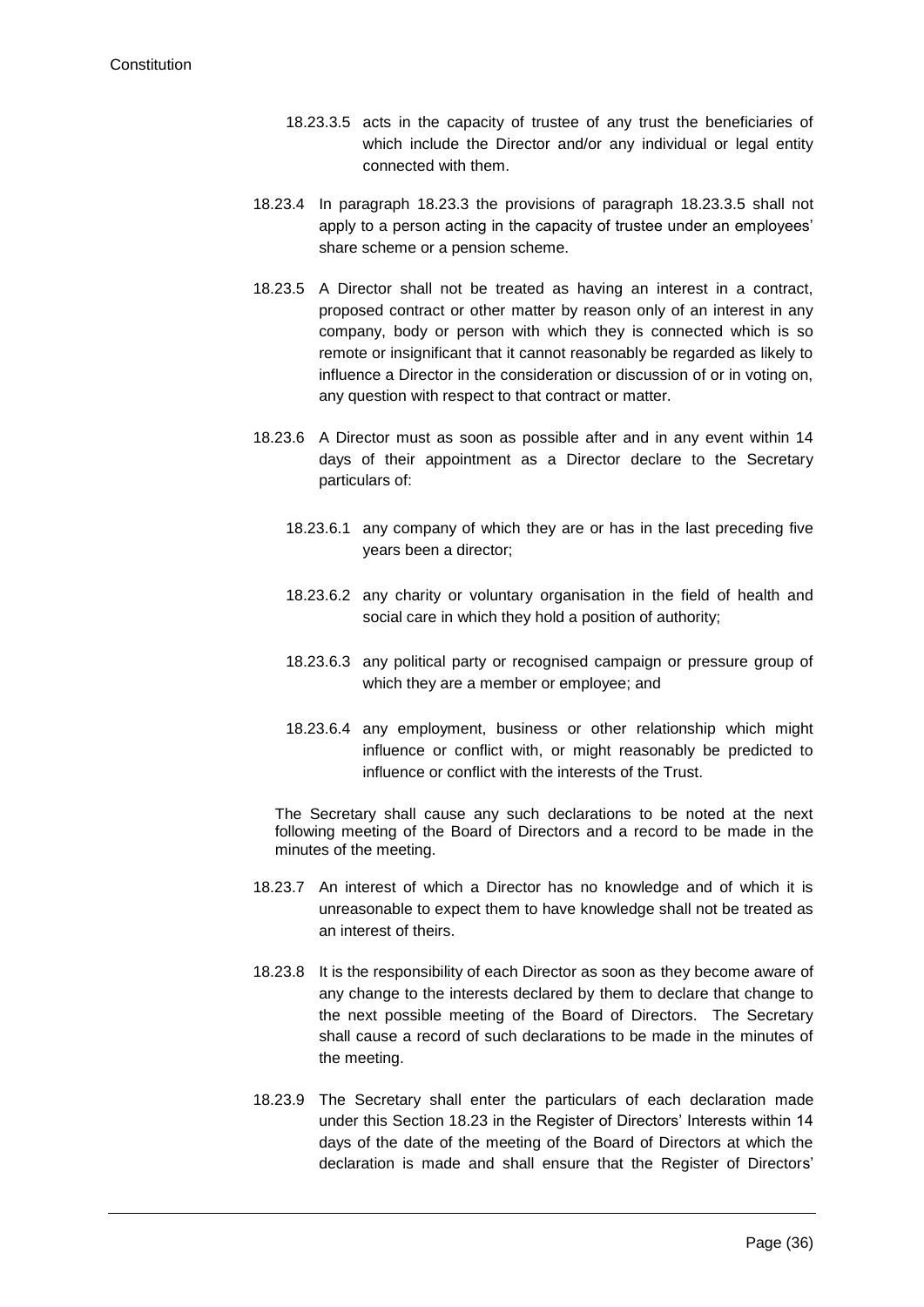- 18.23.3.5 acts in the capacity of trustee of any trust the beneficiaries of which include the Director and/or any individual or legal entity connected with them.
- 18.23.4 In paragraph 18.23.3 the provisions of paragraph 18.23.3.5 shall not apply to a person acting in the capacity of trustee under an employees' share scheme or a pension scheme.
- 18.23.5 A Director shall not be treated as having an interest in a contract, proposed contract or other matter by reason only of an interest in any company, body or person with which they is connected which is so remote or insignificant that it cannot reasonably be regarded as likely to influence a Director in the consideration or discussion of or in voting on, any question with respect to that contract or matter.
- 18.23.6 A Director must as soon as possible after and in any event within 14 days of their appointment as a Director declare to the Secretary particulars of:
	- 18.23.6.1 any company of which they are or has in the last preceding five years been a director;
	- 18.23.6.2 any charity or voluntary organisation in the field of health and social care in which they hold a position of authority;
	- 18.23.6.3 any political party or recognised campaign or pressure group of which they are a member or employee; and
	- 18.23.6.4 any employment, business or other relationship which might influence or conflict with, or might reasonably be predicted to influence or conflict with the interests of the Trust.

The Secretary shall cause any such declarations to be noted at the next following meeting of the Board of Directors and a record to be made in the minutes of the meeting.

- 18.23.7 An interest of which a Director has no knowledge and of which it is unreasonable to expect them to have knowledge shall not be treated as an interest of theirs.
- 18.23.8 It is the responsibility of each Director as soon as they become aware of any change to the interests declared by them to declare that change to the next possible meeting of the Board of Directors. The Secretary shall cause a record of such declarations to be made in the minutes of the meeting.
- 18.23.9 The Secretary shall enter the particulars of each declaration made under this Section 18.23 in the Register of Directors' Interests within 14 days of the date of the meeting of the Board of Directors at which the declaration is made and shall ensure that the Register of Directors'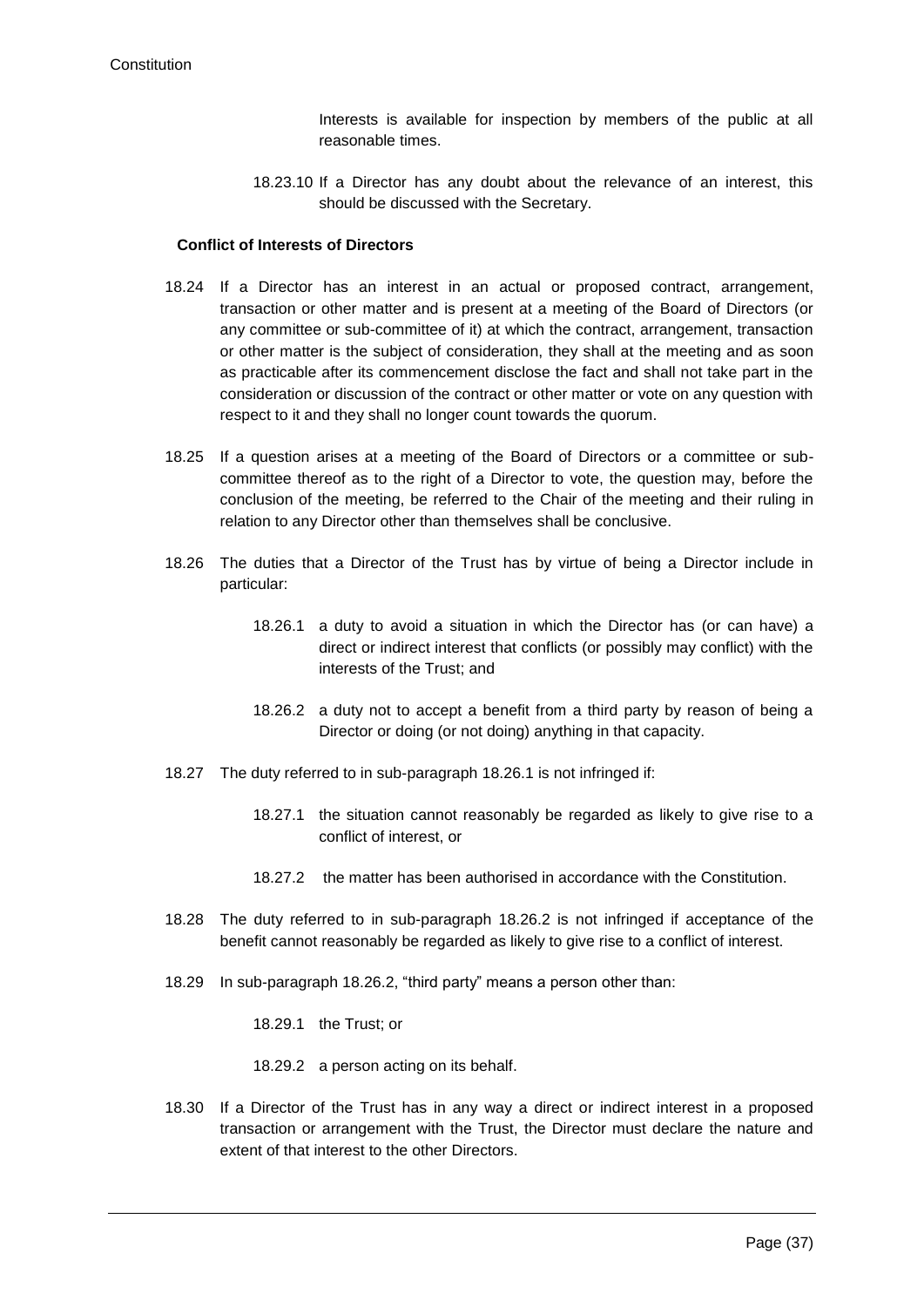Interests is available for inspection by members of the public at all reasonable times.

18.23.10 If a Director has any doubt about the relevance of an interest, this should be discussed with the Secretary.

### **Conflict of Interests of Directors**

- 18.24 If a Director has an interest in an actual or proposed contract, arrangement, transaction or other matter and is present at a meeting of the Board of Directors (or any committee or sub-committee of it) at which the contract, arrangement, transaction or other matter is the subject of consideration, they shall at the meeting and as soon as practicable after its commencement disclose the fact and shall not take part in the consideration or discussion of the contract or other matter or vote on any question with respect to it and they shall no longer count towards the quorum.
- 18.25 If a question arises at a meeting of the Board of Directors or a committee or subcommittee thereof as to the right of a Director to vote, the question may, before the conclusion of the meeting, be referred to the Chair of the meeting and their ruling in relation to any Director other than themselves shall be conclusive.
- <span id="page-37-0"></span>18.26 The duties that a Director of the Trust has by virtue of being a Director include in particular:
	- 18.26.1 a duty to avoid a situation in which the Director has (or can have) a direct or indirect interest that conflicts (or possibly may conflict) with the interests of the Trust; and
	- 18.26.2 a duty not to accept a benefit from a third party by reason of being a Director or doing (or not doing) anything in that capacity.
- <span id="page-37-1"></span>18.27 The duty referred to in sub-paragraph [18.26.1](#page-37-0) is not infringed if:
	- 18.27.1 the situation cannot reasonably be regarded as likely to give rise to a conflict of interest, or
	- 18.27.2 the matter has been authorised in accordance with the Constitution.
- 18.28 The duty referred to in sub-paragraph [18.26.2](#page-37-1) is not infringed if acceptance of the benefit cannot reasonably be regarded as likely to give rise to a conflict of interest.
- 18.29 In sub-paragraph [18.26.2,](#page-37-1) "third party" means a person other than:

18.29.1 the Trust; or

18.29.2 a person acting on its behalf.

18.30 If a Director of the Trust has in any way a direct or indirect interest in a proposed transaction or arrangement with the Trust, the Director must declare the nature and extent of that interest to the other Directors.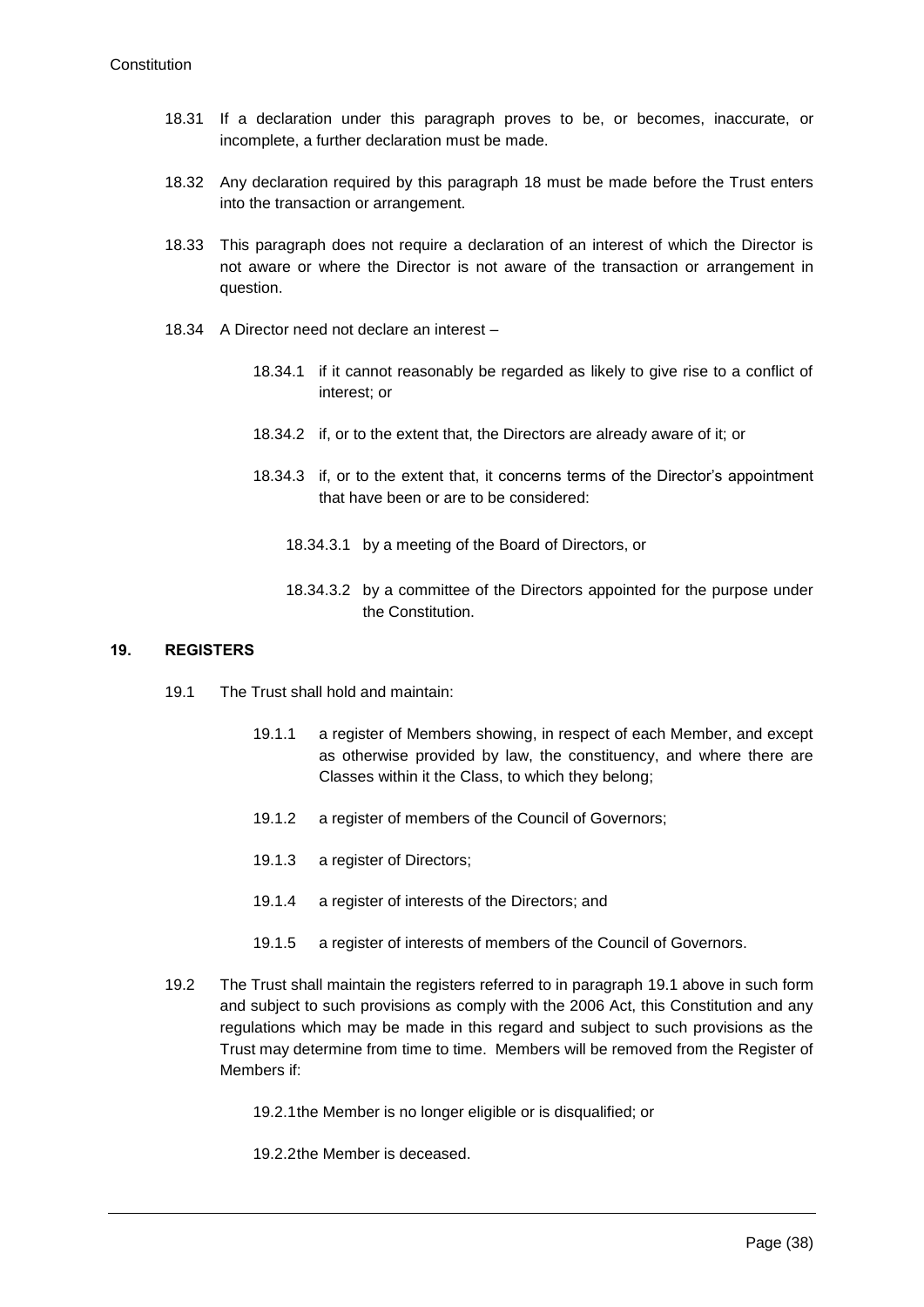- 18.31 If a declaration under this paragraph proves to be, or becomes, inaccurate, or incomplete, a further declaration must be made.
- 18.32 Any declaration required by this paragraph 18 must be made before the Trust enters into the transaction or arrangement.
- 18.33 This paragraph does not require a declaration of an interest of which the Director is not aware or where the Director is not aware of the transaction or arrangement in question.
- 18.34 A Director need not declare an interest
	- 18.34.1 if it cannot reasonably be regarded as likely to give rise to a conflict of interest; or
	- 18.34.2 if, or to the extent that, the Directors are already aware of it; or
	- 18.34.3 if, or to the extent that, it concerns terms of the Director's appointment that have been or are to be considered:
		- 18.34.3.1 by a meeting of the Board of Directors, or
		- 18.34.3.2 by a committee of the Directors appointed for the purpose under the Constitution.

### <span id="page-38-0"></span>**19. REGISTERS**

- 19.1 The Trust shall hold and maintain:
	- 19.1.1 a register of Members showing, in respect of each Member, and except as otherwise provided by law, the constituency, and where there are Classes within it the Class, to which they belong;
	- 19.1.2 a register of members of the Council of Governors;
	- 19.1.3 a register of Directors;
	- 19.1.4 a register of interests of the Directors; and
	- 19.1.5 a register of interests of members of the Council of Governors.
- 19.2 The Trust shall maintain the registers referred to in paragraph [19.1](#page-38-0) above in such form and subject to such provisions as comply with the 2006 Act, this Constitution and any regulations which may be made in this regard and subject to such provisions as the Trust may determine from time to time. Members will be removed from the Register of Members if:
	- 19.2.1the Member is no longer eligible or is disqualified; or
	- 19.2.2the Member is deceased.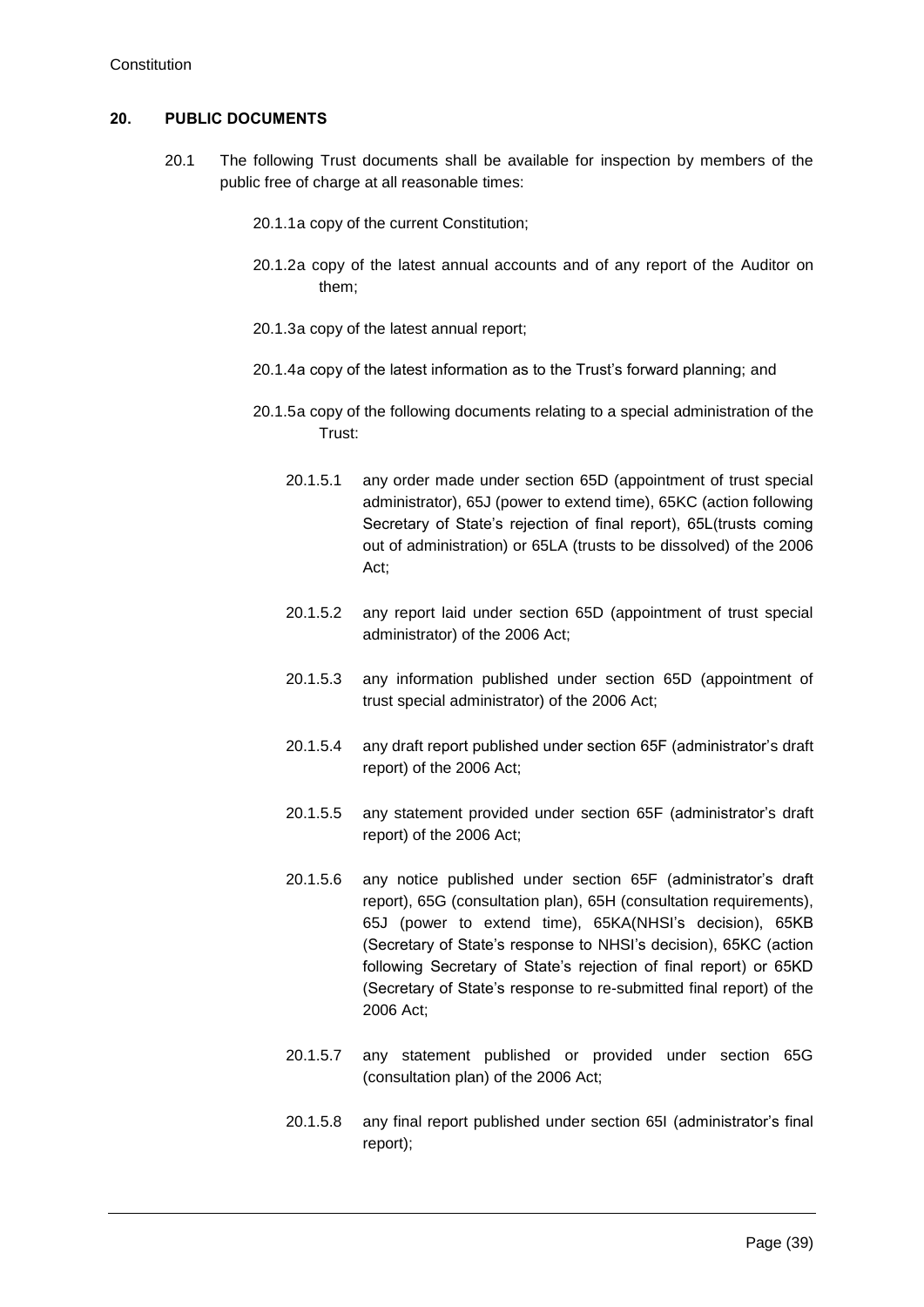# **20. PUBLIC DOCUMENTS**

- 20.1 The following Trust documents shall be available for inspection by members of the public free of charge at all reasonable times:
	- 20.1.1a copy of the current Constitution;
	- 20.1.2a copy of the latest annual accounts and of any report of the Auditor on them;
	- 20.1.3a copy of the latest annual report;
	- 20.1.4a copy of the latest information as to the Trust's forward planning; and
	- 20.1.5a copy of the following documents relating to a special administration of the Trust:
		- 20.1.5.1 any order made under section 65D (appointment of trust special administrator), 65J (power to extend time), 65KC (action following Secretary of State's rejection of final report), 65L(trusts coming out of administration) or 65LA (trusts to be dissolved) of the 2006 Act;
		- 20.1.5.2 any report laid under section 65D (appointment of trust special administrator) of the 2006 Act;
		- 20.1.5.3 any information published under section 65D (appointment of trust special administrator) of the 2006 Act;
		- 20.1.5.4 any draft report published under section 65F (administrator's draft report) of the 2006 Act;
		- 20.1.5.5 any statement provided under section 65F (administrator's draft report) of the 2006 Act;
		- 20.1.5.6 any notice published under section 65F (administrator's draft report), 65G (consultation plan), 65H (consultation requirements), 65J (power to extend time), 65KA(NHSI's decision), 65KB (Secretary of State's response to NHSI's decision), 65KC (action following Secretary of State's rejection of final report) or 65KD (Secretary of State's response to re-submitted final report) of the 2006 Act;
		- 20.1.5.7 any statement published or provided under section 65G (consultation plan) of the 2006 Act;
		- 20.1.5.8 any final report published under section 65I (administrator's final report);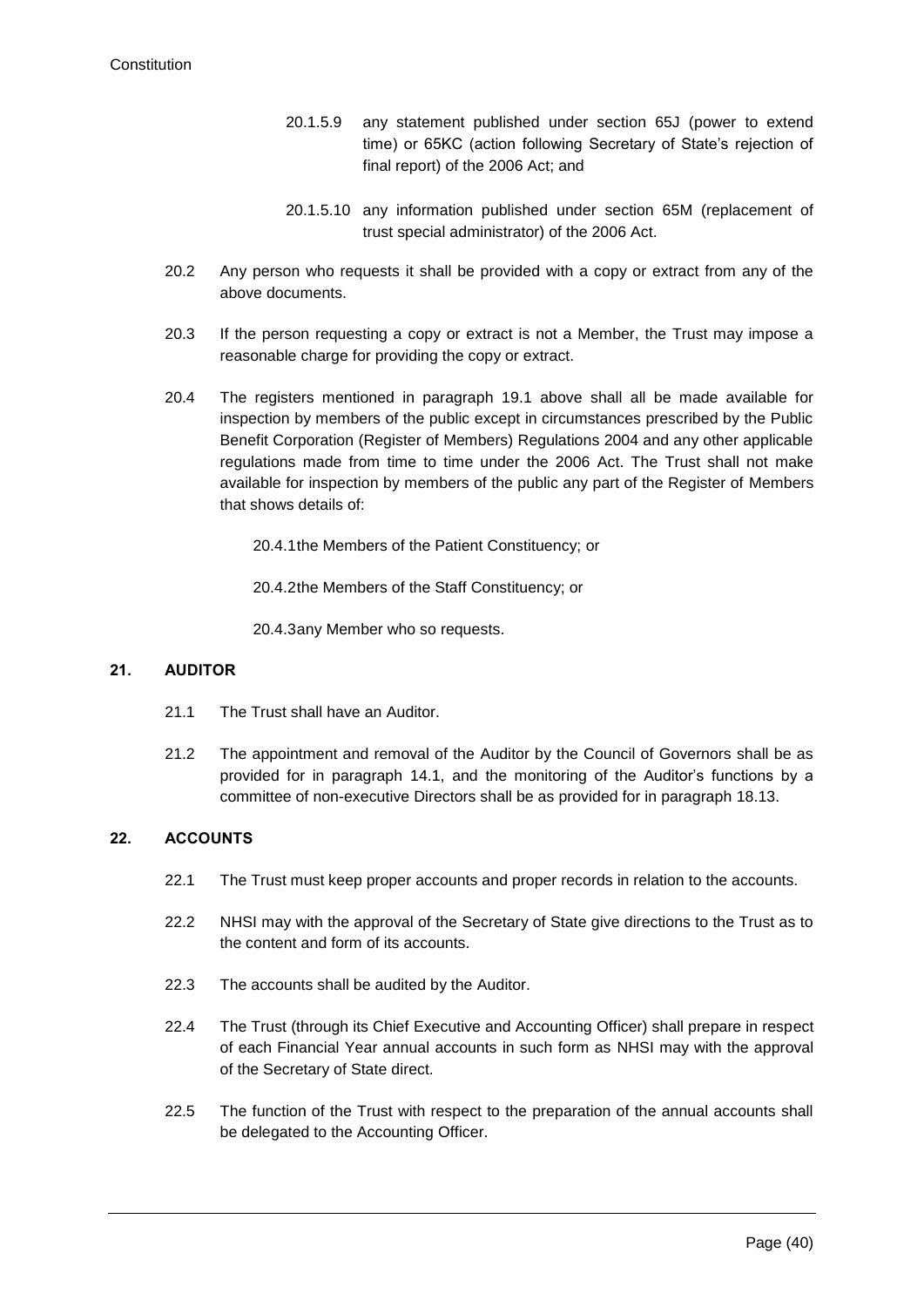- 20.1.5.9 any statement published under section 65J (power to extend time) or 65KC (action following Secretary of State's rejection of final report) of the 2006 Act; and
- 20.1.5.10 any information published under section 65M (replacement of trust special administrator) of the 2006 Act.
- 20.2 Any person who requests it shall be provided with a copy or extract from any of the above documents.
- 20.3 If the person requesting a copy or extract is not a Member, the Trust may impose a reasonable charge for providing the copy or extract.
- 20.4 The registers mentioned in paragraph [19.1](#page-38-0) above shall all be made available for inspection by members of the public except in circumstances prescribed by the Public Benefit Corporation (Register of Members) Regulations 2004 and any other applicable regulations made from time to time under the 2006 Act. The Trust shall not make available for inspection by members of the public any part of the Register of Members that shows details of:

20.4.1the Members of the Patient Constituency; or

20.4.2the Members of the Staff Constituency; or

20.4.3any Member who so requests.

# **21. AUDITOR**

- 21.1 The Trust shall have an Auditor.
- 21.2 The appointment and removal of the Auditor by the Council of Governors shall be as provided for in paragraph [14.1,](#page-23-0) and the monitoring of the Auditor's functions by a committee of non-executive Directors shall be as provided for in paragraph [18.13.](#page-34-0)

# **22. ACCOUNTS**

- 22.1 The Trust must keep proper accounts and proper records in relation to the accounts.
- 22.2 NHSI may with the approval of the Secretary of State give directions to the Trust as to the content and form of its accounts.
- 22.3 The accounts shall be audited by the Auditor.
- 22.4 The Trust (through its Chief Executive and Accounting Officer) shall prepare in respect of each Financial Year annual accounts in such form as NHSI may with the approval of the Secretary of State direct.
- 22.5 The function of the Trust with respect to the preparation of the annual accounts shall be delegated to the Accounting Officer.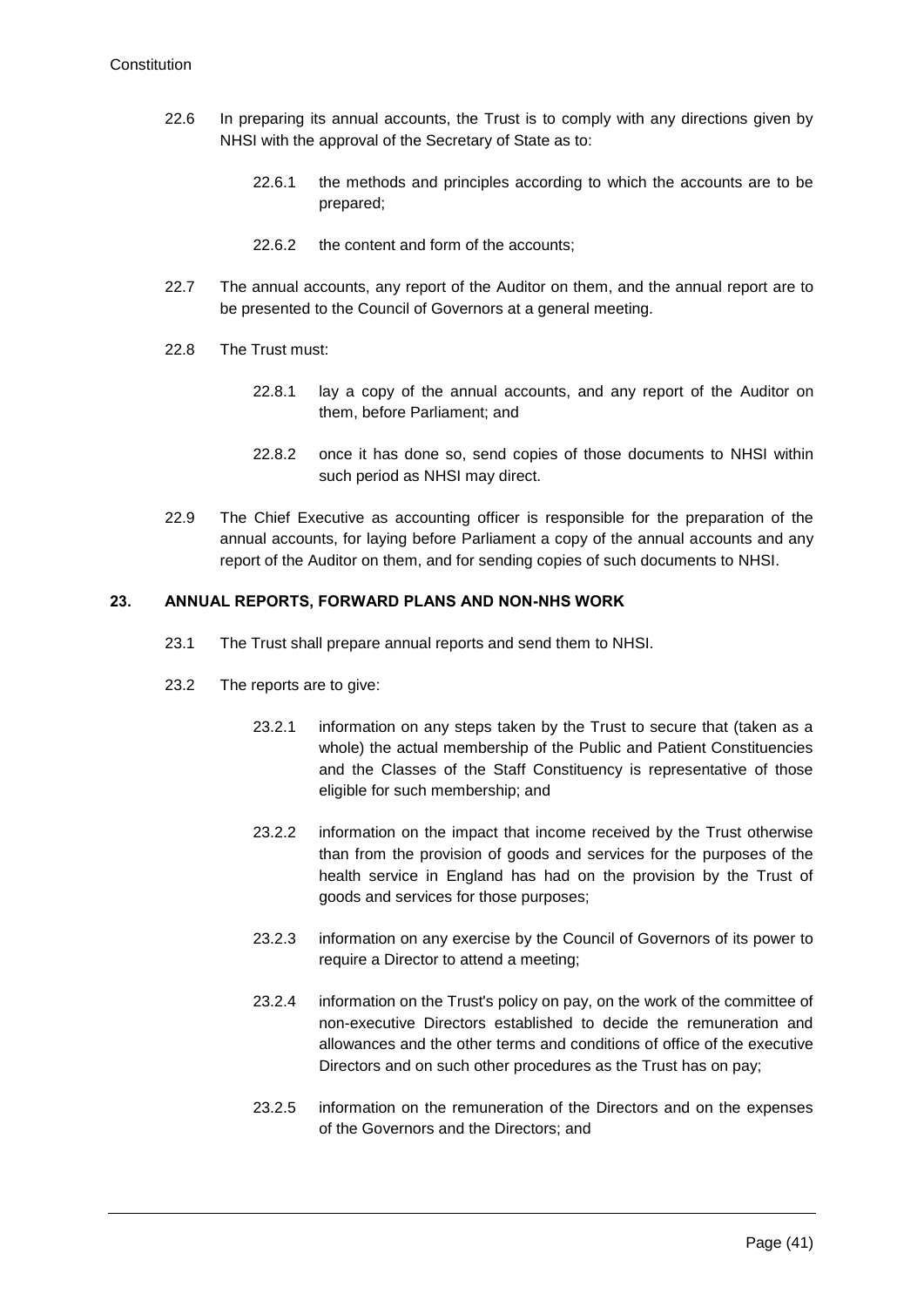- 22.6 In preparing its annual accounts, the Trust is to comply with any directions given by NHSI with the approval of the Secretary of State as to:
	- 22.6.1 the methods and principles according to which the accounts are to be prepared;
	- 22.6.2 the content and form of the accounts;
- 22.7 The annual accounts, any report of the Auditor on them, and the annual report are to be presented to the Council of Governors at a general meeting.
- 22.8 The Trust must:
	- 22.8.1 lay a copy of the annual accounts, and any report of the Auditor on them, before Parliament; and
	- 22.8.2 once it has done so, send copies of those documents to NHSI within such period as NHSI may direct.
- 22.9 The Chief Executive as accounting officer is responsible for the preparation of the annual accounts, for laying before Parliament a copy of the annual accounts and any report of the Auditor on them, and for sending copies of such documents to NHSI.

# **23. ANNUAL REPORTS, FORWARD PLANS AND NON-NHS WORK**

- 23.1 The Trust shall prepare annual reports and send them to NHSI.
- 23.2 The reports are to give:
	- 23.2.1 information on any steps taken by the Trust to secure that (taken as a whole) the actual membership of the Public and Patient Constituencies and the Classes of the Staff Constituency is representative of those eligible for such membership; and
	- 23.2.2 information on the impact that income received by the Trust otherwise than from the provision of goods and services for the purposes of the health service in England has had on the provision by the Trust of goods and services for those purposes;
	- 23.2.3 information on any exercise by the Council of Governors of its power to require a Director to attend a meeting;
	- 23.2.4 information on the Trust's policy on pay, on the work of the committee of non-executive Directors established to decide the remuneration and allowances and the other terms and conditions of office of the executive Directors and on such other procedures as the Trust has on pay;
	- 23.2.5 information on the remuneration of the Directors and on the expenses of the Governors and the Directors; and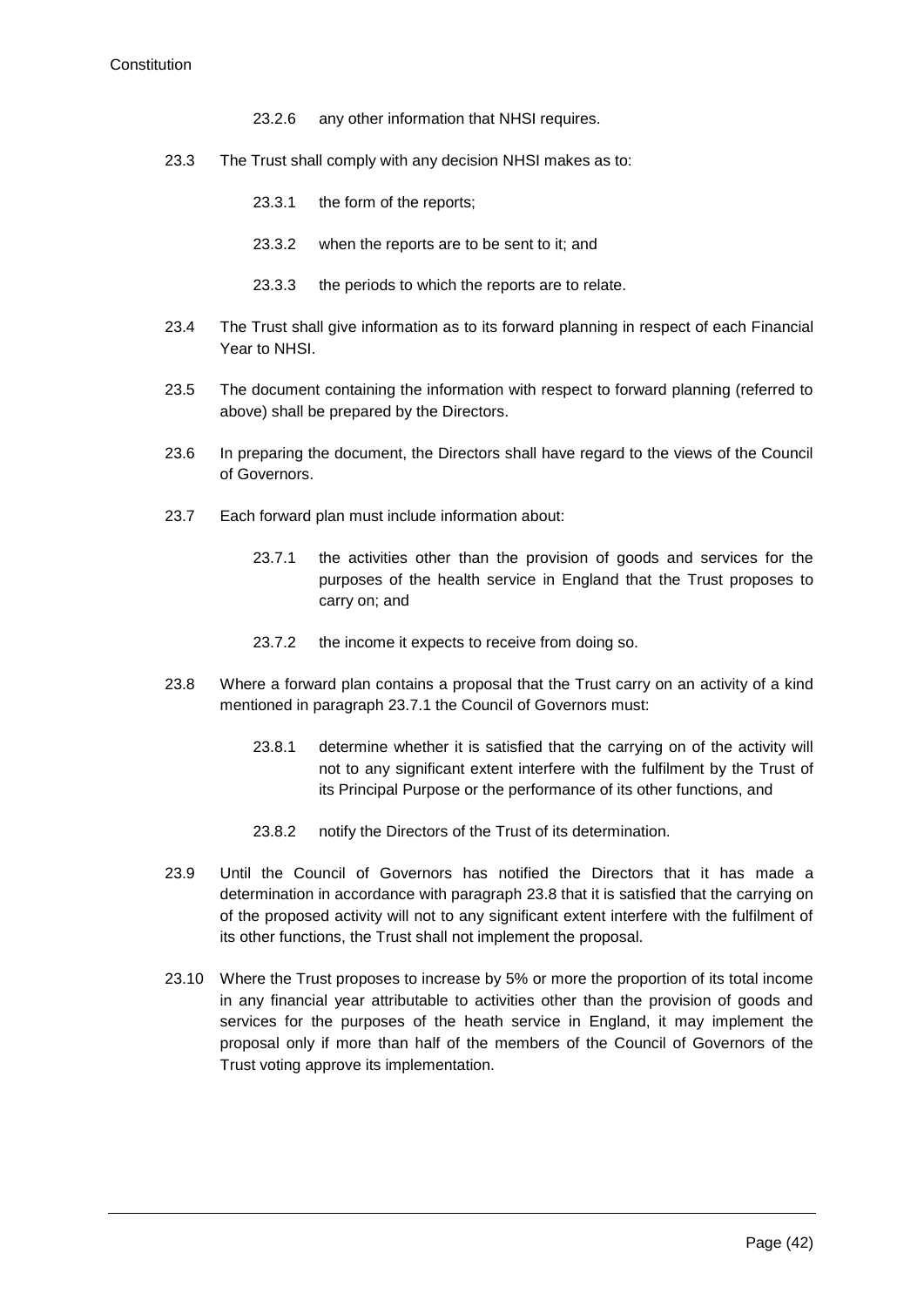- 23.2.6 any other information that NHSI requires.
- 23.3 The Trust shall comply with any decision NHSI makes as to:
	- 23.3.1 the form of the reports;
	- 23.3.2 when the reports are to be sent to it; and
	- 23.3.3 the periods to which the reports are to relate.
- 23.4 The Trust shall give information as to its forward planning in respect of each Financial Year to NHSI.
- 23.5 The document containing the information with respect to forward planning (referred to above) shall be prepared by the Directors.
- 23.6 In preparing the document, the Directors shall have regard to the views of the Council of Governors.
- <span id="page-42-0"></span>23.7 Each forward plan must include information about:
	- 23.7.1 the activities other than the provision of goods and services for the purposes of the health service in England that the Trust proposes to carry on; and
	- 23.7.2 the income it expects to receive from doing so.
- <span id="page-42-1"></span>23.8 Where a forward plan contains a proposal that the Trust carry on an activity of a kind mentioned in paragraph [23.7.1](#page-42-0) the Council of Governors must:
	- 23.8.1 determine whether it is satisfied that the carrying on of the activity will not to any significant extent interfere with the fulfilment by the Trust of its Principal Purpose or the performance of its other functions, and
	- 23.8.2 notify the Directors of the Trust of its determination.
- 23.9 Until the Council of Governors has notified the Directors that it has made a determination in accordance with paragraph [23.8](#page-42-1) that it is satisfied that the carrying on of the proposed activity will not to any significant extent interfere with the fulfilment of its other functions, the Trust shall not implement the proposal.
- 23.10 Where the Trust proposes to increase by 5% or more the proportion of its total income in any financial year attributable to activities other than the provision of goods and services for the purposes of the heath service in England, it may implement the proposal only if more than half of the members of the Council of Governors of the Trust voting approve its implementation.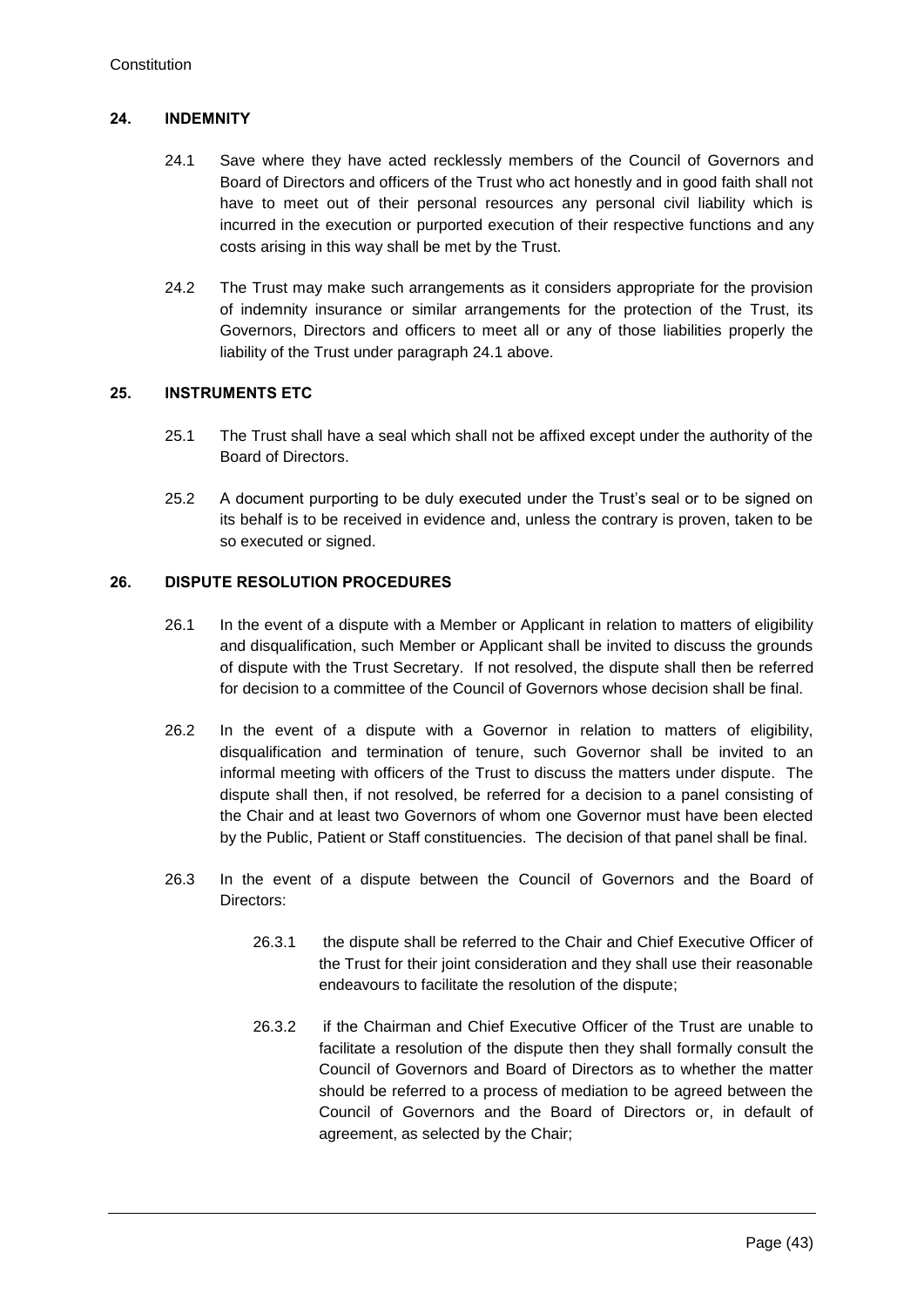# <span id="page-43-0"></span>**24. INDEMNITY**

- 24.1 Save where they have acted recklessly members of the Council of Governors and Board of Directors and officers of the Trust who act honestly and in good faith shall not have to meet out of their personal resources any personal civil liability which is incurred in the execution or purported execution of their respective functions and any costs arising in this way shall be met by the Trust.
- 24.2 The Trust may make such arrangements as it considers appropriate for the provision of indemnity insurance or similar arrangements for the protection of the Trust, its Governors, Directors and officers to meet all or any of those liabilities properly the liability of the Trust under paragraph [24.1](#page-43-0) above.

# **25. INSTRUMENTS ETC**

- 25.1 The Trust shall have a seal which shall not be affixed except under the authority of the Board of Directors.
- 25.2 A document purporting to be duly executed under the Trust's seal or to be signed on its behalf is to be received in evidence and, unless the contrary is proven, taken to be so executed or signed.

# **26. DISPUTE RESOLUTION PROCEDURES**

- 26.1 In the event of a dispute with a Member or Applicant in relation to matters of eligibility and disqualification, such Member or Applicant shall be invited to discuss the grounds of dispute with the Trust Secretary. If not resolved, the dispute shall then be referred for decision to a committee of the Council of Governors whose decision shall be final.
- 26.2 In the event of a dispute with a Governor in relation to matters of eligibility, disqualification and termination of tenure, such Governor shall be invited to an informal meeting with officers of the Trust to discuss the matters under dispute. The dispute shall then, if not resolved, be referred for a decision to a panel consisting of the Chair and at least two Governors of whom one Governor must have been elected by the Public, Patient or Staff constituencies. The decision of that panel shall be final.
- 26.3 In the event of a dispute between the Council of Governors and the Board of Directors:
	- 26.3.1 the dispute shall be referred to the Chair and Chief Executive Officer of the Trust for their joint consideration and they shall use their reasonable endeavours to facilitate the resolution of the dispute;
	- 26.3.2 if the Chairman and Chief Executive Officer of the Trust are unable to facilitate a resolution of the dispute then they shall formally consult the Council of Governors and Board of Directors as to whether the matter should be referred to a process of mediation to be agreed between the Council of Governors and the Board of Directors or, in default of agreement, as selected by the Chair;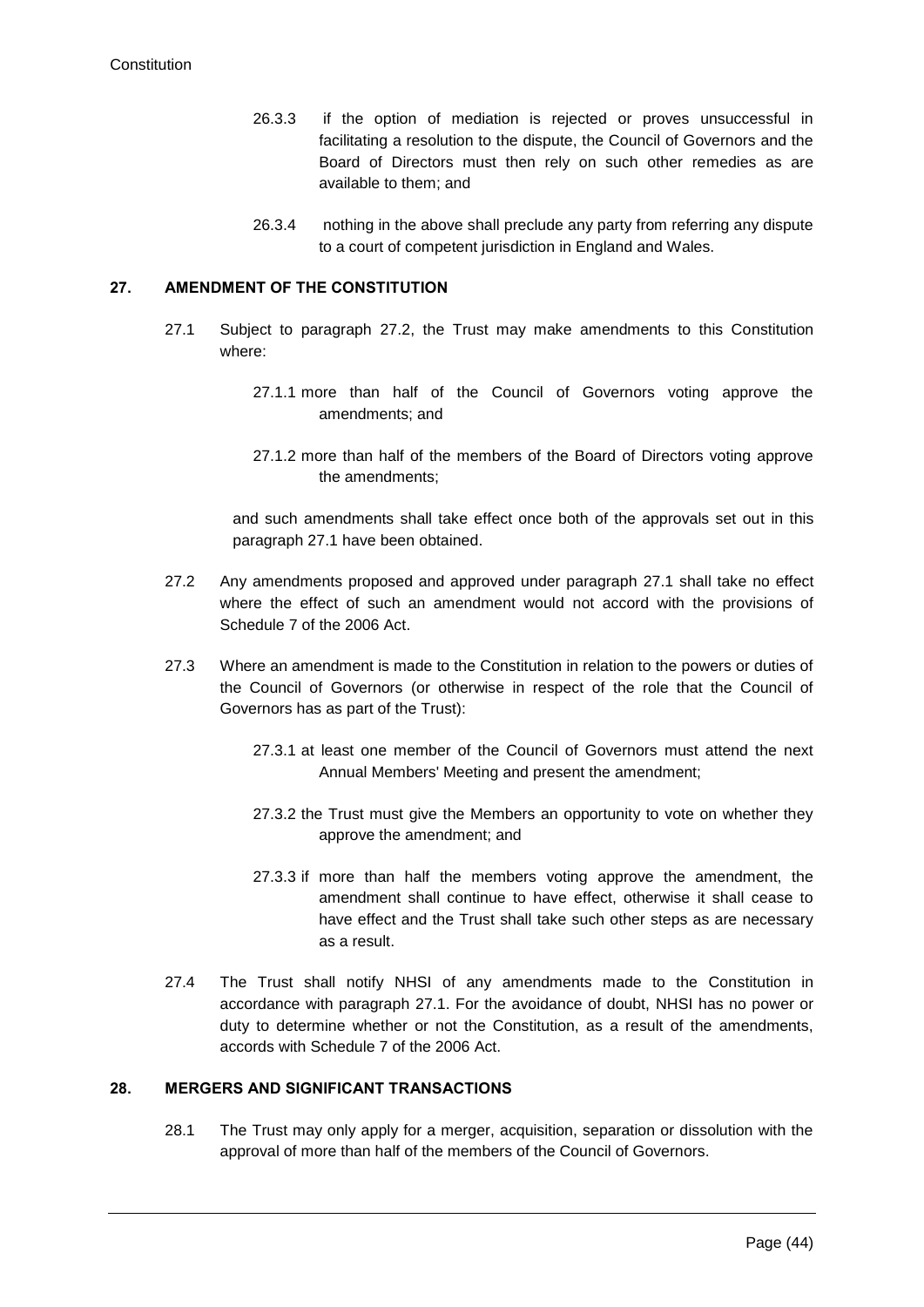- 26.3.3 if the option of mediation is rejected or proves unsuccessful in facilitating a resolution to the dispute, the Council of Governors and the Board of Directors must then rely on such other remedies as are available to them; and
- 26.3.4 nothing in the above shall preclude any party from referring any dispute to a court of competent jurisdiction in England and Wales.

### <span id="page-44-1"></span>**27. AMENDMENT OF THE CONSTITUTION**

- 27.1 Subject to paragraph [27.2,](#page-44-0) the Trust may make amendments to this Constitution where:
	- 27.1.1 more than half of the Council of Governors voting approve the amendments; and
	- 27.1.2 more than half of the members of the Board of Directors voting approve the amendments;

and such amendments shall take effect once both of the approvals set out in this paragraph [27.1](#page-44-1) have been obtained.

- <span id="page-44-0"></span>27.2 Any amendments proposed and approved under paragraph [27.1](#page-44-1) shall take no effect where the effect of such an amendment would not accord with the provisions of Schedule 7 of the 2006 Act.
- 27.3 Where an amendment is made to the Constitution in relation to the powers or duties of the Council of Governors (or otherwise in respect of the role that the Council of Governors has as part of the Trust):
	- 27.3.1 at least one member of the Council of Governors must attend the next Annual Members' Meeting and present the amendment;
	- 27.3.2 the Trust must give the Members an opportunity to vote on whether they approve the amendment; and
	- 27.3.3 if more than half the members voting approve the amendment, the amendment shall continue to have effect, otherwise it shall cease to have effect and the Trust shall take such other steps as are necessary as a result.
- 27.4 The Trust shall notify NHSI of any amendments made to the Constitution in accordance with paragraph [27.1.](#page-44-1) For the avoidance of doubt, NHSI has no power or duty to determine whether or not the Constitution, as a result of the amendments, accords with Schedule 7 of the 2006 Act.

# **28. MERGERS AND SIGNIFICANT TRANSACTIONS**

28.1 The Trust may only apply for a merger, acquisition, separation or dissolution with the approval of more than half of the members of the Council of Governors.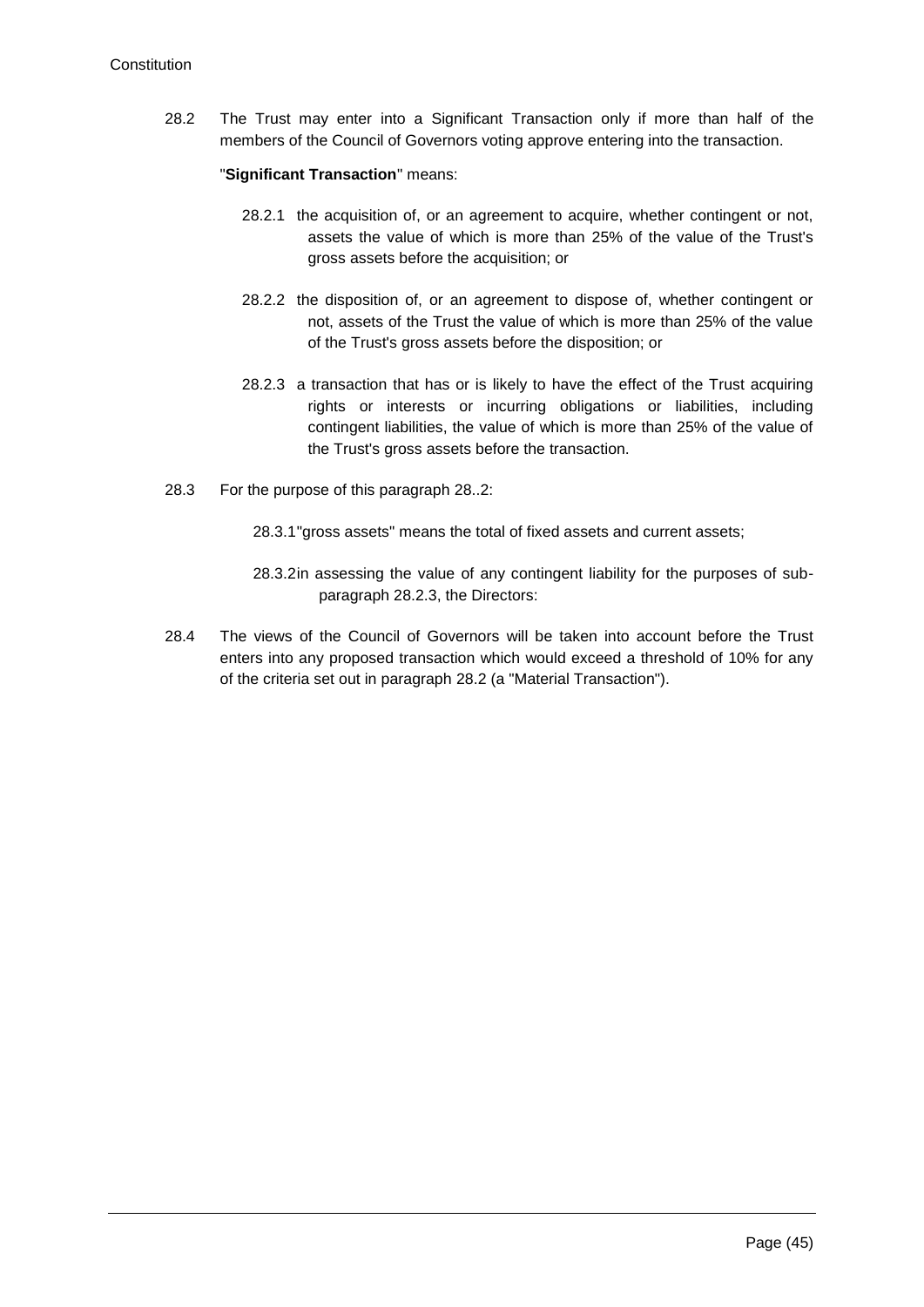28.2 The Trust may enter into a Significant Transaction only if more than half of the members of the Council of Governors voting approve entering into the transaction.

"**Significant Transaction**" means:

- 28.2.1 the acquisition of, or an agreement to acquire, whether contingent or not, assets the value of which is more than 25% of the value of the Trust's gross assets before the acquisition; or
- 28.2.2 the disposition of, or an agreement to dispose of, whether contingent or not, assets of the Trust the value of which is more than 25% of the value of the Trust's gross assets before the disposition; or
- 28.2.3 a transaction that has or is likely to have the effect of the Trust acquiring rights or interests or incurring obligations or liabilities, including contingent liabilities, the value of which is more than 25% of the value of the Trust's gross assets before the transaction.
- 28.3 For the purpose of this paragraph 28..2:
	- 28.3.1"gross assets" means the total of fixed assets and current assets;
	- 28.3.2in assessing the value of any contingent liability for the purposes of subparagraph 28.2.3, the Directors:
- 28.4 The views of the Council of Governors will be taken into account before the Trust enters into any proposed transaction which would exceed a threshold of 10% for any of the criteria set out in paragraph 28.2 (a "Material Transaction").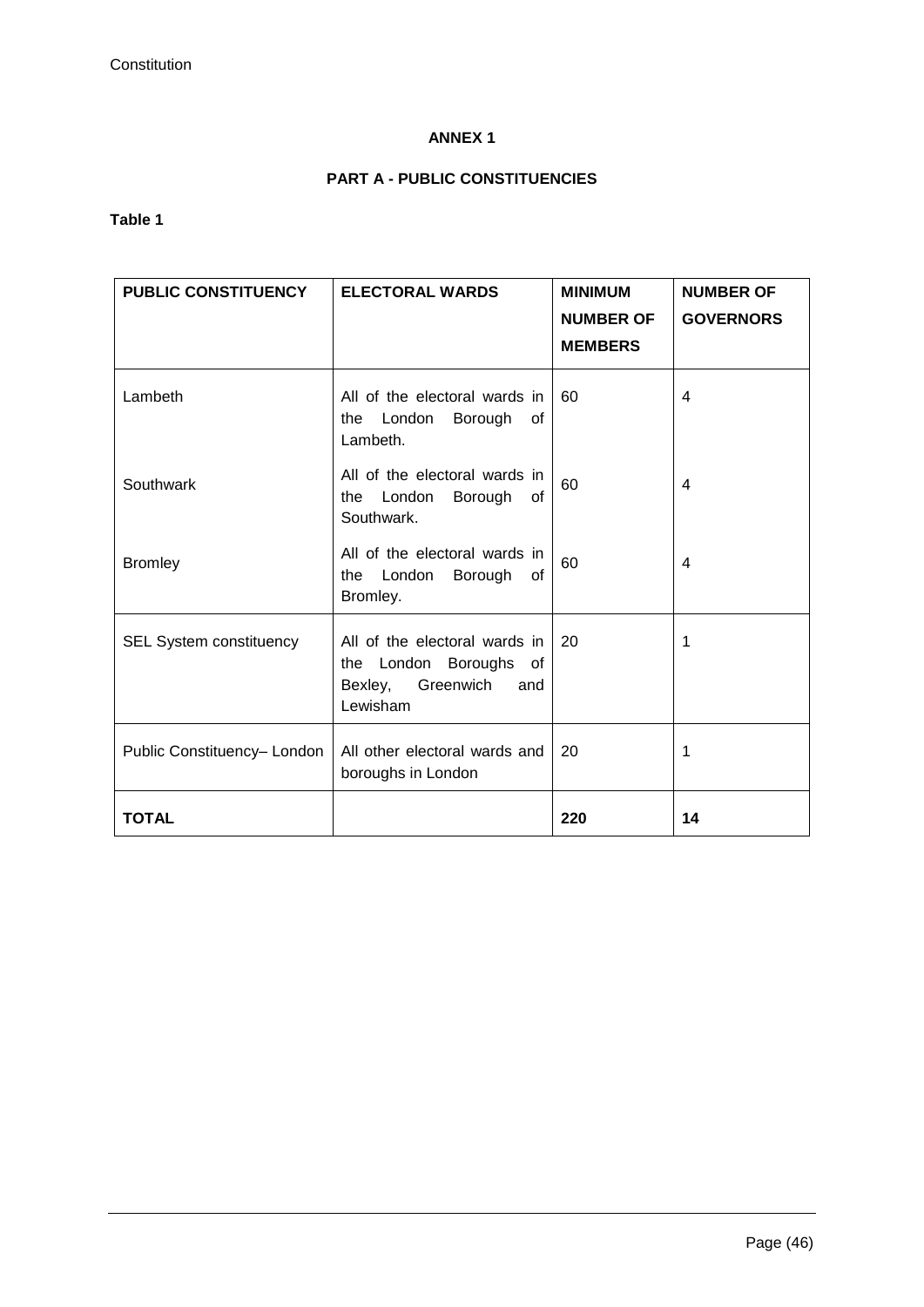# **ANNEX 1**

# **PART A - PUBLIC CONSTITUENCIES**

# **Table 1**

| <b>PUBLIC CONSTITUENCY</b>     | <b>ELECTORAL WARDS</b>                                                                             | <b>MINIMUM</b><br><b>NUMBER OF</b><br><b>MEMBERS</b> | <b>NUMBER OF</b><br><b>GOVERNORS</b> |
|--------------------------------|----------------------------------------------------------------------------------------------------|------------------------------------------------------|--------------------------------------|
| Lambeth                        | All of the electoral wards in<br>the London<br>Borough<br>οf<br>Lambeth.                           | 60                                                   | 4                                    |
| Southwark                      | All of the electoral wards in<br>the London<br>Borough<br>0f<br>Southwark.                         | 60                                                   | 4                                    |
| <b>Bromley</b>                 | All of the electoral wards in<br>London<br>Borough<br>the<br>0f<br>Bromley.                        | 60                                                   | 4                                    |
| <b>SEL System constituency</b> | All of the electoral wards in<br>the London Boroughs of<br>Greenwich<br>Bexley,<br>and<br>Lewisham | 20                                                   | 1                                    |
| Public Constituency- London    | All other electoral wards and<br>boroughs in London                                                | 20                                                   | 1                                    |
| <b>TOTAL</b>                   |                                                                                                    | 220                                                  | 14                                   |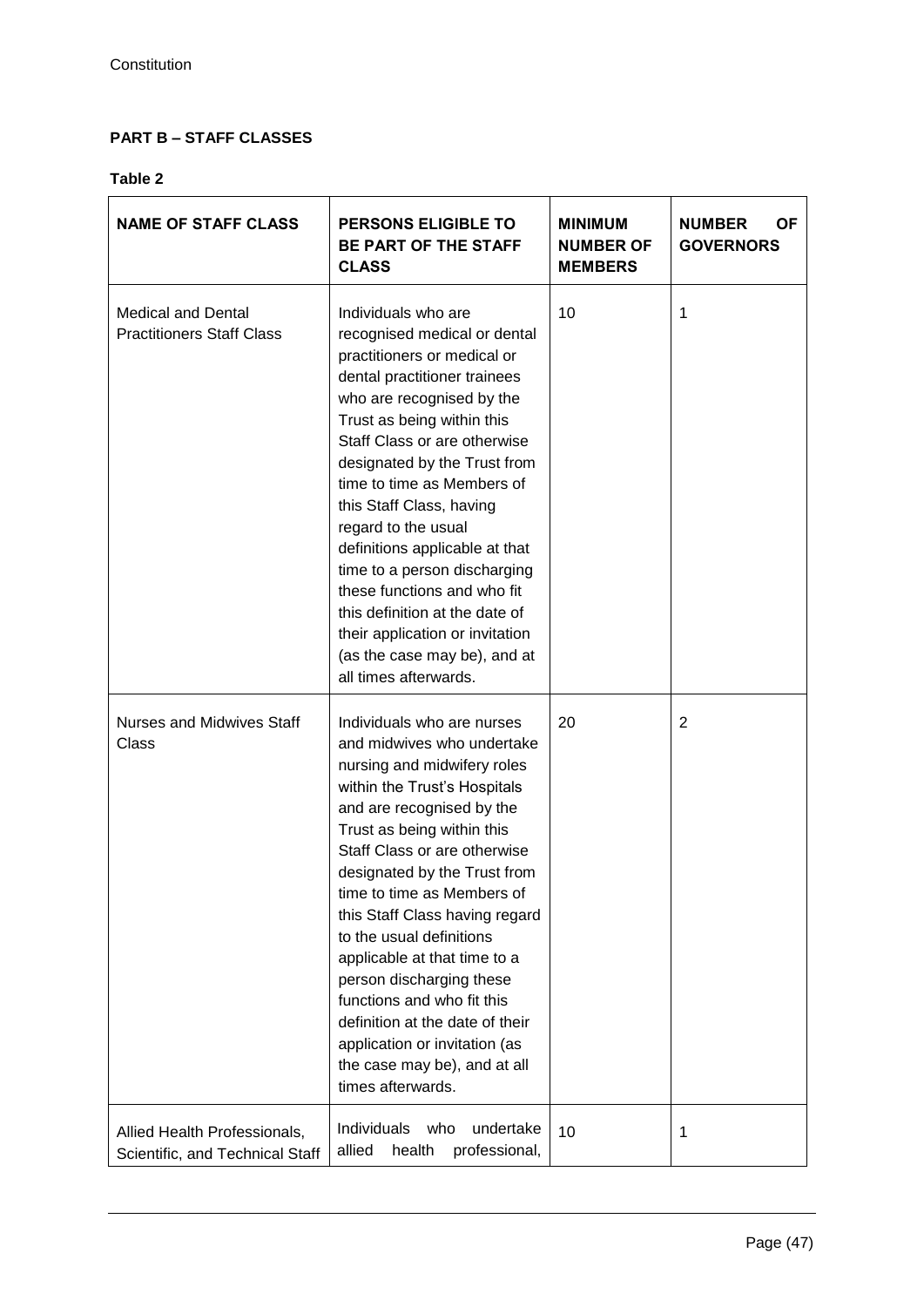# **PART B – STAFF CLASSES**

# **Table 2**

| <b>NAME OF STAFF CLASS</b>                                      | <b>PERSONS ELIGIBLE TO</b><br>BE PART OF THE STAFF<br><b>CLASS</b>                                                                                                                                                                                                                                                                                                                                                                                                                                                                                                | <b>MINIMUM</b><br><b>NUMBER OF</b><br><b>MEMBERS</b> | <b>OF</b><br><b>NUMBER</b><br><b>GOVERNORS</b> |
|-----------------------------------------------------------------|-------------------------------------------------------------------------------------------------------------------------------------------------------------------------------------------------------------------------------------------------------------------------------------------------------------------------------------------------------------------------------------------------------------------------------------------------------------------------------------------------------------------------------------------------------------------|------------------------------------------------------|------------------------------------------------|
| <b>Medical and Dental</b><br><b>Practitioners Staff Class</b>   | Individuals who are<br>recognised medical or dental<br>practitioners or medical or<br>dental practitioner trainees<br>who are recognised by the<br>Trust as being within this<br>Staff Class or are otherwise<br>designated by the Trust from<br>time to time as Members of<br>this Staff Class, having<br>regard to the usual<br>definitions applicable at that<br>time to a person discharging<br>these functions and who fit<br>this definition at the date of<br>their application or invitation<br>(as the case may be), and at<br>all times afterwards.     | 10                                                   | 1                                              |
| <b>Nurses and Midwives Staff</b><br>Class                       | Individuals who are nurses<br>and midwives who undertake<br>nursing and midwifery roles<br>within the Trust's Hospitals<br>and are recognised by the<br>Trust as being within this<br>Staff Class or are otherwise<br>designated by the Trust from<br>time to time as Members of<br>this Staff Class having regard<br>to the usual definitions<br>applicable at that time to a<br>person discharging these<br>functions and who fit this<br>definition at the date of their<br>application or invitation (as<br>the case may be), and at all<br>times afterwards. | 20                                                   | $\overline{2}$                                 |
| Allied Health Professionals,<br>Scientific, and Technical Staff | undertake<br>Individuals<br>who<br>professional,<br>allied<br>health                                                                                                                                                                                                                                                                                                                                                                                                                                                                                              | 10                                                   | 1                                              |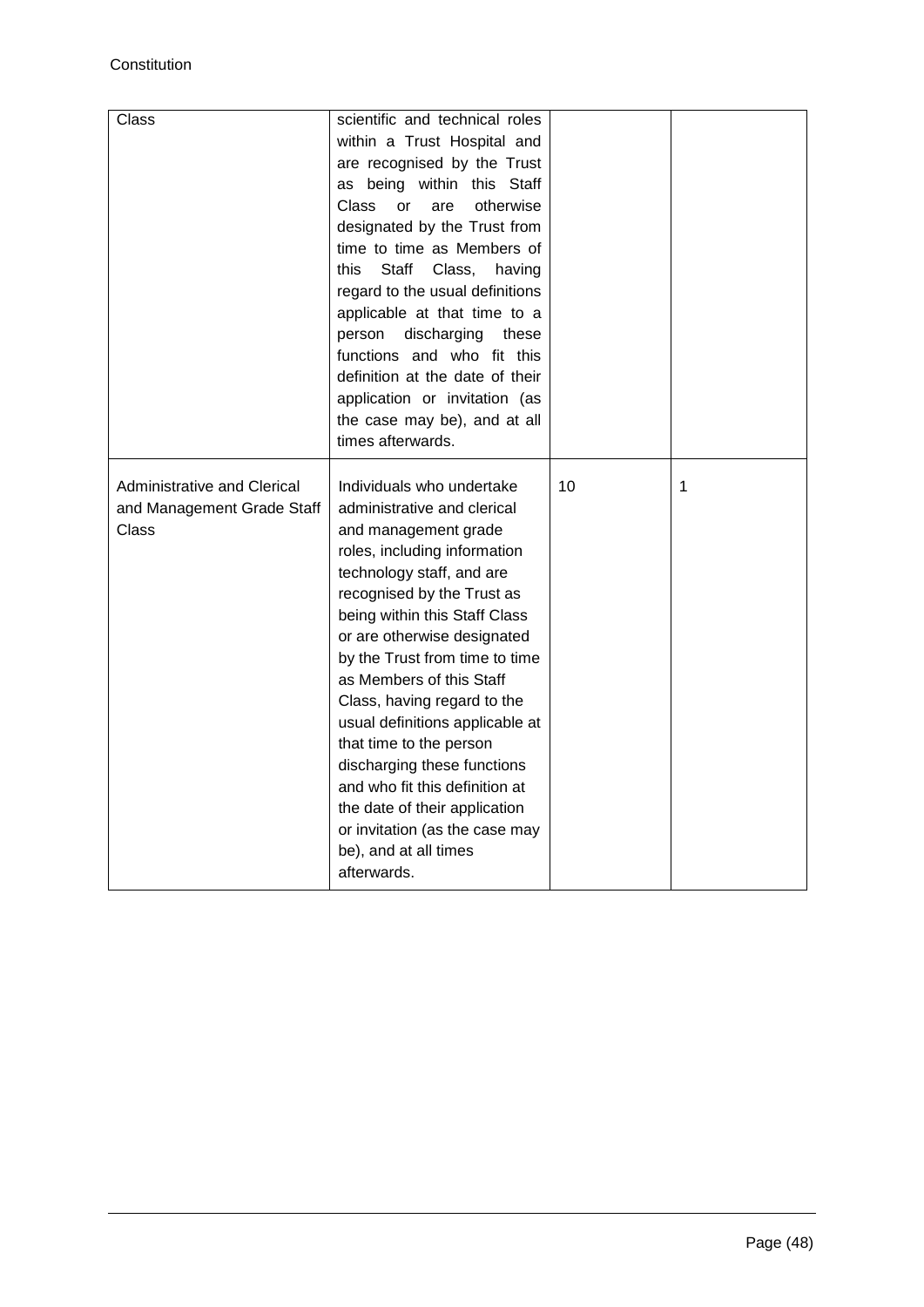| Class                                                              | scientific and technical roles<br>within a Trust Hospital and<br>are recognised by the Trust<br>as being within this Staff<br>Class<br>otherwise<br>or<br>are<br>designated by the Trust from<br>time to time as Members of<br>this<br>Staff<br>Class,<br>having<br>regard to the usual definitions<br>applicable at that time to a<br>discharging<br>person<br>these<br>functions and who fit this<br>definition at the date of their<br>application or invitation (as<br>the case may be), and at all<br>times afterwards.                                                       |    |   |
|--------------------------------------------------------------------|------------------------------------------------------------------------------------------------------------------------------------------------------------------------------------------------------------------------------------------------------------------------------------------------------------------------------------------------------------------------------------------------------------------------------------------------------------------------------------------------------------------------------------------------------------------------------------|----|---|
| Administrative and Clerical<br>and Management Grade Staff<br>Class | Individuals who undertake<br>administrative and clerical<br>and management grade<br>roles, including information<br>technology staff, and are<br>recognised by the Trust as<br>being within this Staff Class<br>or are otherwise designated<br>by the Trust from time to time<br>as Members of this Staff<br>Class, having regard to the<br>usual definitions applicable at<br>that time to the person<br>discharging these functions<br>and who fit this definition at<br>the date of their application<br>or invitation (as the case may<br>be), and at all times<br>afterwards. | 10 | 1 |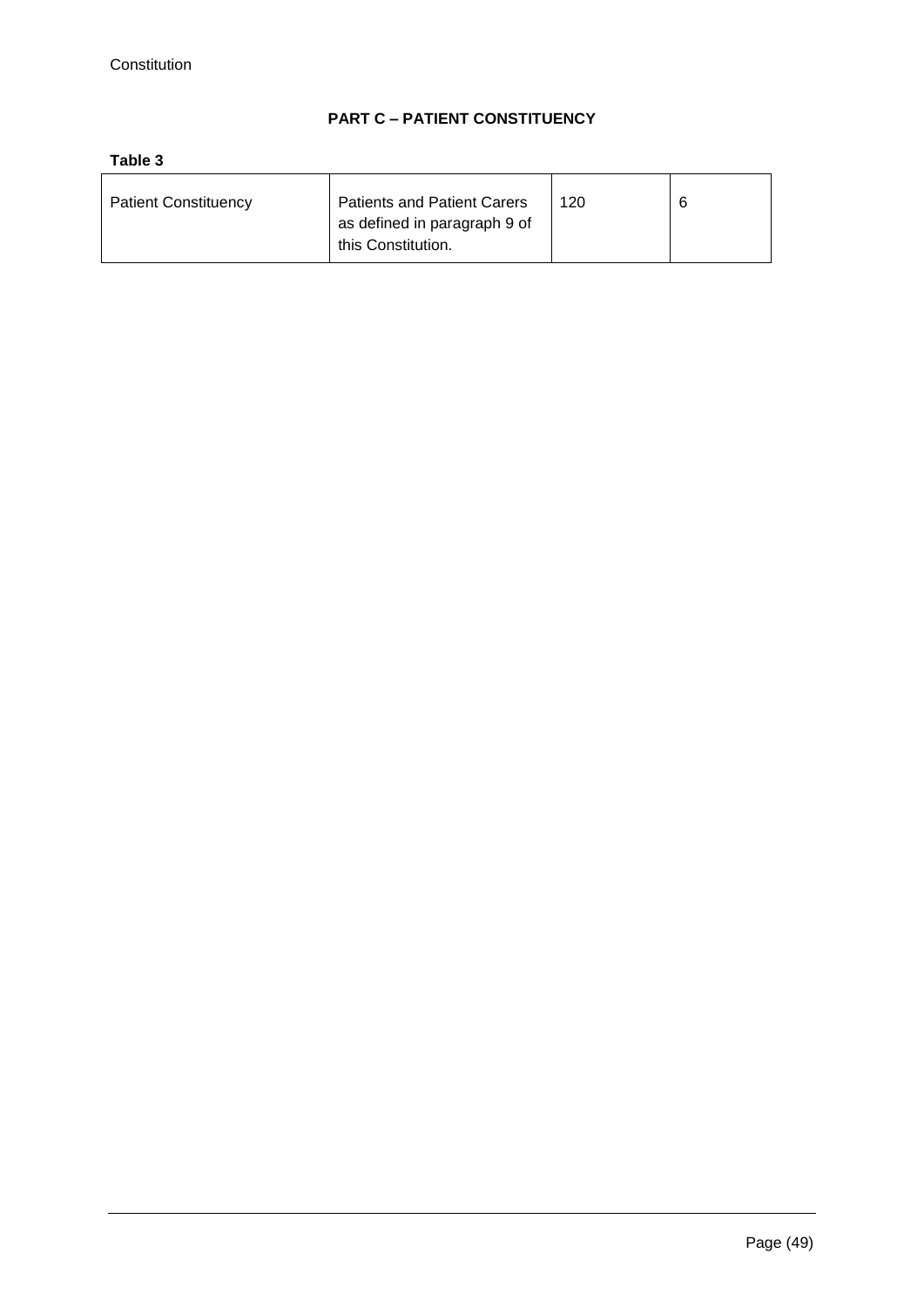# **PART C – PATIENT CONSTITUENCY**

# **Table 3**

| <b>Patient Constituency</b> | <b>Patients and Patient Carers</b> | 120 |  |
|-----------------------------|------------------------------------|-----|--|
|                             | as defined in paragraph 9 of       |     |  |
|                             | this Constitution.                 |     |  |
|                             |                                    |     |  |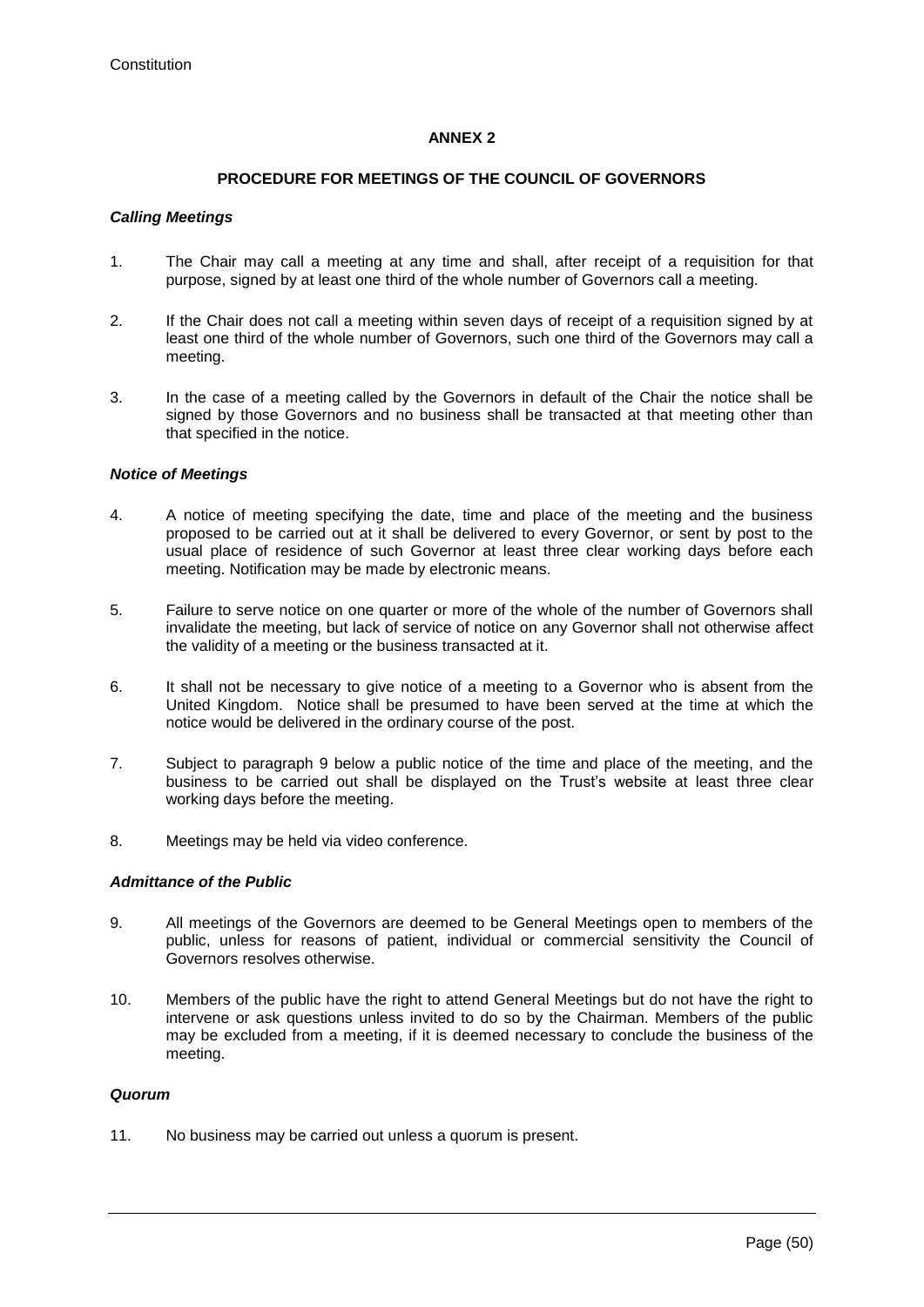# **ANNEX 2**

# **PROCEDURE FOR MEETINGS OF THE COUNCIL OF GOVERNORS**

### *Calling Meetings*

- 1. The Chair may call a meeting at any time and shall, after receipt of a requisition for that purpose, signed by at least one third of the whole number of Governors call a meeting.
- 2. If the Chair does not call a meeting within seven days of receipt of a requisition signed by at least one third of the whole number of Governors, such one third of the Governors may call a meeting.
- 3. In the case of a meeting called by the Governors in default of the Chair the notice shall be signed by those Governors and no business shall be transacted at that meeting other than that specified in the notice.

### *Notice of Meetings*

- 4. A notice of meeting specifying the date, time and place of the meeting and the business proposed to be carried out at it shall be delivered to every Governor, or sent by post to the usual place of residence of such Governor at least three clear working days before each meeting. Notification may be made by electronic means.
- 5. Failure to serve notice on one quarter or more of the whole of the number of Governors shall invalidate the meeting, but lack of service of notice on any Governor shall not otherwise affect the validity of a meeting or the business transacted at it.
- 6. It shall not be necessary to give notice of a meeting to a Governor who is absent from the United Kingdom. Notice shall be presumed to have been served at the time at which the notice would be delivered in the ordinary course of the post.
- 7. Subject to paragraph 9 below a public notice of the time and place of the meeting, and the business to be carried out shall be displayed on the Trust's website at least three clear working days before the meeting.
- 8. Meetings may be held via video conference.

# *Admittance of the Public*

- 9. All meetings of the Governors are deemed to be General Meetings open to members of the public, unless for reasons of patient, individual or commercial sensitivity the Council of Governors resolves otherwise.
- 10. Members of the public have the right to attend General Meetings but do not have the right to intervene or ask questions unless invited to do so by the Chairman. Members of the public may be excluded from a meeting, if it is deemed necessary to conclude the business of the meeting.

# *Quorum*

11. No business may be carried out unless a quorum is present.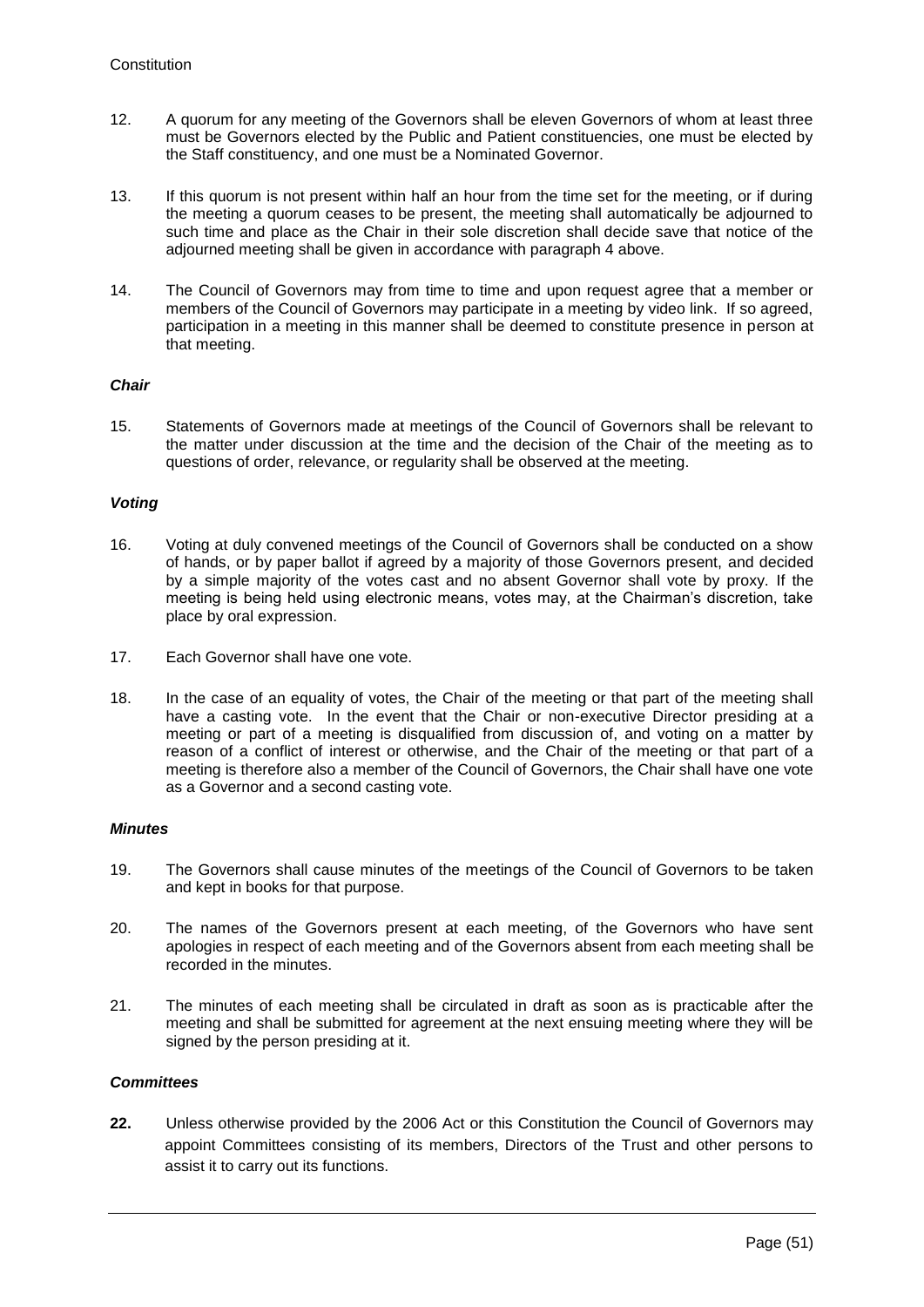- 12. A quorum for any meeting of the Governors shall be eleven Governors of whom at least three must be Governors elected by the Public and Patient constituencies, one must be elected by the Staff constituency, and one must be a Nominated Governor.
- 13. If this quorum is not present within half an hour from the time set for the meeting, or if during the meeting a quorum ceases to be present, the meeting shall automatically be adjourned to such time and place as the Chair in their sole discretion shall decide save that notice of the adjourned meeting shall be given in accordance with paragraph 4 above.
- 14. The Council of Governors may from time to time and upon request agree that a member or members of the Council of Governors may participate in a meeting by video link. If so agreed, participation in a meeting in this manner shall be deemed to constitute presence in person at that meeting.

# *Chair*

15. Statements of Governors made at meetings of the Council of Governors shall be relevant to the matter under discussion at the time and the decision of the Chair of the meeting as to questions of order, relevance, or regularity shall be observed at the meeting.

# *Voting*

- 16. Voting at duly convened meetings of the Council of Governors shall be conducted on a show of hands, or by paper ballot if agreed by a majority of those Governors present, and decided by a simple majority of the votes cast and no absent Governor shall vote by proxy. If the meeting is being held using electronic means, votes may, at the Chairman's discretion, take place by oral expression.
- 17. Each Governor shall have one vote.
- 18. In the case of an equality of votes, the Chair of the meeting or that part of the meeting shall have a casting vote. In the event that the Chair or non-executive Director presiding at a meeting or part of a meeting is disqualified from discussion of, and voting on a matter by reason of a conflict of interest or otherwise, and the Chair of the meeting or that part of a meeting is therefore also a member of the Council of Governors, the Chair shall have one vote as a Governor and a second casting vote.

### *Minutes*

- 19. The Governors shall cause minutes of the meetings of the Council of Governors to be taken and kept in books for that purpose.
- 20. The names of the Governors present at each meeting, of the Governors who have sent apologies in respect of each meeting and of the Governors absent from each meeting shall be recorded in the minutes.
- 21. The minutes of each meeting shall be circulated in draft as soon as is practicable after the meeting and shall be submitted for agreement at the next ensuing meeting where they will be signed by the person presiding at it.

# *Committees*

**22.** Unless otherwise provided by the 2006 Act or this Constitution the Council of Governors may appoint Committees consisting of its members, Directors of the Trust and other persons to assist it to carry out its functions.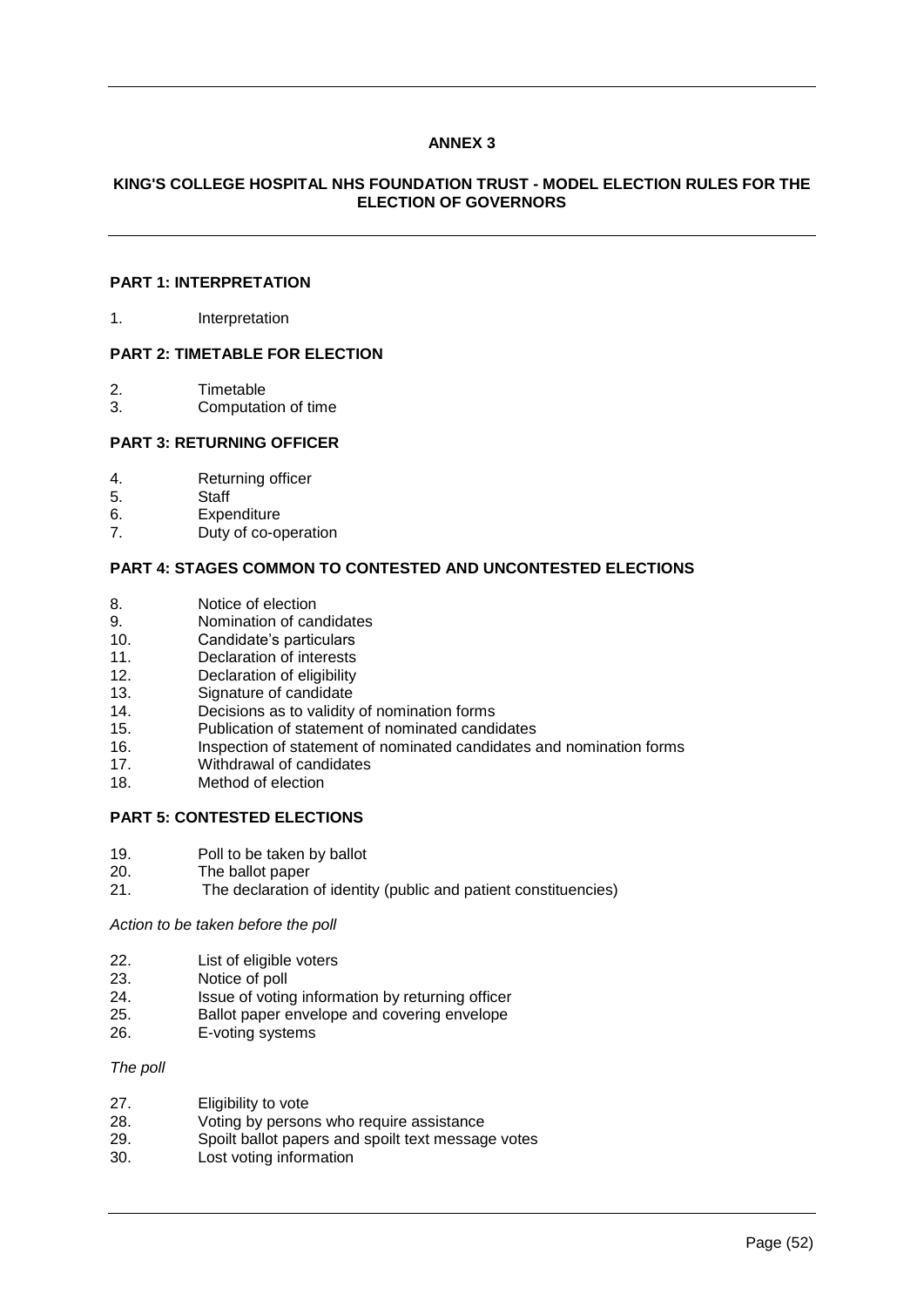# **ANNEX 3**

# **KING'S COLLEGE HOSPITAL NHS FOUNDATION TRUST - MODEL ELECTION RULES FOR THE ELECTION OF GOVERNORS**

# **PART 1: INTERPRETATION**

1. Interpretation

#### **PART 2: TIMETABLE FOR ELECTION**

- 2. Timetable
- 3. Computation of time

### **PART 3: RETURNING OFFICER**

- 4. Returning officer
- 5. Staff
- 6. Expenditure<br>7. Duty of co-o
- Duty of co-operation

#### **PART 4: STAGES COMMON TO CONTESTED AND UNCONTESTED ELECTIONS**

- 8. Notice of election
- 9. Nomination of candidates<br>10. Candidate's particulars
- Candidate's particulars
- 11. Declaration of interests
- 12. Declaration of eligibility
- 13. Signature of candidate
- 14. Decisions as to validity of nomination forms
- 
- 15. Publication of statement of nominated candidates 16. Inspection of statement of nominated candidates and nomination forms
- 17. Withdrawal of candidates
- 18. Method of election

### **PART 5: CONTESTED ELECTIONS**

- 19. Poll to be taken by ballot
- 20. The ballot paper
- 21. The declaration of identity (public and patient constituencies)

*Action to be taken before the poll*

- 22. List of eligible voters
- 23. Notice of poll
- 24. Issue of voting information by returning officer
- 25. Ballot paper envelope and covering envelope
- 26. E-voting systems

#### *The poll*

- 27. Eligibility to vote
- 28. Voting by persons who require assistance<br>29. Spoilt ballot papers and spoilt text message Spoilt ballot papers and spoilt text message votes
- 30. Lost voting information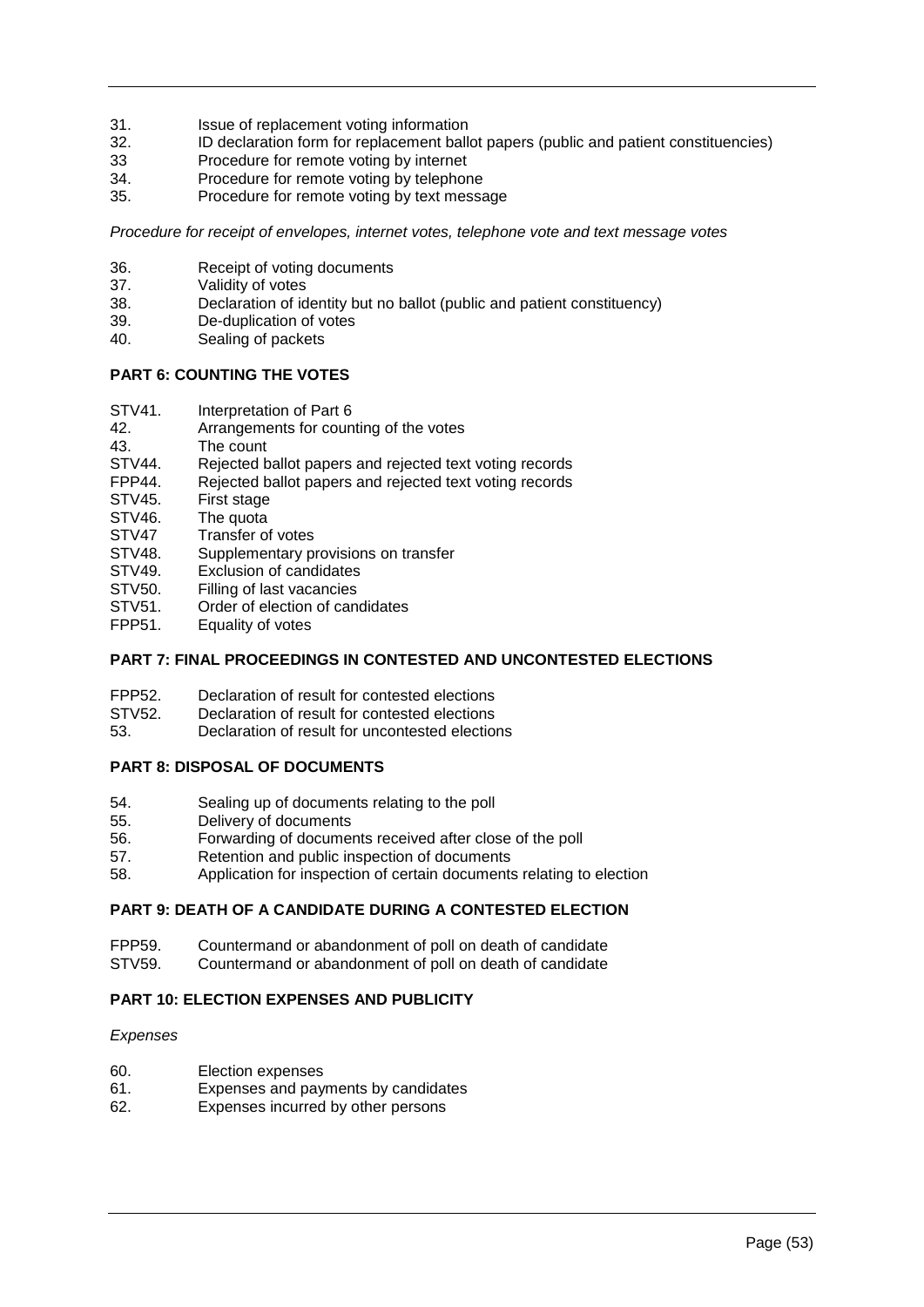- 31. Issue of replacement voting information<br>32. ID declaration form for replacement ball
- ID declaration form for replacement ballot papers (public and patient constituencies)
- 33 Procedure for remote voting by internet<br>34. Procedure for remote voting by telephor
- 34. Procedure for remote voting by telephone<br>35. Procedure for remote voting by text messa
- Procedure for remote voting by text message

*Procedure for receipt of envelopes, internet votes, telephone vote and text message votes*

- 36. Receipt of voting documents<br>37. Validity of votes
- 37. Validity of votes<br>38. Declaration of id
- Declaration of identity but no ballot (public and patient constituency)
- 39. De-duplication of votes
- 40. Sealing of packets

# **PART 6: COUNTING THE VOTES**

- STV41. Interpretation of Part 6
- 42. Arrangements for counting of the votes
- 43. The count<br>STV44. Rejected b
- Rejected ballot papers and rejected text voting records
- FPP44. Rejected ballot papers and rejected text voting records<br>STV45. First stage
- STV45. First stage<br>STV46. The quota
- The quota
- STV47 Transfer of votes
- STV48. Supplementary provisions on transfer<br>STV49. Exclusion of candidates
- Exclusion of candidates
- STV50. Filling of last vacancies
- STV51. Order of election of candidates<br>FPP51 Fquality of votes
- Equality of votes

# **PART 7: FINAL PROCEEDINGS IN CONTESTED AND UNCONTESTED ELECTIONS**

- FPP52. Declaration of result for contested elections
- STV52. Declaration of result for contested elections
- 53. Declaration of result for uncontested elections

# **PART 8: DISPOSAL OF DOCUMENTS**

- 54. Sealing up of documents relating to the poll
- 55. Delivery of documents
- 56. Forwarding of documents received after close of the poll
- 57. Retention and public inspection of documents
- 58. Application for inspection of certain documents relating to election

# **PART 9: DEATH OF A CANDIDATE DURING A CONTESTED ELECTION**

- FPP59. Countermand or abandonment of poll on death of candidate
- STV59. Countermand or abandonment of poll on death of candidate

# **PART 10: ELECTION EXPENSES AND PUBLICITY**

### *Expenses*

- 60. Election expenses
- 61. Expenses and payments by candidates
- 62. Expenses incurred by other persons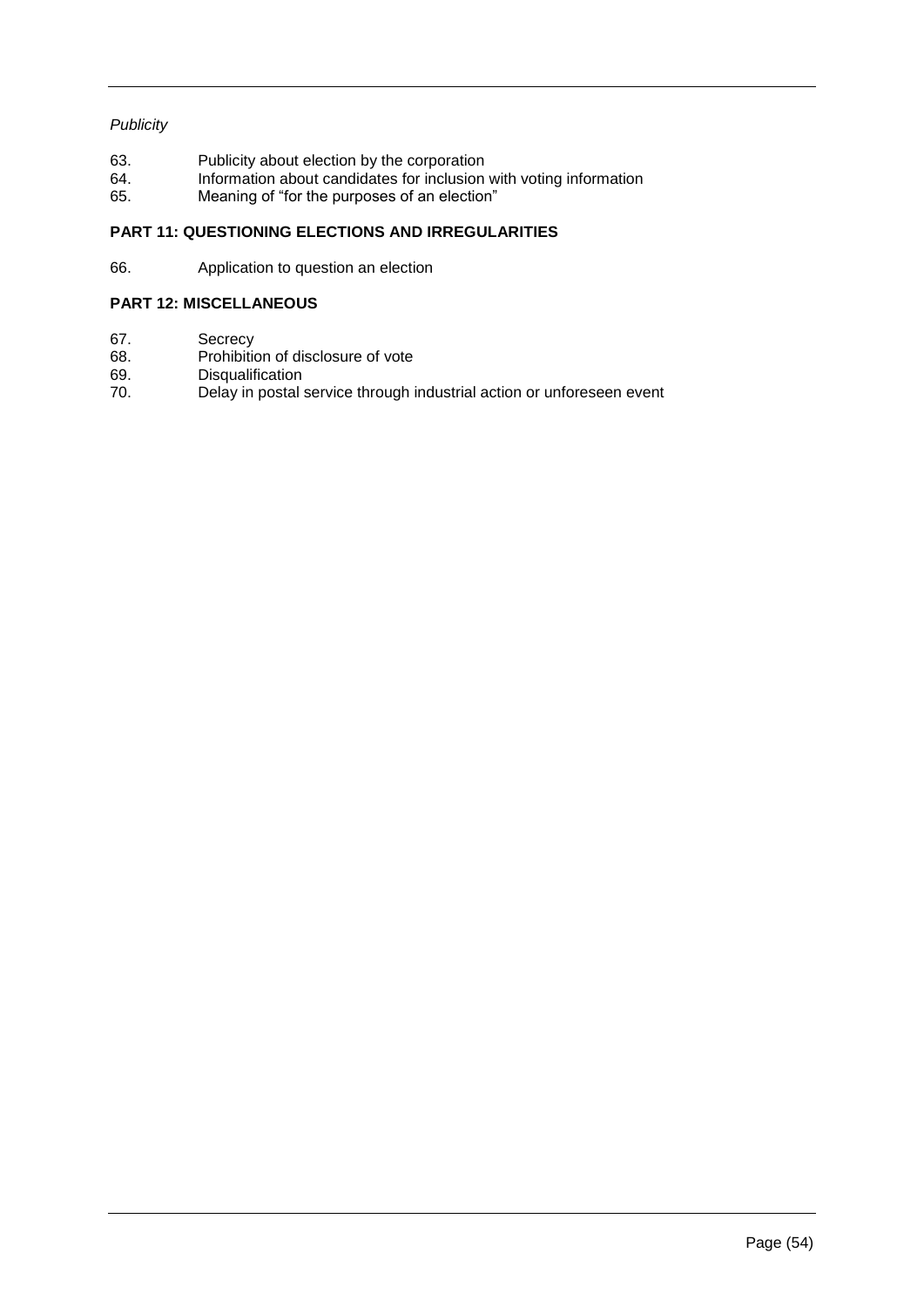# *Publicity*

- 63. Publicity about election by the corporation
- 64. Information about candidates for inclusion with voting information
- 65. Meaning of "for the purposes of an election"

# **PART 11: QUESTIONING ELECTIONS AND IRREGULARITIES**

66. Application to question an election

# **PART 12: MISCELLANEOUS**

- 67. Secrecy<br>68. Prohibitio
- 68. Prohibition of disclosure of vote<br>69. Disqualification
- 69. Disqualification<br>70. Delay in postal
- Delay in postal service through industrial action or unforeseen event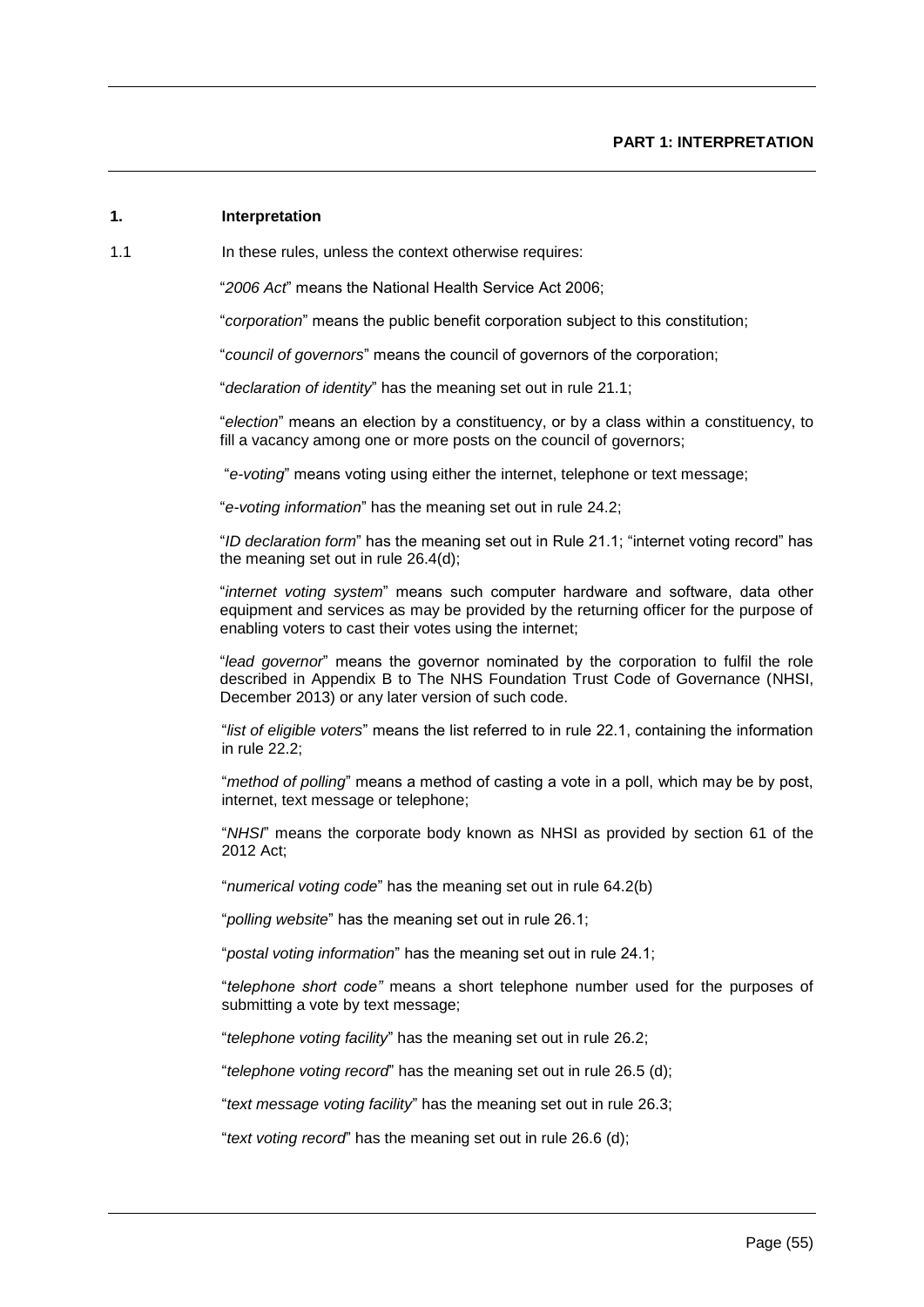# **1. Interpretation**

#### 1.1 In these rules, unless the context otherwise requires:

"*2006 Act*" means the National Health Service Act 2006;

"*corporation*" means the public benefit corporation subject to this constitution;

"*council of governors*" means the council of governors of the corporation;

"*declaration of identity*" has the meaning set out in rule 21.1;

"*election*" means an election by a constituency, or by a class within a constituency, to fill a vacancy among one or more posts on the council of governors;

"*e-voting*" means voting using either the internet, telephone or text message;

"*e-voting information*" has the meaning set out in rule 24.2;

"*ID declaration form*" has the meaning set out in Rule 21.1; "internet voting record" has the meaning set out in rule 26.4(d);

"*internet voting system*" means such computer hardware and software, data other equipment and services as may be provided by the returning officer for the purpose of enabling voters to cast their votes using the internet;

"*lead governor*" means the governor nominated by the corporation to fulfil the role described in Appendix B to The NHS Foundation Trust Code of Governance (NHSI, December 2013) or any later version of such code.

"*list of eligible voters*" means the list referred to in rule 22.1, containing the information in rule 22.2;

"*method of polling*" means a method of casting a vote in a poll, which may be by post, internet, text message or telephone;

"*NHSI*" means the corporate body known as NHSI as provided by section 61 of the 2012 Act;

"*numerical voting code*" has the meaning set out in rule 64.2(b)

"*polling website*" has the meaning set out in rule 26.1;

"*postal voting information*" has the meaning set out in rule 24.1;

"*telephone short code"* means a short telephone number used for the purposes of submitting a vote by text message;

"*telephone voting facility*" has the meaning set out in rule 26.2;

"*telephone voting record*" has the meaning set out in rule 26.5 (d);

"*text message voting facility*" has the meaning set out in rule 26.3;

"*text voting record*" has the meaning set out in rule 26.6 (d);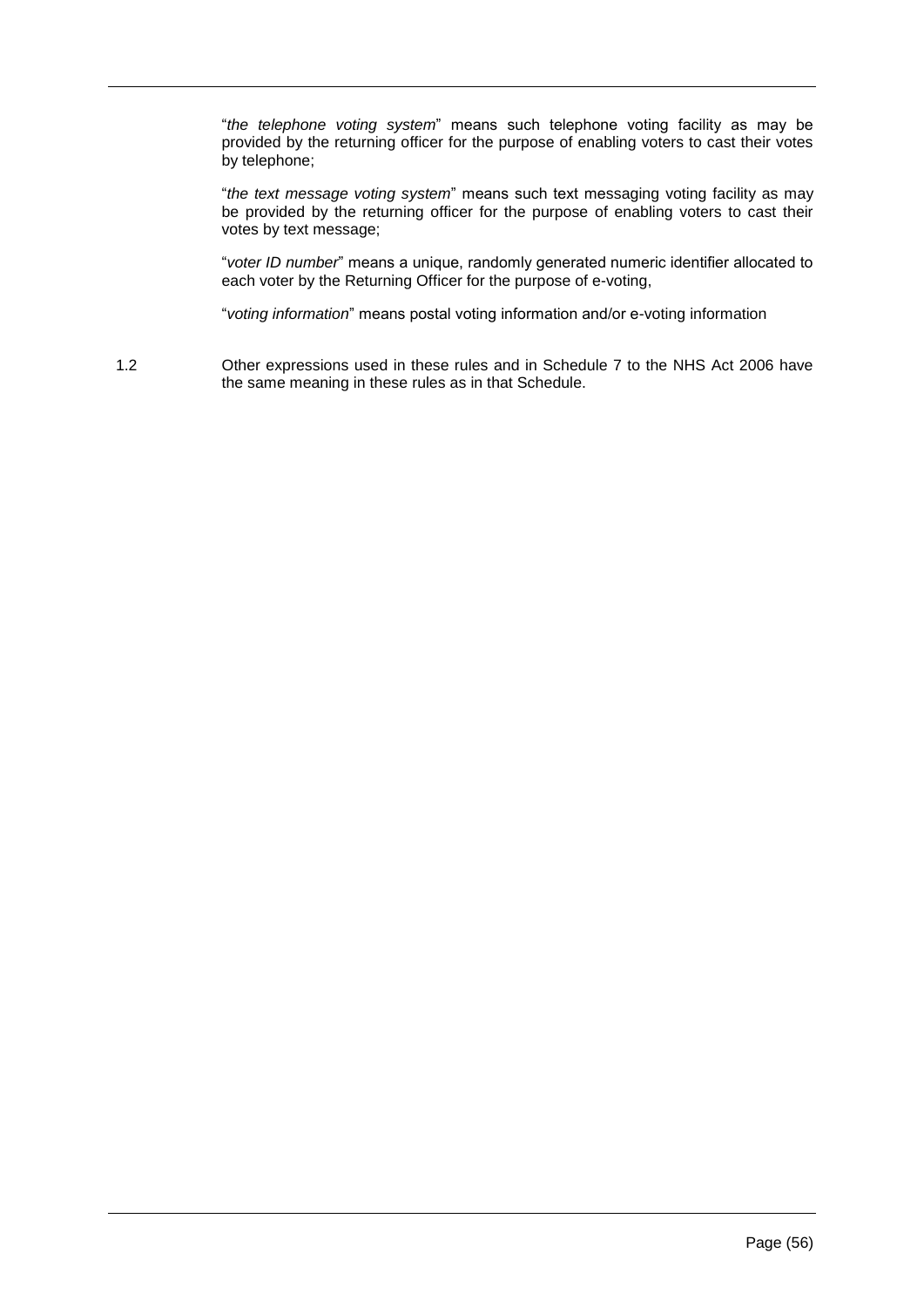"*the telephone voting system*" means such telephone voting facility as may be provided by the returning officer for the purpose of enabling voters to cast their votes by telephone;

"*the text message voting system*" means such text messaging voting facility as may be provided by the returning officer for the purpose of enabling voters to cast their votes by text message;

"*voter ID number*" means a unique, randomly generated numeric identifier allocated to each voter by the Returning Officer for the purpose of e-voting,

"*voting information*" means postal voting information and/or e-voting information

1.2 Other expressions used in these rules and in Schedule 7 to the NHS Act 2006 have the same meaning in these rules as in that Schedule.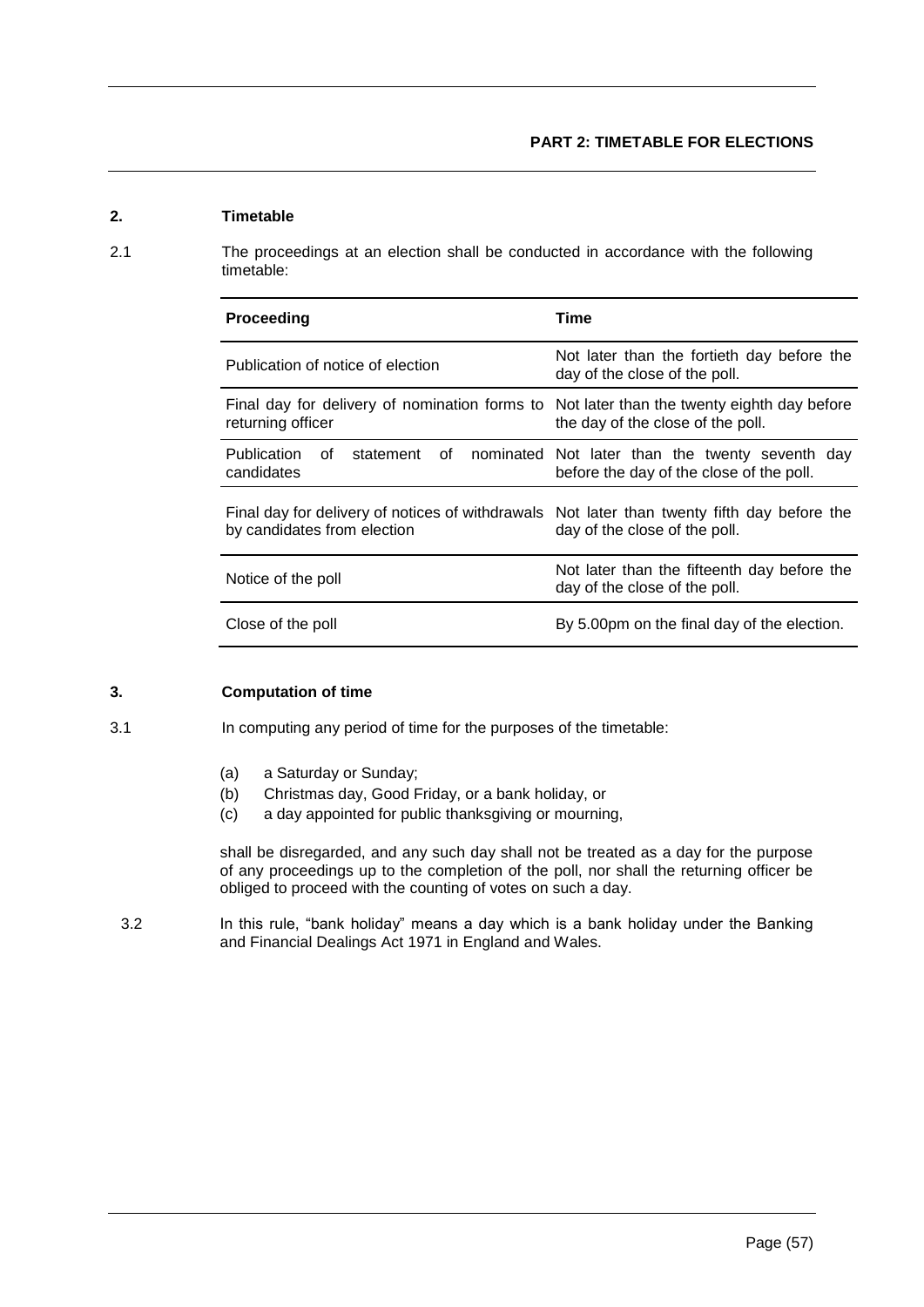# **2. Timetable**

2.1 The proceedings at an election shall be conducted in accordance with the following timetable:

| Proceeding                                                                                                                 | Time                                                                                        |  |
|----------------------------------------------------------------------------------------------------------------------------|---------------------------------------------------------------------------------------------|--|
| Publication of notice of election                                                                                          | Not later than the fortieth day before the<br>day of the close of the poll.                 |  |
| Final day for delivery of nomination forms to Not later than the twenty eighth day before<br>returning officer             | the day of the close of the poll.                                                           |  |
| Publication<br>statement of<br>of c<br>candidates                                                                          | nominated Not later than the twenty seventh day<br>before the day of the close of the poll. |  |
| Final day for delivery of notices of withdrawals Not later than twenty fifth day before the<br>by candidates from election | day of the close of the poll.                                                               |  |
| Notice of the poll                                                                                                         | Not later than the fifteenth day before the<br>day of the close of the poll.                |  |
| Close of the poll                                                                                                          | By 5.00pm on the final day of the election.                                                 |  |

# **3. Computation of time**

3.1 In computing any period of time for the purposes of the timetable:

- (a) a Saturday or Sunday;
- (b) Christmas day, Good Friday, or a bank holiday, or
- (c) a day appointed for public thanksgiving or mourning,

shall be disregarded, and any such day shall not be treated as a day for the purpose of any proceedings up to the completion of the poll, nor shall the returning officer be obliged to proceed with the counting of votes on such a day.

3.2 In this rule, "bank holiday" means a day which is a bank holiday under the Banking and Financial Dealings Act 1971 in England and Wales.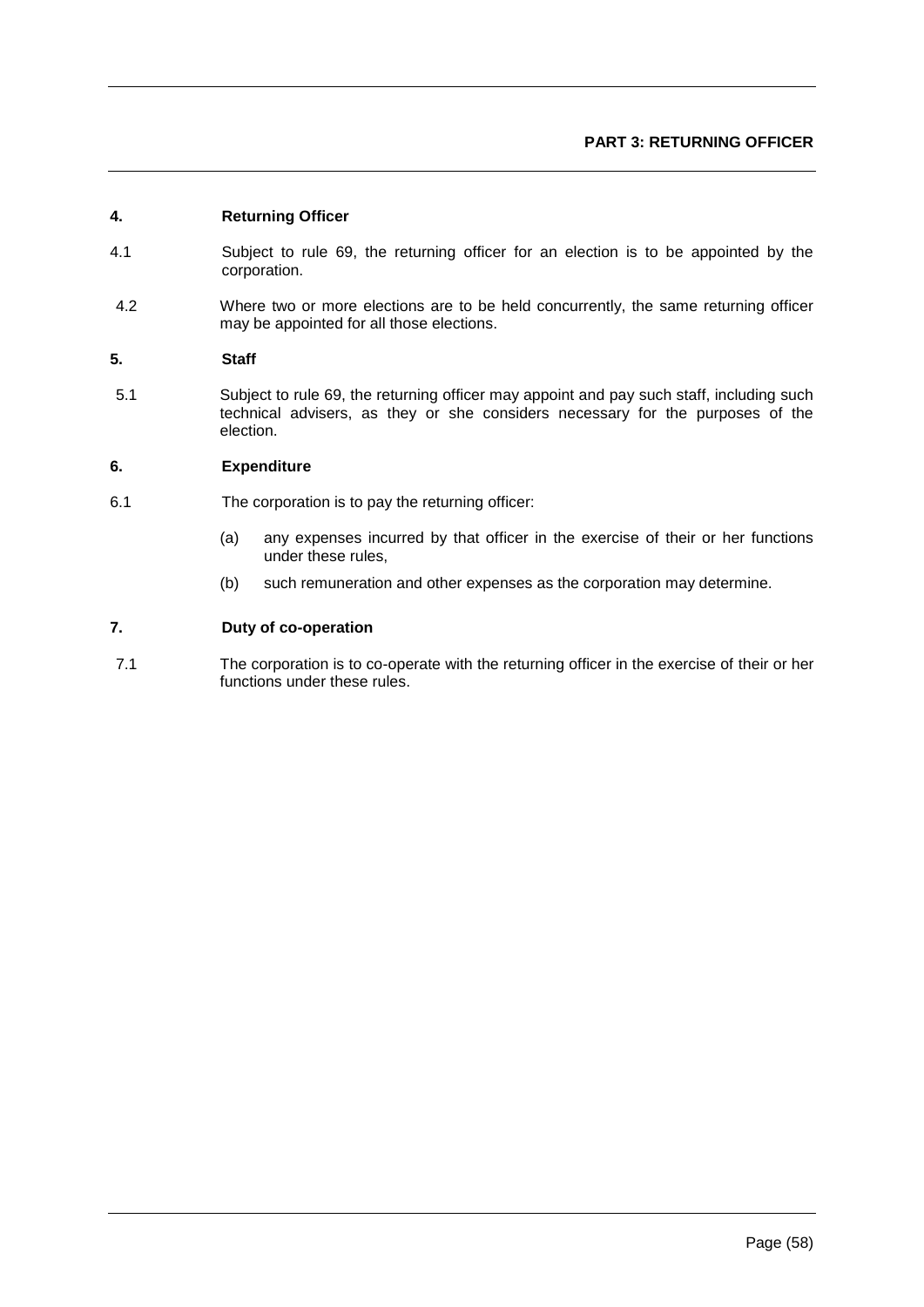# **PART 3: RETURNING OFFICER**

# **4. Returning Officer**

- 4.1 Subject to rule 69, the returning officer for an election is to be appointed by the corporation.
- 4.2 Where two or more elections are to be held concurrently, the same returning officer may be appointed for all those elections.

# **5. Staff**

5.1 Subject to rule 69, the returning officer may appoint and pay such staff, including such technical advisers, as they or she considers necessary for the purposes of the election.

### **6. Expenditure**

- 6.1 The corporation is to pay the returning officer:
	- (a) any expenses incurred by that officer in the exercise of their or her functions under these rules,
	- (b) such remuneration and other expenses as the corporation may determine.

# **7. Duty of co-operation**

7.1 The corporation is to co-operate with the returning officer in the exercise of their or her functions under these rules.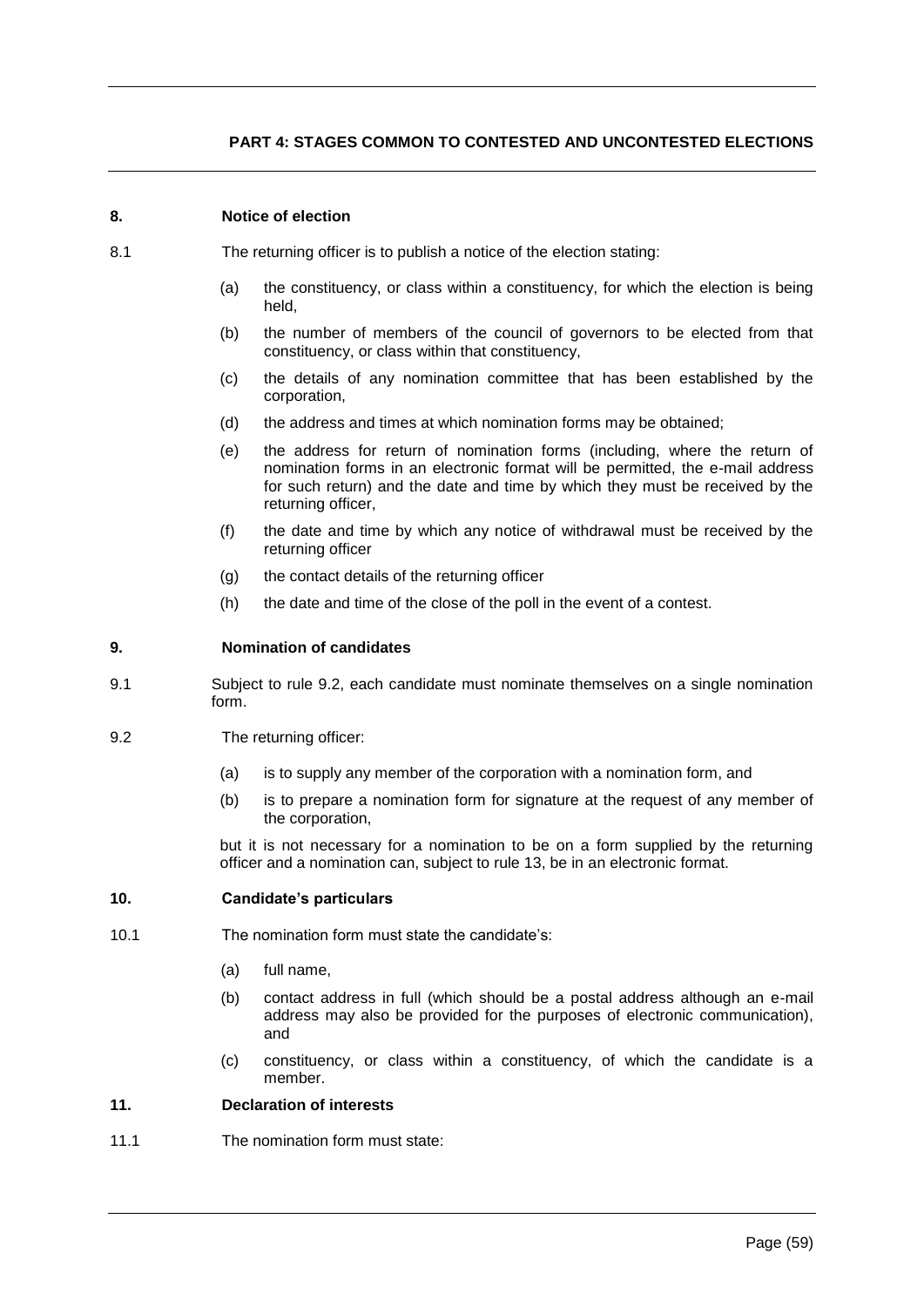# **PART 4: STAGES COMMON TO CONTESTED AND UNCONTESTED ELECTIONS**

# **8. Notice of election**

- 8.1 The returning officer is to publish a notice of the election stating:
	- (a) the constituency, or class within a constituency, for which the election is being held,
	- (b) the number of members of the council of governors to be elected from that constituency, or class within that constituency,
	- (c) the details of any nomination committee that has been established by the corporation,
	- (d) the address and times at which nomination forms may be obtained;
	- (e) the address for return of nomination forms (including, where the return of nomination forms in an electronic format will be permitted, the e-mail address for such return) and the date and time by which they must be received by the returning officer,
	- (f) the date and time by which any notice of withdrawal must be received by the returning officer
	- (g) the contact details of the returning officer
	- (h) the date and time of the close of the poll in the event of a contest.

# **9. Nomination of candidates**

- 9.1 Subject to rule 9.2, each candidate must nominate themselves on a single nomination form.
- 9.2 The returning officer:
	- (a) is to supply any member of the corporation with a nomination form, and
	- (b) is to prepare a nomination form for signature at the request of any member of the corporation,

but it is not necessary for a nomination to be on a form supplied by the returning officer and a nomination can, subject to rule 13, be in an electronic format.

### **10. Candidate's particulars**

- 10.1 The nomination form must state the candidate's:
	- (a) full name,
	- (b) contact address in full (which should be a postal address although an e-mail address may also be provided for the purposes of electronic communication), and
	- (c) constituency, or class within a constituency, of which the candidate is a member.

# **11. Declaration of interests**

11.1 The nomination form must state: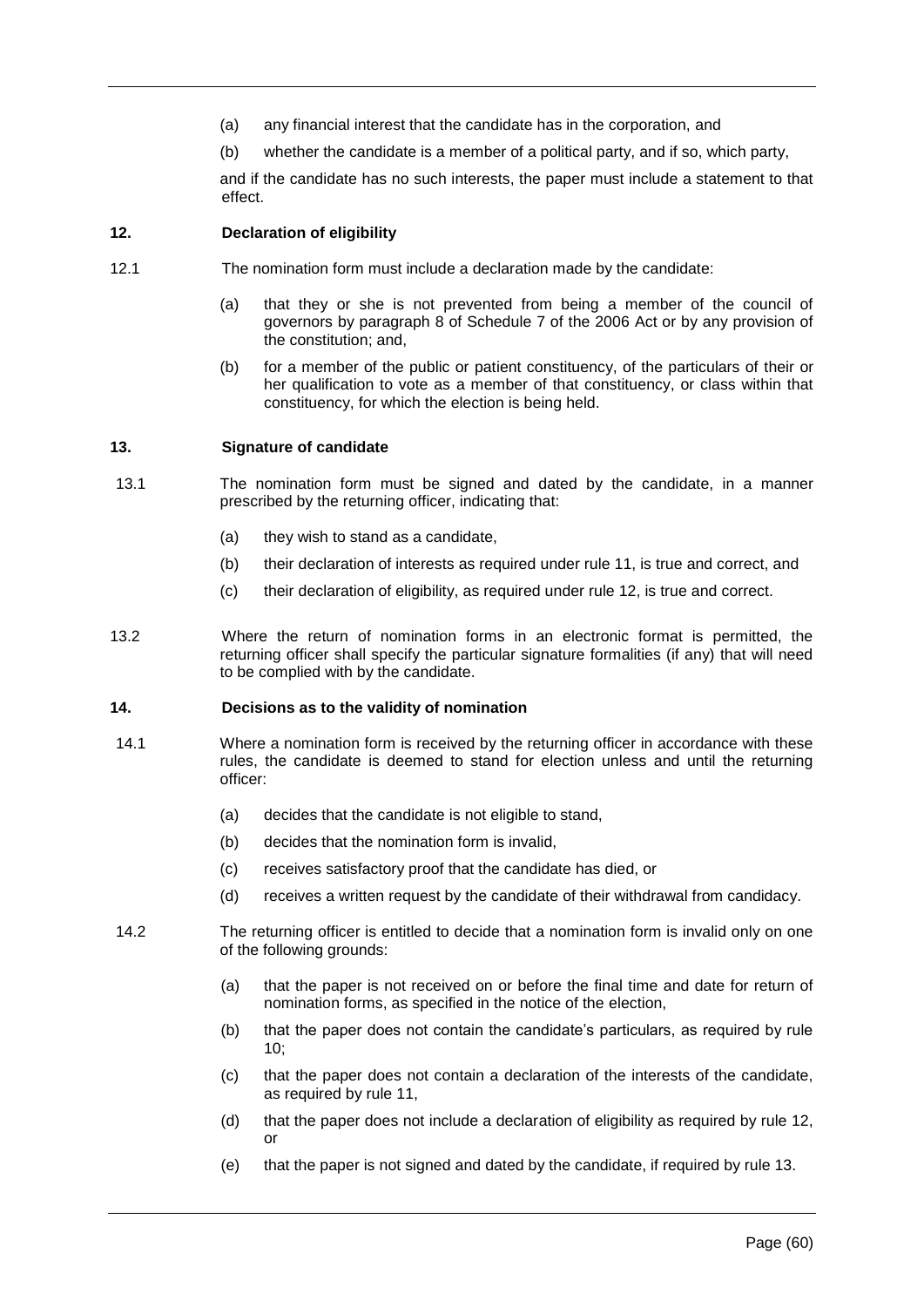- (a) any financial interest that the candidate has in the corporation, and
- (b) whether the candidate is a member of a political party, and if so, which party,

and if the candidate has no such interests, the paper must include a statement to that effect.

# **12. Declaration of eligibility**

- 12.1 The nomination form must include a declaration made by the candidate:
	- (a) that they or she is not prevented from being a member of the council of governors by paragraph 8 of Schedule 7 of the 2006 Act or by any provision of the constitution; and,
	- (b) for a member of the public or patient constituency, of the particulars of their or her qualification to vote as a member of that constituency, or class within that constituency, for which the election is being held.

### **13. Signature of candidate**

- 13.1 The nomination form must be signed and dated by the candidate, in a manner prescribed by the returning officer, indicating that:
	- (a) they wish to stand as a candidate,
	- (b) their declaration of interests as required under rule 11, is true and correct, and
	- (c) their declaration of eligibility, as required under rule 12, is true and correct.
- 13.2 Where the return of nomination forms in an electronic format is permitted, the returning officer shall specify the particular signature formalities (if any) that will need to be complied with by the candidate.

### **14. Decisions as to the validity of nomination**

- 14.1 Where a nomination form is received by the returning officer in accordance with these rules, the candidate is deemed to stand for election unless and until the returning officer:
	- (a) decides that the candidate is not eligible to stand,
	- (b) decides that the nomination form is invalid,
	- (c) receives satisfactory proof that the candidate has died, or
	- (d) receives a written request by the candidate of their withdrawal from candidacy.
- 14.2 The returning officer is entitled to decide that a nomination form is invalid only on one of the following grounds:
	- (a) that the paper is not received on or before the final time and date for return of nomination forms, as specified in the notice of the election,
	- (b) that the paper does not contain the candidate's particulars, as required by rule 10;
	- (c) that the paper does not contain a declaration of the interests of the candidate, as required by rule 11,
	- (d) that the paper does not include a declaration of eligibility as required by rule 12, or
	- (e) that the paper is not signed and dated by the candidate, if required by rule 13.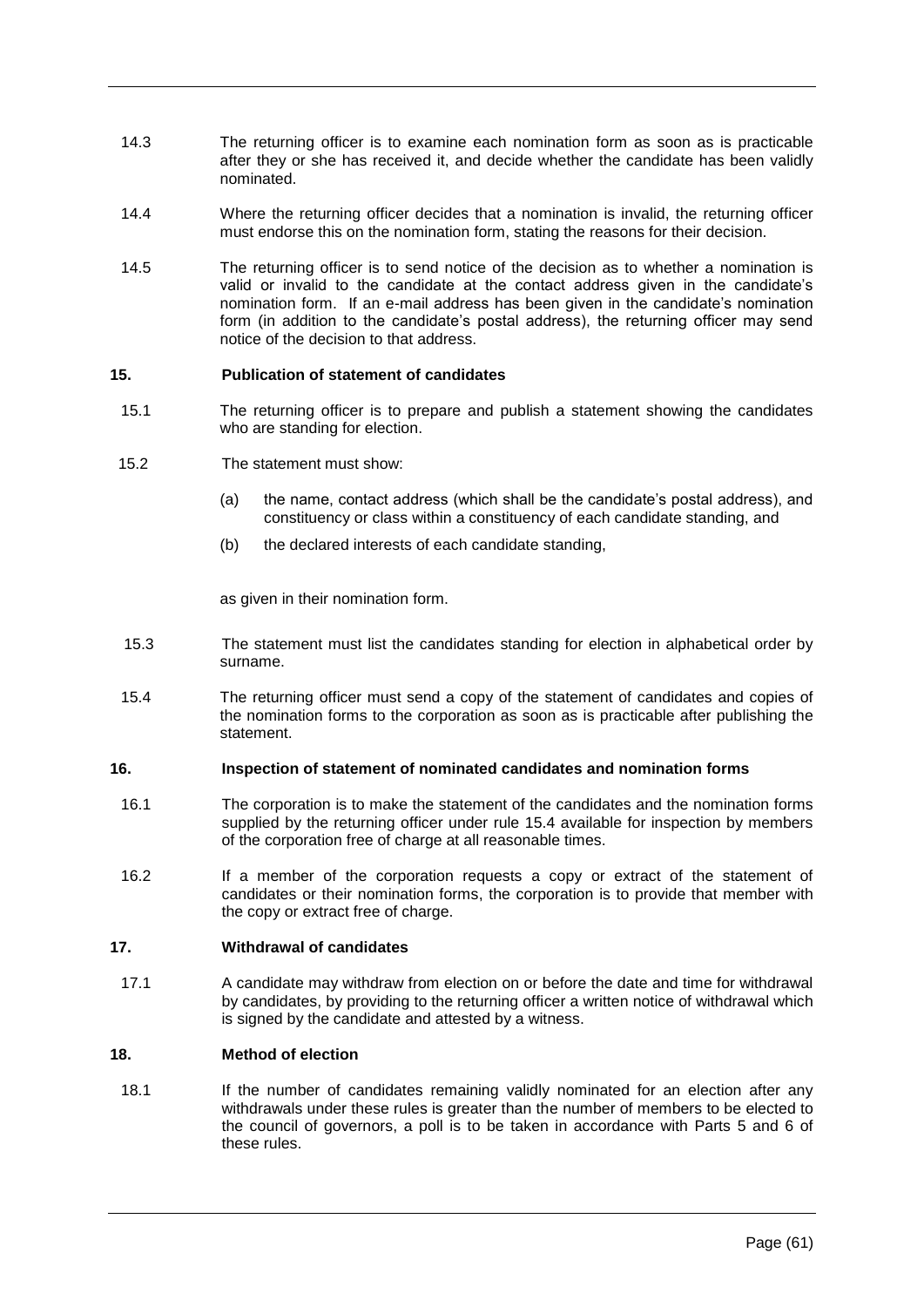- 14.3 The returning officer is to examine each nomination form as soon as is practicable after they or she has received it, and decide whether the candidate has been validly nominated.
- 14.4 Where the returning officer decides that a nomination is invalid, the returning officer must endorse this on the nomination form, stating the reasons for their decision.
- 14.5 The returning officer is to send notice of the decision as to whether a nomination is valid or invalid to the candidate at the contact address given in the candidate's nomination form. If an e-mail address has been given in the candidate's nomination form (in addition to the candidate's postal address), the returning officer may send notice of the decision to that address.

# **15. Publication of statement of candidates**

- 15.1 The returning officer is to prepare and publish a statement showing the candidates who are standing for election.
- 15.2 The statement must show:
	- (a) the name, contact address (which shall be the candidate's postal address), and constituency or class within a constituency of each candidate standing, and
	- (b) the declared interests of each candidate standing,

as given in their nomination form.

- 15.3 The statement must list the candidates standing for election in alphabetical order by surname.
- 15.4 The returning officer must send a copy of the statement of candidates and copies of the nomination forms to the corporation as soon as is practicable after publishing the statement.

### **16. Inspection of statement of nominated candidates and nomination forms**

- 16.1 The corporation is to make the statement of the candidates and the nomination forms supplied by the returning officer under rule 15.4 available for inspection by members of the corporation free of charge at all reasonable times.
- 16.2 If a member of the corporation requests a copy or extract of the statement of candidates or their nomination forms, the corporation is to provide that member with the copy or extract free of charge.

# **17. Withdrawal of candidates**

17.1 A candidate may withdraw from election on or before the date and time for withdrawal by candidates, by providing to the returning officer a written notice of withdrawal which is signed by the candidate and attested by a witness.

### **18. Method of election**

18.1 If the number of candidates remaining validly nominated for an election after any withdrawals under these rules is greater than the number of members to be elected to the council of governors, a poll is to be taken in accordance with Parts 5 and 6 of these rules.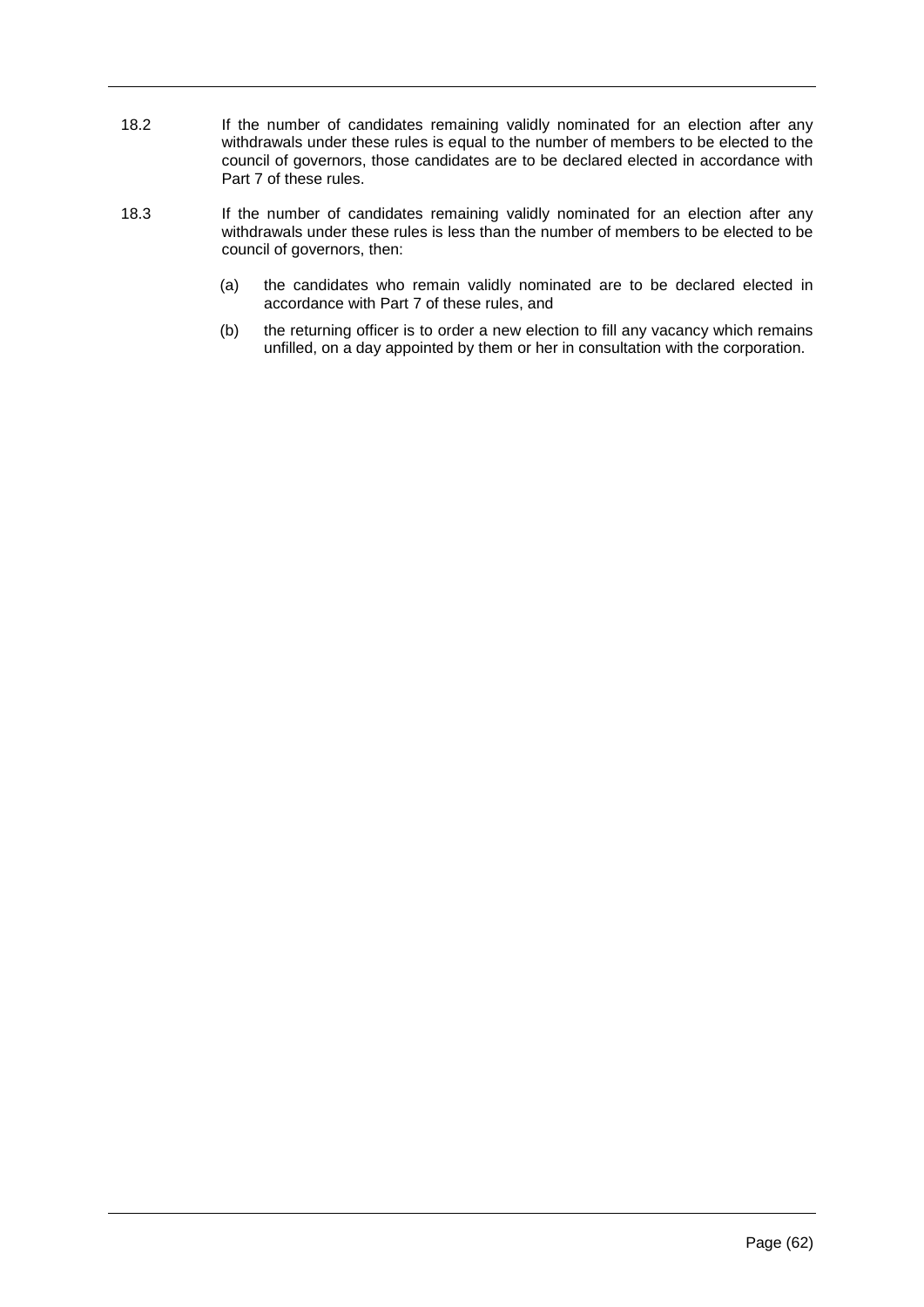- 18.2 If the number of candidates remaining validly nominated for an election after any withdrawals under these rules is equal to the number of members to be elected to the council of governors, those candidates are to be declared elected in accordance with Part 7 of these rules.
- 18.3 If the number of candidates remaining validly nominated for an election after any withdrawals under these rules is less than the number of members to be elected to be council of governors, then:
	- (a) the candidates who remain validly nominated are to be declared elected in accordance with Part 7 of these rules, and
	- (b) the returning officer is to order a new election to fill any vacancy which remains unfilled, on a day appointed by them or her in consultation with the corporation.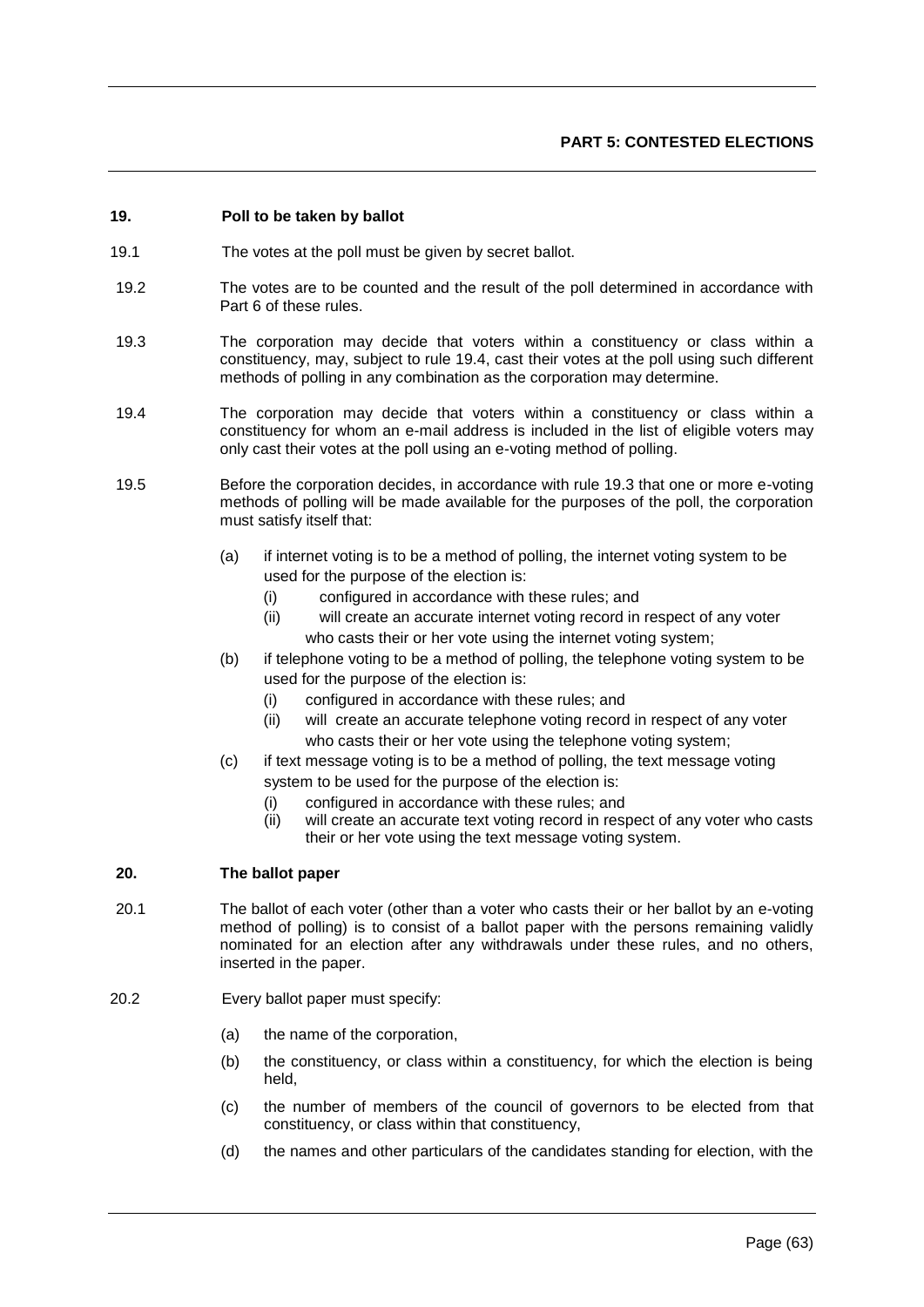# **19. Poll to be taken by ballot**

- 19.1 The votes at the poll must be given by secret ballot.
- 19.2 The votes are to be counted and the result of the poll determined in accordance with Part 6 of these rules.
- 19.3 The corporation may decide that voters within a constituency or class within a constituency, may, subject to rule 19.4, cast their votes at the poll using such different methods of polling in any combination as the corporation may determine.
- 19.4 The corporation may decide that voters within a constituency or class within a constituency for whom an e-mail address is included in the list of eligible voters may only cast their votes at the poll using an e-voting method of polling.
- 19.5 Before the corporation decides, in accordance with rule 19.3 that one or more e-voting methods of polling will be made available for the purposes of the poll, the corporation must satisfy itself that:
	- (a) if internet voting is to be a method of polling, the internet voting system to be used for the purpose of the election is:
		- (i) configured in accordance with these rules; and
		- (ii) will create an accurate internet voting record in respect of any voter who casts their or her vote using the internet voting system;
	- (b) if telephone voting to be a method of polling, the telephone voting system to be used for the purpose of the election is:
		- (i) configured in accordance with these rules; and
		- (ii) will create an accurate telephone voting record in respect of any voter who casts their or her vote using the telephone voting system;
	- (c) if text message voting is to be a method of polling, the text message voting system to be used for the purpose of the election is:
		- (i) configured in accordance with these rules; and
		- (ii) will create an accurate text voting record in respect of any voter who casts their or her vote using the text message voting system.

# **20. The ballot paper**

- 20.1 The ballot of each voter (other than a voter who casts their or her ballot by an e-voting method of polling) is to consist of a ballot paper with the persons remaining validly nominated for an election after any withdrawals under these rules, and no others, inserted in the paper.
- 20.2 Every ballot paper must specify:
	- (a) the name of the corporation,
	- (b) the constituency, or class within a constituency, for which the election is being held,
	- (c) the number of members of the council of governors to be elected from that constituency, or class within that constituency,
	- (d) the names and other particulars of the candidates standing for election, with the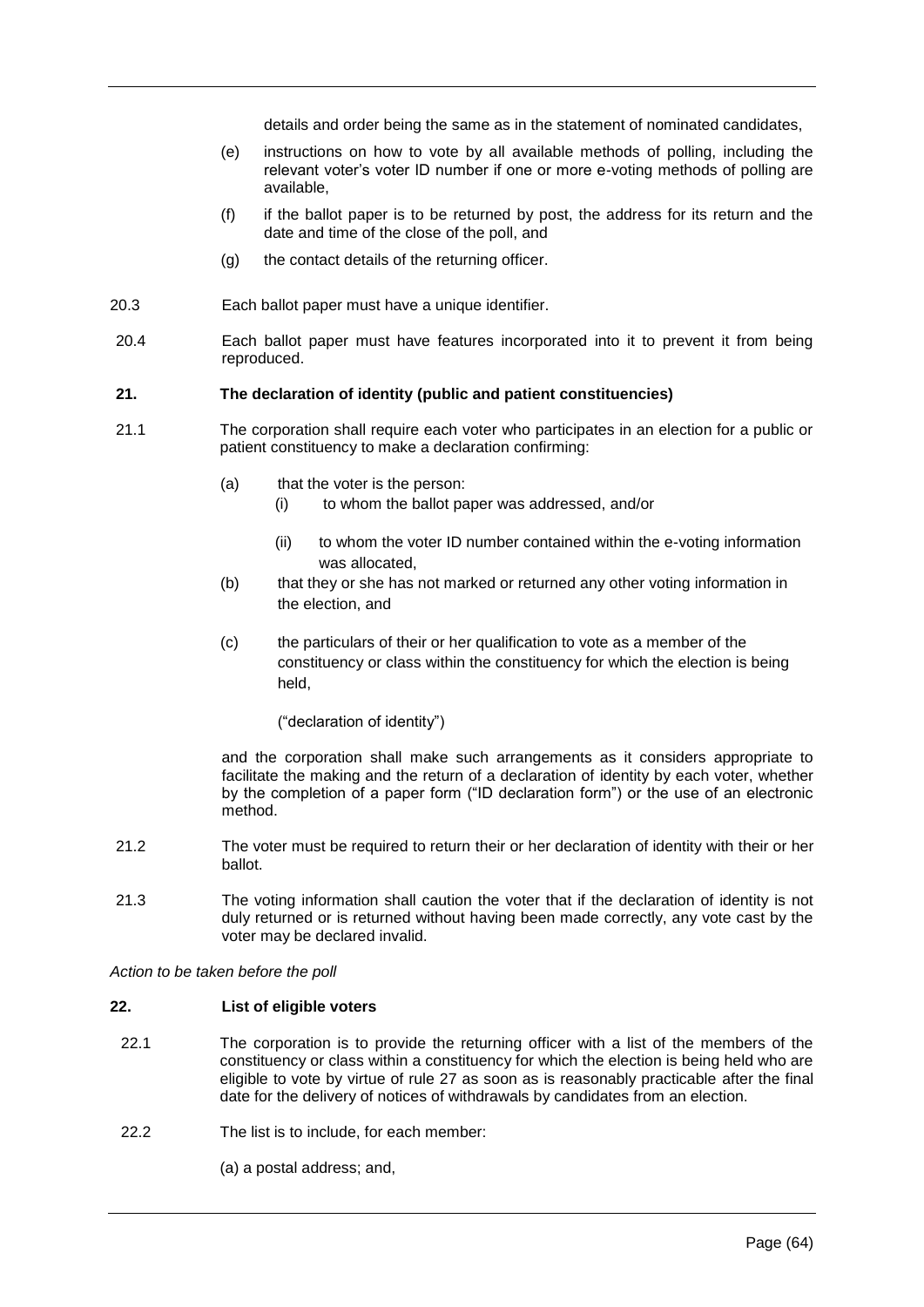details and order being the same as in the statement of nominated candidates,

- (e) instructions on how to vote by all available methods of polling, including the relevant voter's voter ID number if one or more e-voting methods of polling are available,
- (f) if the ballot paper is to be returned by post, the address for its return and the date and time of the close of the poll, and
- (g) the contact details of the returning officer.
- 20.3 Each ballot paper must have a unique identifier.
- 20.4 Each ballot paper must have features incorporated into it to prevent it from being reproduced.

### **21. The declaration of identity (public and patient constituencies)**

- 21.1 The corporation shall require each voter who participates in an election for a public or patient constituency to make a declaration confirming:
	- (a) that the voter is the person:
		- (i) to whom the ballot paper was addressed, and/or
		- (ii) to whom the voter ID number contained within the e-voting information was allocated,
	- (b) that they or she has not marked or returned any other voting information in the election, and
	- (c) the particulars of their or her qualification to vote as a member of the constituency or class within the constituency for which the election is being held,

### ("declaration of identity")

and the corporation shall make such arrangements as it considers appropriate to facilitate the making and the return of a declaration of identity by each voter, whether by the completion of a paper form ("ID declaration form") or the use of an electronic method.

- 21.2 The voter must be required to return their or her declaration of identity with their or her ballot.
- 21.3 The voting information shall caution the voter that if the declaration of identity is not duly returned or is returned without having been made correctly, any vote cast by the voter may be declared invalid.

# *Action to be taken before the poll*

### **22. List of eligible voters**

- 22.1 The corporation is to provide the returning officer with a list of the members of the constituency or class within a constituency for which the election is being held who are eligible to vote by virtue of rule 27 as soon as is reasonably practicable after the final date for the delivery of notices of withdrawals by candidates from an election.
- 22.2 The list is to include, for each member:

(a) a postal address; and,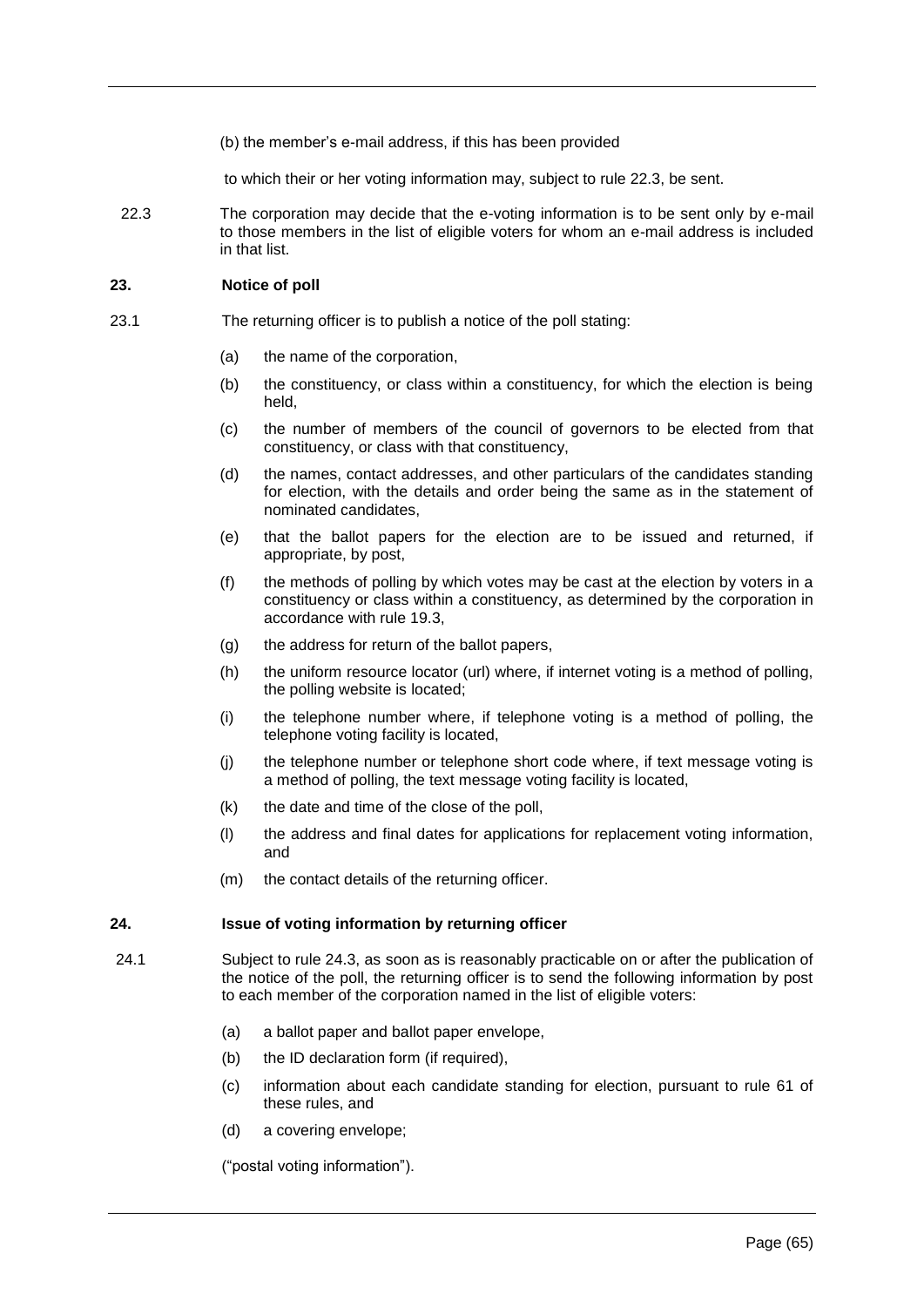(b) the member's e-mail address, if this has been provided

to which their or her voting information may, subject to rule 22.3, be sent.

22.3 The corporation may decide that the e-voting information is to be sent only by e-mail to those members in the list of eligible voters for whom an e-mail address is included in that list.

### **23. Notice of poll**

- 23.1 The returning officer is to publish a notice of the poll stating:
	- (a) the name of the corporation,
	- (b) the constituency, or class within a constituency, for which the election is being held,
	- (c) the number of members of the council of governors to be elected from that constituency, or class with that constituency,
	- (d) the names, contact addresses, and other particulars of the candidates standing for election, with the details and order being the same as in the statement of nominated candidates,
	- (e) that the ballot papers for the election are to be issued and returned, if appropriate, by post,
	- (f) the methods of polling by which votes may be cast at the election by voters in a constituency or class within a constituency, as determined by the corporation in accordance with rule 19.3,
	- (g) the address for return of the ballot papers,
	- (h) the uniform resource locator (url) where, if internet voting is a method of polling, the polling website is located;
	- (i) the telephone number where, if telephone voting is a method of polling, the telephone voting facility is located,
	- (j) the telephone number or telephone short code where, if text message voting is a method of polling, the text message voting facility is located,
	- (k) the date and time of the close of the poll,
	- (l) the address and final dates for applications for replacement voting information, and
	- (m) the contact details of the returning officer.

### **24. Issue of voting information by returning officer**

- 24.1 Subject to rule 24.3, as soon as is reasonably practicable on or after the publication of the notice of the poll, the returning officer is to send the following information by post to each member of the corporation named in the list of eligible voters:
	- (a) a ballot paper and ballot paper envelope,
	- (b) the ID declaration form (if required),
	- (c) information about each candidate standing for election, pursuant to rule 61 of these rules, and
	- (d) a covering envelope;

("postal voting information").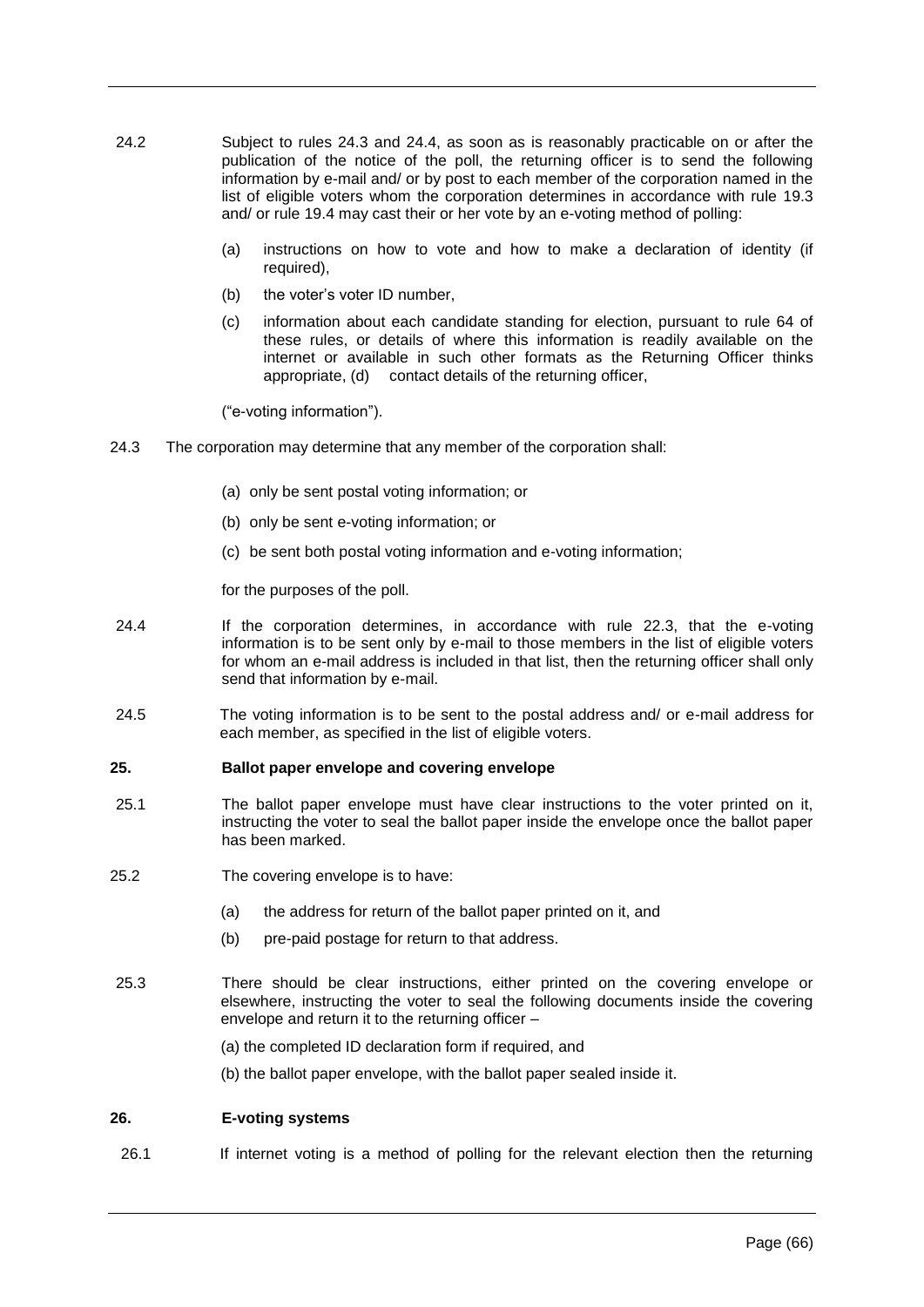- 24.2 Subject to rules 24.3 and 24.4, as soon as is reasonably practicable on or after the publication of the notice of the poll, the returning officer is to send the following information by e-mail and/ or by post to each member of the corporation named in the list of eligible voters whom the corporation determines in accordance with rule 19.3 and/ or rule 19.4 may cast their or her vote by an e-voting method of polling:
	- (a) instructions on how to vote and how to make a declaration of identity (if required),
	- (b) the voter's voter ID number,
	- (c) information about each candidate standing for election, pursuant to rule 64 of these rules, or details of where this information is readily available on the internet or available in such other formats as the Returning Officer thinks appropriate, (d) contact details of the returning officer,

("e-voting information").

- 24.3 The corporation may determine that any member of the corporation shall:
	- (a) only be sent postal voting information; or
	- (b) only be sent e-voting information; or
	- (c) be sent both postal voting information and e-voting information;

for the purposes of the poll.

- 24.4 If the corporation determines, in accordance with rule 22.3, that the e-voting information is to be sent only by e-mail to those members in the list of eligible voters for whom an e-mail address is included in that list, then the returning officer shall only send that information by e-mail.
- 24.5 The voting information is to be sent to the postal address and/ or e-mail address for each member, as specified in the list of eligible voters.

### **25. Ballot paper envelope and covering envelope**

- 25.1 The ballot paper envelope must have clear instructions to the voter printed on it, instructing the voter to seal the ballot paper inside the envelope once the ballot paper has been marked.
- 25.2 The covering envelope is to have:
	- (a) the address for return of the ballot paper printed on it, and
	- (b) pre-paid postage for return to that address.
- 25.3 There should be clear instructions, either printed on the covering envelope or elsewhere, instructing the voter to seal the following documents inside the covering envelope and return it to the returning officer –
	- (a) the completed ID declaration form if required, and
	- (b) the ballot paper envelope, with the ballot paper sealed inside it.

### **26. E-voting systems**

26.1 If internet voting is a method of polling for the relevant election then the returning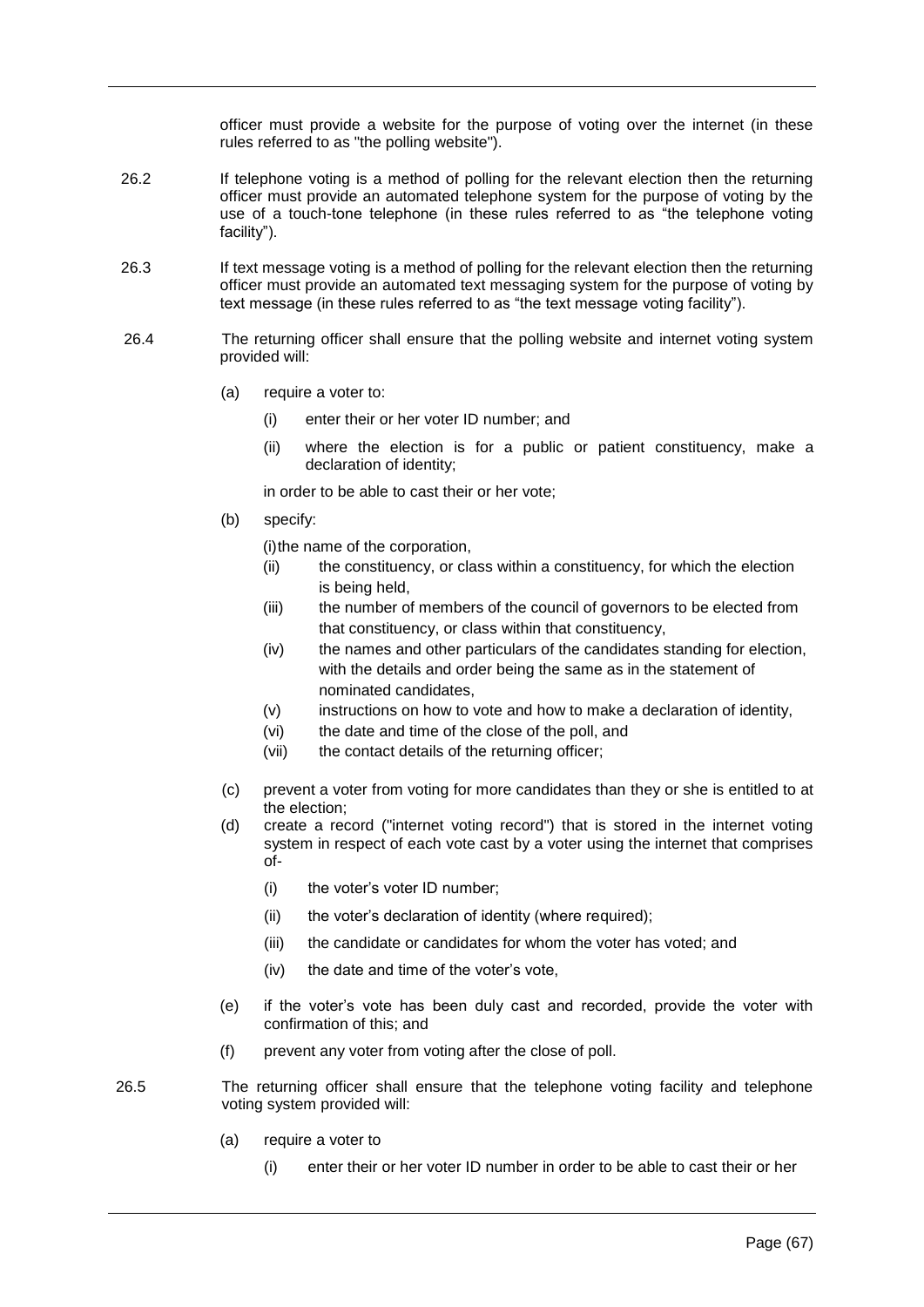officer must provide a website for the purpose of voting over the internet (in these rules referred to as "the polling website").

- 26.2 If telephone voting is a method of polling for the relevant election then the returning officer must provide an automated telephone system for the purpose of voting by the use of a touch-tone telephone (in these rules referred to as "the telephone voting facility").
- 26.3 If text message voting is a method of polling for the relevant election then the returning officer must provide an automated text messaging system for the purpose of voting by text message (in these rules referred to as "the text message voting facility").
- 26.4 The returning officer shall ensure that the polling website and internet voting system provided will:
	- (a) require a voter to:
		- (i) enter their or her voter ID number; and
		- (ii) where the election is for a public or patient constituency, make a declaration of identity;

in order to be able to cast their or her vote;

(b) specify:

(i)the name of the corporation,

- (ii) the constituency, or class within a constituency, for which the election is being held,
- (iii) the number of members of the council of governors to be elected from that constituency, or class within that constituency,
- (iv) the names and other particulars of the candidates standing for election, with the details and order being the same as in the statement of nominated candidates,
- (v) instructions on how to vote and how to make a declaration of identity,
- (vi) the date and time of the close of the poll, and
- (vii) the contact details of the returning officer;
- (c) prevent a voter from voting for more candidates than they or she is entitled to at the election;
- (d) create a record ("internet voting record") that is stored in the internet voting system in respect of each vote cast by a voter using the internet that comprises of-
	- (i) the voter's voter ID number;
	- (ii) the voter's declaration of identity (where required);
	- (iii) the candidate or candidates for whom the voter has voted; and
	- (iv) the date and time of the voter's vote,
- (e) if the voter's vote has been duly cast and recorded, provide the voter with confirmation of this; and
- (f) prevent any voter from voting after the close of poll.
- 26.5 The returning officer shall ensure that the telephone voting facility and telephone voting system provided will:
	- (a) require a voter to
		- (i) enter their or her voter ID number in order to be able to cast their or her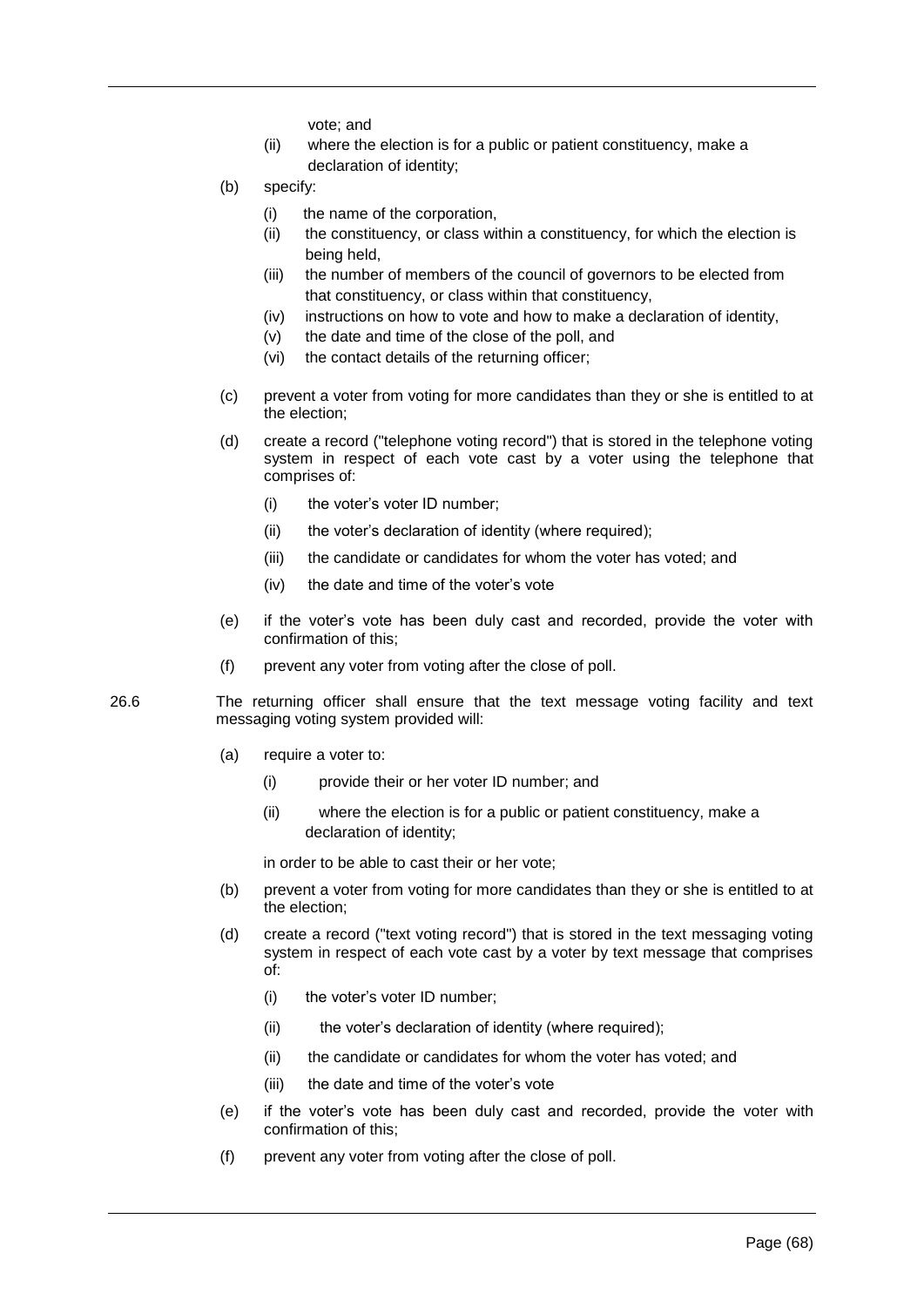vote; and

- (ii) where the election is for a public or patient constituency, make a declaration of identity;
- (b) specify:
	- (i) the name of the corporation,
	- (ii) the constituency, or class within a constituency, for which the election is being held,
	- (iii) the number of members of the council of governors to be elected from that constituency, or class within that constituency,
	- (iv) instructions on how to vote and how to make a declaration of identity,
	- (v) the date and time of the close of the poll, and
	- (vi) the contact details of the returning officer;
- (c) prevent a voter from voting for more candidates than they or she is entitled to at the election;
- (d) create a record ("telephone voting record") that is stored in the telephone voting system in respect of each vote cast by a voter using the telephone that comprises of:
	- (i) the voter's voter ID number;
	- (ii) the voter's declaration of identity (where required);
	- (iii) the candidate or candidates for whom the voter has voted; and
	- (iv) the date and time of the voter's vote
- (e) if the voter's vote has been duly cast and recorded, provide the voter with confirmation of this;
- (f) prevent any voter from voting after the close of poll.
- 26.6 The returning officer shall ensure that the text message voting facility and text messaging voting system provided will:
	- (a) require a voter to:
		- (i) provide their or her voter ID number; and
		- (ii) where the election is for a public or patient constituency, make a declaration of identity;

in order to be able to cast their or her vote;

- (b) prevent a voter from voting for more candidates than they or she is entitled to at the election;
- (d) create a record ("text voting record") that is stored in the text messaging voting system in respect of each vote cast by a voter by text message that comprises of:
	- (i) the voter's voter ID number;
	- (ii) the voter's declaration of identity (where required);
	- (ii) the candidate or candidates for whom the voter has voted; and
	- (iii) the date and time of the voter's vote
- (e) if the voter's vote has been duly cast and recorded, provide the voter with confirmation of this;
- (f) prevent any voter from voting after the close of poll.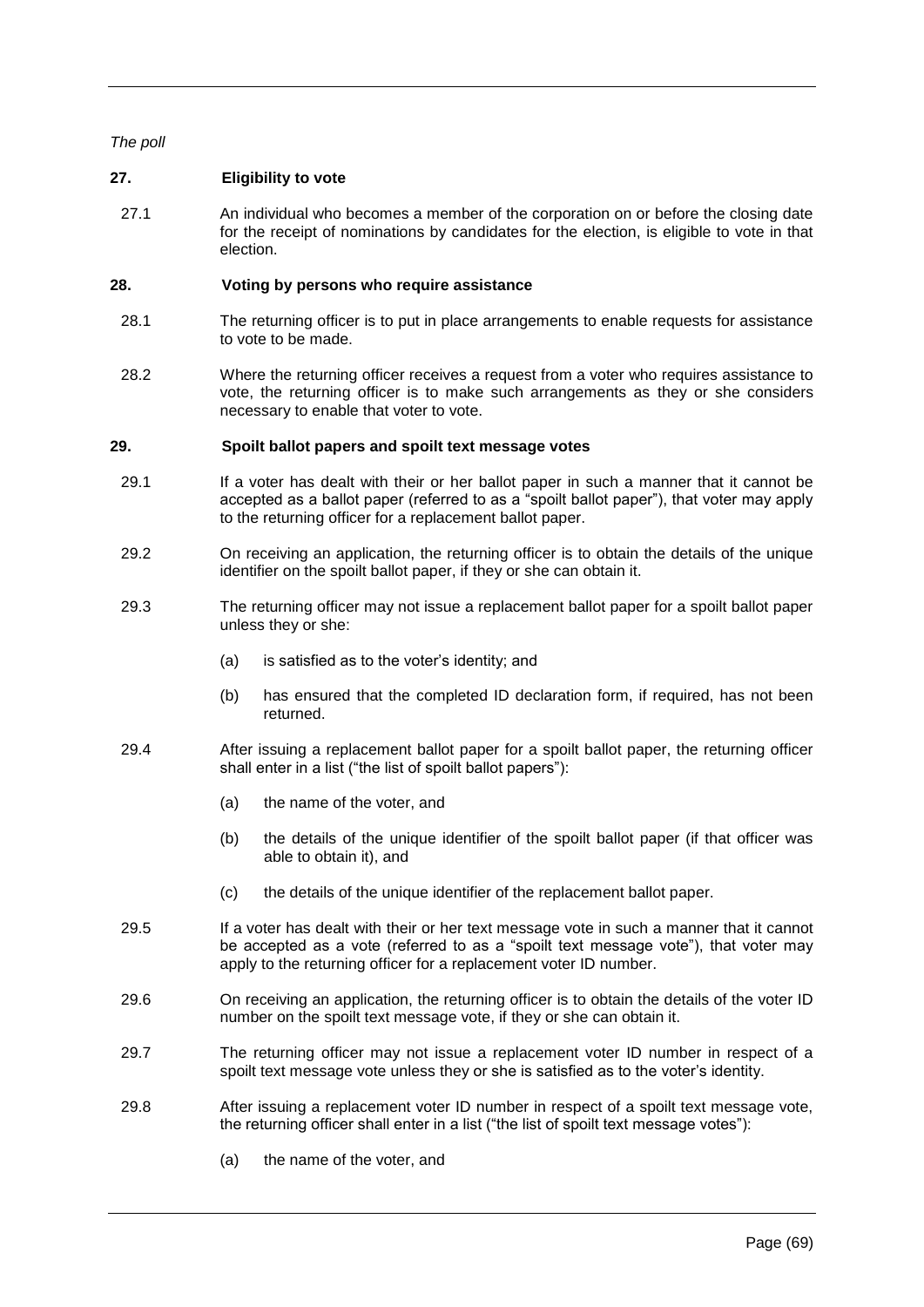# *The poll*

# **27. Eligibility to vote**

27.1 An individual who becomes a member of the corporation on or before the closing date for the receipt of nominations by candidates for the election, is eligible to vote in that election.

### **28. Voting by persons who require assistance**

- 28.1 The returning officer is to put in place arrangements to enable requests for assistance to vote to be made.
- 28.2 Where the returning officer receives a request from a voter who requires assistance to vote, the returning officer is to make such arrangements as they or she considers necessary to enable that voter to vote.

#### **29. Spoilt ballot papers and spoilt text message votes**

- 29.1 If a voter has dealt with their or her ballot paper in such a manner that it cannot be accepted as a ballot paper (referred to as a "spoilt ballot paper"), that voter may apply to the returning officer for a replacement ballot paper.
- 29.2 On receiving an application, the returning officer is to obtain the details of the unique identifier on the spoilt ballot paper, if they or she can obtain it.
- 29.3 The returning officer may not issue a replacement ballot paper for a spoilt ballot paper unless they or she:
	- (a) is satisfied as to the voter's identity; and
	- (b) has ensured that the completed ID declaration form, if required, has not been returned.
- 29.4 After issuing a replacement ballot paper for a spoilt ballot paper, the returning officer shall enter in a list ("the list of spoilt ballot papers"):
	- (a) the name of the voter, and
	- (b) the details of the unique identifier of the spoilt ballot paper (if that officer was able to obtain it), and
	- (c) the details of the unique identifier of the replacement ballot paper.
- 29.5 If a voter has dealt with their or her text message vote in such a manner that it cannot be accepted as a vote (referred to as a "spoilt text message vote"), that voter may apply to the returning officer for a replacement voter ID number.
- 29.6 On receiving an application, the returning officer is to obtain the details of the voter ID number on the spoilt text message vote, if they or she can obtain it.
- 29.7 The returning officer may not issue a replacement voter ID number in respect of a spoilt text message vote unless they or she is satisfied as to the voter's identity.
- 29.8 After issuing a replacement voter ID number in respect of a spoilt text message vote, the returning officer shall enter in a list ("the list of spoilt text message votes"):
	- (a) the name of the voter, and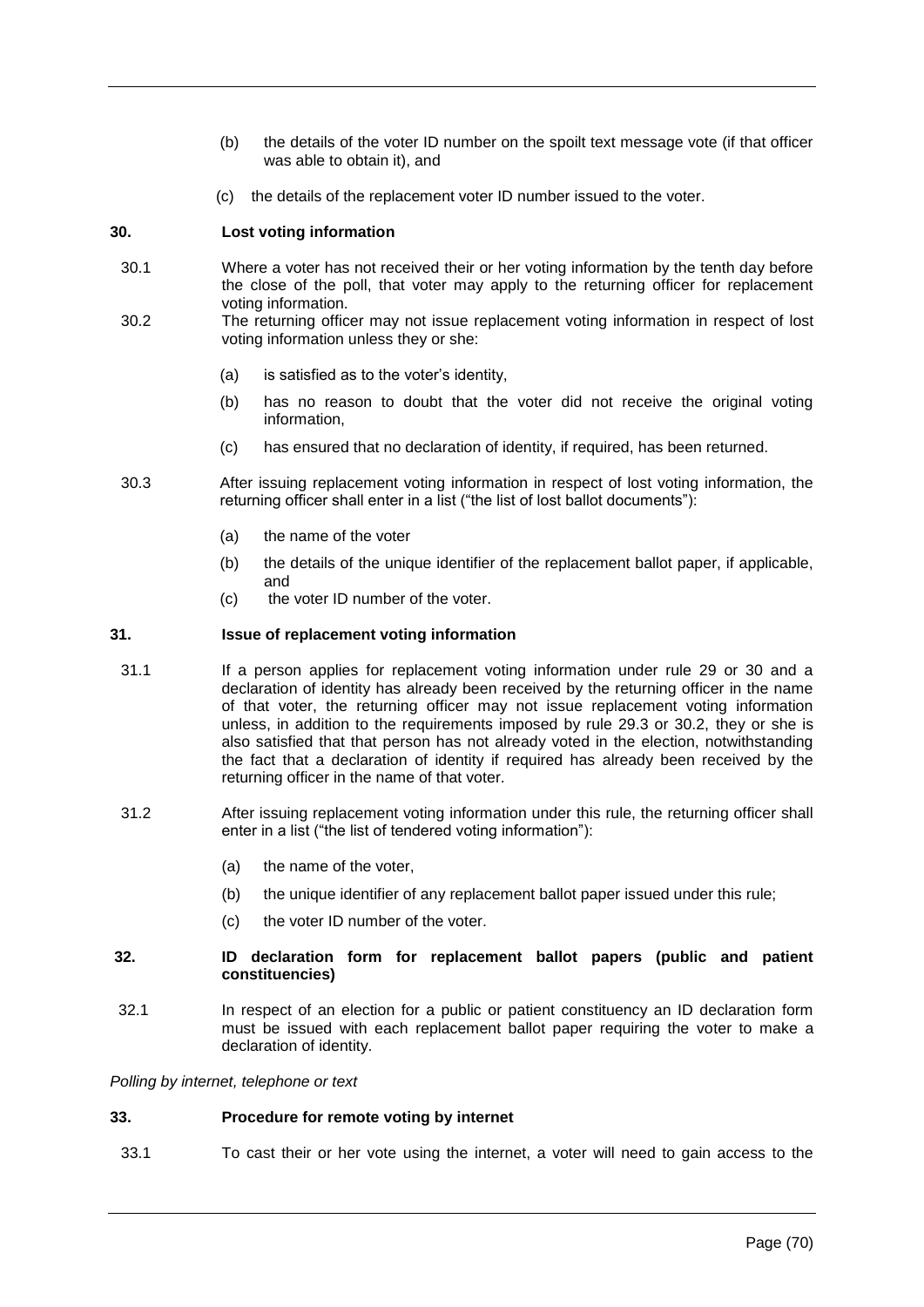- (b) the details of the voter ID number on the spoilt text message vote (if that officer was able to obtain it), and
- (c) the details of the replacement voter ID number issued to the voter.

# **30. Lost voting information**

- 30.1 Where a voter has not received their or her voting information by the tenth day before the close of the poll, that voter may apply to the returning officer for replacement voting information.
- 30.2 The returning officer may not issue replacement voting information in respect of lost voting information unless they or she:
	- (a) is satisfied as to the voter's identity,
	- (b) has no reason to doubt that the voter did not receive the original voting information,
	- (c) has ensured that no declaration of identity, if required, has been returned.
- 30.3 After issuing replacement voting information in respect of lost voting information, the returning officer shall enter in a list ("the list of lost ballot documents"):
	- (a) the name of the voter
	- (b) the details of the unique identifier of the replacement ballot paper, if applicable, and
	- (c) the voter ID number of the voter.

# **31. Issue of replacement voting information**

- 31.1 If a person applies for replacement voting information under rule 29 or 30 and a declaration of identity has already been received by the returning officer in the name of that voter, the returning officer may not issue replacement voting information unless, in addition to the requirements imposed by rule 29.3 or 30.2, they or she is also satisfied that that person has not already voted in the election, notwithstanding the fact that a declaration of identity if required has already been received by the returning officer in the name of that voter.
- 31.2 After issuing replacement voting information under this rule, the returning officer shall enter in a list ("the list of tendered voting information"):
	- (a) the name of the voter,
	- (b) the unique identifier of any replacement ballot paper issued under this rule;
	- (c) the voter ID number of the voter.

### **32. ID declaration form for replacement ballot papers (public and patient constituencies)**

32.1 In respect of an election for a public or patient constituency an ID declaration form must be issued with each replacement ballot paper requiring the voter to make a declaration of identity.

### *Polling by internet, telephone or text*

# **33. Procedure for remote voting by internet**

33.1 To cast their or her vote using the internet, a voter will need to gain access to the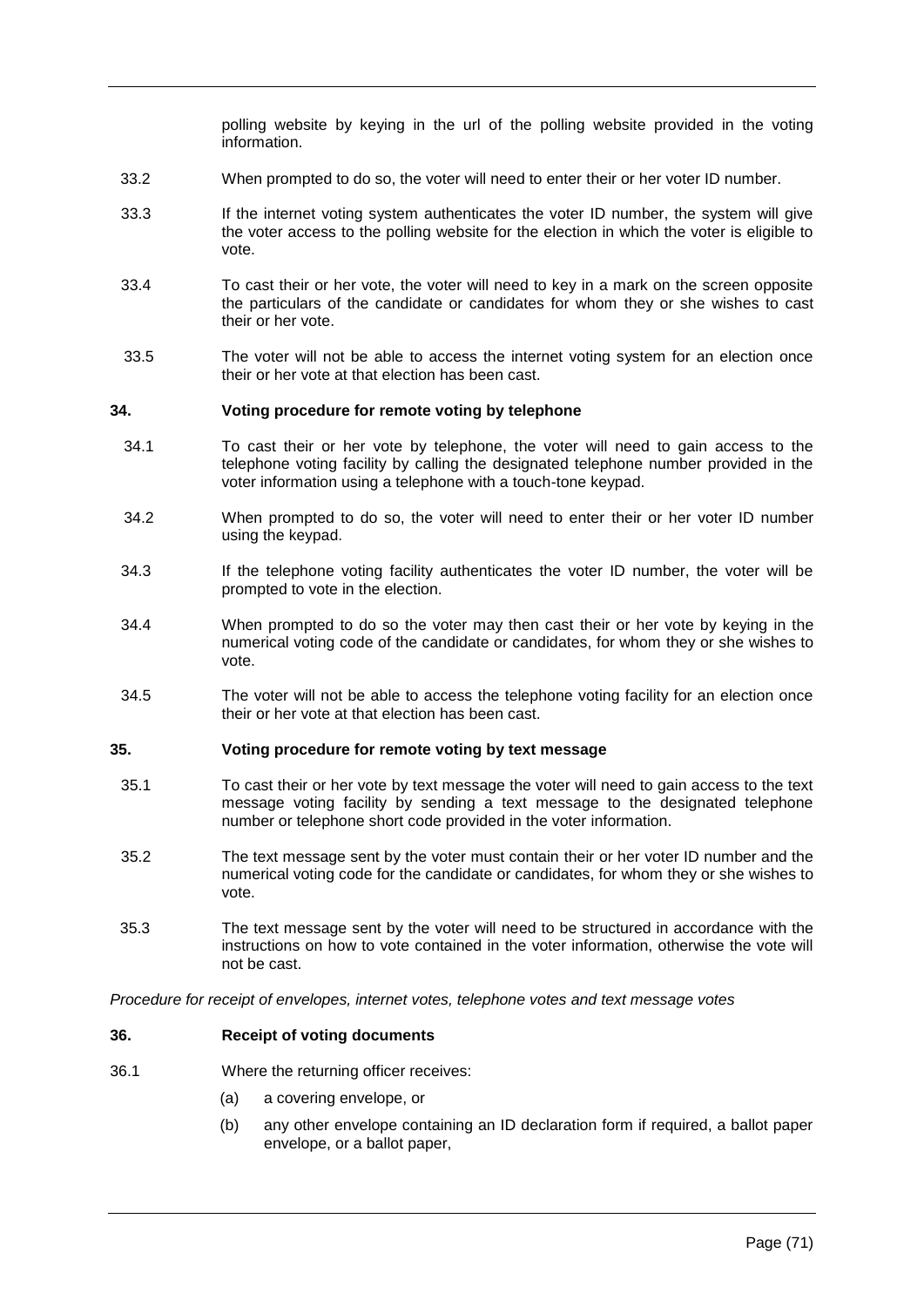polling website by keying in the url of the polling website provided in the voting information.

- 33.2 When prompted to do so, the voter will need to enter their or her voter ID number.
- 33.3 If the internet voting system authenticates the voter ID number, the system will give the voter access to the polling website for the election in which the voter is eligible to vote.
- 33.4 To cast their or her vote, the voter will need to key in a mark on the screen opposite the particulars of the candidate or candidates for whom they or she wishes to cast their or her vote.
- 33.5 The voter will not be able to access the internet voting system for an election once their or her vote at that election has been cast.

#### **34. Voting procedure for remote voting by telephone**

- 34.1 To cast their or her vote by telephone, the voter will need to gain access to the telephone voting facility by calling the designated telephone number provided in the voter information using a telephone with a touch-tone keypad.
- 34.2 When prompted to do so, the voter will need to enter their or her voter ID number using the keypad.
- 34.3 If the telephone voting facility authenticates the voter ID number, the voter will be prompted to vote in the election.
- 34.4 When prompted to do so the voter may then cast their or her vote by keying in the numerical voting code of the candidate or candidates, for whom they or she wishes to vote.
- 34.5 The voter will not be able to access the telephone voting facility for an election once their or her vote at that election has been cast.

#### **35. Voting procedure for remote voting by text message**

- 35.1 To cast their or her vote by text message the voter will need to gain access to the text message voting facility by sending a text message to the designated telephone number or telephone short code provided in the voter information.
- 35.2 The text message sent by the voter must contain their or her voter ID number and the numerical voting code for the candidate or candidates, for whom they or she wishes to vote.
- 35.3 The text message sent by the voter will need to be structured in accordance with the instructions on how to vote contained in the voter information, otherwise the vote will not be cast.

*Procedure for receipt of envelopes, internet votes, telephone votes and text message votes*

### **36. Receipt of voting documents**

- 36.1 Where the returning officer receives:
	- (a) a covering envelope, or
	- (b) any other envelope containing an ID declaration form if required, a ballot paper envelope, or a ballot paper,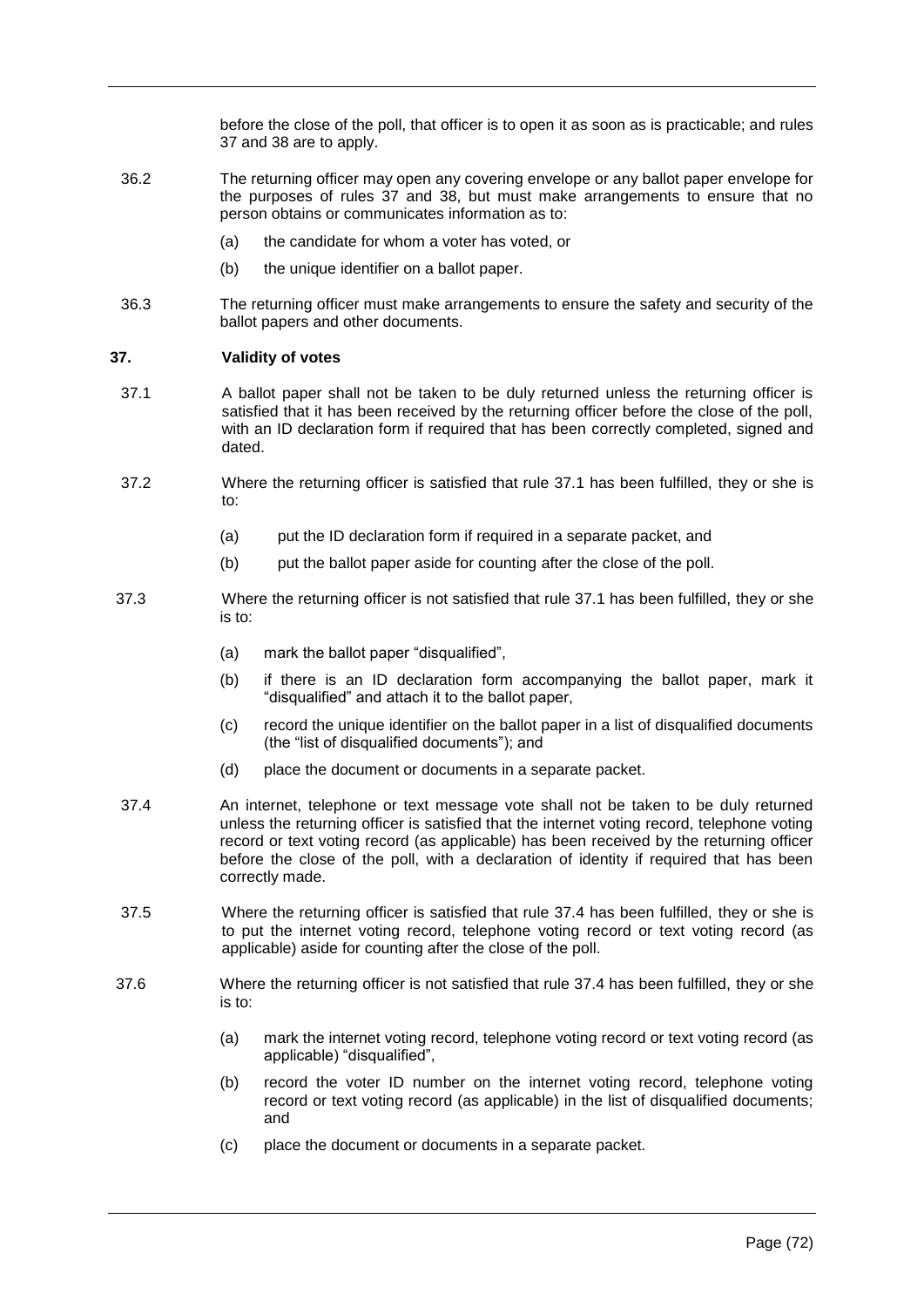before the close of the poll, that officer is to open it as soon as is practicable; and rules 37 and 38 are to apply.

- 36.2 The returning officer may open any covering envelope or any ballot paper envelope for the purposes of rules 37 and 38, but must make arrangements to ensure that no person obtains or communicates information as to:
	- (a) the candidate for whom a voter has voted, or
	- (b) the unique identifier on a ballot paper.
- 36.3 The returning officer must make arrangements to ensure the safety and security of the ballot papers and other documents.

# **37. Validity of votes**

- 37.1 A ballot paper shall not be taken to be duly returned unless the returning officer is satisfied that it has been received by the returning officer before the close of the poll, with an ID declaration form if required that has been correctly completed, signed and dated.
- 37.2 Where the returning officer is satisfied that rule 37.1 has been fulfilled, they or she is to:
	- (a) put the ID declaration form if required in a separate packet, and
	- (b) put the ballot paper aside for counting after the close of the poll.
- 37.3 Where the returning officer is not satisfied that rule 37.1 has been fulfilled, they or she is to:
	- (a) mark the ballot paper "disqualified",
	- (b) if there is an ID declaration form accompanying the ballot paper, mark it "disqualified" and attach it to the ballot paper,
	- (c) record the unique identifier on the ballot paper in a list of disqualified documents (the "list of disqualified documents"); and
	- (d) place the document or documents in a separate packet.
- 37.4 An internet, telephone or text message vote shall not be taken to be duly returned unless the returning officer is satisfied that the internet voting record, telephone voting record or text voting record (as applicable) has been received by the returning officer before the close of the poll, with a declaration of identity if required that has been correctly made.
- 37.5 Where the returning officer is satisfied that rule 37.4 has been fulfilled, they or she is to put the internet voting record, telephone voting record or text voting record (as applicable) aside for counting after the close of the poll.
- 37.6 Where the returning officer is not satisfied that rule 37.4 has been fulfilled, they or she is to:
	- (a) mark the internet voting record, telephone voting record or text voting record (as applicable) "disqualified",
	- (b) record the voter ID number on the internet voting record, telephone voting record or text voting record (as applicable) in the list of disqualified documents; and
	- (c) place the document or documents in a separate packet.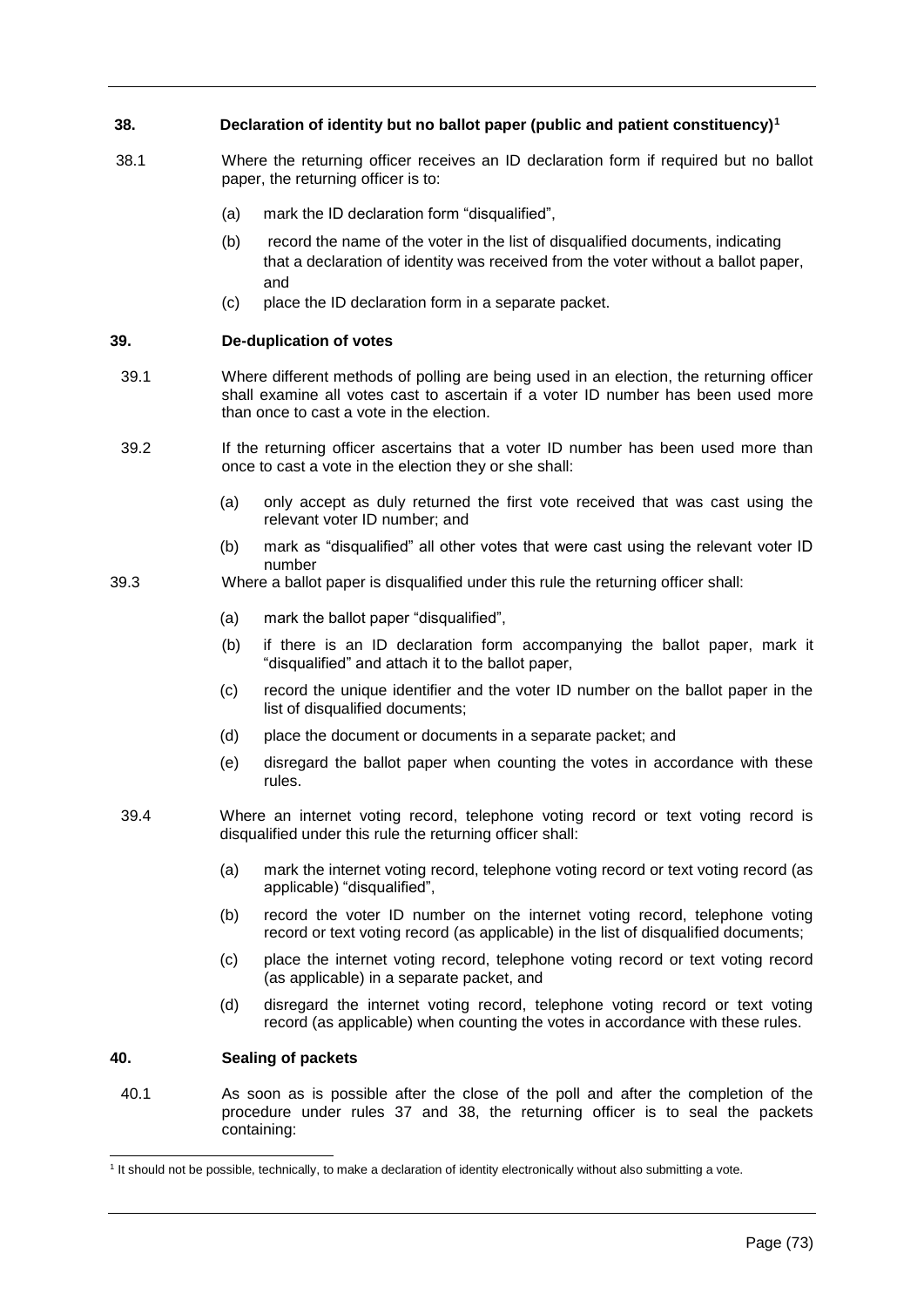# **38. Declaration of identity but no ballot paper (public and patient constituency)<sup>1</sup>**

- 38.1 Where the returning officer receives an ID declaration form if required but no ballot paper, the returning officer is to:
	- (a) mark the ID declaration form "disqualified",
	- (b) record the name of the voter in the list of disqualified documents, indicating that a declaration of identity was received from the voter without a ballot paper, and
	- (c) place the ID declaration form in a separate packet.

# **39. De-duplication of votes**

- 39.1 Where different methods of polling are being used in an election, the returning officer shall examine all votes cast to ascertain if a voter ID number has been used more than once to cast a vote in the election.
- 39.2 If the returning officer ascertains that a voter ID number has been used more than once to cast a vote in the election they or she shall:
	- (a) only accept as duly returned the first vote received that was cast using the relevant voter ID number; and
	- (b) mark as "disqualified" all other votes that were cast using the relevant voter ID number
- 39.3 Where a ballot paper is disqualified under this rule the returning officer shall:
	- (a) mark the ballot paper "disqualified",
	- (b) if there is an ID declaration form accompanying the ballot paper, mark it "disqualified" and attach it to the ballot paper,
	- (c) record the unique identifier and the voter ID number on the ballot paper in the list of disqualified documents;
	- (d) place the document or documents in a separate packet; and
	- (e) disregard the ballot paper when counting the votes in accordance with these rules.
	- 39.4 Where an internet voting record, telephone voting record or text voting record is disqualified under this rule the returning officer shall:
		- (a) mark the internet voting record, telephone voting record or text voting record (as applicable) "disqualified",
		- (b) record the voter ID number on the internet voting record, telephone voting record or text voting record (as applicable) in the list of disqualified documents;
		- (c) place the internet voting record, telephone voting record or text voting record (as applicable) in a separate packet, and
		- (d) disregard the internet voting record, telephone voting record or text voting record (as applicable) when counting the votes in accordance with these rules.

### **40. Sealing of packets**

l

40.1 As soon as is possible after the close of the poll and after the completion of the procedure under rules 37 and 38, the returning officer is to seal the packets containing:

<sup>&</sup>lt;sup>1</sup> It should not be possible, technically, to make a declaration of identity electronically without also submitting a vote.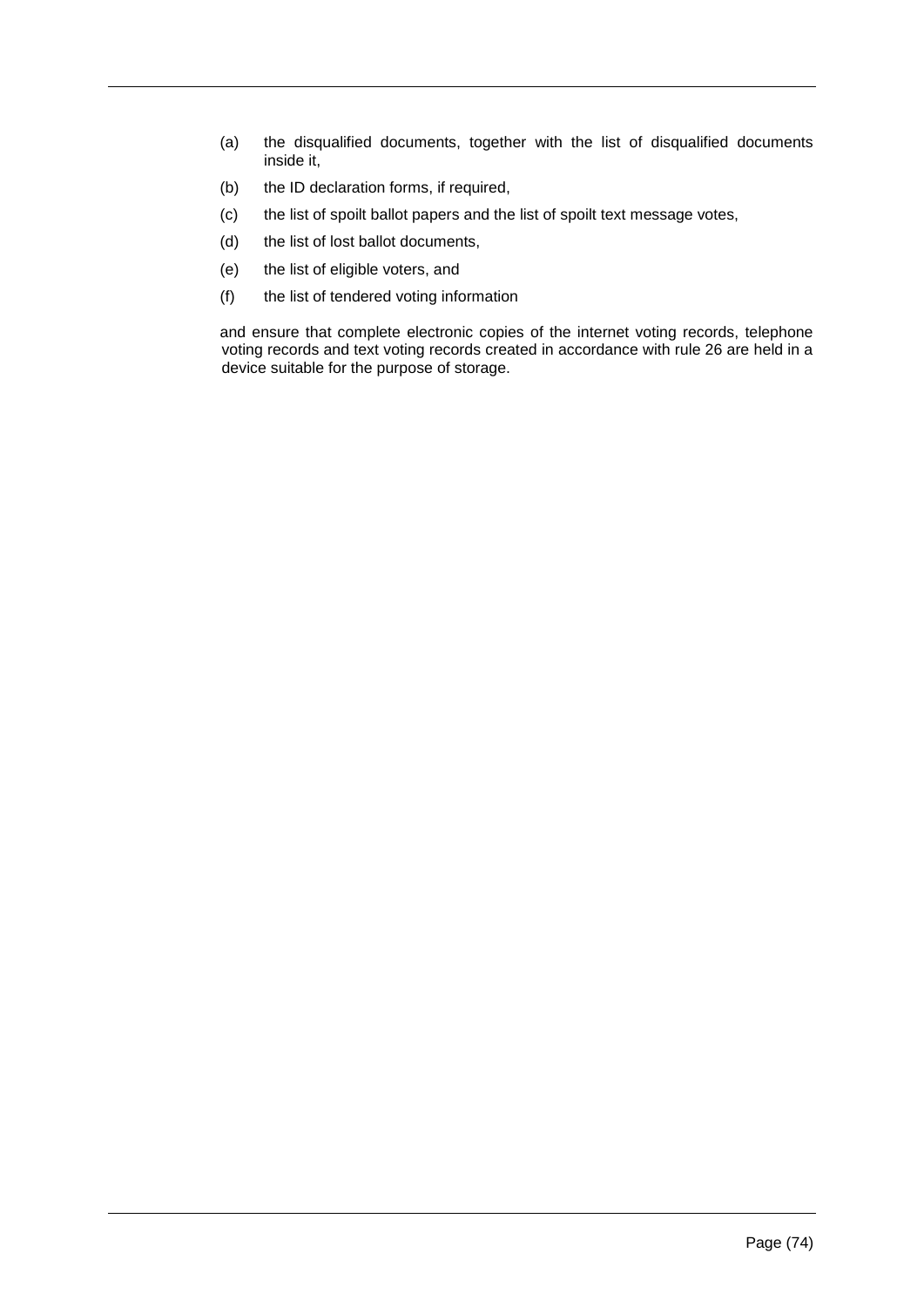- (a) the disqualified documents, together with the list of disqualified documents inside it,
- (b) the ID declaration forms, if required,
- (c) the list of spoilt ballot papers and the list of spoilt text message votes,
- (d) the list of lost ballot documents,
- (e) the list of eligible voters, and
- (f) the list of tendered voting information

and ensure that complete electronic copies of the internet voting records, telephone voting records and text voting records created in accordance with rule 26 are held in a device suitable for the purpose of storage.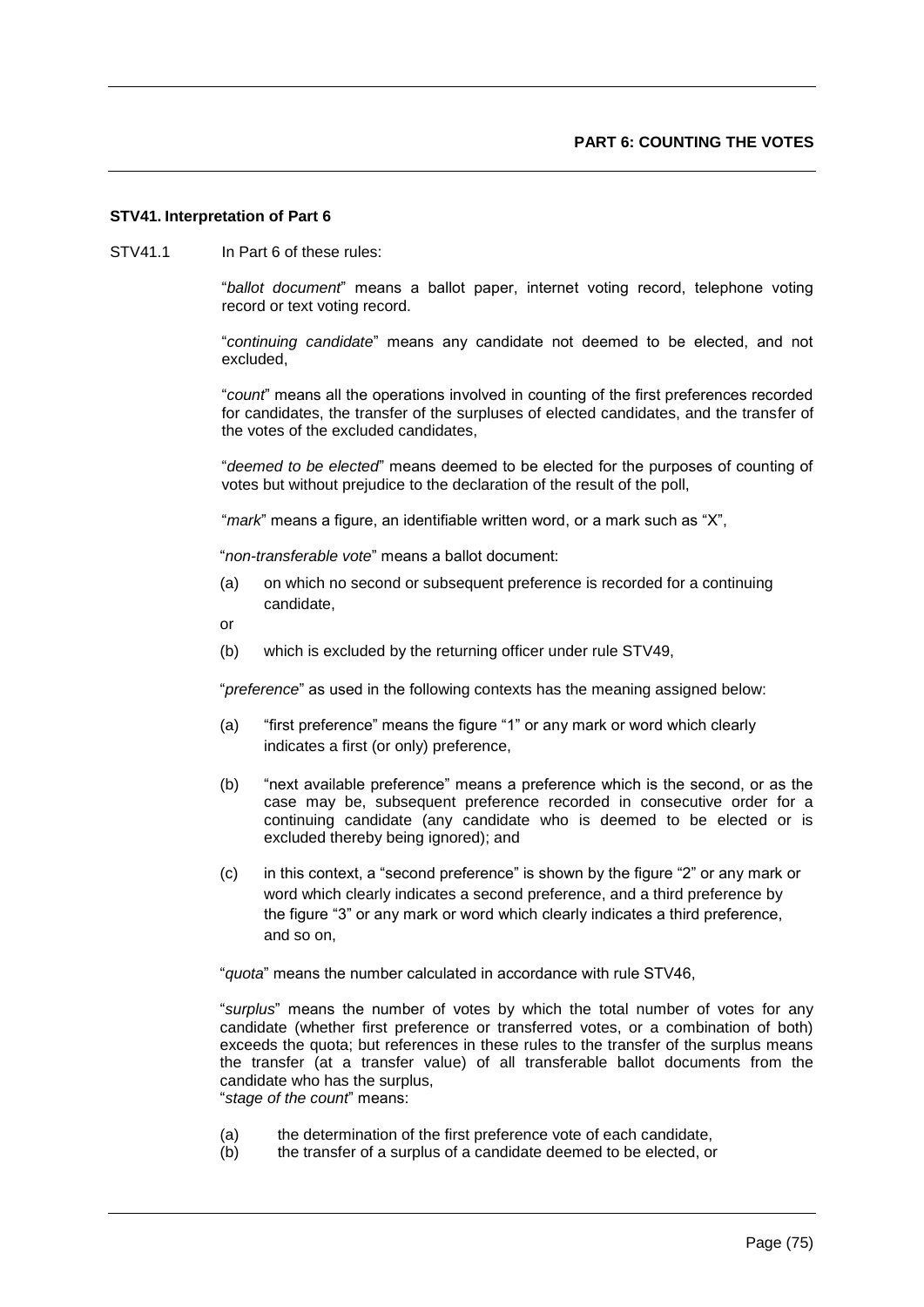### **STV41. Interpretation of Part 6**

STV41.1 In Part 6 of these rules:

"*ballot document*" means a ballot paper, internet voting record, telephone voting record or text voting record.

"*continuing candidate*" means any candidate not deemed to be elected, and not excluded,

"*count*" means all the operations involved in counting of the first preferences recorded for candidates, the transfer of the surpluses of elected candidates, and the transfer of the votes of the excluded candidates,

"*deemed to be elected*" means deemed to be elected for the purposes of counting of votes but without prejudice to the declaration of the result of the poll,

"*mark*" means a figure, an identifiable written word, or a mark such as "X",

"*non-transferable vote*" means a ballot document:

- (a) on which no second or subsequent preference is recorded for a continuing candidate,
- or
- (b) which is excluded by the returning officer under rule STV49,

"*preference*" as used in the following contexts has the meaning assigned below:

- (a) "first preference" means the figure "1" or any mark or word which clearly indicates a first (or only) preference,
- (b) "next available preference" means a preference which is the second, or as the case may be, subsequent preference recorded in consecutive order for a continuing candidate (any candidate who is deemed to be elected or is excluded thereby being ignored); and
- (c) in this context, a "second preference" is shown by the figure "2" or any mark or word which clearly indicates a second preference, and a third preference by the figure "3" or any mark or word which clearly indicates a third preference, and so on,

"*quota*" means the number calculated in accordance with rule STV46,

"*surplus*" means the number of votes by which the total number of votes for any candidate (whether first preference or transferred votes, or a combination of both) exceeds the quota; but references in these rules to the transfer of the surplus means the transfer (at a transfer value) of all transferable ballot documents from the candidate who has the surplus, "*stage of the count*" means:

- (a) the determination of the first preference vote of each candidate,
- (b) the transfer of a surplus of a candidate deemed to be elected, or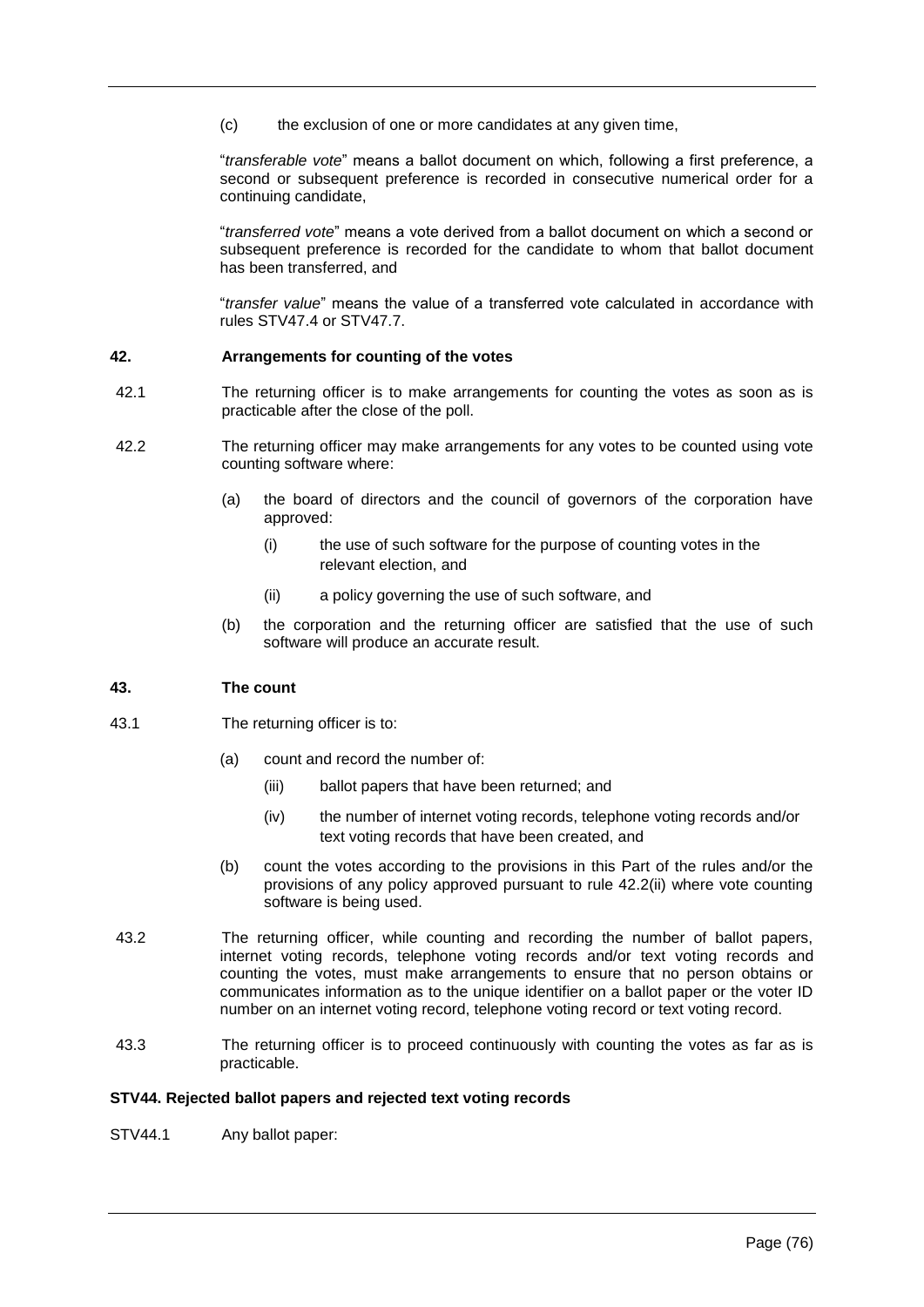(c) the exclusion of one or more candidates at any given time,

"*transferable vote*" means a ballot document on which, following a first preference, a second or subsequent preference is recorded in consecutive numerical order for a continuing candidate,

"*transferred vote*" means a vote derived from a ballot document on which a second or subsequent preference is recorded for the candidate to whom that ballot document has been transferred, and

"*transfer value*" means the value of a transferred vote calculated in accordance with rules STV47.4 or STV47.7.

# **42. Arrangements for counting of the votes**

- 42.1 The returning officer is to make arrangements for counting the votes as soon as is practicable after the close of the poll.
- 42.2 The returning officer may make arrangements for any votes to be counted using vote counting software where:
	- (a) the board of directors and the council of governors of the corporation have approved:
		- (i) the use of such software for the purpose of counting votes in the relevant election, and
		- (ii) a policy governing the use of such software, and
	- (b) the corporation and the returning officer are satisfied that the use of such software will produce an accurate result.

### **43. The count**

- 43.1 The returning officer is to:
	- (a) count and record the number of:
		- (iii) ballot papers that have been returned; and
		- (iv) the number of internet voting records, telephone voting records and/or text voting records that have been created, and
	- (b) count the votes according to the provisions in this Part of the rules and/or the provisions of any policy approved pursuant to rule 42.2(ii) where vote counting software is being used.
- 43.2 The returning officer, while counting and recording the number of ballot papers, internet voting records, telephone voting records and/or text voting records and counting the votes, must make arrangements to ensure that no person obtains or communicates information as to the unique identifier on a ballot paper or the voter ID number on an internet voting record, telephone voting record or text voting record.
- 43.3 The returning officer is to proceed continuously with counting the votes as far as is practicable.

### **STV44. Rejected ballot papers and rejected text voting records**

STV44.1 Any ballot paper: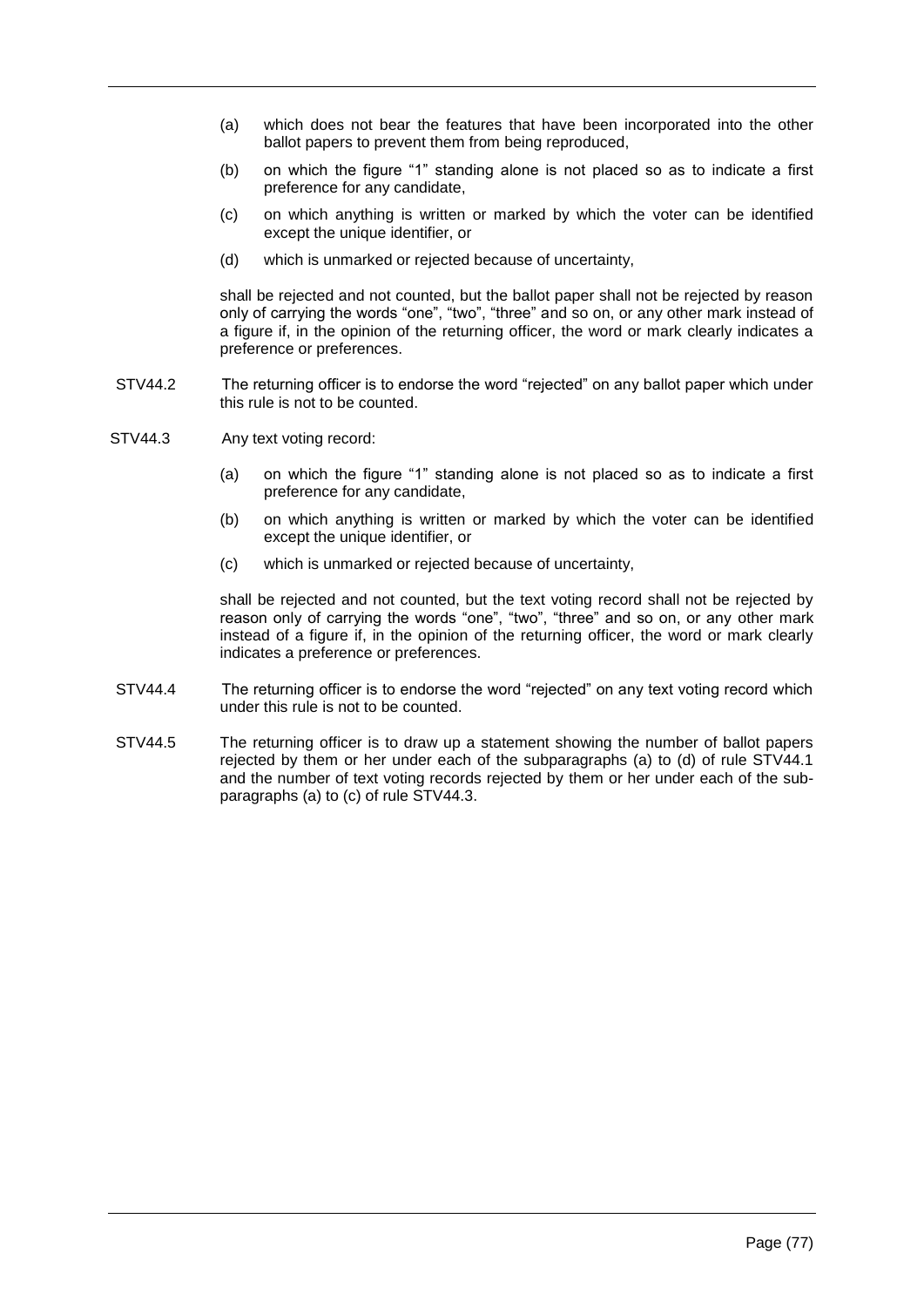- (a) which does not bear the features that have been incorporated into the other ballot papers to prevent them from being reproduced,
- (b) on which the figure "1" standing alone is not placed so as to indicate a first preference for any candidate,
- (c) on which anything is written or marked by which the voter can be identified except the unique identifier, or
- (d) which is unmarked or rejected because of uncertainty,

shall be rejected and not counted, but the ballot paper shall not be rejected by reason only of carrying the words "one", "two", "three" and so on, or any other mark instead of a figure if, in the opinion of the returning officer, the word or mark clearly indicates a preference or preferences.

- STV44.2 The returning officer is to endorse the word "rejected" on any ballot paper which under this rule is not to be counted.
- STV44.3 Any text voting record:
	- (a) on which the figure "1" standing alone is not placed so as to indicate a first preference for any candidate,
	- (b) on which anything is written or marked by which the voter can be identified except the unique identifier, or
	- (c) which is unmarked or rejected because of uncertainty,

shall be rejected and not counted, but the text voting record shall not be rejected by reason only of carrying the words "one", "two", "three" and so on, or any other mark instead of a figure if, in the opinion of the returning officer, the word or mark clearly indicates a preference or preferences.

- STV44.4 The returning officer is to endorse the word "rejected" on any text voting record which under this rule is not to be counted.
- STV44.5 The returning officer is to draw up a statement showing the number of ballot papers rejected by them or her under each of the subparagraphs (a) to (d) of rule STV44.1 and the number of text voting records rejected by them or her under each of the subparagraphs (a) to (c) of rule STV44.3.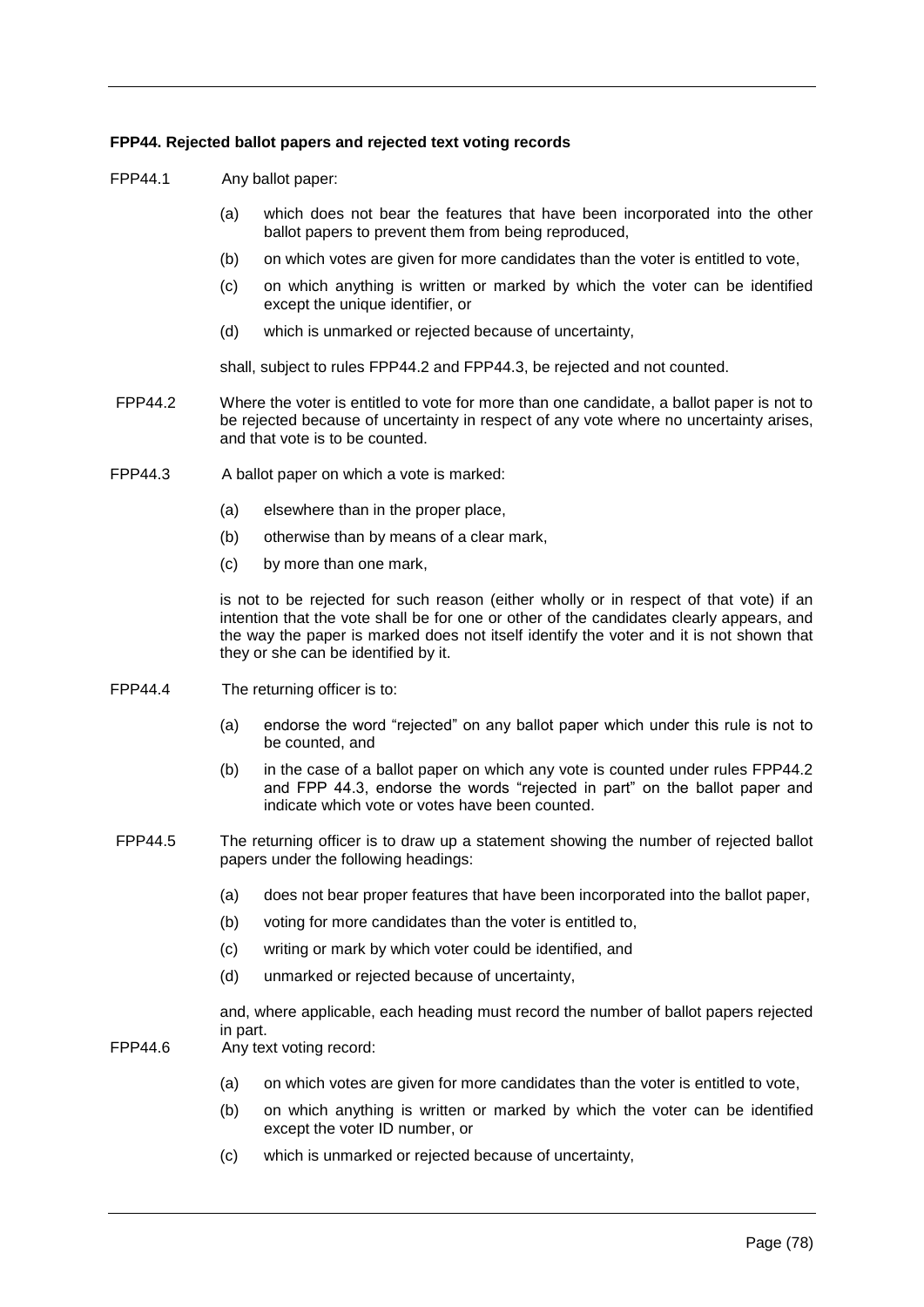# **FPP44. Rejected ballot papers and rejected text voting records**

FPP44.1 Any ballot paper:

- (a) which does not bear the features that have been incorporated into the other ballot papers to prevent them from being reproduced,
- (b) on which votes are given for more candidates than the voter is entitled to vote,
- (c) on which anything is written or marked by which the voter can be identified except the unique identifier, or
- (d) which is unmarked or rejected because of uncertainty,

shall, subject to rules FPP44.2 and FPP44.3, be rejected and not counted.

- FPP44.2 Where the voter is entitled to vote for more than one candidate, a ballot paper is not to be rejected because of uncertainty in respect of any vote where no uncertainty arises, and that vote is to be counted.
- FPP44.3 A ballot paper on which a vote is marked:
	- (a) elsewhere than in the proper place,
	- (b) otherwise than by means of a clear mark,
	- (c) by more than one mark,

is not to be rejected for such reason (either wholly or in respect of that vote) if an intention that the vote shall be for one or other of the candidates clearly appears, and the way the paper is marked does not itself identify the voter and it is not shown that they or she can be identified by it.

- FPP44.4 The returning officer is to:
	- (a) endorse the word "rejected" on any ballot paper which under this rule is not to be counted, and
	- (b) in the case of a ballot paper on which any vote is counted under rules FPP44.2 and FPP 44.3, endorse the words "rejected in part" on the ballot paper and indicate which vote or votes have been counted.
- FPP44.5 The returning officer is to draw up a statement showing the number of rejected ballot papers under the following headings:
	- (a) does not bear proper features that have been incorporated into the ballot paper,
	- (b) voting for more candidates than the voter is entitled to,
	- (c) writing or mark by which voter could be identified, and
	- (d) unmarked or rejected because of uncertainty,

and, where applicable, each heading must record the number of ballot papers rejected in part.

- FPP44.6 Any text voting record:
	- (a) on which votes are given for more candidates than the voter is entitled to vote,
	- (b) on which anything is written or marked by which the voter can be identified except the voter ID number, or
	- (c) which is unmarked or rejected because of uncertainty,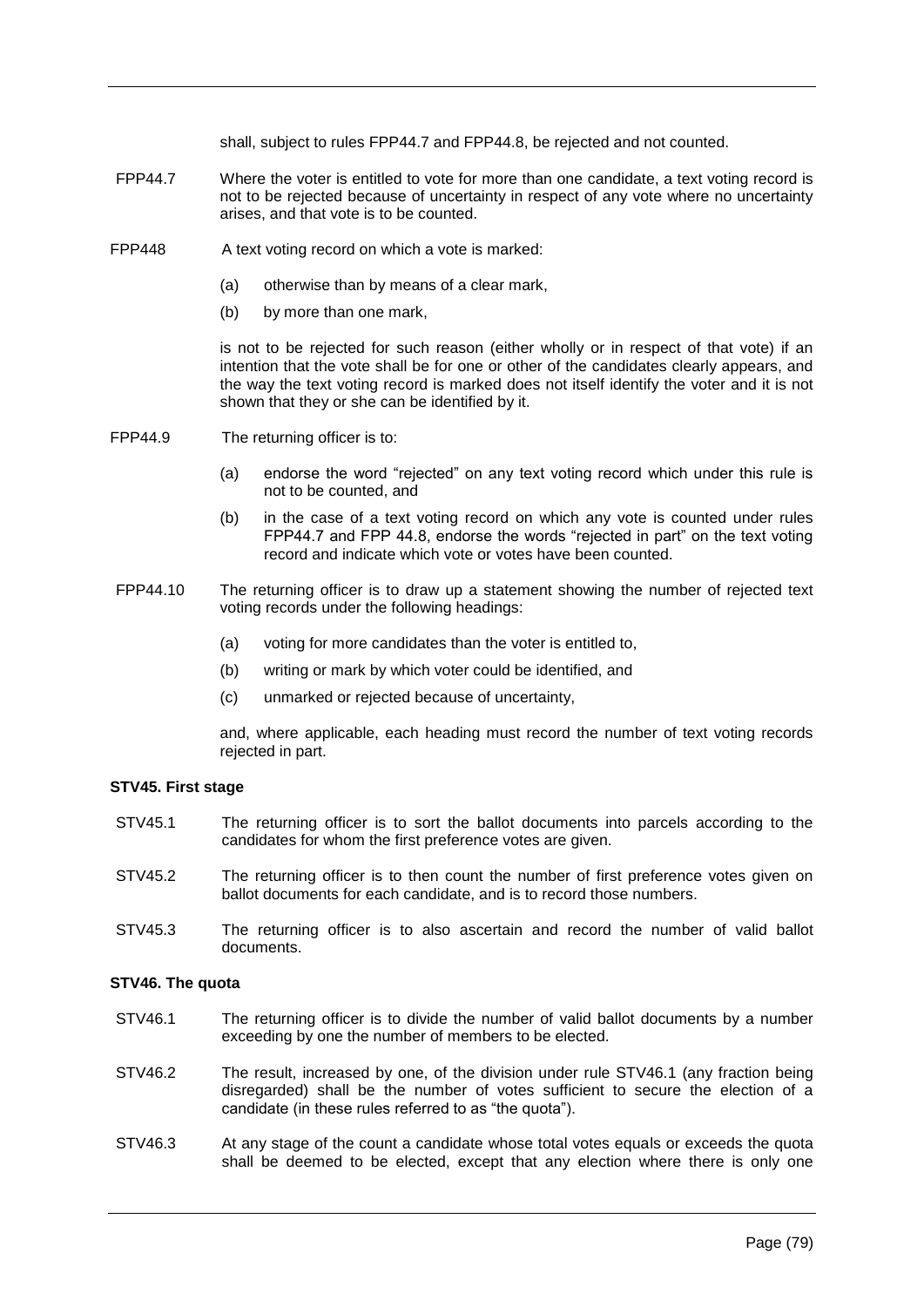shall, subject to rules FPP44.7 and FPP44.8, be rejected and not counted.

- FPP44.7 Where the voter is entitled to vote for more than one candidate, a text voting record is not to be rejected because of uncertainty in respect of any vote where no uncertainty arises, and that vote is to be counted.
- FPP448 A text voting record on which a vote is marked:
	- (a) otherwise than by means of a clear mark,
	- (b) by more than one mark,

is not to be rejected for such reason (either wholly or in respect of that vote) if an intention that the vote shall be for one or other of the candidates clearly appears, and the way the text voting record is marked does not itself identify the voter and it is not shown that they or she can be identified by it.

- FPP44.9 The returning officer is to:
	- (a) endorse the word "rejected" on any text voting record which under this rule is not to be counted, and
	- (b) in the case of a text voting record on which any vote is counted under rules FPP44.7 and FPP 44.8, endorse the words "rejected in part" on the text voting record and indicate which vote or votes have been counted.
- FPP44.10 The returning officer is to draw up a statement showing the number of rejected text voting records under the following headings:
	- (a) voting for more candidates than the voter is entitled to,
	- (b) writing or mark by which voter could be identified, and
	- (c) unmarked or rejected because of uncertainty,

and, where applicable, each heading must record the number of text voting records rejected in part.

### **STV45. First stage**

- STV45.1 The returning officer is to sort the ballot documents into parcels according to the candidates for whom the first preference votes are given.
- STV45.2 The returning officer is to then count the number of first preference votes given on ballot documents for each candidate, and is to record those numbers.
- STV45.3 The returning officer is to also ascertain and record the number of valid ballot documents.

#### **STV46. The quota**

- STV46.1 The returning officer is to divide the number of valid ballot documents by a number exceeding by one the number of members to be elected.
- STV46.2 The result, increased by one, of the division under rule STV46.1 (any fraction being disregarded) shall be the number of votes sufficient to secure the election of a candidate (in these rules referred to as "the quota").
- STV46.3 At any stage of the count a candidate whose total votes equals or exceeds the quota shall be deemed to be elected, except that any election where there is only one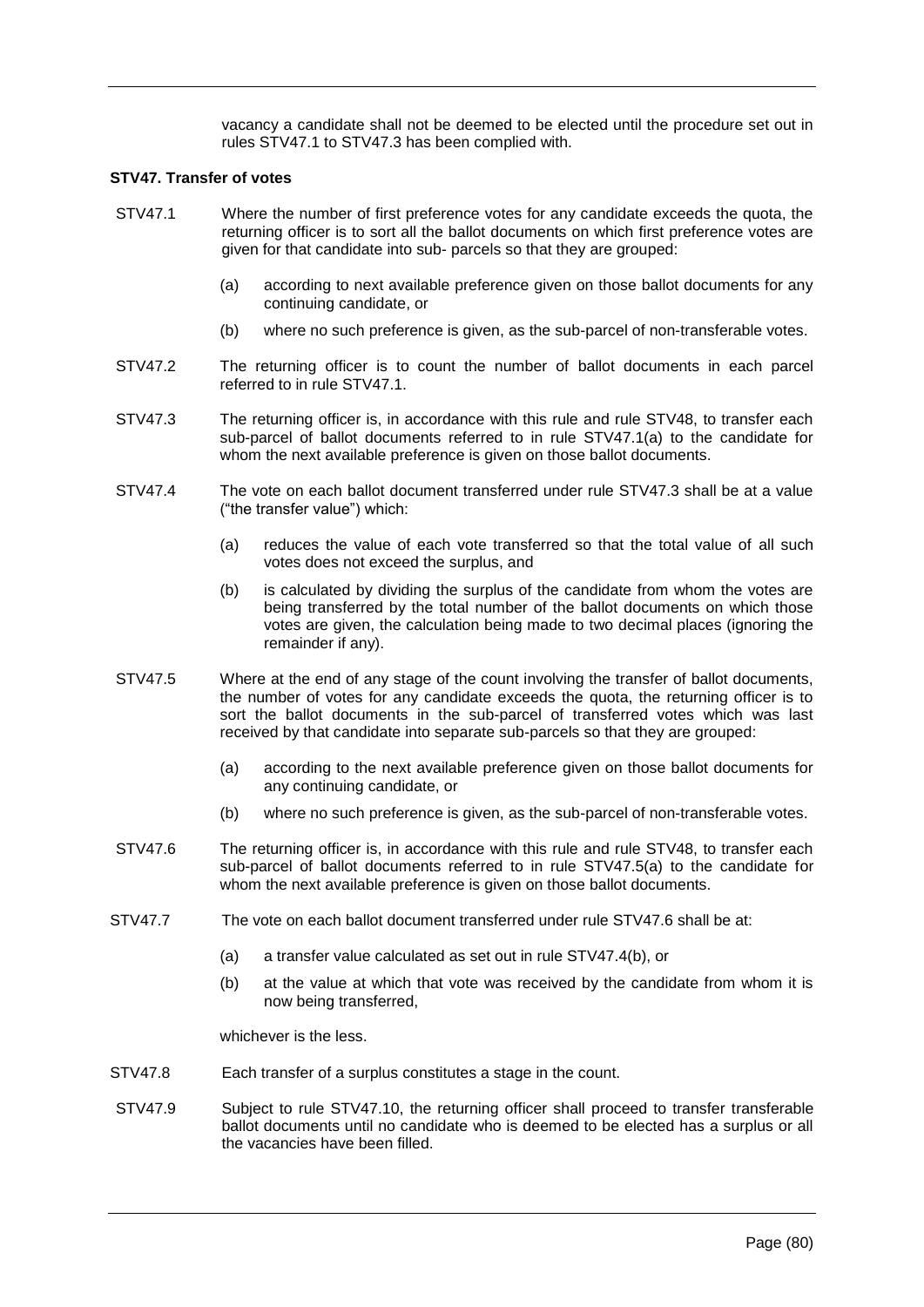vacancy a candidate shall not be deemed to be elected until the procedure set out in rules STV47.1 to STV47.3 has been complied with.

### **STV47. Transfer of votes**

- STV47.1 Where the number of first preference votes for any candidate exceeds the quota, the returning officer is to sort all the ballot documents on which first preference votes are given for that candidate into sub- parcels so that they are grouped:
	- (a) according to next available preference given on those ballot documents for any continuing candidate, or
	- (b) where no such preference is given, as the sub-parcel of non-transferable votes.
- STV47.2 The returning officer is to count the number of ballot documents in each parcel referred to in rule STV47.1.
- STV47.3 The returning officer is, in accordance with this rule and rule STV48, to transfer each sub-parcel of ballot documents referred to in rule STV47.1(a) to the candidate for whom the next available preference is given on those ballot documents.
- STV47.4 The vote on each ballot document transferred under rule STV47.3 shall be at a value ("the transfer value") which:
	- (a) reduces the value of each vote transferred so that the total value of all such votes does not exceed the surplus, and
	- (b) is calculated by dividing the surplus of the candidate from whom the votes are being transferred by the total number of the ballot documents on which those votes are given, the calculation being made to two decimal places (ignoring the remainder if any).
- STV47.5 Where at the end of any stage of the count involving the transfer of ballot documents, the number of votes for any candidate exceeds the quota, the returning officer is to sort the ballot documents in the sub-parcel of transferred votes which was last received by that candidate into separate sub-parcels so that they are grouped:
	- (a) according to the next available preference given on those ballot documents for any continuing candidate, or
	- (b) where no such preference is given, as the sub-parcel of non-transferable votes.
- STV47.6 The returning officer is, in accordance with this rule and rule STV48, to transfer each sub-parcel of ballot documents referred to in rule STV47.5(a) to the candidate for whom the next available preference is given on those ballot documents.
- STV47.7 The vote on each ballot document transferred under rule STV47.6 shall be at:
	- (a) a transfer value calculated as set out in rule STV47.4(b), or
	- (b) at the value at which that vote was received by the candidate from whom it is now being transferred,

whichever is the less.

- STV47.8 Each transfer of a surplus constitutes a stage in the count.
- STV47.9 Subject to rule STV47.10, the returning officer shall proceed to transfer transferable ballot documents until no candidate who is deemed to be elected has a surplus or all the vacancies have been filled.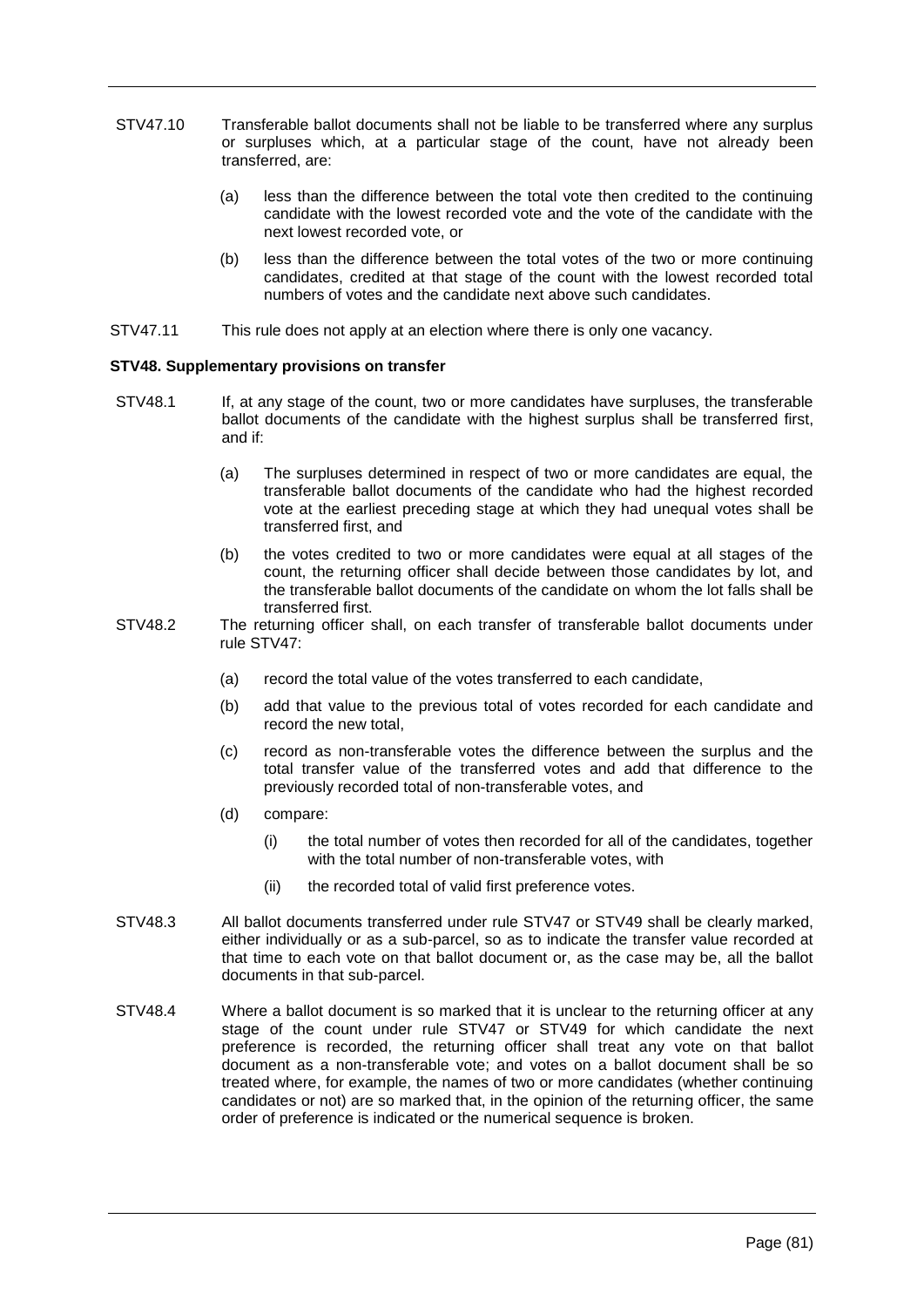- STV47.10 Transferable ballot documents shall not be liable to be transferred where any surplus or surpluses which, at a particular stage of the count, have not already been transferred, are:
	- (a) less than the difference between the total vote then credited to the continuing candidate with the lowest recorded vote and the vote of the candidate with the next lowest recorded vote, or
	- (b) less than the difference between the total votes of the two or more continuing candidates, credited at that stage of the count with the lowest recorded total numbers of votes and the candidate next above such candidates.
- STV47.11 This rule does not apply at an election where there is only one vacancy.

# **STV48. Supplementary provisions on transfer**

- STV48.1 If, at any stage of the count, two or more candidates have surpluses, the transferable ballot documents of the candidate with the highest surplus shall be transferred first, and if:
	- (a) The surpluses determined in respect of two or more candidates are equal, the transferable ballot documents of the candidate who had the highest recorded vote at the earliest preceding stage at which they had unequal votes shall be transferred first, and
	- (b) the votes credited to two or more candidates were equal at all stages of the count, the returning officer shall decide between those candidates by lot, and the transferable ballot documents of the candidate on whom the lot falls shall be transferred first.
- STV48.2 The returning officer shall, on each transfer of transferable ballot documents under rule STV47:
	- (a) record the total value of the votes transferred to each candidate,
	- (b) add that value to the previous total of votes recorded for each candidate and record the new total,
	- (c) record as non-transferable votes the difference between the surplus and the total transfer value of the transferred votes and add that difference to the previously recorded total of non-transferable votes, and
	- (d) compare:
		- (i) the total number of votes then recorded for all of the candidates, together with the total number of non-transferable votes, with
		- (ii) the recorded total of valid first preference votes.
- STV48.3 All ballot documents transferred under rule STV47 or STV49 shall be clearly marked, either individually or as a sub-parcel, so as to indicate the transfer value recorded at that time to each vote on that ballot document or, as the case may be, all the ballot documents in that sub-parcel.
- STV48.4 Where a ballot document is so marked that it is unclear to the returning officer at any stage of the count under rule STV47 or STV49 for which candidate the next preference is recorded, the returning officer shall treat any vote on that ballot document as a non-transferable vote; and votes on a ballot document shall be so treated where, for example, the names of two or more candidates (whether continuing candidates or not) are so marked that, in the opinion of the returning officer, the same order of preference is indicated or the numerical sequence is broken.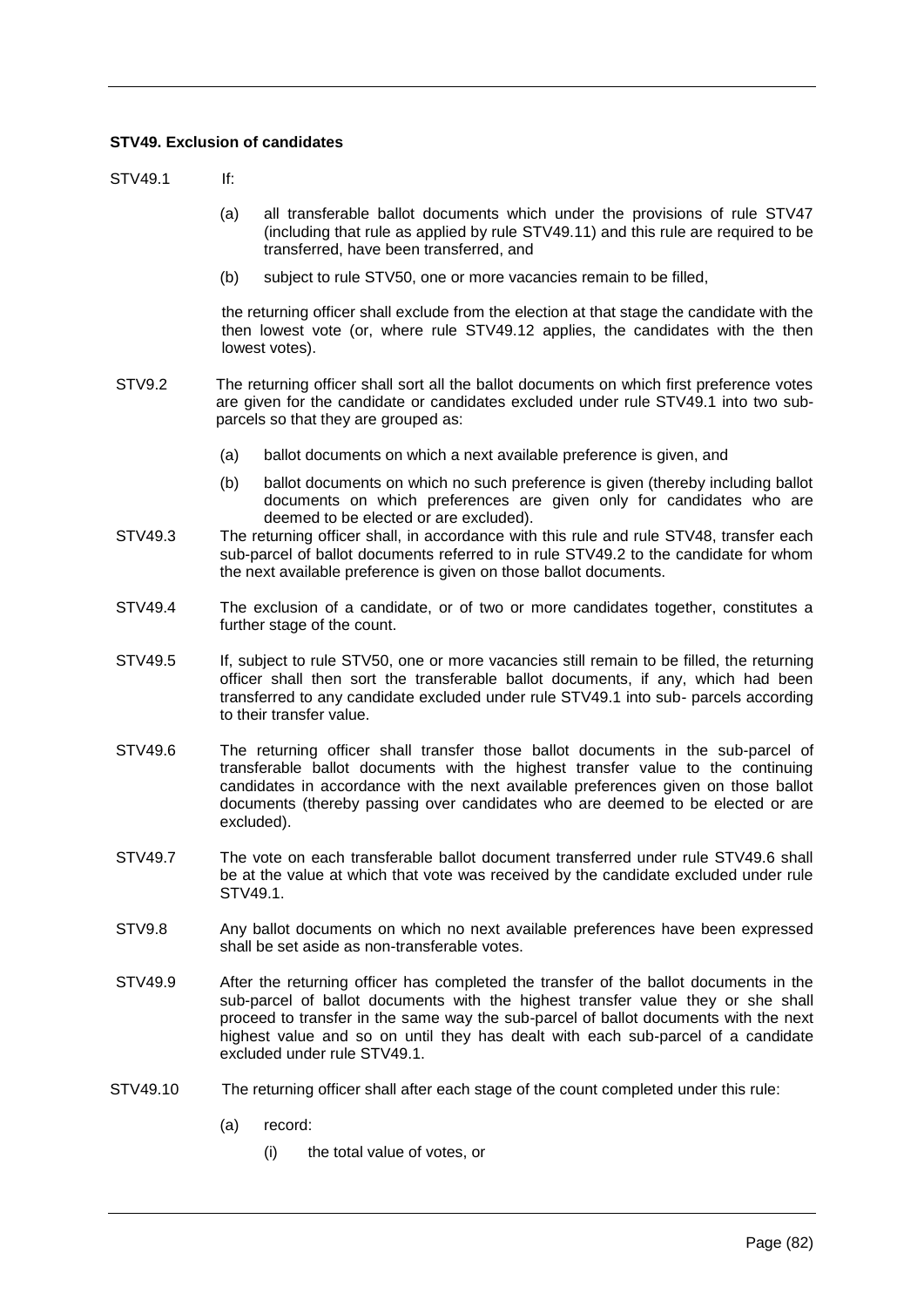# **STV49. Exclusion of candidates**

STV49.1 If:

- (a) all transferable ballot documents which under the provisions of rule STV47 (including that rule as applied by rule STV49.11) and this rule are required to be transferred, have been transferred, and
- (b) subject to rule STV50, one or more vacancies remain to be filled,

the returning officer shall exclude from the election at that stage the candidate with the then lowest vote (or, where rule STV49.12 applies, the candidates with the then lowest votes).

- STV9.2 The returning officer shall sort all the ballot documents on which first preference votes are given for the candidate or candidates excluded under rule STV49.1 into two subparcels so that they are grouped as:
	- (a) ballot documents on which a next available preference is given, and
	- (b) ballot documents on which no such preference is given (thereby including ballot documents on which preferences are given only for candidates who are deemed to be elected or are excluded).
- STV49.3 The returning officer shall, in accordance with this rule and rule STV48, transfer each sub-parcel of ballot documents referred to in rule STV49.2 to the candidate for whom the next available preference is given on those ballot documents.
- STV49.4 The exclusion of a candidate, or of two or more candidates together, constitutes a further stage of the count.
- STV49.5 If, subject to rule STV50, one or more vacancies still remain to be filled, the returning officer shall then sort the transferable ballot documents, if any, which had been transferred to any candidate excluded under rule STV49.1 into sub- parcels according to their transfer value.
- STV49.6 The returning officer shall transfer those ballot documents in the sub-parcel of transferable ballot documents with the highest transfer value to the continuing candidates in accordance with the next available preferences given on those ballot documents (thereby passing over candidates who are deemed to be elected or are excluded).
- STV49.7 The vote on each transferable ballot document transferred under rule STV49.6 shall be at the value at which that vote was received by the candidate excluded under rule STV49.1.
- STV9.8 Any ballot documents on which no next available preferences have been expressed shall be set aside as non-transferable votes.
- STV49.9 After the returning officer has completed the transfer of the ballot documents in the sub-parcel of ballot documents with the highest transfer value they or she shall proceed to transfer in the same way the sub-parcel of ballot documents with the next highest value and so on until they has dealt with each sub-parcel of a candidate excluded under rule STV49.1.
- STV49.10 The returning officer shall after each stage of the count completed under this rule:
	- (a) record:
		- (i) the total value of votes, or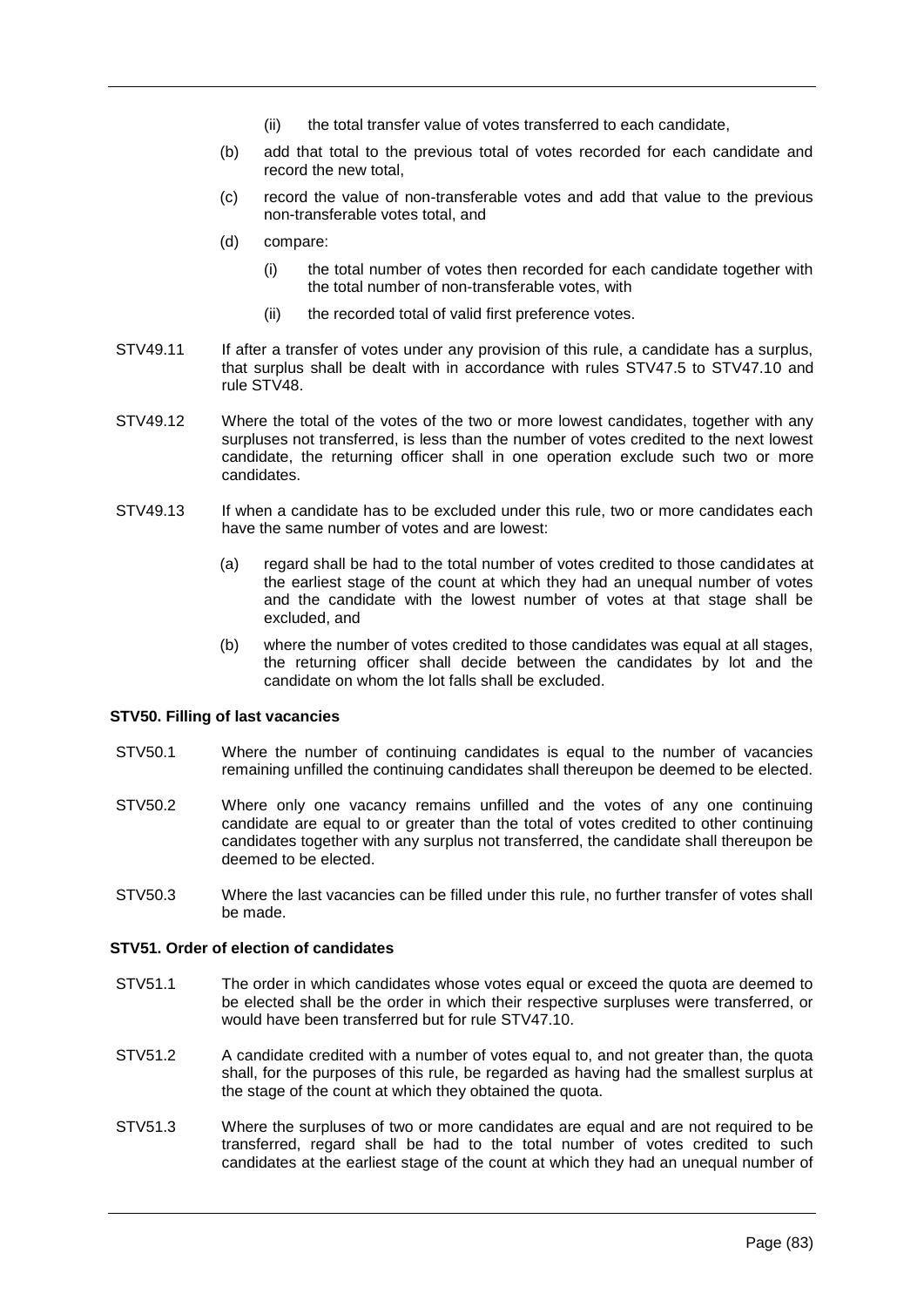- (ii) the total transfer value of votes transferred to each candidate,
- (b) add that total to the previous total of votes recorded for each candidate and record the new total,
- (c) record the value of non-transferable votes and add that value to the previous non-transferable votes total, and
- (d) compare:
	- (i) the total number of votes then recorded for each candidate together with the total number of non-transferable votes, with
	- (ii) the recorded total of valid first preference votes.
- STV49.11 If after a transfer of votes under any provision of this rule, a candidate has a surplus, that surplus shall be dealt with in accordance with rules STV47.5 to STV47.10 and rule STV48.
- STV49.12 Where the total of the votes of the two or more lowest candidates, together with any surpluses not transferred, is less than the number of votes credited to the next lowest candidate, the returning officer shall in one operation exclude such two or more candidates.
- STV49.13 If when a candidate has to be excluded under this rule, two or more candidates each have the same number of votes and are lowest:
	- (a) regard shall be had to the total number of votes credited to those candidates at the earliest stage of the count at which they had an unequal number of votes and the candidate with the lowest number of votes at that stage shall be excluded, and
	- (b) where the number of votes credited to those candidates was equal at all stages, the returning officer shall decide between the candidates by lot and the candidate on whom the lot falls shall be excluded.

### **STV50. Filling of last vacancies**

- STV50.1 Where the number of continuing candidates is equal to the number of vacancies remaining unfilled the continuing candidates shall thereupon be deemed to be elected.
- STV50.2 Where only one vacancy remains unfilled and the votes of any one continuing candidate are equal to or greater than the total of votes credited to other continuing candidates together with any surplus not transferred, the candidate shall thereupon be deemed to be elected.
- STV50.3 Where the last vacancies can be filled under this rule, no further transfer of votes shall be made.

# **STV51. Order of election of candidates**

- STV51.1 The order in which candidates whose votes equal or exceed the quota are deemed to be elected shall be the order in which their respective surpluses were transferred, or would have been transferred but for rule STV47.10.
- STV51.2 A candidate credited with a number of votes equal to, and not greater than, the quota shall, for the purposes of this rule, be regarded as having had the smallest surplus at the stage of the count at which they obtained the quota.
- STV51.3 Where the surpluses of two or more candidates are equal and are not required to be transferred, regard shall be had to the total number of votes credited to such candidates at the earliest stage of the count at which they had an unequal number of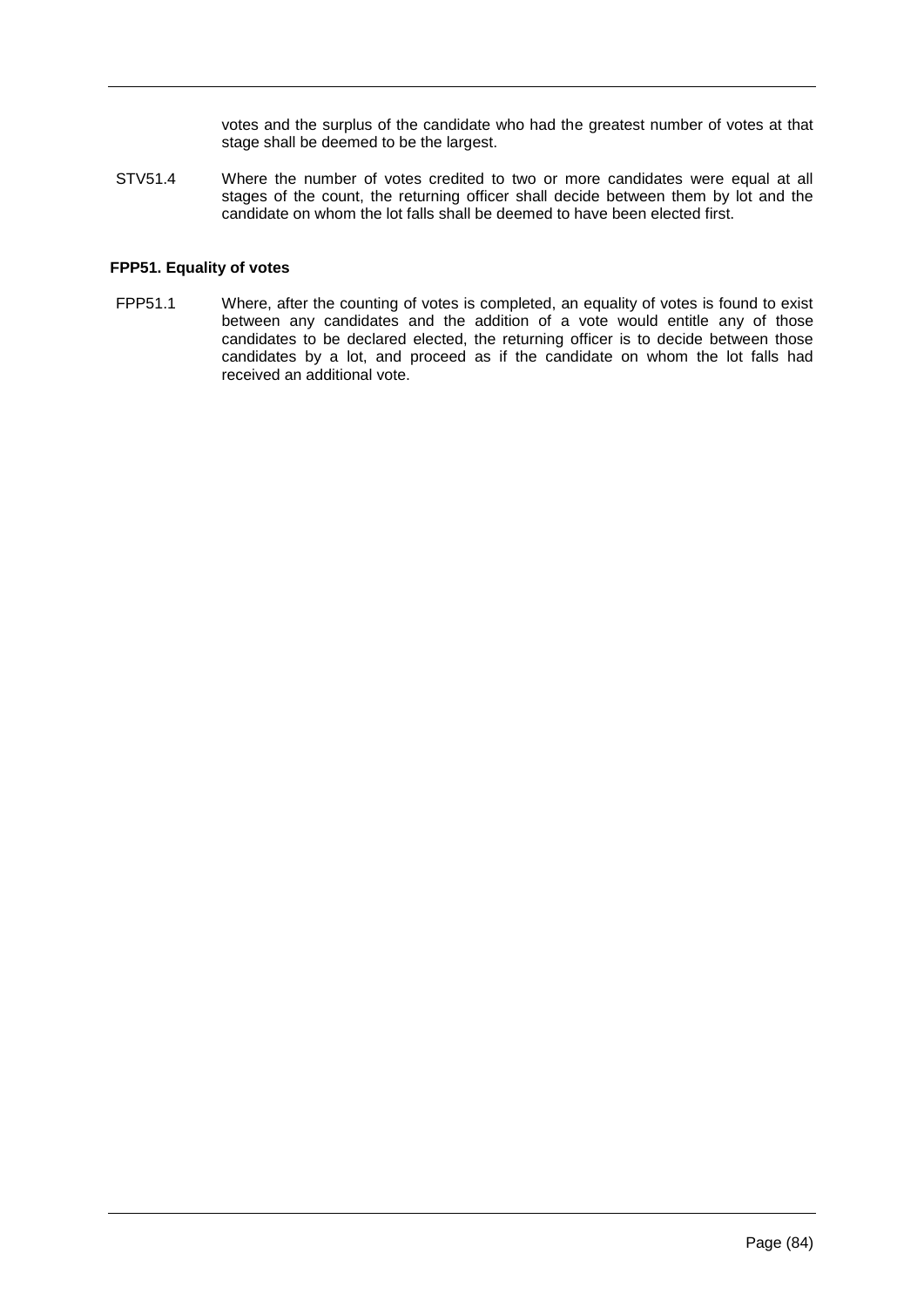votes and the surplus of the candidate who had the greatest number of votes at that stage shall be deemed to be the largest.

STV51.4 Where the number of votes credited to two or more candidates were equal at all stages of the count, the returning officer shall decide between them by lot and the candidate on whom the lot falls shall be deemed to have been elected first.

### **FPP51. Equality of votes**

FPP51.1 Where, after the counting of votes is completed, an equality of votes is found to exist between any candidates and the addition of a vote would entitle any of those candidates to be declared elected, the returning officer is to decide between those candidates by a lot, and proceed as if the candidate on whom the lot falls had received an additional vote.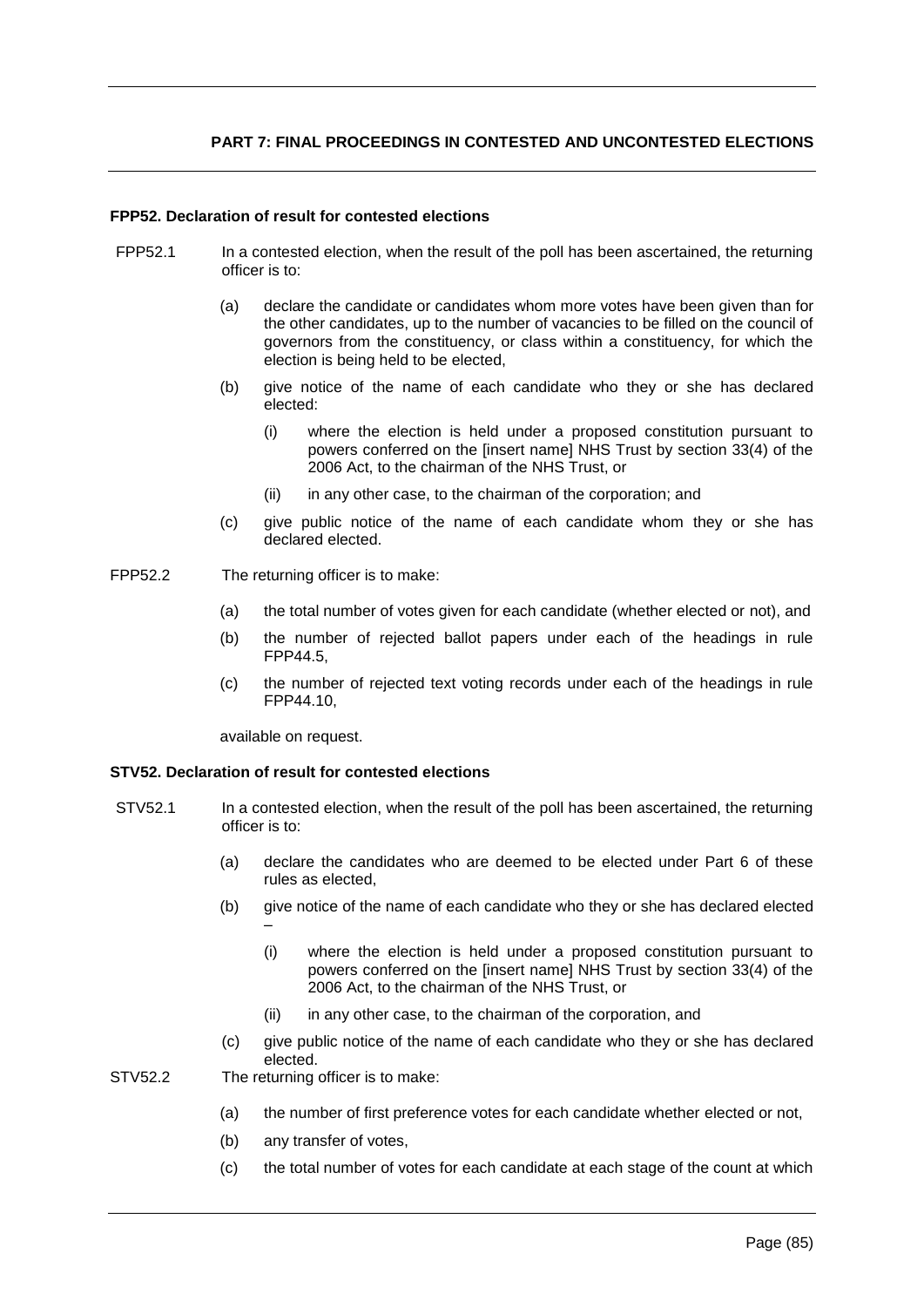# **PART 7: FINAL PROCEEDINGS IN CONTESTED AND UNCONTESTED ELECTIONS**

# **FPP52. Declaration of result for contested elections**

- FPP52.1 In a contested election, when the result of the poll has been ascertained, the returning officer is to:
	- (a) declare the candidate or candidates whom more votes have been given than for the other candidates, up to the number of vacancies to be filled on the council of governors from the constituency, or class within a constituency, for which the election is being held to be elected,
	- (b) give notice of the name of each candidate who they or she has declared elected:
		- (i) where the election is held under a proposed constitution pursuant to powers conferred on the [insert name] NHS Trust by section 33(4) of the 2006 Act, to the chairman of the NHS Trust, or
		- (ii) in any other case, to the chairman of the corporation; and
	- (c) give public notice of the name of each candidate whom they or she has declared elected.
- FPP52.2 The returning officer is to make:
	- (a) the total number of votes given for each candidate (whether elected or not), and
	- (b) the number of rejected ballot papers under each of the headings in rule FPP44.5,
	- (c) the number of rejected text voting records under each of the headings in rule FPP44.10,

available on request.

### **STV52. Declaration of result for contested elections**

- STV52.1 In a contested election, when the result of the poll has been ascertained, the returning officer is to:
	- (a) declare the candidates who are deemed to be elected under Part 6 of these rules as elected,
	- (b) give notice of the name of each candidate who they or she has declared elected –
		- (i) where the election is held under a proposed constitution pursuant to powers conferred on the [insert name] NHS Trust by section 33(4) of the 2006 Act, to the chairman of the NHS Trust, or
		- (ii) in any other case, to the chairman of the corporation, and
	- (c) give public notice of the name of each candidate who they or she has declared elected.

STV52.2 The returning officer is to make:

- (a) the number of first preference votes for each candidate whether elected or not,
- (b) any transfer of votes,
- (c) the total number of votes for each candidate at each stage of the count at which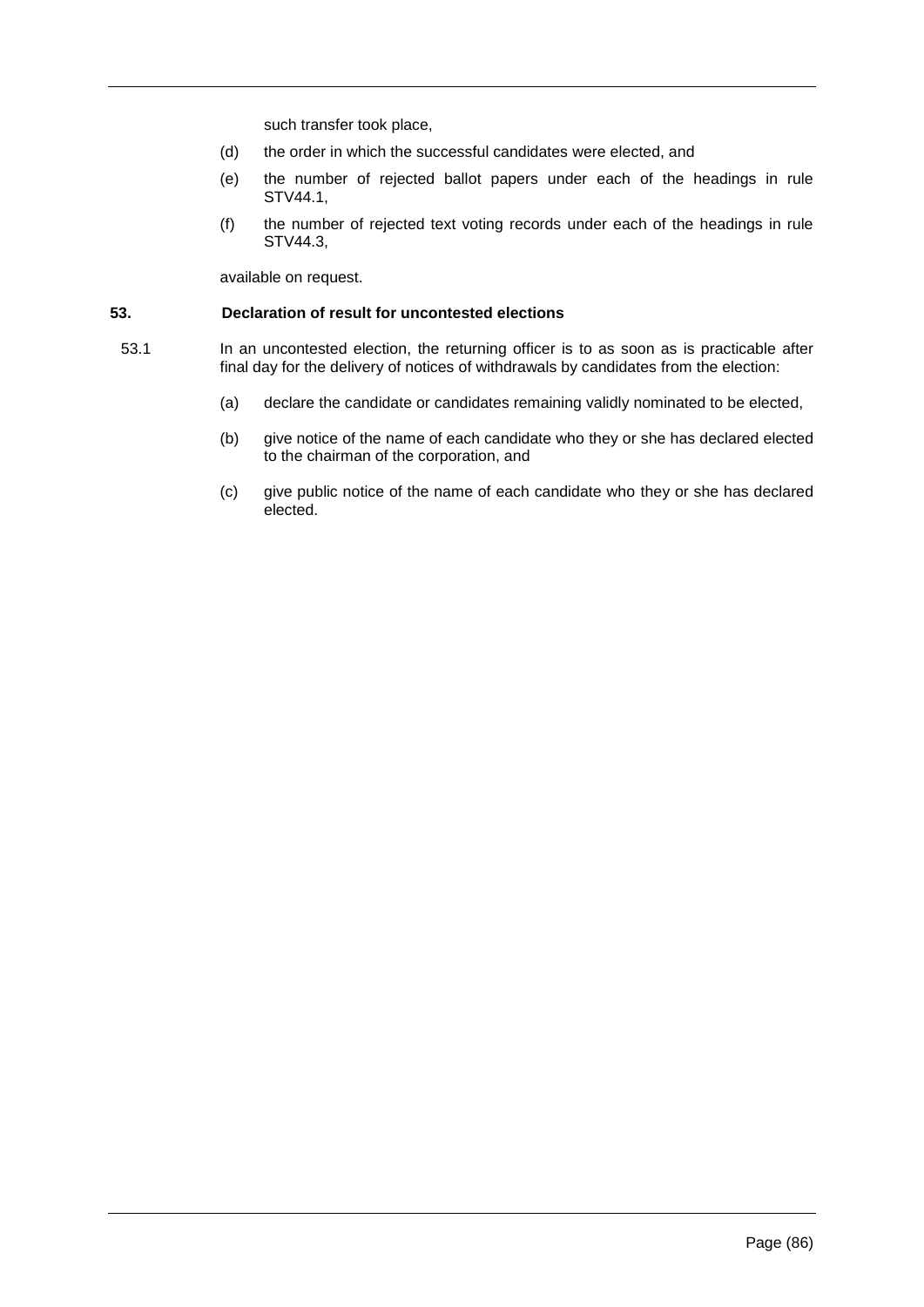such transfer took place,

- (d) the order in which the successful candidates were elected, and
- (e) the number of rejected ballot papers under each of the headings in rule STV44.1,
- (f) the number of rejected text voting records under each of the headings in rule STV44.3,

available on request.

#### **53. Declaration of result for uncontested elections**

- 53.1 In an uncontested election, the returning officer is to as soon as is practicable after final day for the delivery of notices of withdrawals by candidates from the election:
	- (a) declare the candidate or candidates remaining validly nominated to be elected,
	- (b) give notice of the name of each candidate who they or she has declared elected to the chairman of the corporation, and
	- (c) give public notice of the name of each candidate who they or she has declared elected.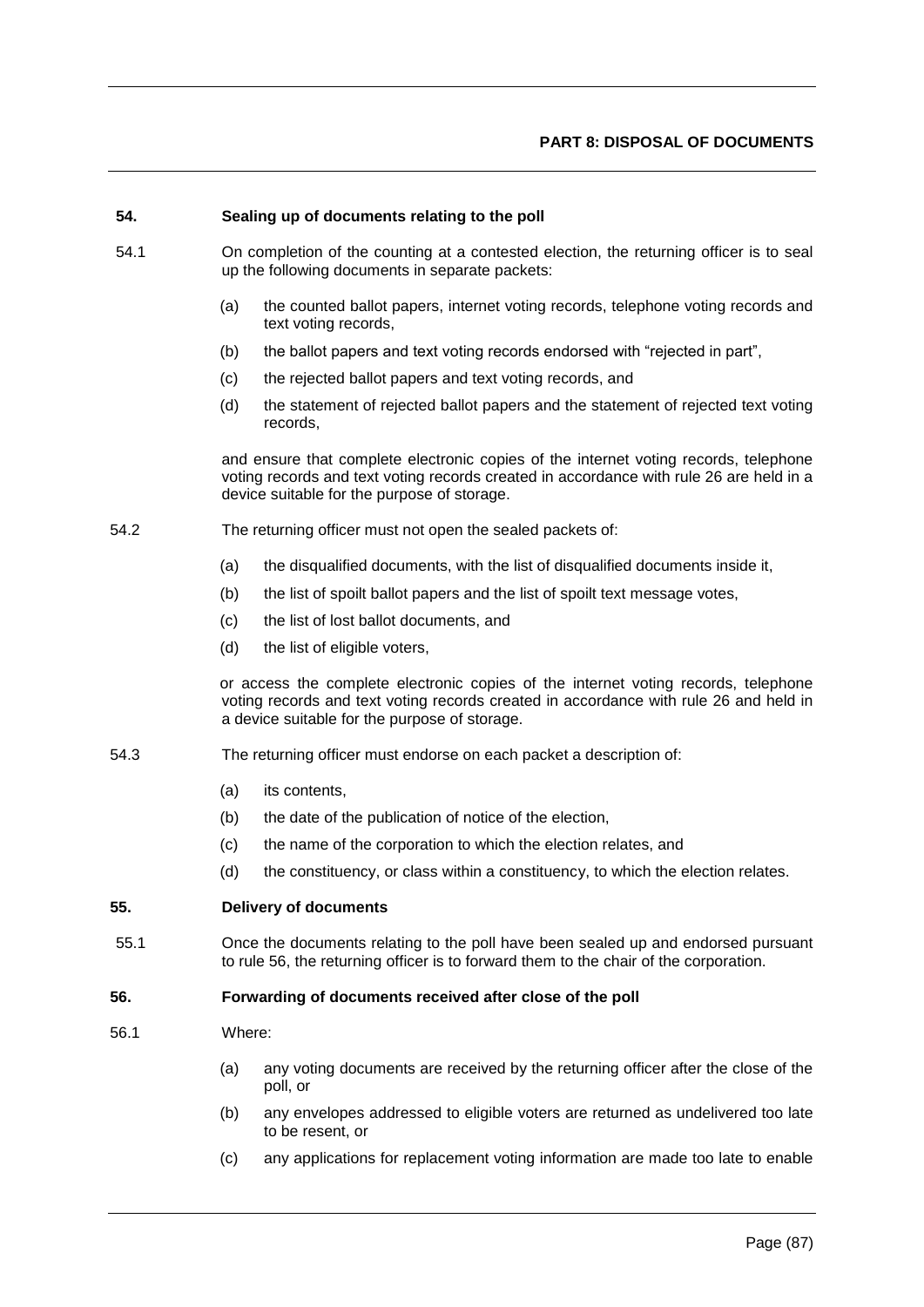### **54. Sealing up of documents relating to the poll**

- 54.1 On completion of the counting at a contested election, the returning officer is to seal up the following documents in separate packets:
	- (a) the counted ballot papers, internet voting records, telephone voting records and text voting records,
	- (b) the ballot papers and text voting records endorsed with "rejected in part",
	- (c) the rejected ballot papers and text voting records, and
	- (d) the statement of rejected ballot papers and the statement of rejected text voting records,

and ensure that complete electronic copies of the internet voting records, telephone voting records and text voting records created in accordance with rule 26 are held in a device suitable for the purpose of storage.

- 54.2 The returning officer must not open the sealed packets of:
	- (a) the disqualified documents, with the list of disqualified documents inside it,
	- (b) the list of spoilt ballot papers and the list of spoilt text message votes,
	- (c) the list of lost ballot documents, and
	- (d) the list of eligible voters,

or access the complete electronic copies of the internet voting records, telephone voting records and text voting records created in accordance with rule 26 and held in a device suitable for the purpose of storage.

- 54.3 The returning officer must endorse on each packet a description of:
	- (a) its contents,
	- (b) the date of the publication of notice of the election,
	- (c) the name of the corporation to which the election relates, and
	- (d) the constituency, or class within a constituency, to which the election relates.

# **55. Delivery of documents**

55.1 Once the documents relating to the poll have been sealed up and endorsed pursuant to rule 56, the returning officer is to forward them to the chair of the corporation.

#### **56. Forwarding of documents received after close of the poll**

- 56.1 Where:
	- (a) any voting documents are received by the returning officer after the close of the poll, or
	- (b) any envelopes addressed to eligible voters are returned as undelivered too late to be resent, or
	- (c) any applications for replacement voting information are made too late to enable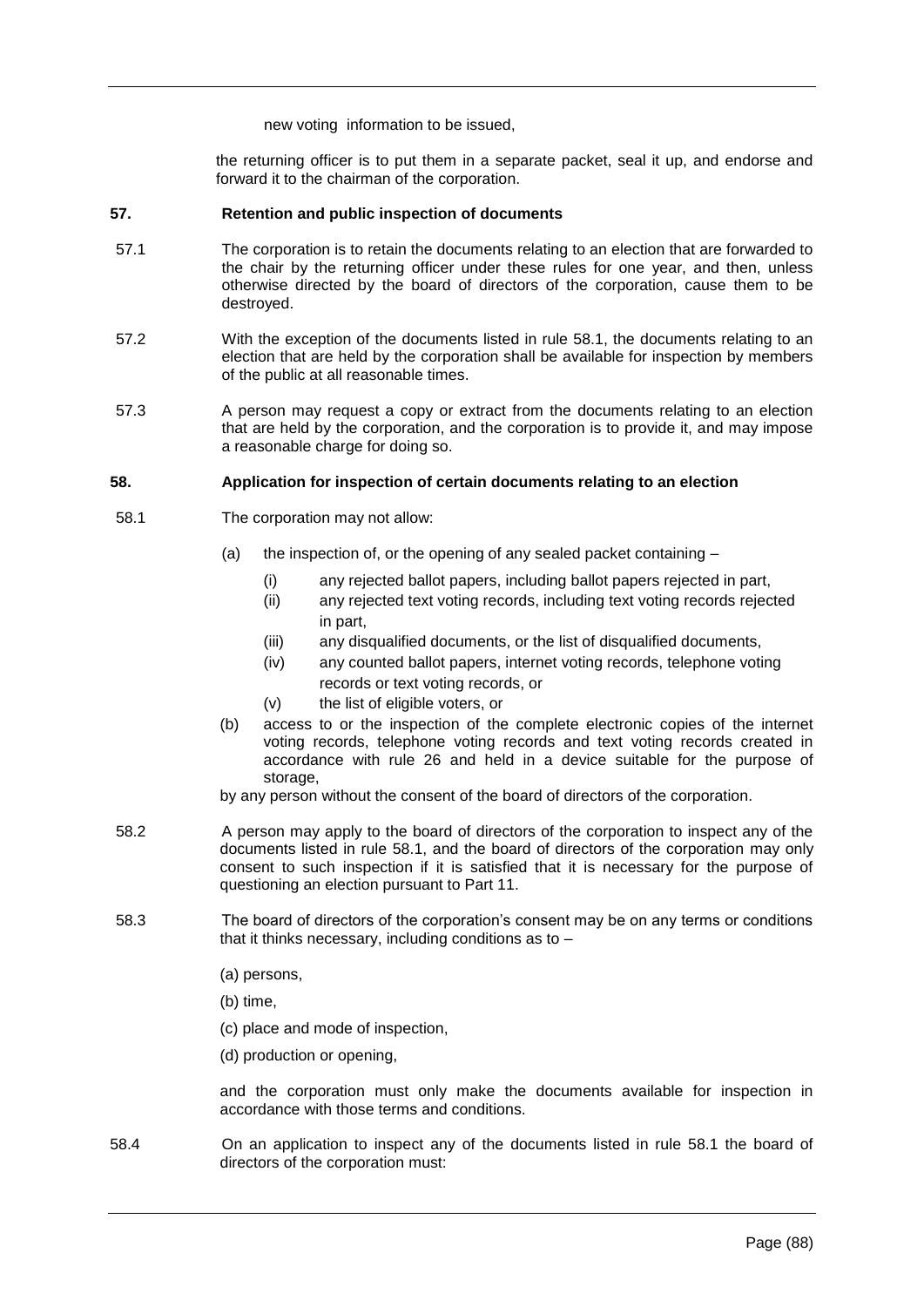new voting information to be issued,

the returning officer is to put them in a separate packet, seal it up, and endorse and forward it to the chairman of the corporation.

### **57. Retention and public inspection of documents**

- 57.1 The corporation is to retain the documents relating to an election that are forwarded to the chair by the returning officer under these rules for one year, and then, unless otherwise directed by the board of directors of the corporation, cause them to be destroyed.
- 57.2 With the exception of the documents listed in rule 58.1, the documents relating to an election that are held by the corporation shall be available for inspection by members of the public at all reasonable times.
- 57.3 A person may request a copy or extract from the documents relating to an election that are held by the corporation, and the corporation is to provide it, and may impose a reasonable charge for doing so.

# **58. Application for inspection of certain documents relating to an election**

- 58.1 The corporation may not allow:
	- (a) the inspection of, or the opening of any sealed packet containing
		- (i) any rejected ballot papers, including ballot papers rejected in part,
		- (ii) any rejected text voting records, including text voting records rejected in part,
		- (iii) any disqualified documents, or the list of disqualified documents,
		- (iv) any counted ballot papers, internet voting records, telephone voting records or text voting records, or
		- (v) the list of eligible voters, or
	- (b) access to or the inspection of the complete electronic copies of the internet voting records, telephone voting records and text voting records created in accordance with rule 26 and held in a device suitable for the purpose of storage.

by any person without the consent of the board of directors of the corporation.

- 58.2 A person may apply to the board of directors of the corporation to inspect any of the documents listed in rule 58.1, and the board of directors of the corporation may only consent to such inspection if it is satisfied that it is necessary for the purpose of questioning an election pursuant to Part 11.
- 58.3 The board of directors of the corporation's consent may be on any terms or conditions that it thinks necessary, including conditions as to –
	- (a) persons,

(b) time,

(c) place and mode of inspection,

(d) production or opening,

and the corporation must only make the documents available for inspection in accordance with those terms and conditions.

58.4 On an application to inspect any of the documents listed in rule 58.1 the board of directors of the corporation must: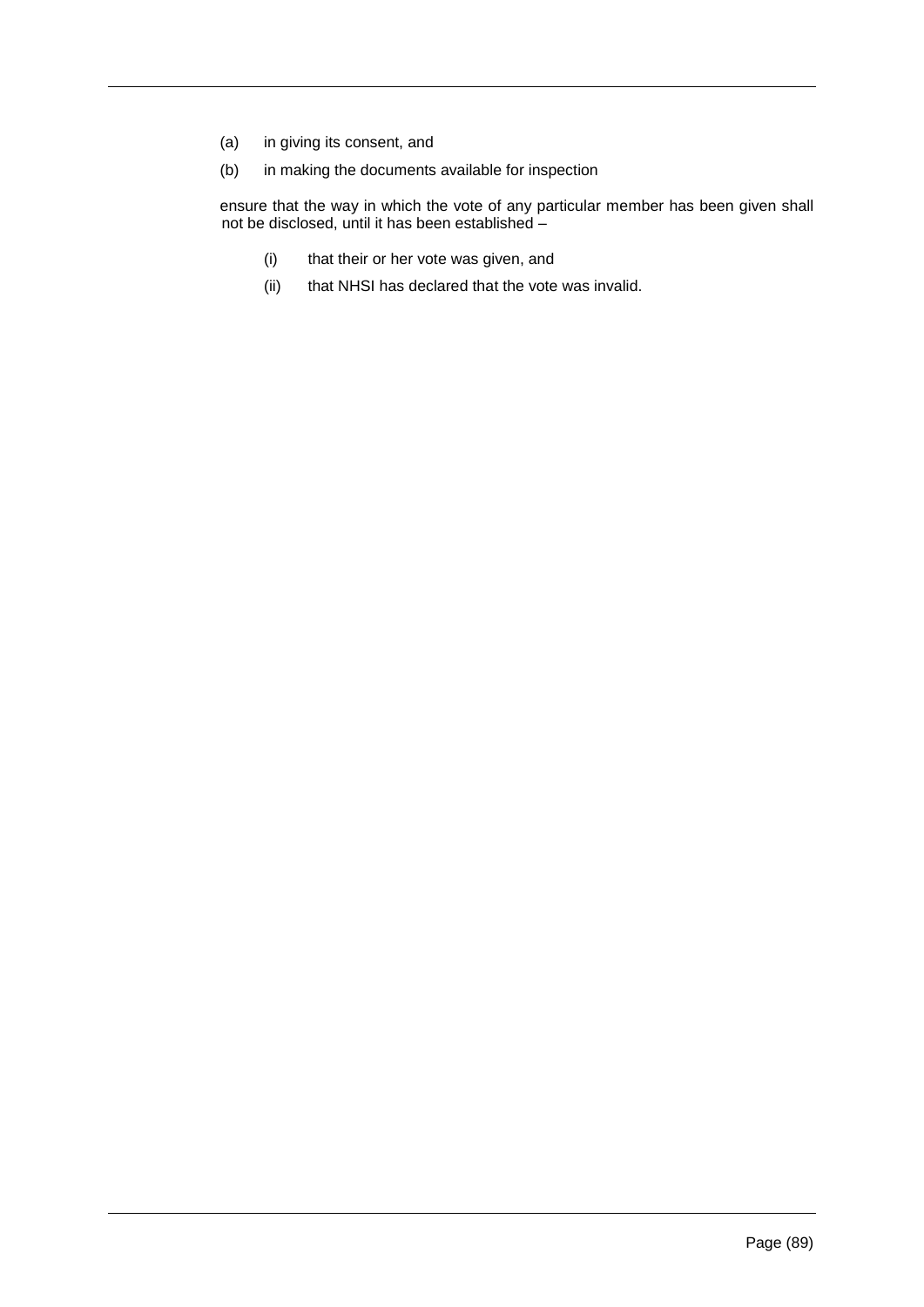- (a) in giving its consent, and
- (b) in making the documents available for inspection

ensure that the way in which the vote of any particular member has been given shall not be disclosed, until it has been established –

- (i) that their or her vote was given, and
- (ii) that NHSI has declared that the vote was invalid.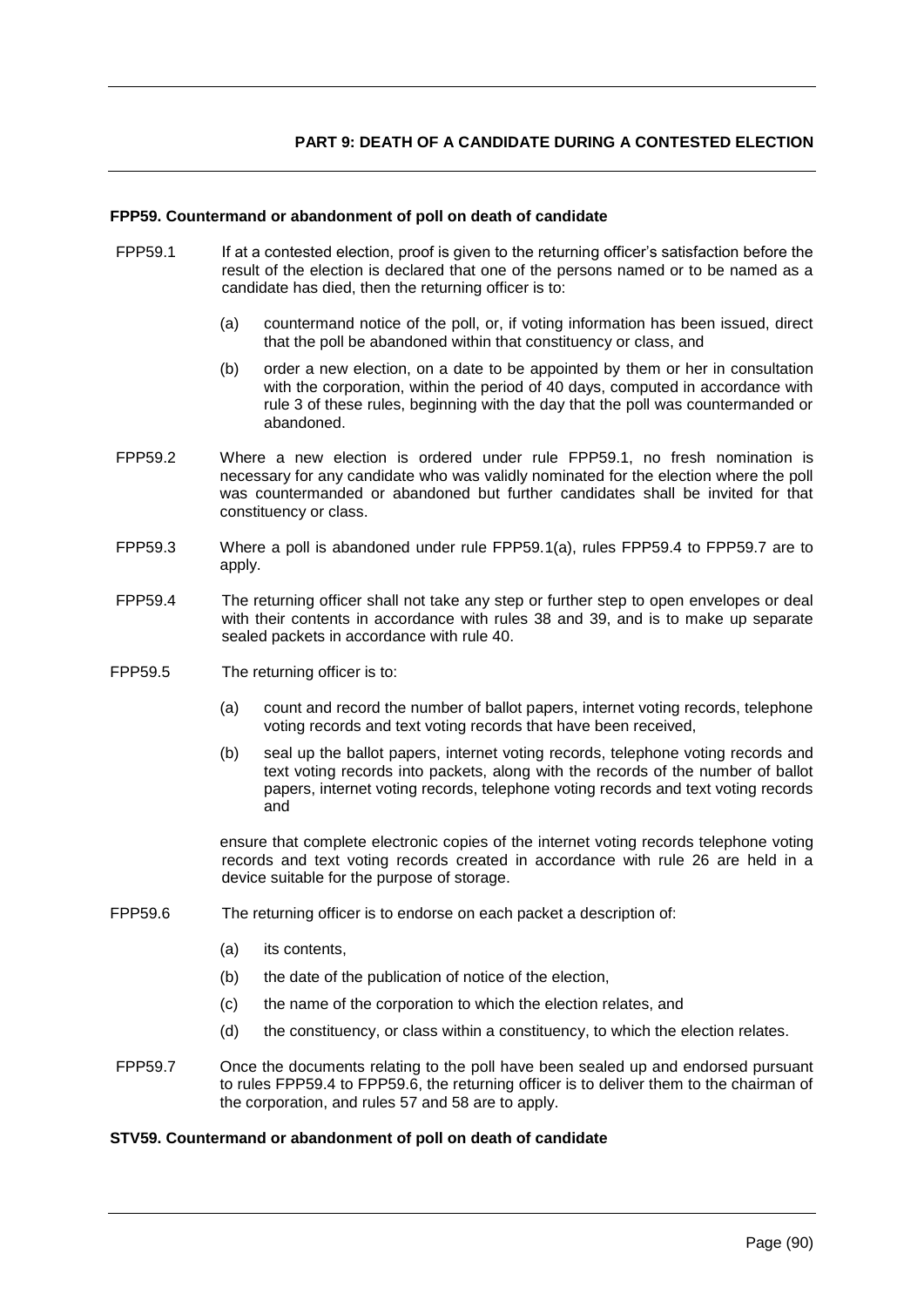### **FPP59. Countermand or abandonment of poll on death of candidate**

- FPP59.1 If at a contested election, proof is given to the returning officer's satisfaction before the result of the election is declared that one of the persons named or to be named as a candidate has died, then the returning officer is to:
	- (a) countermand notice of the poll, or, if voting information has been issued, direct that the poll be abandoned within that constituency or class, and
	- (b) order a new election, on a date to be appointed by them or her in consultation with the corporation, within the period of 40 days, computed in accordance with rule 3 of these rules, beginning with the day that the poll was countermanded or abandoned.
- FPP59.2 Where a new election is ordered under rule FPP59.1, no fresh nomination is necessary for any candidate who was validly nominated for the election where the poll was countermanded or abandoned but further candidates shall be invited for that constituency or class.
- FPP59.3 Where a poll is abandoned under rule FPP59.1(a), rules FPP59.4 to FPP59.7 are to apply.
- FPP59.4 The returning officer shall not take any step or further step to open envelopes or deal with their contents in accordance with rules 38 and 39, and is to make up separate sealed packets in accordance with rule 40.
- FPP59.5 The returning officer is to:
	- (a) count and record the number of ballot papers, internet voting records, telephone voting records and text voting records that have been received,
	- (b) seal up the ballot papers, internet voting records, telephone voting records and text voting records into packets, along with the records of the number of ballot papers, internet voting records, telephone voting records and text voting records and

ensure that complete electronic copies of the internet voting records telephone voting records and text voting records created in accordance with rule 26 are held in a device suitable for the purpose of storage.

- FPP59.6 The returning officer is to endorse on each packet a description of:
	- (a) its contents,
	- (b) the date of the publication of notice of the election,
	- (c) the name of the corporation to which the election relates, and
	- (d) the constituency, or class within a constituency, to which the election relates.
- FPP59.7 Once the documents relating to the poll have been sealed up and endorsed pursuant to rules FPP59.4 to FPP59.6, the returning officer is to deliver them to the chairman of the corporation, and rules 57 and 58 are to apply.

### **STV59. Countermand or abandonment of poll on death of candidate**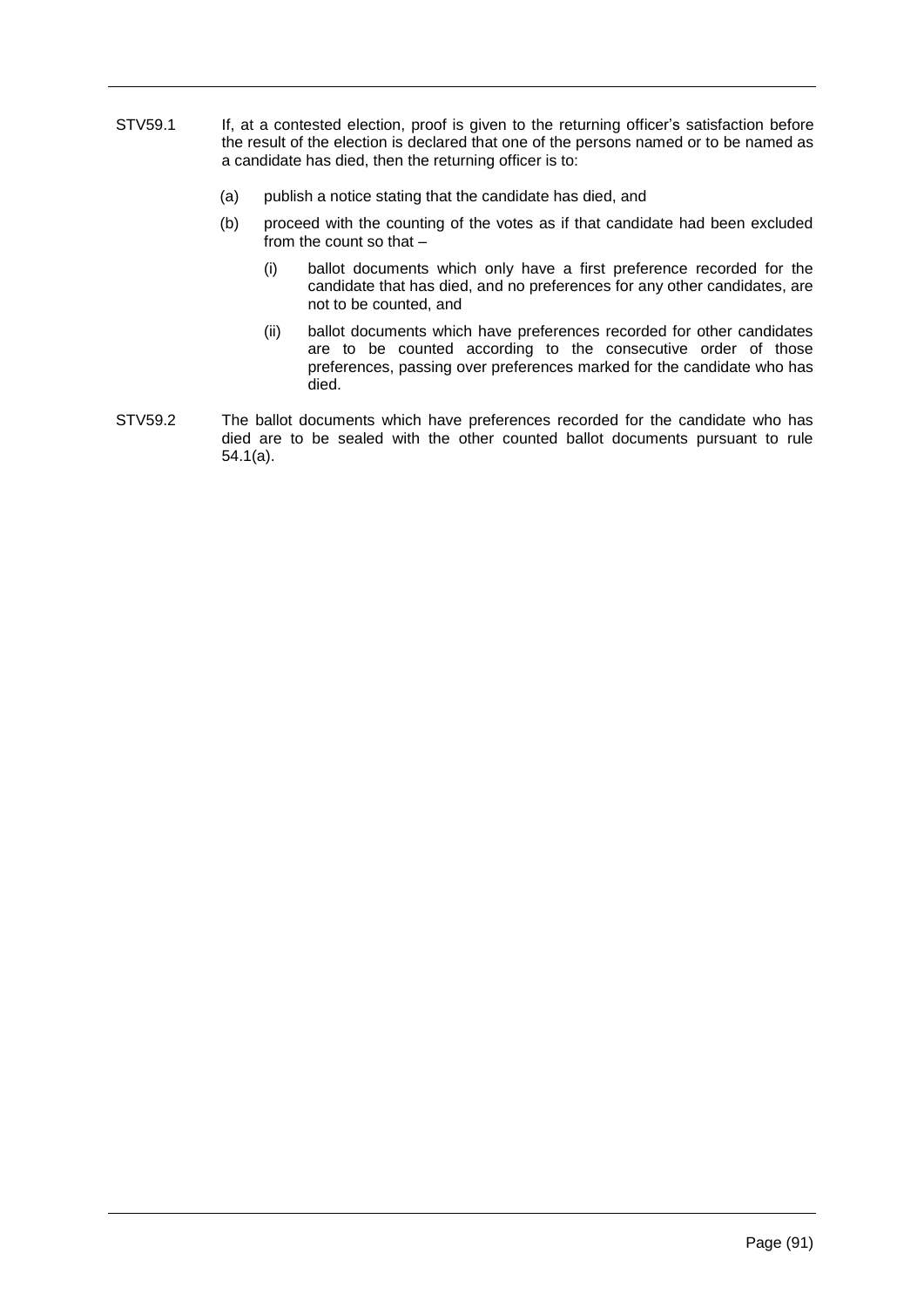- STV59.1 If, at a contested election, proof is given to the returning officer's satisfaction before the result of the election is declared that one of the persons named or to be named as a candidate has died, then the returning officer is to:
	- (a) publish a notice stating that the candidate has died, and
	- (b) proceed with the counting of the votes as if that candidate had been excluded from the count so that –
		- (i) ballot documents which only have a first preference recorded for the candidate that has died, and no preferences for any other candidates, are not to be counted, and
		- (ii) ballot documents which have preferences recorded for other candidates are to be counted according to the consecutive order of those preferences, passing over preferences marked for the candidate who has died.
- STV59.2 The ballot documents which have preferences recorded for the candidate who has died are to be sealed with the other counted ballot documents pursuant to rule 54.1(a).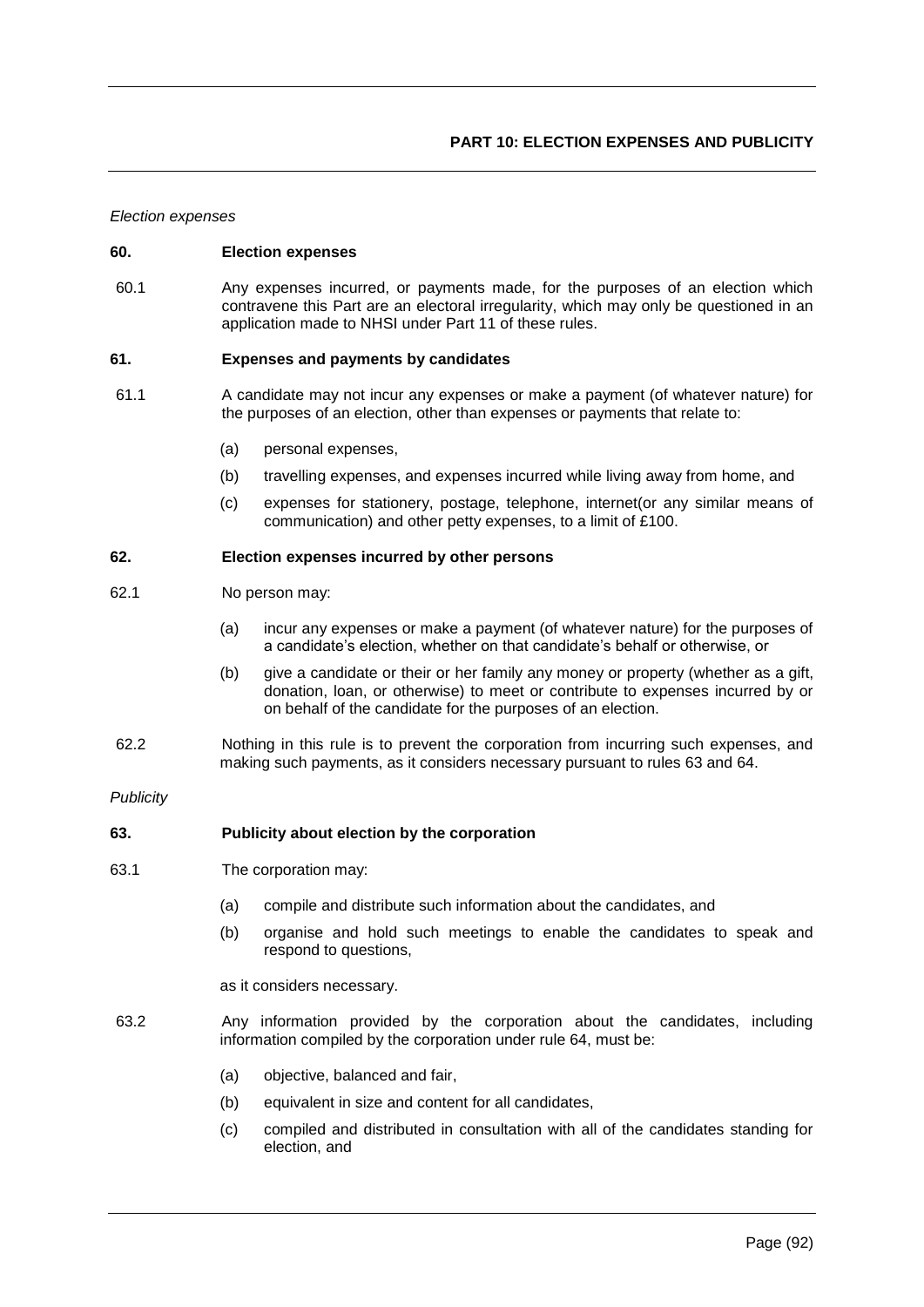*Election expenses*

### **60. Election expenses**

60.1 Any expenses incurred, or payments made, for the purposes of an election which contravene this Part are an electoral irregularity, which may only be questioned in an application made to NHSI under Part 11 of these rules.

### **61. Expenses and payments by candidates**

- 61.1 A candidate may not incur any expenses or make a payment (of whatever nature) for the purposes of an election, other than expenses or payments that relate to:
	- (a) personal expenses,
	- (b) travelling expenses, and expenses incurred while living away from home, and
	- (c) expenses for stationery, postage, telephone, internet(or any similar means of communication) and other petty expenses, to a limit of £100.

#### **62. Election expenses incurred by other persons**

- 62.1 No person may:
	- (a) incur any expenses or make a payment (of whatever nature) for the purposes of a candidate's election, whether on that candidate's behalf or otherwise, or
	- (b) give a candidate or their or her family any money or property (whether as a gift, donation, loan, or otherwise) to meet or contribute to expenses incurred by or on behalf of the candidate for the purposes of an election.
- 62.2 Nothing in this rule is to prevent the corporation from incurring such expenses, and making such payments, as it considers necessary pursuant to rules 63 and 64.

#### *Publicity*

### **63. Publicity about election by the corporation**

- 63.1 The corporation may:
	- (a) compile and distribute such information about the candidates, and
	- (b) organise and hold such meetings to enable the candidates to speak and respond to questions,

as it considers necessary.

- 63.2 Any information provided by the corporation about the candidates, including information compiled by the corporation under rule 64, must be:
	- (a) objective, balanced and fair,
	- (b) equivalent in size and content for all candidates,
	- (c) compiled and distributed in consultation with all of the candidates standing for election, and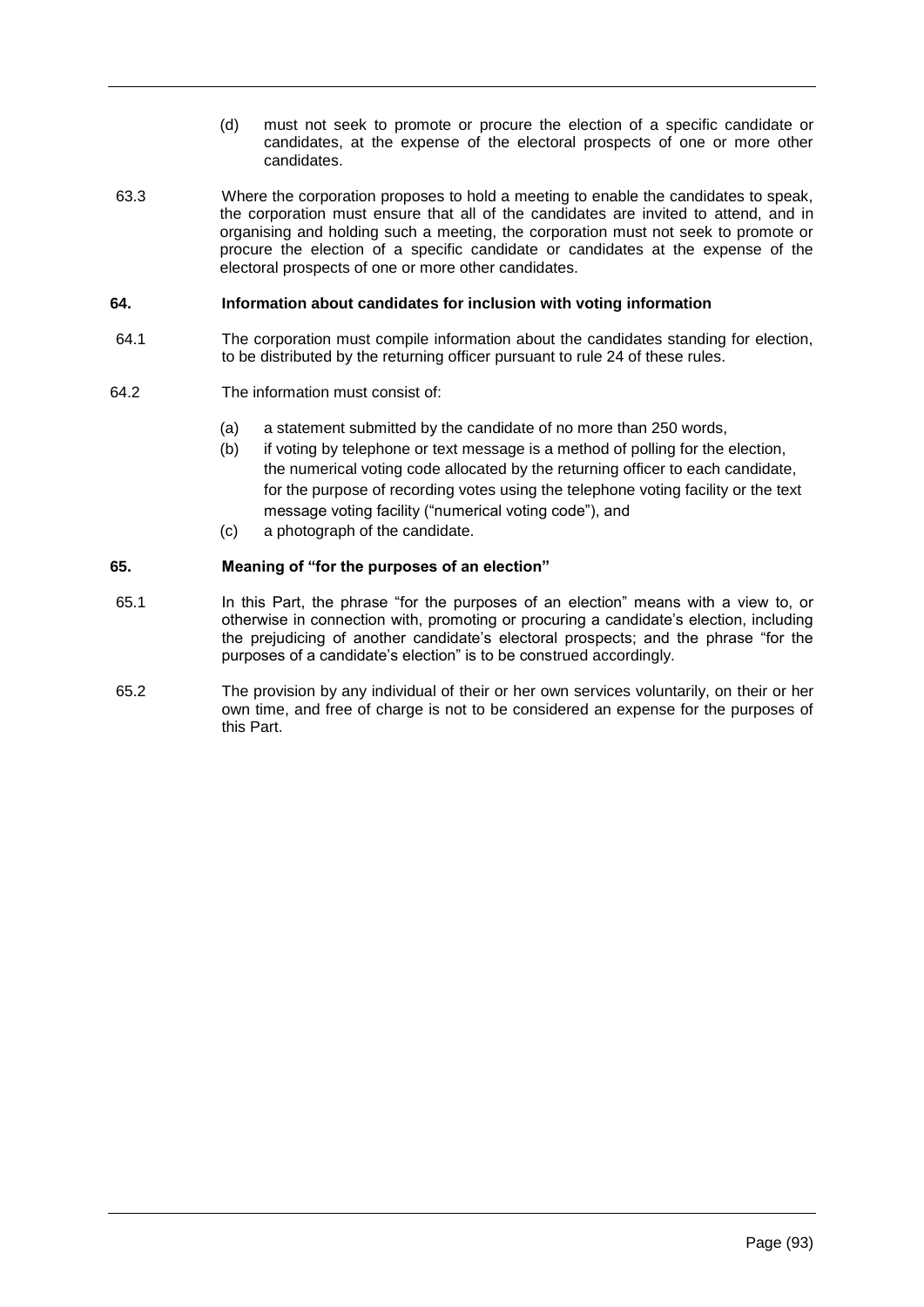- (d) must not seek to promote or procure the election of a specific candidate or candidates, at the expense of the electoral prospects of one or more other candidates.
- 63.3 Where the corporation proposes to hold a meeting to enable the candidates to speak, the corporation must ensure that all of the candidates are invited to attend, and in organising and holding such a meeting, the corporation must not seek to promote or procure the election of a specific candidate or candidates at the expense of the electoral prospects of one or more other candidates.

# **64. Information about candidates for inclusion with voting information**

- 64.1 The corporation must compile information about the candidates standing for election, to be distributed by the returning officer pursuant to rule 24 of these rules.
- 64.2 The information must consist of:
	- (a) a statement submitted by the candidate of no more than 250 words,
	- (b) if voting by telephone or text message is a method of polling for the election, the numerical voting code allocated by the returning officer to each candidate, for the purpose of recording votes using the telephone voting facility or the text message voting facility ("numerical voting code"), and
	- (c) a photograph of the candidate.

# **65. Meaning of "for the purposes of an election"**

- 65.1 In this Part, the phrase "for the purposes of an election" means with a view to, or otherwise in connection with, promoting or procuring a candidate's election, including the prejudicing of another candidate's electoral prospects; and the phrase "for the purposes of a candidate's election" is to be construed accordingly.
- 65.2 The provision by any individual of their or her own services voluntarily, on their or her own time, and free of charge is not to be considered an expense for the purposes of this Part.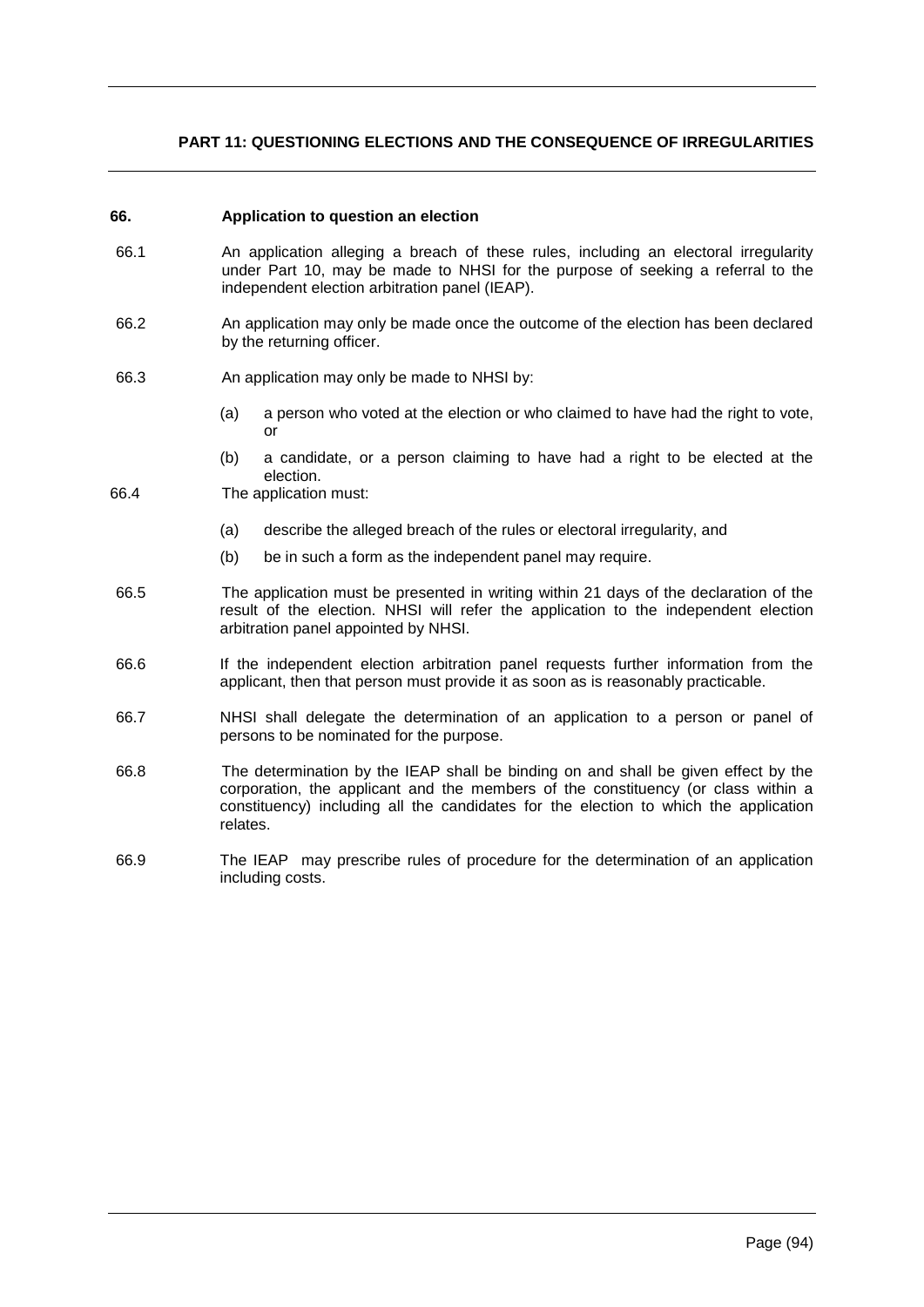# **PART 11: QUESTIONING ELECTIONS AND THE CONSEQUENCE OF IRREGULARITIES**

#### **66. Application to question an election**

- 66.1 An application alleging a breach of these rules, including an electoral irregularity under Part 10, may be made to NHSI for the purpose of seeking a referral to the independent election arbitration panel (IEAP).
- 66.2 An application may only be made once the outcome of the election has been declared by the returning officer.
- 66.3 An application may only be made to NHSI by:
	- (a) a person who voted at the election or who claimed to have had the right to vote, or
	- (b) a candidate, or a person claiming to have had a right to be elected at the election.
- 66.4 The application must:
	- (a) describe the alleged breach of the rules or electoral irregularity, and
	- (b) be in such a form as the independent panel may require.
- 66.5 The application must be presented in writing within 21 days of the declaration of the result of the election. NHSI will refer the application to the independent election arbitration panel appointed by NHSI.
- 66.6 If the independent election arbitration panel requests further information from the applicant, then that person must provide it as soon as is reasonably practicable.
- 66.7 NHSI shall delegate the determination of an application to a person or panel of persons to be nominated for the purpose.
- 66.8 The determination by the IEAP shall be binding on and shall be given effect by the corporation, the applicant and the members of the constituency (or class within a constituency) including all the candidates for the election to which the application relates.
- 66.9 The IEAP may prescribe rules of procedure for the determination of an application including costs.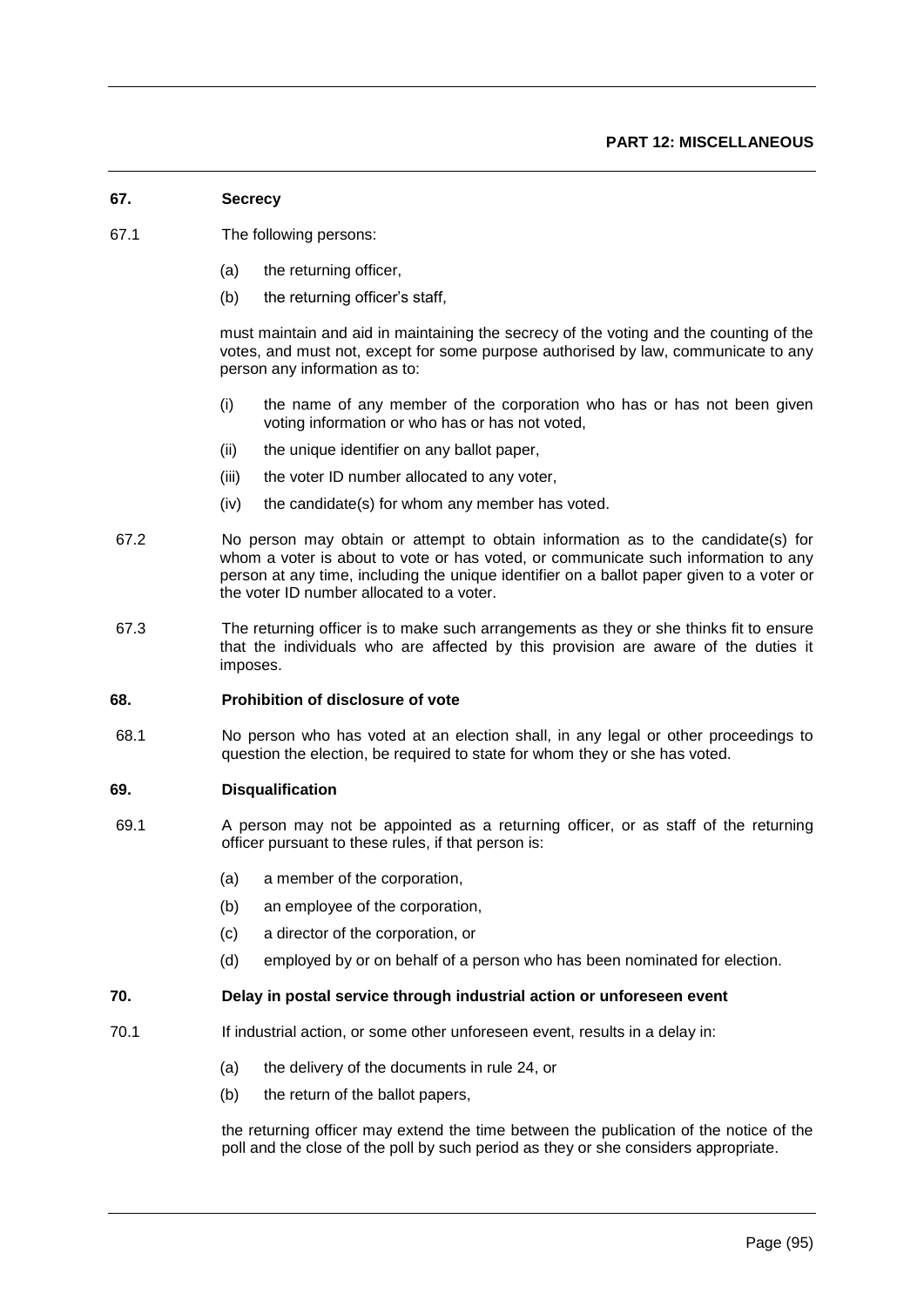# **67. Secrecy**

- 67.1 The following persons:
	- (a) the returning officer,
	- (b) the returning officer's staff,

must maintain and aid in maintaining the secrecy of the voting and the counting of the votes, and must not, except for some purpose authorised by law, communicate to any person any information as to:

- (i) the name of any member of the corporation who has or has not been given voting information or who has or has not voted,
- (ii) the unique identifier on any ballot paper,
- (iii) the voter ID number allocated to any voter,
- (iv) the candidate(s) for whom any member has voted.
- 67.2 No person may obtain or attempt to obtain information as to the candidate(s) for whom a voter is about to vote or has voted, or communicate such information to any person at any time, including the unique identifier on a ballot paper given to a voter or the voter ID number allocated to a voter.
- 67.3 The returning officer is to make such arrangements as they or she thinks fit to ensure that the individuals who are affected by this provision are aware of the duties it imposes.

### **68. Prohibition of disclosure of vote**

68.1 No person who has voted at an election shall, in any legal or other proceedings to question the election, be required to state for whom they or she has voted.

#### **69. Disqualification**

- 69.1 A person may not be appointed as a returning officer, or as staff of the returning officer pursuant to these rules, if that person is:
	- (a) a member of the corporation,
	- (b) an employee of the corporation,
	- (c) a director of the corporation, or
	- (d) employed by or on behalf of a person who has been nominated for election.

### **70. Delay in postal service through industrial action or unforeseen event**

- 70.1 If industrial action, or some other unforeseen event, results in a delay in:
	- (a) the delivery of the documents in rule 24, or
	- (b) the return of the ballot papers,

the returning officer may extend the time between the publication of the notice of the poll and the close of the poll by such period as they or she considers appropriate.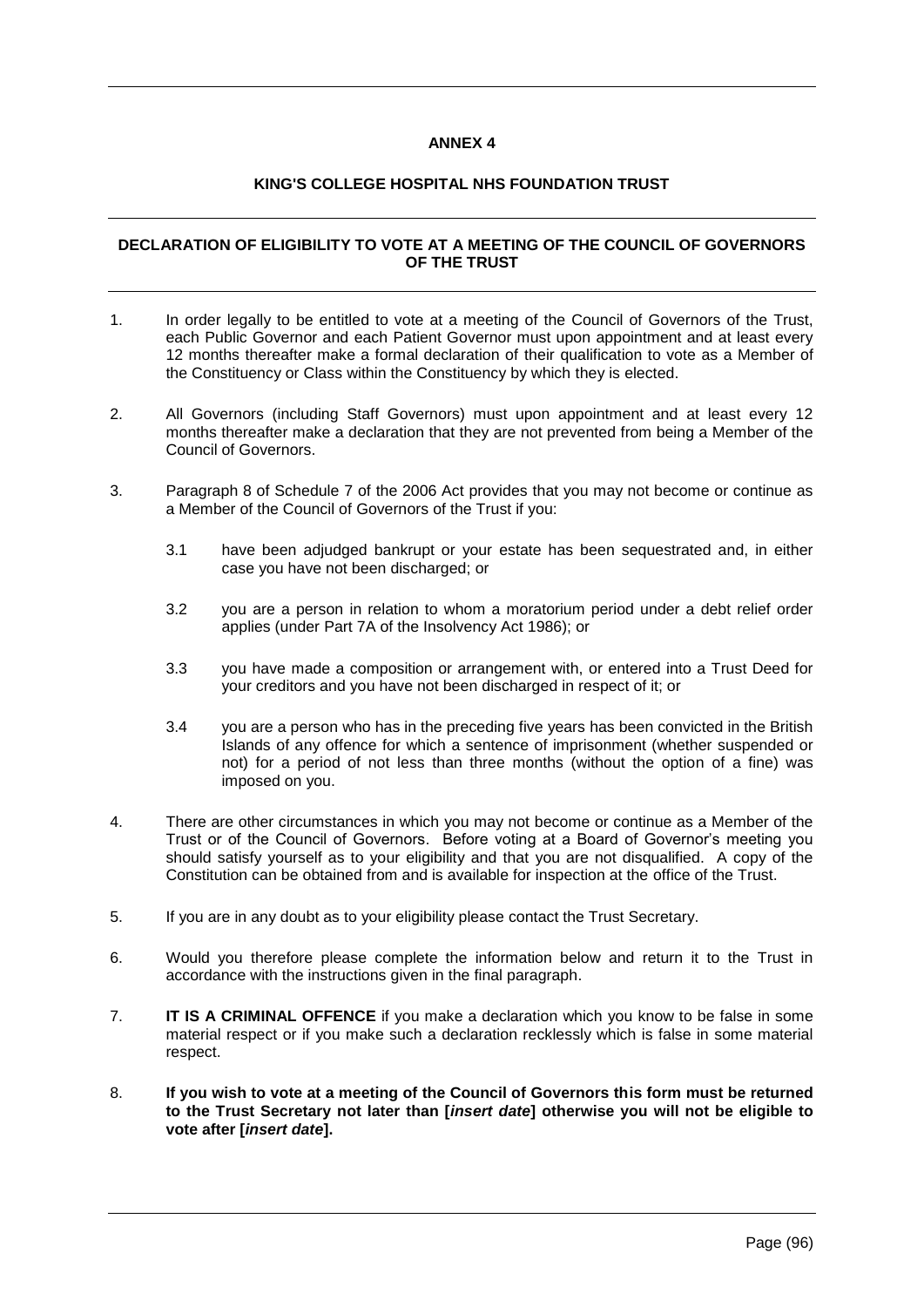# **ANNEX 4**

# **KING'S COLLEGE HOSPITAL NHS FOUNDATION TRUST**

# **DECLARATION OF ELIGIBILITY TO VOTE AT A MEETING OF THE COUNCIL OF GOVERNORS OF THE TRUST**

- 1. In order legally to be entitled to vote at a meeting of the Council of Governors of the Trust, each Public Governor and each Patient Governor must upon appointment and at least every 12 months thereafter make a formal declaration of their qualification to vote as a Member of the Constituency or Class within the Constituency by which they is elected.
- 2. All Governors (including Staff Governors) must upon appointment and at least every 12 months thereafter make a declaration that they are not prevented from being a Member of the Council of Governors.
- 3. Paragraph 8 of Schedule 7 of the 2006 Act provides that you may not become or continue as a Member of the Council of Governors of the Trust if you:
	- 3.1 have been adjudged bankrupt or your estate has been sequestrated and, in either case you have not been discharged; or
	- 3.2 you are a person in relation to whom a moratorium period under a debt relief order applies (under Part 7A of the Insolvency Act 1986); or
	- 3.3 you have made a composition or arrangement with, or entered into a Trust Deed for your creditors and you have not been discharged in respect of it; or
	- 3.4 you are a person who has in the preceding five years has been convicted in the British Islands of any offence for which a sentence of imprisonment (whether suspended or not) for a period of not less than three months (without the option of a fine) was imposed on you.
- 4. There are other circumstances in which you may not become or continue as a Member of the Trust or of the Council of Governors. Before voting at a Board of Governor's meeting you should satisfy yourself as to your eligibility and that you are not disqualified. A copy of the Constitution can be obtained from and is available for inspection at the office of the Trust.
- 5. If you are in any doubt as to your eligibility please contact the Trust Secretary.
- 6. Would you therefore please complete the information below and return it to the Trust in accordance with the instructions given in the final paragraph.
- 7. **IT IS A CRIMINAL OFFENCE** if you make a declaration which you know to be false in some material respect or if you make such a declaration recklessly which is false in some material respect.
- 8. **If you wish to vote at a meeting of the Council of Governors this form must be returned to the Trust Secretary not later than [***insert date***] otherwise you will not be eligible to vote after [***insert date***].**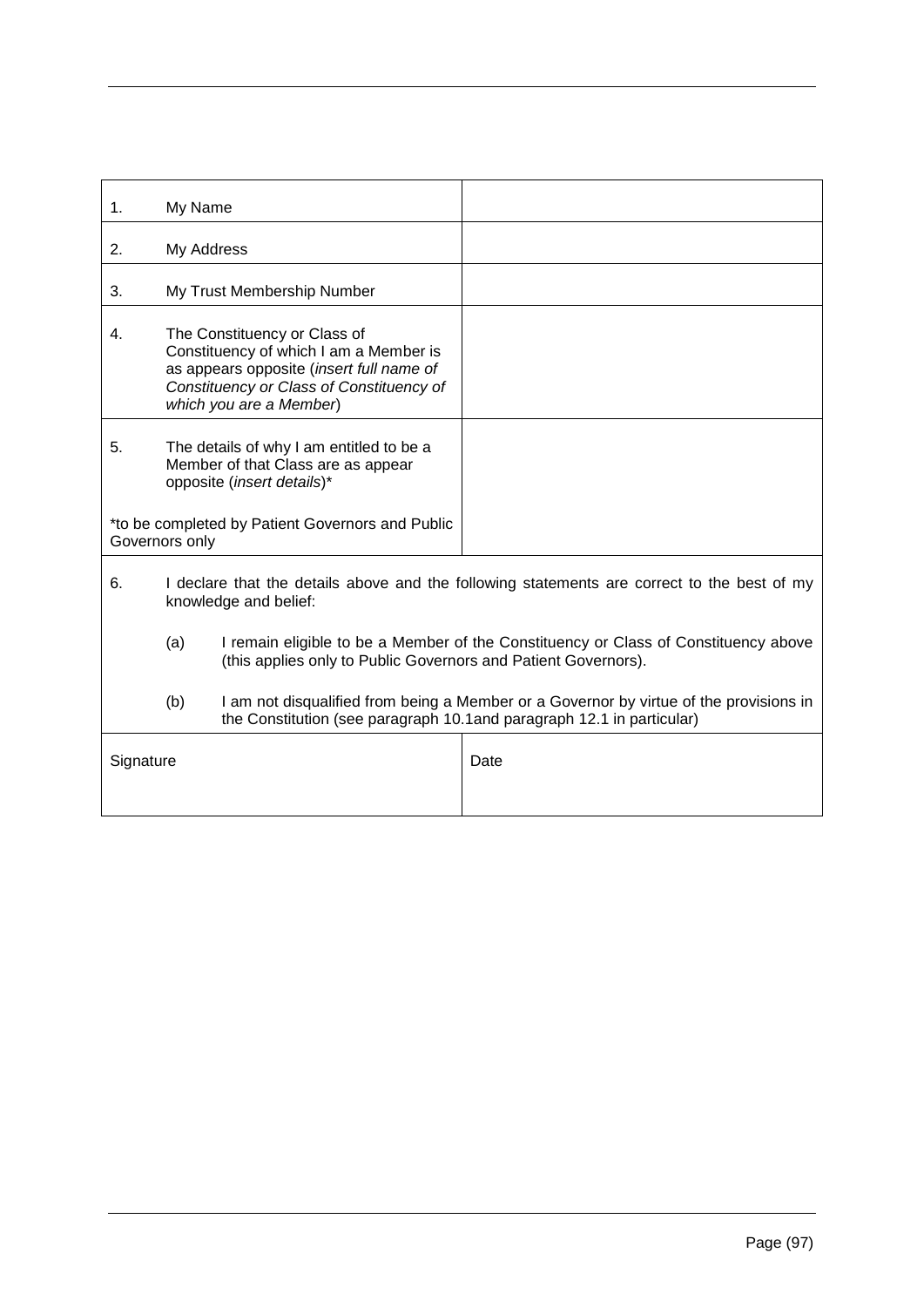| 1.                                                                 | My Name                                                                                                                                                                                   |                                                                                                                                                                  |      |
|--------------------------------------------------------------------|-------------------------------------------------------------------------------------------------------------------------------------------------------------------------------------------|------------------------------------------------------------------------------------------------------------------------------------------------------------------|------|
| 2.                                                                 | My Address                                                                                                                                                                                |                                                                                                                                                                  |      |
| 3.                                                                 | My Trust Membership Number                                                                                                                                                                |                                                                                                                                                                  |      |
| 4.                                                                 | The Constituency or Class of<br>Constituency of which I am a Member is<br>as appears opposite (insert full name of<br>Constituency or Class of Constituency of<br>which you are a Member) |                                                                                                                                                                  |      |
| 5.                                                                 | The details of why I am entitled to be a<br>Member of that Class are as appear<br>opposite (insert details)*                                                                              |                                                                                                                                                                  |      |
| *to be completed by Patient Governors and Public<br>Governors only |                                                                                                                                                                                           |                                                                                                                                                                  |      |
| 6.                                                                 | I declare that the details above and the following statements are correct to the best of my<br>knowledge and belief:                                                                      |                                                                                                                                                                  |      |
|                                                                    | (a)                                                                                                                                                                                       | I remain eligible to be a Member of the Constituency or Class of Constituency above<br>(this applies only to Public Governors and Patient Governors).            |      |
|                                                                    | (b)                                                                                                                                                                                       | I am not disqualified from being a Member or a Governor by virtue of the provisions in<br>the Constitution (see paragraph 10.1 and paragraph 12.1 in particular) |      |
| Signature                                                          |                                                                                                                                                                                           |                                                                                                                                                                  | Date |
|                                                                    |                                                                                                                                                                                           |                                                                                                                                                                  |      |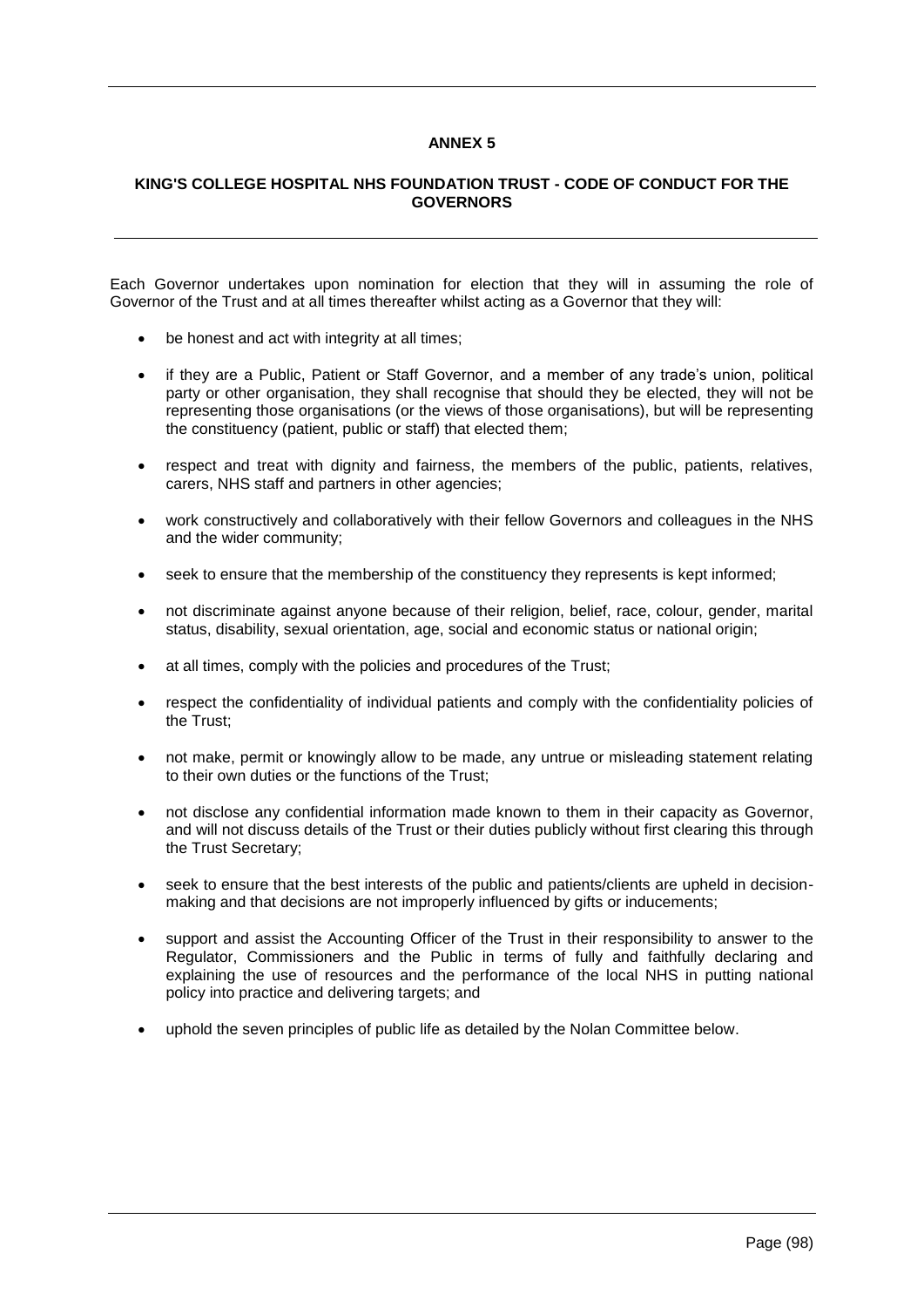# **ANNEX 5**

# **KING'S COLLEGE HOSPITAL NHS FOUNDATION TRUST - CODE OF CONDUCT FOR THE GOVERNORS**

Each Governor undertakes upon nomination for election that they will in assuming the role of Governor of the Trust and at all times thereafter whilst acting as a Governor that they will:

- be honest and act with integrity at all times;
- if they are a Public, Patient or Staff Governor, and a member of any trade's union, political party or other organisation, they shall recognise that should they be elected, they will not be representing those organisations (or the views of those organisations), but will be representing the constituency (patient, public or staff) that elected them;
- respect and treat with dignity and fairness, the members of the public, patients, relatives, carers, NHS staff and partners in other agencies;
- work constructively and collaboratively with their fellow Governors and colleagues in the NHS and the wider community;
- seek to ensure that the membership of the constituency they represents is kept informed;
- not discriminate against anyone because of their religion, belief, race, colour, gender, marital status, disability, sexual orientation, age, social and economic status or national origin;
- at all times, comply with the policies and procedures of the Trust;
- respect the confidentiality of individual patients and comply with the confidentiality policies of the Trust;
- not make, permit or knowingly allow to be made, any untrue or misleading statement relating to their own duties or the functions of the Trust;
- not disclose any confidential information made known to them in their capacity as Governor, and will not discuss details of the Trust or their duties publicly without first clearing this through the Trust Secretary;
- seek to ensure that the best interests of the public and patients/clients are upheld in decisionmaking and that decisions are not improperly influenced by gifts or inducements;
- support and assist the Accounting Officer of the Trust in their responsibility to answer to the Regulator, Commissioners and the Public in terms of fully and faithfully declaring and explaining the use of resources and the performance of the local NHS in putting national policy into practice and delivering targets; and
- uphold the seven principles of public life as detailed by the Nolan Committee below.